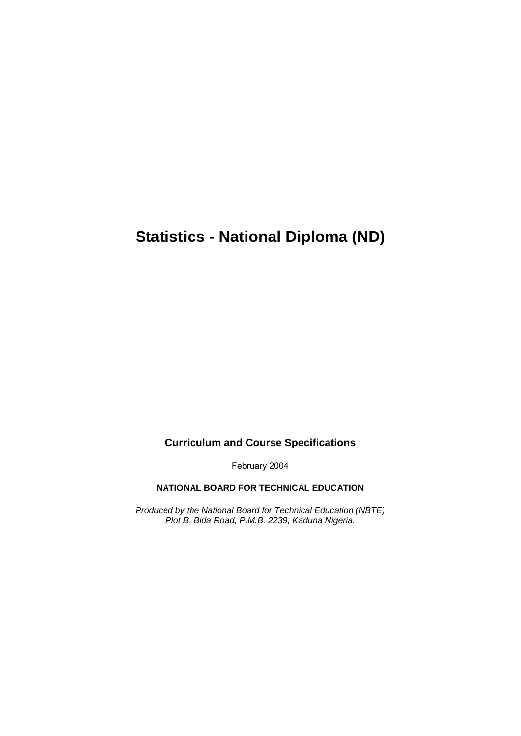# **Statistics - National Diploma (ND)**

**Curriculum and Course Specifications** 

February 2004

**NATIONAL BOARD FOR TECHNICAL EDUCATION**

*Produced by the National Board for Technical Education (NBTE) Plot B, Bida Road, P.M.B. 2239, Kaduna Nigeria.*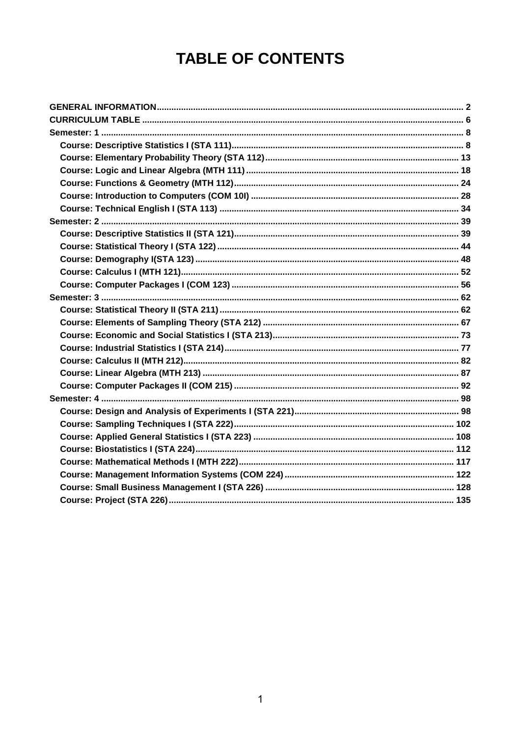# **TABLE OF CONTENTS**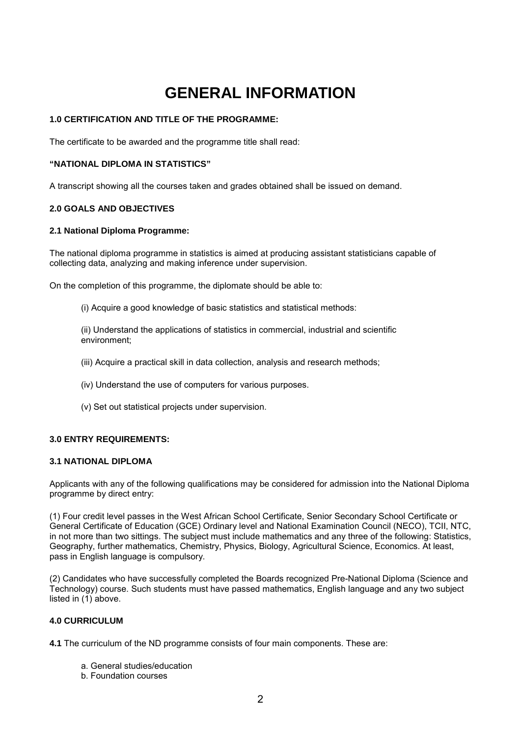# **GENERAL INFORMATION**

## **1.0 CERTIFICATION AND TITLE OF THE PROGRAMME:**

The certificate to be awarded and the programme title shall read:

## **"NATIONAL DIPLOMA IN STATISTICS"**

A transcript showing all the courses taken and grades obtained shall be issued on demand.

## **2.0 GOALS AND OBJECTIVES**

### **2.1 National Diploma Programme:**

The national diploma programme in statistics is aimed at producing assistant statisticians capable of collecting data, analyzing and making inference under supervision.

On the completion of this programme, the diplomate should be able to:

(i) Acquire a good knowledge of basic statistics and statistical methods:

(ii) Understand the applications of statistics in commercial, industrial and scientific environment;

- (iii) Acquire a practical skill in data collection, analysis and research methods;
- (iv) Understand the use of computers for various purposes.
- (v) Set out statistical projects under supervision.

## **3.0 ENTRY REQUIREMENTS:**

#### **3.1 NATIONAL DIPLOMA**

Applicants with any of the following qualifications may be considered for admission into the National Diploma programme by direct entry:

(1) Four credit level passes in the West African School Certificate, Senior Secondary School Certificate or General Certificate of Education (GCE) Ordinary level and National Examination Council (NECO), TCII, NTC, in not more than two sittings. The subject must include mathematics and any three of the following: Statistics, Geography, further mathematics, Chemistry, Physics, Biology, Agricultural Science, Economics. At least, pass in English language is compulsory.

(2) Candidates who have successfully completed the Boards recognized Pre-National Diploma (Science and Technology) course. Such students must have passed mathematics, English language and any two subject listed in (1) above.

#### **4.0 CURRICULUM**

**4.1** The curriculum of the ND programme consists of four main components. These are:

- a. General studies/education
- b. Foundation courses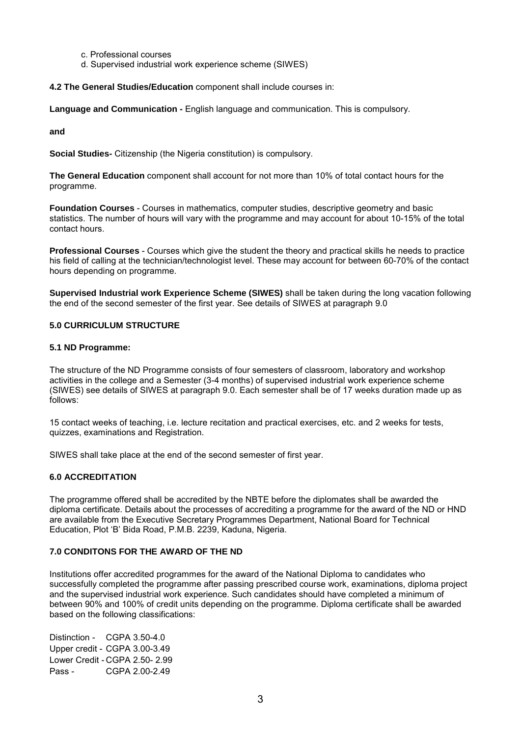- c. Professional courses
- d. Supervised industrial work experience scheme (SIWES)

## **4.2 The General Studies/Education** component shall include courses in:

**Language and Communication -** English language and communication. This is compulsory.

**and**

**Social Studies-** Citizenship (the Nigeria constitution) is compulsory.

**The General Education** component shall account for not more than 10% of total contact hours for the programme.

**Foundation Courses** - Courses in mathematics, computer studies, descriptive geometry and basic statistics. The number of hours will vary with the programme and may account for about 10-15% of the total contact hours.

**Professional Courses** - Courses which give the student the theory and practical skills he needs to practice his field of calling at the technician/technologist level. These may account for between 60-70% of the contact hours depending on programme.

**Supervised Industrial work Experience Scheme (SIWES)** shall be taken during the long vacation following the end of the second semester of the first year. See details of SIWES at paragraph 9.0

## **5.0 CURRICULUM STRUCTURE**

#### **5.1 ND Programme:**

The structure of the ND Programme consists of four semesters of classroom, laboratory and workshop activities in the college and a Semester (3-4 months) of supervised industrial work experience scheme (SIWES) see details of SIWES at paragraph 9.0. Each semester shall be of 17 weeks duration made up as follows:

15 contact weeks of teaching, i.e. lecture recitation and practical exercises, etc. and 2 weeks for tests, quizzes, examinations and Registration.

SIWES shall take place at the end of the second semester of first year.

### **6.0 ACCREDITATION**

The programme offered shall be accredited by the NBTE before the diplomates shall be awarded the diploma certificate. Details about the processes of accrediting a programme for the award of the ND or HND are available from the Executive Secretary Programmes Department, National Board for Technical Education, Plot 'B' Bida Road, P.M.B. 2239, Kaduna, Nigeria.

### **7.0 CONDITONS FOR THE AWARD OF THE ND**

Institutions offer accredited programmes for the award of the National Diploma to candidates who successfully completed the programme after passing prescribed course work, examinations, diploma project and the supervised industrial work experience. Such candidates should have completed a minimum of between 90% and 100% of credit units depending on the programme. Diploma certificate shall be awarded based on the following classifications:

Distinction - CGPA 3.50-4.0 Upper credit - CGPA 3.00-3.49 Lower Credit - CGPA 2.50- 2.99 Pass - CGPA 2.00-2.49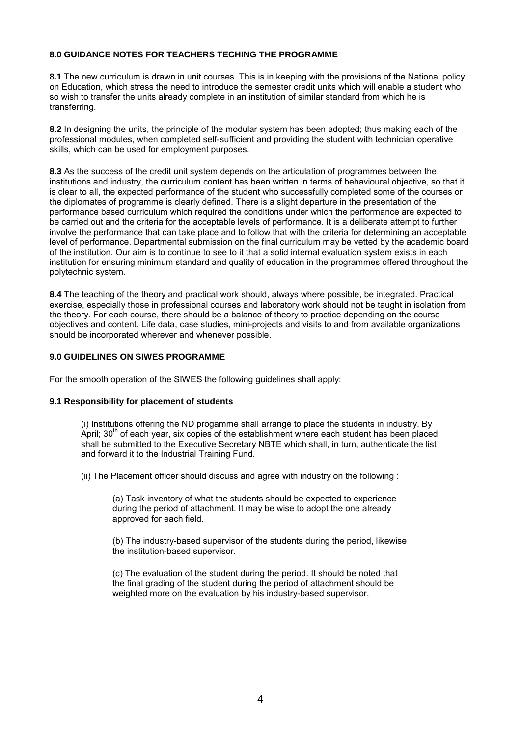## **8.0 GUIDANCE NOTES FOR TEACHERS TECHING THE PROGRAMME**

**8.1** The new curriculum is drawn in unit courses. This is in keeping with the provisions of the National policy on Education, which stress the need to introduce the semester credit units which will enable a student who so wish to transfer the units already complete in an institution of similar standard from which he is transferring.

**8.2** In designing the units, the principle of the modular system has been adopted; thus making each of the professional modules, when completed self-sufficient and providing the student with technician operative skills, which can be used for employment purposes.

**8.3** As the success of the credit unit system depends on the articulation of programmes between the institutions and industry, the curriculum content has been written in terms of behavioural objective, so that it is clear to all, the expected performance of the student who successfully completed some of the courses or the diplomates of programme is clearly defined. There is a slight departure in the presentation of the performance based curriculum which required the conditions under which the performance are expected to be carried out and the criteria for the acceptable levels of performance. It is a deliberate attempt to further involve the performance that can take place and to follow that with the criteria for determining an acceptable level of performance. Departmental submission on the final curriculum may be vetted by the academic board of the institution. Our aim is to continue to see to it that a solid internal evaluation system exists in each institution for ensuring minimum standard and quality of education in the programmes offered throughout the polytechnic system.

**8.4** The teaching of the theory and practical work should, always where possible, be integrated. Practical exercise, especially those in professional courses and laboratory work should not be taught in isolation from the theory. For each course, there should be a balance of theory to practice depending on the course objectives and content. Life data, case studies, mini-projects and visits to and from available organizations should be incorporated wherever and whenever possible.

### **9.0 GUIDELINES ON SIWES PROGRAMME**

For the smooth operation of the SIWES the following guidelines shall apply:

#### **9.1 Responsibility for placement of students**

(i) Institutions offering the ND progamme shall arrange to place the students in industry. By April;  $30<sup>th</sup>$  of each year, six copies of the establishment where each student has been placed shall be submitted to the Executive Secretary NBTE which shall, in turn, authenticate the list and forward it to the Industrial Training Fund.

(ii) The Placement officer should discuss and agree with industry on the following :

(a) Task inventory of what the students should be expected to experience during the period of attachment. It may be wise to adopt the one already approved for each field.

(b) The industry-based supervisor of the students during the period, likewise the institution-based supervisor.

(c) The evaluation of the student during the period. It should be noted that the final grading of the student during the period of attachment should be weighted more on the evaluation by his industry-based supervisor.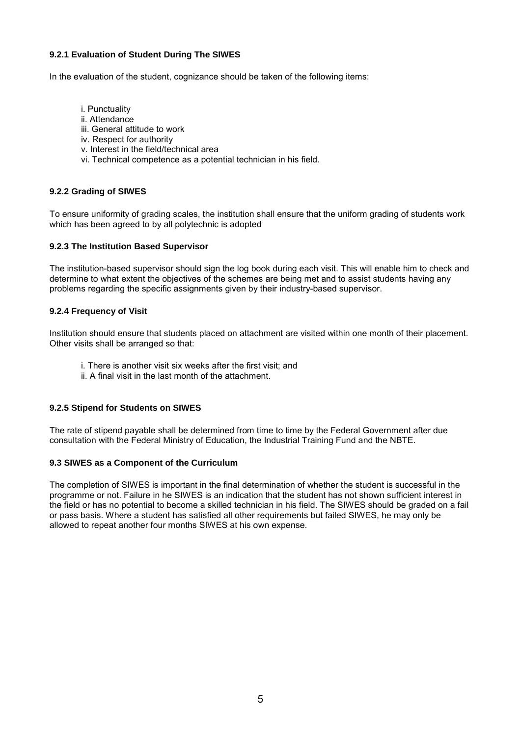## **9.2.1 Evaluation of Student During The SIWES**

In the evaluation of the student, cognizance should be taken of the following items:

- i. Punctuality
- ii. Attendance
- iii. General attitude to work
- iv. Respect for authority
- v. Interest in the field/technical area
- vi. Technical competence as a potential technician in his field.

## **9.2.2 Grading of SIWES**

To ensure uniformity of grading scales, the institution shall ensure that the uniform grading of students work which has been agreed to by all polytechnic is adopted

## **9.2.3 The Institution Based Supervisor**

The institution-based supervisor should sign the log book during each visit. This will enable him to check and determine to what extent the objectives of the schemes are being met and to assist students having any problems regarding the specific assignments given by their industry-based supervisor.

## **9.2.4 Frequency of Visit**

Institution should ensure that students placed on attachment are visited within one month of their placement. Other visits shall be arranged so that:

- i. There is another visit six weeks after the first visit; and
- ii. A final visit in the last month of the attachment.

## **9.2.5 Stipend for Students on SIWES**

The rate of stipend payable shall be determined from time to time by the Federal Government after due consultation with the Federal Ministry of Education, the Industrial Training Fund and the NBTE.

## **9.3 SIWES as a Component of the Curriculum**

The completion of SIWES is important in the final determination of whether the student is successful in the programme or not. Failure in he SIWES is an indication that the student has not shown sufficient interest in the field or has no potential to become a skilled technician in his field. The SIWES should be graded on a fail or pass basis. Where a student has satisfied all other requirements but failed SIWES, he may only be allowed to repeat another four months SIWES at his own expense.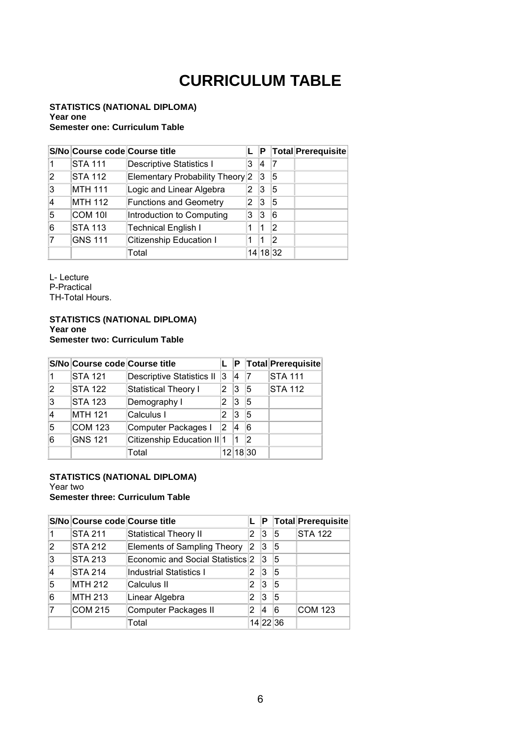# **CURRICULUM TABLE**

### **STATISTICS (NATIONAL DIPLOMA) Year one Semester one: Curriculum Table**

|                | S/No Course code Course title |                                 |    | P |       | Total Prerequisite |
|----------------|-------------------------------|---------------------------------|----|---|-------|--------------------|
|                | <b>STA 111</b>                | Descriptive Statistics I        | 3  | 4 |       |                    |
| $\overline{2}$ | <b>STA 112</b>                | Elementary Probability Theory 2 |    | 3 | 5     |                    |
| 3              | <b>MTH 111</b>                | Logic and Linear Algebra        | 2  | 3 | 5     |                    |
| 4              | <b>MTH 112</b>                | <b>Functions and Geometry</b>   | 2  | 3 | 5     |                    |
| 5              | <b>COM 101</b>                | Introduction to Computing       | 3  | 3 | 16    |                    |
| 6              | <b>STA 113</b>                | <b>Technical English I</b>      | 1  | 1 | 12    |                    |
|                | <b>GNS 111</b>                | Citizenship Education I         | 1  |   | 12    |                    |
|                |                               | Total                           | 14 |   | 18 32 |                    |

L- Lecture P-Practical TH-Total Hours.

## **STATISTICS (NATIONAL DIPLOMA) Year one Semester two: Curriculum Table**

|                | S/No Course code Course title |                                       |                   | Р |       | <b>Total Prerequisite</b> |
|----------------|-------------------------------|---------------------------------------|-------------------|---|-------|---------------------------|
|                | <b>STA 121</b>                | <b>Descriptive Statistics II</b>      | Ι3                | 4 | 17    | <b>STA 111</b>            |
| 2              | <b>STA 122</b>                | Statistical Theory I                  | 2                 | 3 | 5     | <b>STA 112</b>            |
| 3              | <b>STA 123</b>                | Demography I                          | 2                 | 3 | 5     |                           |
| $\overline{4}$ | MTH 121                       | Calculus I                            | 2                 | 3 | 5     |                           |
| 5              | <b>COM 123</b>                | Computer Packages I                   | $\overline{2}$    | 4 | 6     |                           |
| 6              | <b>GNS 121</b>                | Citizenship Education II <sup>1</sup> |                   | 1 | 12    |                           |
|                |                               | Total                                 | $12 \overline{ }$ |   | 18 30 |                           |

#### **STATISTICS (NATIONAL DIPLOMA)** Year two **Semester three: Curriculum Table**

|   | S/No Course code Course title |                                    |   | P  |          | <b>Total Prerequisite</b> |
|---|-------------------------------|------------------------------------|---|----|----------|---------------------------|
|   | <b>STA 211</b>                | <b>Statistical Theory II</b>       | 2 | 3  | 5        | <b>STA 122</b>            |
| 2 | <b>STA 212</b>                | <b>Elements of Sampling Theory</b> | 2 | 3  | 15       |                           |
| 3 | <b>STA 213</b>                | Economic and Social Statistics 2   |   | 3  | 15       |                           |
| 4 | <b>STA 214</b>                | Industrial Statistics I            | 2 | 3  | 5        |                           |
| 5 | <b>MTH 212</b>                | Calculus II                        | 2 | 3  | 5        |                           |
| 6 | <b>MTH 213</b>                | Linear Algebra                     | 2 | 3  | 5        |                           |
|   | <b>COM 215</b>                | Computer Packages II               | 2 | 14 | 6        | <b>COM 123</b>            |
|   |                               | Total                              |   |    | 14 22 36 |                           |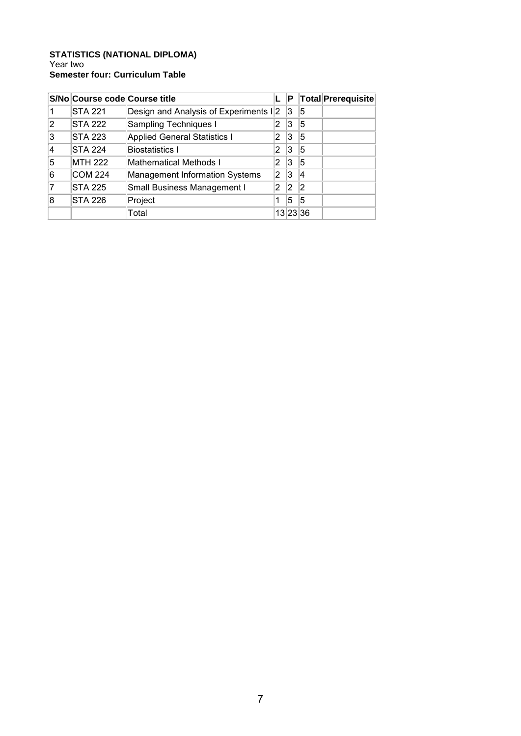## **STATISTICS (NATIONAL DIPLOMA)** Year two **Semester four: Curriculum Table**

|   | S/No Course code Course title |                                       |   | Ρ              |    | <b>Total Prerequisite</b> |
|---|-------------------------------|---------------------------------------|---|----------------|----|---------------------------|
|   | <b>STA 221</b>                | Design and Analysis of Experiments I2 |   | 13             | 5  |                           |
| 2 | <b>STA 222</b>                | <b>Sampling Techniques I</b>          |   | 3              | 5  |                           |
| 3 | <b>STA 223</b>                | <b>Applied General Statistics I</b>   | 2 | 3              | 5  |                           |
| 4 | <b>STA 224</b>                | <b>Biostatistics I</b>                | 2 | 3              | 5  |                           |
| 5 | <b>MTH 222</b>                | Mathematical Methods I                | 2 | 3              | 5  |                           |
| 6 | <b>COM 224</b>                | <b>Management Information Systems</b> | 2 | 3              | 14 |                           |
|   | <b>STA 225</b>                | Small Business Management I           | 2 | $\overline{2}$ | 2  |                           |
| 8 | <b>STA 226</b>                | Project                               |   | 5              | 5  |                           |
|   |                               | Total                                 |   | 13 23 36       |    |                           |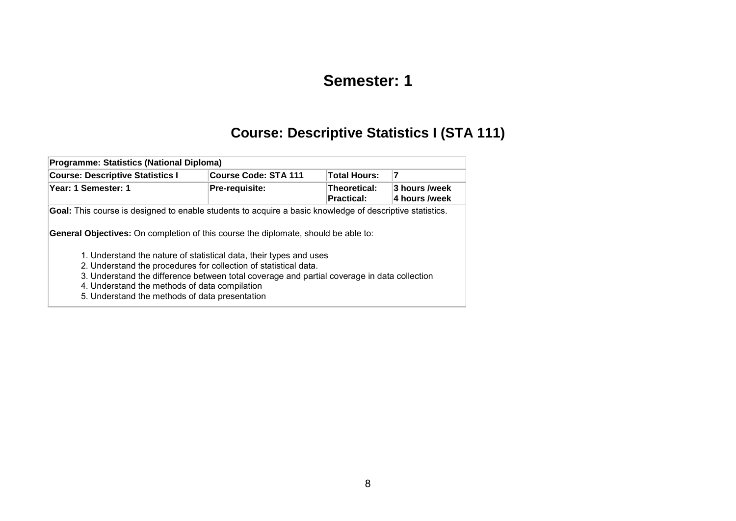## **Semester: 1**

## **Course: Descriptive Statistics I (STA 111)**

| <b>Programme: Statistics (National Diploma)</b>                                                                                                                                                                                                                                                                                                 |                             |                                   |                                |  |  |  |  |  |
|-------------------------------------------------------------------------------------------------------------------------------------------------------------------------------------------------------------------------------------------------------------------------------------------------------------------------------------------------|-----------------------------|-----------------------------------|--------------------------------|--|--|--|--|--|
| <b>Course: Descriptive Statistics I</b>                                                                                                                                                                                                                                                                                                         | <b>Course Code: STA 111</b> | <b>Total Hours:</b>               | 7                              |  |  |  |  |  |
| Year: 1 Semester: 1                                                                                                                                                                                                                                                                                                                             | Pre-requisite:              | Theoretical:<br><b>Practical:</b> | 3 hours /week<br>4 hours /week |  |  |  |  |  |
| Goal: This course is designed to enable students to acquire a basic knowledge of descriptive statistics.<br><b>General Objectives:</b> On completion of this course the diplomate, should be able to:<br>1. Understand the nature of statistical data, their types and uses<br>2. Understand the procedures for collection of statistical data. |                             |                                   |                                |  |  |  |  |  |
| 3. Understand the difference between total coverage and partial coverage in data collection<br>4. Understand the methods of data compilation<br>5. Understand the methods of data presentation                                                                                                                                                  |                             |                                   |                                |  |  |  |  |  |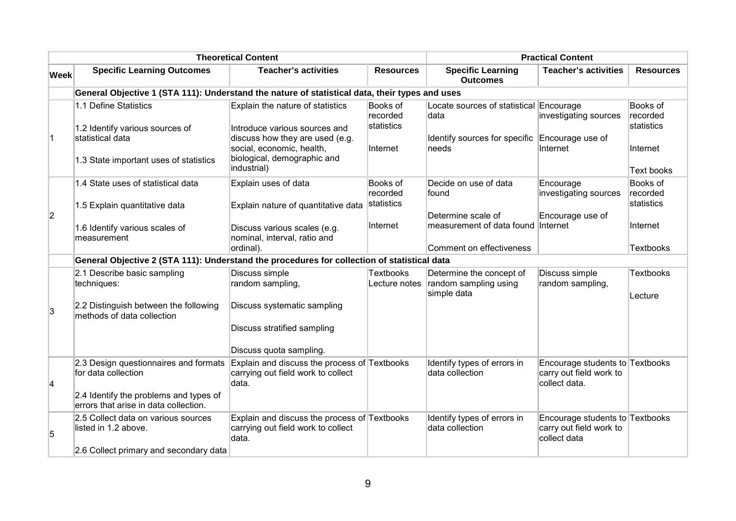|                         | <b>Theoretical Content</b>                                                                     | <b>Practical Content</b>                                                                                   |                                    |                                                                                      |                                                                             |                                    |
|-------------------------|------------------------------------------------------------------------------------------------|------------------------------------------------------------------------------------------------------------|------------------------------------|--------------------------------------------------------------------------------------|-----------------------------------------------------------------------------|------------------------------------|
| <b>Week</b>             | <b>Specific Learning Outcomes</b>                                                              | <b>Teacher's activities</b>                                                                                | <b>Resources</b>                   | <b>Specific Learning</b><br><b>Outcomes</b>                                          | <b>Teacher's activities</b>                                                 | <b>Resources</b>                   |
|                         | General Objective 1 (STA 111): Understand the nature of statistical data, their types and uses |                                                                                                            |                                    |                                                                                      |                                                                             |                                    |
|                         | 1.1 Define Statistics<br>1.2 Identify various sources of                                       | Explain the nature of statistics<br>Introduce various sources and                                          | Books of<br>recorded<br>statistics | Locate sources of statistical Encourage<br>data                                      | investigating sources                                                       | Books of<br>recorded<br>statistics |
| 1                       | statistical data<br>1.3 State important uses of statistics                                     | discuss how they are used (e.g.<br>social, economic, health,<br>biological, demographic and<br>industrial) | Internet                           | Identify sources for specific Encourage use of<br>needs                              | Internet                                                                    | Internet<br>Text books             |
|                         | 1.4 State uses of statistical data<br>1.5 Explain quantitative data                            | Explain uses of data<br>Explain nature of quantitative data                                                | Books of<br>recorded<br>statistics | Decide on use of data<br>found                                                       | Encourage<br>investigating sources                                          | Books of<br>recorded<br>statistics |
| $\overline{2}$          | 1.6 Identify various scales of<br>measurement                                                  | Discuss various scales (e.g.<br>nominal, interval, ratio and<br>ordinal).                                  | Internet                           | Determine scale of<br>measurement of data found Internet<br>Comment on effectiveness | Encourage use of                                                            | Internet<br>Textbooks              |
|                         | General Objective 2 (STA 111): Understand the procedures for collection of statistical data    |                                                                                                            |                                    |                                                                                      |                                                                             |                                    |
|                         | 2.1 Describe basic sampling                                                                    | Discuss simple                                                                                             | <b>Textbooks</b>                   | Determine the concept of                                                             | Discuss simple                                                              | <b>Textbooks</b>                   |
|                         | techniques:                                                                                    | random sampling,                                                                                           | Lecture notes                      | random sampling using<br>simple data                                                 | random sampling,                                                            | Lecture                            |
| 3                       | 2.2 Distinguish between the following<br>methods of data collection                            | Discuss systematic sampling                                                                                |                                    |                                                                                      |                                                                             |                                    |
|                         |                                                                                                | Discuss stratified sampling                                                                                |                                    |                                                                                      |                                                                             |                                    |
|                         |                                                                                                | Discuss quota sampling.                                                                                    |                                    |                                                                                      |                                                                             |                                    |
| $\overline{\mathsf{4}}$ | 2.3 Design questionnaires and formats<br>for data collection                                   | Explain and discuss the process of Textbooks<br>carrying out field work to collect<br>data.                |                                    | Identify types of errors in<br>data collection                                       | Encourage students to Textbooks<br>carry out field work to<br>collect data. |                                    |
|                         | 2.4 Identify the problems and types of<br>errors that arise in data collection.                |                                                                                                            |                                    |                                                                                      |                                                                             |                                    |
| 5                       | 2.5 Collect data on various sources<br>listed in 1.2 above.                                    | Explain and discuss the process of Textbooks<br>carrying out field work to collect<br>data.                |                                    | Identify types of errors in<br>data collection                                       | Encourage students to Textbooks<br>carry out field work to<br>collect data  |                                    |
|                         | 2.6 Collect primary and secondary data                                                         |                                                                                                            |                                    |                                                                                      |                                                                             |                                    |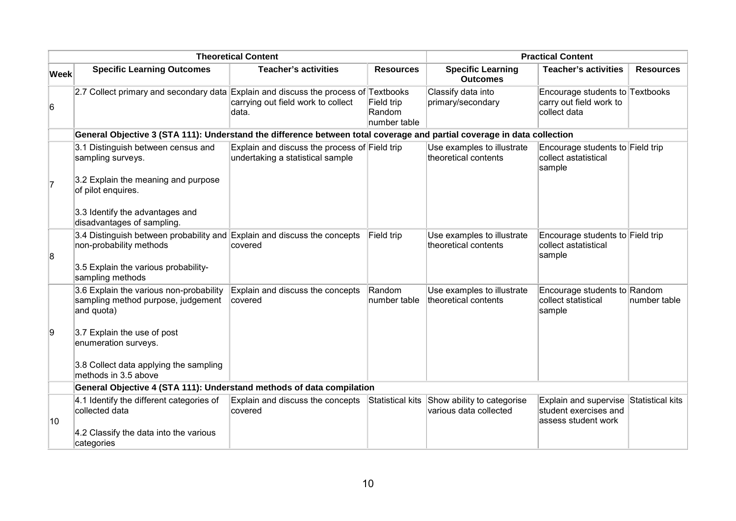|                |                                                                                                                                             | <b>Theoretical Content</b>                                                        |                                      |                                                      | <b>Practical Content</b>                                                                |                  |
|----------------|---------------------------------------------------------------------------------------------------------------------------------------------|-----------------------------------------------------------------------------------|--------------------------------------|------------------------------------------------------|-----------------------------------------------------------------------------------------|------------------|
| Week           | <b>Specific Learning Outcomes</b>                                                                                                           | <b>Teacher's activities</b>                                                       | <b>Resources</b>                     | <b>Specific Learning</b><br><b>Outcomes</b>          | <b>Teacher's activities</b>                                                             | <b>Resources</b> |
| 6              | 2.7 Collect primary and secondary data Explain and discuss the process of Textbooks                                                         | carrying out field work to collect<br>data.                                       | Field trip<br>Random<br>number table | Classify data into<br>primary/secondary              | Encourage students to Textbooks<br>carry out field work to<br>collect data              |                  |
|                | General Objective 3 (STA 111): Understand the difference between total coverage and partial coverage in data collection                     |                                                                                   |                                      |                                                      |                                                                                         |                  |
|                | 3.1 Distinguish between census and<br>sampling surveys.                                                                                     | Explain and discuss the process of Field trip<br>undertaking a statistical sample |                                      | Use examples to illustrate<br>theoretical contents   | Encourage students to Field trip<br>collect astatistical<br>sample                      |                  |
| $\overline{7}$ | 3.2 Explain the meaning and purpose<br>of pilot enquires.                                                                                   |                                                                                   |                                      |                                                      |                                                                                         |                  |
|                | 3.3 Identify the advantages and<br>disadvantages of sampling.                                                                               |                                                                                   |                                      |                                                      |                                                                                         |                  |
| 8              | 3.4 Distinguish between probability and Explain and discuss the concepts<br>non-probability methods<br>3.5 Explain the various probability- | covered                                                                           | Field trip                           | Use examples to illustrate<br>theoretical contents   | Encourage students to Field trip<br>collect astatistical<br>sample                      |                  |
|                | sampling methods                                                                                                                            |                                                                                   |                                      |                                                      |                                                                                         |                  |
|                | 3.6 Explain the various non-probability<br>sampling method purpose, judgement<br>and quota)                                                 | Explain and discuss the concepts<br>covered                                       | Random<br>number table               | Use examples to illustrate<br>theoretical contents   | Encourage students to Random<br>collect statistical<br>sample                           | number table     |
| g,             | 3.7 Explain the use of post<br>enumeration surveys.                                                                                         |                                                                                   |                                      |                                                      |                                                                                         |                  |
|                | 3.8 Collect data applying the sampling<br>methods in 3.5 above                                                                              |                                                                                   |                                      |                                                      |                                                                                         |                  |
|                | General Objective 4 (STA 111): Understand methods of data compilation                                                                       |                                                                                   |                                      |                                                      |                                                                                         |                  |
| 10             | 4.1 Identify the different categories of<br>collected data                                                                                  | Explain and discuss the concepts<br>covered                                       | Statistical kits                     | Show ability to categorise<br>various data collected | Explain and supervise Statistical kits<br>student exercises and<br>lassess student work |                  |
|                | 4.2 Classify the data into the various<br>categories                                                                                        |                                                                                   |                                      |                                                      |                                                                                         |                  |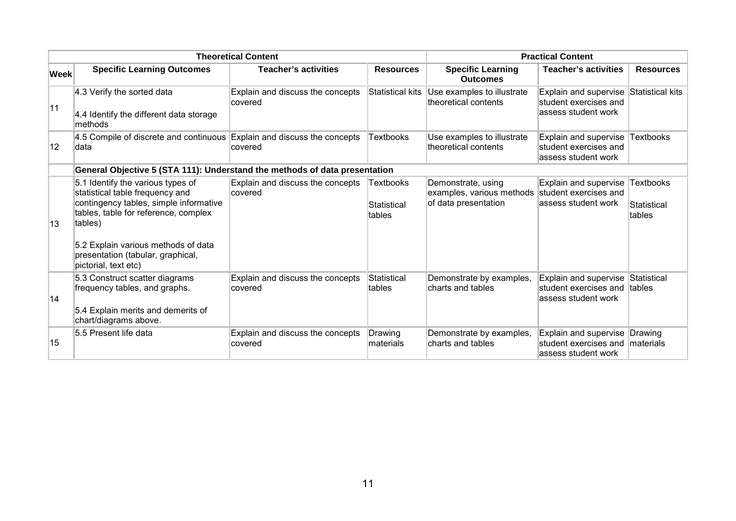| <b>Theoretical Content</b> |                                                                                                                                                                                                                                                                       |                                             |                                           | <b>Practical Content</b>                                                                      |                                                                                            |                                           |  |
|----------------------------|-----------------------------------------------------------------------------------------------------------------------------------------------------------------------------------------------------------------------------------------------------------------------|---------------------------------------------|-------------------------------------------|-----------------------------------------------------------------------------------------------|--------------------------------------------------------------------------------------------|-------------------------------------------|--|
| <b>Week</b>                | <b>Specific Learning Outcomes</b>                                                                                                                                                                                                                                     | <b>Teacher's activities</b>                 | <b>Resources</b>                          | <b>Specific Learning</b><br><b>Outcomes</b>                                                   | <b>Teacher's activities</b>                                                                | <b>Resources</b>                          |  |
| 11                         | 4.3 Verify the sorted data<br>4.4 Identify the different data storage<br>methods                                                                                                                                                                                      | Explain and discuss the concepts<br>covered | <b>Statistical kits</b>                   | Use examples to illustrate<br>theoretical contents                                            | Explain and supervise<br>student exercises and<br>assess student work                      | <b>Statistical kits</b>                   |  |
| 12                         | 4.5 Compile of discrete and continuous Explain and discuss the concepts<br>data                                                                                                                                                                                       | covered                                     | <b>Textbooks</b>                          | Use examples to illustrate<br>theoretical contents                                            | Explain and supervise Textbooks<br>student exercises and<br>assess student work            |                                           |  |
|                            | General Objective 5 (STA 111): Understand the methods of data presentation                                                                                                                                                                                            |                                             |                                           |                                                                                               |                                                                                            |                                           |  |
| 13                         | 5.1 Identify the various types of<br>statistical table frequency and<br>contingency tables, simple informative<br>tables, table for reference, complex<br>tables)<br>5.2 Explain various methods of data<br>presentation (tabular, graphical,<br>pictorial, text etc) | Explain and discuss the concepts<br>covered | <b>Textbooks</b><br>Statistical<br>tables | Demonstrate, using<br>examples, various methods student exercises and<br>of data presentation | Explain and supervise<br>lassess student work                                              | Textbooks<br><b>Statistical</b><br>tables |  |
| 14                         | 5.3 Construct scatter diagrams<br>frequency tables, and graphs.<br>5.4 Explain merits and demerits of<br>chart/diagrams above.                                                                                                                                        | Explain and discuss the concepts<br>covered | <b>Statistical</b><br>tables              | Demonstrate by examples,<br>charts and tables                                                 | Explain and supervise<br>student exercises and<br>lassess student work                     | Statistical<br><b>Itables</b>             |  |
| 15                         | 5.5 Present life data                                                                                                                                                                                                                                                 | Explain and discuss the concepts<br>covered | Drawing<br>materials                      | Demonstrate by examples,<br>charts and tables                                                 | Explain and supervise Drawing<br>student exercises and   materials<br>lassess student work |                                           |  |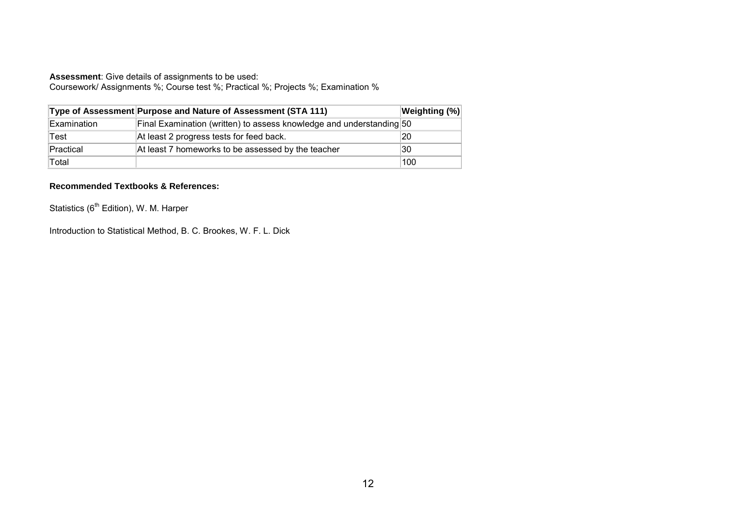**Assessment**: Give details of assignments to be used: Coursework/ Assignments %; Course test %; Practical %; Projects %; Examination %

|             | Type of Assessment Purpose and Nature of Assessment (STA 111)        | Weighting (%) |
|-------------|----------------------------------------------------------------------|---------------|
| Examination | Final Examination (written) to assess knowledge and understanding 50 |               |
| Test        | At least 2 progress tests for feed back.                             | 20            |
| Practical   | At least 7 homeworks to be assessed by the teacher                   | 30            |
| Total       |                                                                      | 100           |

#### **Recommended Textbooks & References:**

Statistics ( $6^{th}$  Edition), W. M. Harper

Introduction to Statistical Method, B. C. Brookes, W. F. L. Dick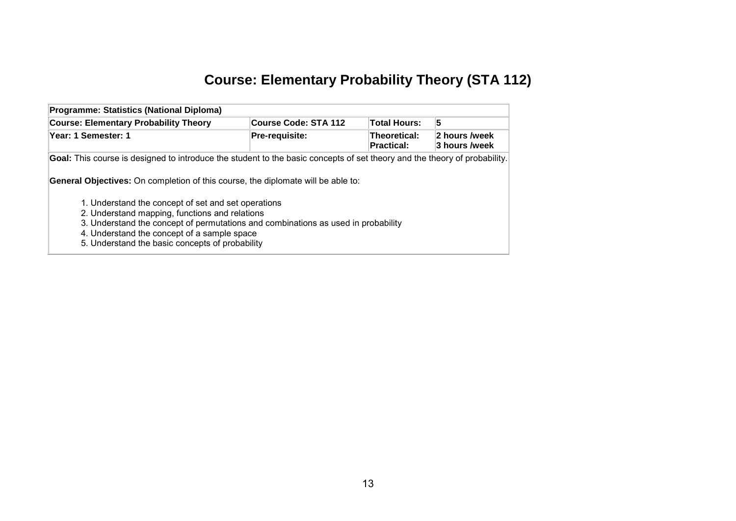## **Course: Elementary Probability Theory (STA 112)**

| <b>Programme: Statistics (National Diploma)</b>                                                                           |                             |                                   |                                |  |  |  |  |
|---------------------------------------------------------------------------------------------------------------------------|-----------------------------|-----------------------------------|--------------------------------|--|--|--|--|
| <b>Course: Elementary Probability Theory</b>                                                                              | <b>Course Code: STA 112</b> | <b>Total Hours:</b>               | 5                              |  |  |  |  |
| Year: 1 Semester: 1                                                                                                       | <b>Pre-requisite:</b>       | Theoretical:<br><b>Practical:</b> | 2 hours /week<br>3 hours /week |  |  |  |  |
| Goal: This course is designed to introduce the student to the basic concepts of set theory and the theory of probability. |                             |                                   |                                |  |  |  |  |
| <b>General Objectives:</b> On completion of this course, the diplomate will be able to:                                   |                             |                                   |                                |  |  |  |  |

- 1. Understand the concept of set and set operations
- 2. Understand mapping, functions and relations
- 3. Understand the concept of permutations and combinations as used in probability
- 4. Understand the concept of a sample space
- 5. Understand the basic concepts of probability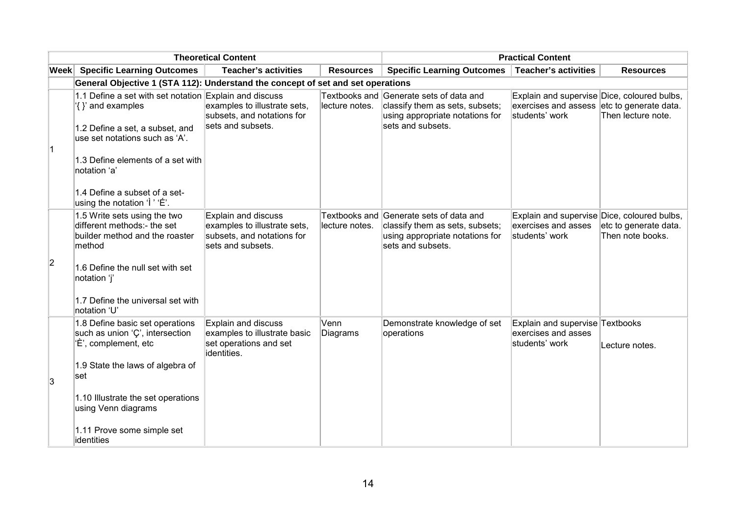| <b>Theoretical Content</b> |                                                                                                                                                                                                                  |                                                                                                               |                  | <b>Practical Content</b>                                                                                                           |                                                                                                             |                                           |  |
|----------------------------|------------------------------------------------------------------------------------------------------------------------------------------------------------------------------------------------------------------|---------------------------------------------------------------------------------------------------------------|------------------|------------------------------------------------------------------------------------------------------------------------------------|-------------------------------------------------------------------------------------------------------------|-------------------------------------------|--|
|                            | <b>Week</b> Specific Learning Outcomes                                                                                                                                                                           | <b>Teacher's activities</b>                                                                                   | <b>Resources</b> | <b>Specific Learning Outcomes</b>                                                                                                  | <b>Teacher's activities</b>                                                                                 | <b>Resources</b>                          |  |
|                            | General Objective 1 (STA 112): Understand the concept of set and set operations                                                                                                                                  |                                                                                                               |                  |                                                                                                                                    |                                                                                                             |                                           |  |
| $\overline{1}$             | 1.1 Define a set with set notation Explain and discuss<br>$\{ \}$ and examples<br>1.2 Define a set, a subset, and<br>luse set notations such as 'A'.<br>1.3 Define elements of a set with<br>Inotation 'a'       | examples to illustrate sets,<br>subsets, and notations for<br>sets and subsets.                               | lecture notes.   | Textbooks and Generate sets of data and<br>classify them as sets, subsets;<br>using appropriate notations for<br>sets and subsets. | Explain and supervise Dice, coloured bulbs,<br>exercises and assess etc to generate data.<br>students' work | Then lecture note.                        |  |
|                            | 1.4 Define a subset of a set-<br>using the notation 'I' 'É'.                                                                                                                                                     |                                                                                                               |                  |                                                                                                                                    |                                                                                                             |                                           |  |
| $\overline{2}$             | 1.5 Write sets using the two<br>different methods:- the set<br>builder method and the roaster<br>method<br>1.6 Define the null set with set<br>notation 'i'<br>1.7 Define the universal set with<br>notation 'U' | <b>Explain and discuss</b><br>examples to illustrate sets,<br>subsets, and notations for<br>sets and subsets. | lecture notes.   | Textbooks and Generate sets of data and<br>classify them as sets, subsets;<br>using appropriate notations for<br>sets and subsets. | Explain and supervise Dice, coloured bulbs,<br>exercises and asses<br>students' work                        | etc to generate data.<br>Then note books. |  |
| Ι3                         | 1.8 Define basic set operations<br>such as union 'Ç', intersection<br>'È', complement, etc<br>1.9 State the laws of algebra of<br>lset<br>1.10 Illustrate the set operations<br>using Venn diagrams              | <b>Explain and discuss</b><br>examples to illustrate basic<br>set operations and set<br>identities.           | Venn<br>Diagrams | Demonstrate knowledge of set<br>operations                                                                                         | Explain and supervise Textbooks<br>exercises and asses<br>students' work                                    | Lecture notes.                            |  |
|                            | 1.11 Prove some simple set<br>identities                                                                                                                                                                         |                                                                                                               |                  |                                                                                                                                    |                                                                                                             |                                           |  |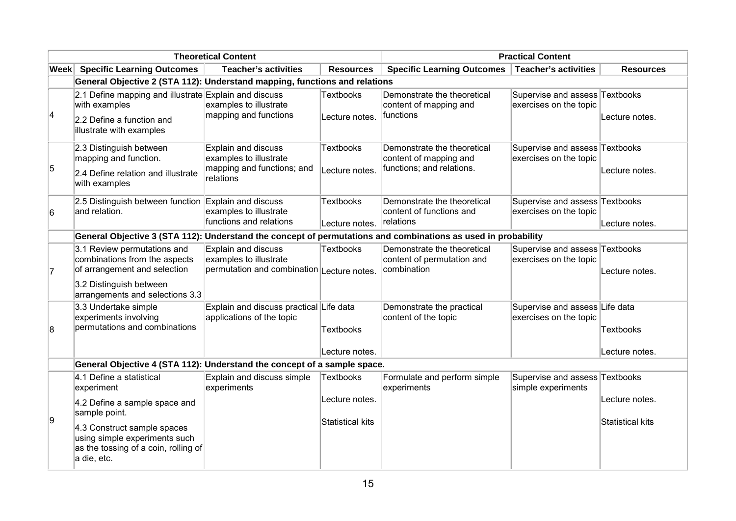|                |                                                                                                                     | <b>Theoretical Content</b>                                           |                  | <b>Practical Content</b>                                  |                                                          |                         |
|----------------|---------------------------------------------------------------------------------------------------------------------|----------------------------------------------------------------------|------------------|-----------------------------------------------------------|----------------------------------------------------------|-------------------------|
|                | <b>Week</b> Specific Learning Outcomes                                                                              | <b>Teacher's activities</b>                                          | <b>Resources</b> | <b>Specific Learning Outcomes</b>                         | <b>Resources</b>                                         |                         |
|                | General Objective 2 (STA 112): Understand mapping, functions and relations                                          |                                                                      |                  |                                                           |                                                          |                         |
|                | 2.1 Define mapping and illustrate Explain and discuss<br>with examples                                              | examples to illustrate                                               | <b>Textbooks</b> | Demonstrate the theoretical<br>content of mapping and     | Supervise and assess Textbooks<br>exercises on the topic |                         |
| 4              | 2.2 Define a function and<br>illustrate with examples                                                               | mapping and functions                                                | Lecture notes.   | functions                                                 |                                                          | Lecture notes.          |
| 5              | 2.3 Distinguish between<br>mapping and function.                                                                    | Explain and discuss<br>examples to illustrate                        | <b>Textbooks</b> | Demonstrate the theoretical<br>content of mapping and     | Supervise and assess Textbooks<br>exercises on the topic |                         |
|                | 2.4 Define relation and illustrate<br>with examples                                                                 | mapping and functions; and<br>relations                              | Lecture notes.   | functions; and relations.                                 |                                                          | Lecture notes.          |
| 6              | 2.5 Distinguish between function Explain and discuss<br>and relation.                                               | examples to illustrate                                               | <b>Textbooks</b> | Demonstrate the theoretical<br>content of functions and   | Supervise and assess Textbooks<br>exercises on the topic |                         |
|                |                                                                                                                     | functions and relations                                              | Lecture notes.   | relations                                                 |                                                          | Lecture notes.          |
|                | General Objective 3 (STA 112): Understand the concept of permutations and combinations as used in probability       |                                                                      |                  |                                                           |                                                          |                         |
|                | 3.1 Review permutations and<br>combinations from the aspects                                                        | Explain and discuss<br>examples to illustrate                        | <b>Textbooks</b> | Demonstrate the theoretical<br>content of permutation and | Supervise and assess Textbooks<br>exercises on the topic |                         |
| $\overline{7}$ | of arrangement and selection                                                                                        | permutation and combination Lecture notes.                           |                  | combination                                               |                                                          | Lecture notes.          |
|                | 3.2 Distinguish between<br>arrangements and selections 3.3                                                          |                                                                      |                  |                                                           |                                                          |                         |
|                | 3.3 Undertake simple<br>experiments involving                                                                       | Explain and discuss practical Life data<br>applications of the topic |                  | Demonstrate the practical<br>content of the topic         | Supervise and assess Life data<br>exercises on the topic |                         |
| 8              | permutations and combinations                                                                                       |                                                                      | <b>Textbooks</b> |                                                           |                                                          | <b>Textbooks</b>        |
|                |                                                                                                                     |                                                                      | Lecture notes.   |                                                           |                                                          | Lecture notes.          |
|                | General Objective 4 (STA 112): Understand the concept of a sample space.                                            |                                                                      |                  |                                                           |                                                          |                         |
|                | 4.1 Define a statistical<br>experiment                                                                              | Explain and discuss simple<br>experiments                            | <b>Textbooks</b> | Formulate and perform simple<br>experiments               | Supervise and assess Textbooks<br>simple experiments     |                         |
|                | 4.2 Define a sample space and<br>sample point.                                                                      |                                                                      | Lecture notes.   |                                                           |                                                          | Lecture notes.          |
| 9              | 4.3 Construct sample spaces<br>using simple experiments such<br>as the tossing of a coin, rolling of<br>a die, etc. |                                                                      | Statistical kits |                                                           |                                                          | <b>Statistical kits</b> |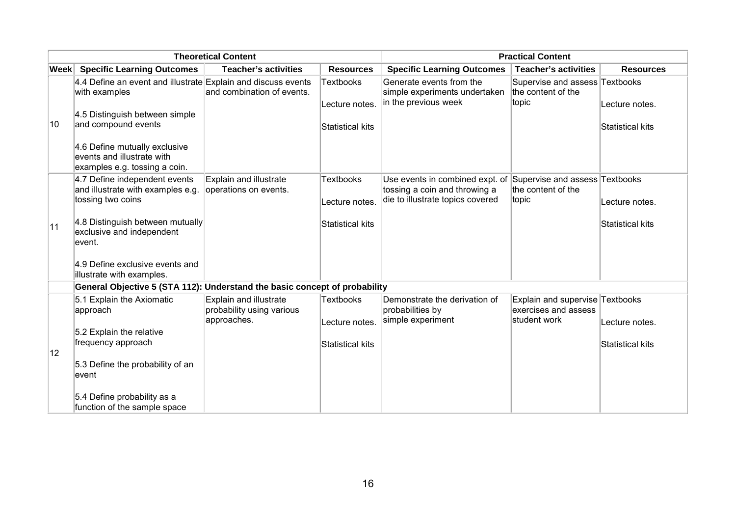| <b>Theoretical Content</b> |                                                                                              |                                                     | <b>Practical Content</b> |                                                                                                 |                                                         |                  |
|----------------------------|----------------------------------------------------------------------------------------------|-----------------------------------------------------|--------------------------|-------------------------------------------------------------------------------------------------|---------------------------------------------------------|------------------|
|                            | <b>Week</b> Specific Learning Outcomes                                                       | <b>Teacher's activities</b>                         | <b>Resources</b>         | <b>Specific Learning Outcomes</b>                                                               | <b>Teacher's activities</b>                             | <b>Resources</b> |
|                            | 4.4 Define an event and illustrate Explain and discuss events<br>with examples               | and combination of events.                          | <b>Textbooks</b>         | Generate events from the<br>simple experiments undertaken                                       | Supervise and assess Textbooks<br>the content of the    |                  |
|                            | 4.5 Distinguish between simple                                                               |                                                     | Lecture notes.           | in the previous week                                                                            | topic                                                   | Lecture notes.   |
| 10                         | and compound events                                                                          |                                                     | <b>Statistical kits</b>  |                                                                                                 |                                                         | Statistical kits |
|                            | 4.6 Define mutually exclusive<br>events and illustrate with<br>examples e.g. tossing a coin. |                                                     |                          |                                                                                                 |                                                         |                  |
|                            | 4.7 Define independent events<br>and illustrate with examples e.g.                           | Explain and illustrate<br>operations on events.     | <b>Textbooks</b>         | Use events in combined expt. of Supervise and assess Textbooks<br>tossing a coin and throwing a | the content of the                                      |                  |
|                            | tossing two coins                                                                            |                                                     | Lecture notes.           | die to illustrate topics covered                                                                | topic                                                   | Lecture notes.   |
| 11                         | 4.8 Distinguish between mutually<br>exclusive and independent<br>event.                      |                                                     | <b>Statistical kits</b>  |                                                                                                 |                                                         | Statistical kits |
|                            | 4.9 Define exclusive events and<br>illustrate with examples.                                 |                                                     |                          |                                                                                                 |                                                         |                  |
|                            | General Objective 5 (STA 112): Understand the basic concept of probability                   |                                                     |                          |                                                                                                 |                                                         |                  |
|                            | 5.1 Explain the Axiomatic<br>approach                                                        | Explain and illustrate<br>probability using various | <b>Textbooks</b>         | Demonstrate the derivation of<br>probabilities by                                               | Explain and supervise Textbooks<br>exercises and assess |                  |
|                            | 5.2 Explain the relative                                                                     | approaches.                                         | Lecture notes.           | simple experiment                                                                               | student work                                            | Lecture notes.   |
| $ 12\rangle$               | frequency approach                                                                           |                                                     | <b>Statistical kits</b>  |                                                                                                 |                                                         | Statistical kits |
|                            | 5.3 Define the probability of an<br>event                                                    |                                                     |                          |                                                                                                 |                                                         |                  |
|                            | 5.4 Define probability as a<br>function of the sample space                                  |                                                     |                          |                                                                                                 |                                                         |                  |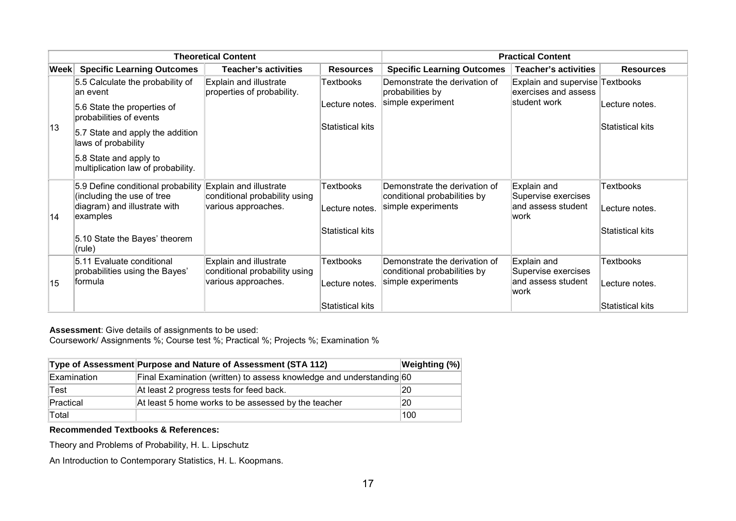| <b>Theoretical Content</b> |                                                                  |                                                         |                  | <b>Practical Content</b>                                      |                                                                         |                  |
|----------------------------|------------------------------------------------------------------|---------------------------------------------------------|------------------|---------------------------------------------------------------|-------------------------------------------------------------------------|------------------|
| Week                       | <b>Specific Learning Outcomes</b>                                | <b>Teacher's activities</b>                             | <b>Resources</b> | <b>Specific Learning Outcomes</b>                             | <b>Teacher's activities</b>                                             | <b>Resources</b> |
|                            | 5.5 Calculate the probability of<br>lan event                    | Explain and illustrate<br>properties of probability.    | Textbooks        | Demonstrate the derivation of<br>probabilities by             | Explain and supervise Textbooks<br>exercises and assess<br>student work |                  |
| ∣13                        | 5.6 State the properties of<br>probabilities of events           |                                                         | Lecture notes.   | simple experiment                                             |                                                                         | Lecture notes.   |
|                            | 5.7 State and apply the addition<br>laws of probability          |                                                         | Statistical kits |                                                               |                                                                         | Statistical kits |
|                            | 5.8 State and apply to<br>multiplication law of probability.     |                                                         |                  |                                                               |                                                                         |                  |
|                            | 5.9 Define conditional probability<br>(including the use of tree | Explain and illustrate<br>conditional probability using | Textbooks        | Demonstrate the derivation of<br>conditional probabilities by | Explain and<br>Supervise exercises                                      | Textbooks        |
| 14                         | diagram) and illustrate with<br>examples                         | various approaches.                                     | Lecture notes.   | simple experiments                                            | and assess student<br>work                                              | Lecture notes.   |
|                            | 5.10 State the Bayes' theorem<br>$ $ (rule)                      |                                                         | Statistical kits |                                                               |                                                                         | Statistical kits |
|                            | 5.11 Evaluate conditional<br>probabilities using the Bayes'      | Explain and illustrate<br>conditional probability using | Textbooks        | Demonstrate the derivation of<br>conditional probabilities by | Explain and<br>Supervise exercises                                      | <b>Textbooks</b> |
| 15                         | lformula                                                         | various approaches.                                     | Lecture notes.   | simple experiments                                            | and assess student<br>work                                              | Lecture notes.   |
|                            |                                                                  |                                                         | Statistical kits |                                                               |                                                                         | Statistical kits |

**Assessment**: Give details of assignments to be used:

Coursework/ Assignments %; Course test %; Practical %; Projects %; Examination %

|             | Type of Assessment Purpose and Nature of Assessment (STA 112)        | Weighting (%) |
|-------------|----------------------------------------------------------------------|---------------|
| Examination | Final Examination (written) to assess knowledge and understanding 60 |               |
| Test        | At least 2 progress tests for feed back.                             | 20            |
| Practical   | At least 5 home works to be assessed by the teacher                  | 20            |
| Total       |                                                                      | 100           |

#### **Recommended Textbooks & References:**

Theory and Problems of Probability, H. L. Lipschutz

An Introduction to Contemporary Statistics, H. L. Koopmans.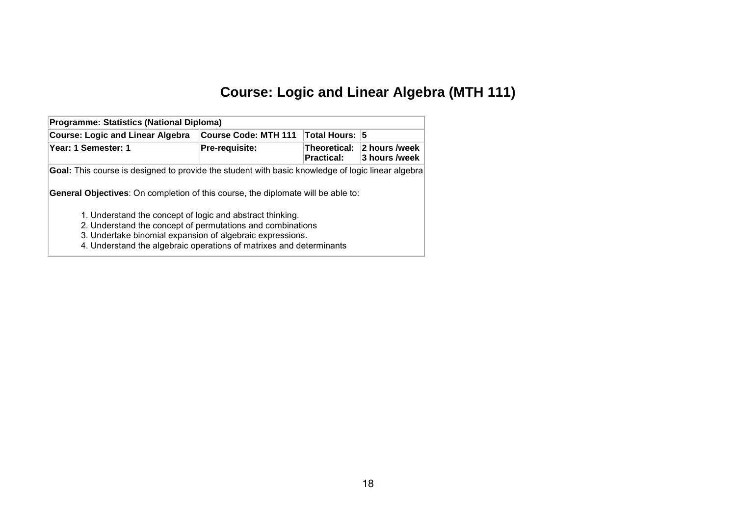# **Course: Logic and Linear Algebra (MTH 111)**

| <b>Programme: Statistics (National Diploma)</b>                                                                                                                                                                                                             |                       |                |                                             |  |  |  |  |
|-------------------------------------------------------------------------------------------------------------------------------------------------------------------------------------------------------------------------------------------------------------|-----------------------|----------------|---------------------------------------------|--|--|--|--|
| <b>Course: Logic and Linear Algebra</b>                                                                                                                                                                                                                     | Course Code: MTH 111  | Total Hours: 5 |                                             |  |  |  |  |
| Year: 1 Semester: 1                                                                                                                                                                                                                                         | <b>Pre-requisite:</b> | Practical:     | Theoretical: 2 hours /week<br>3 hours /week |  |  |  |  |
| Goal: This course is designed to provide the student with basic knowledge of logic linear algebra                                                                                                                                                           |                       |                |                                             |  |  |  |  |
| <b>General Objectives:</b> On completion of this course, the diplomate will be able to:                                                                                                                                                                     |                       |                |                                             |  |  |  |  |
| 1. Understand the concept of logic and abstract thinking.<br>2. Understand the concept of permutations and combinations<br>3. Undertake binomial expansion of algebraic expressions.<br>4. Understand the algebraic operations of matrixes and determinants |                       |                |                                             |  |  |  |  |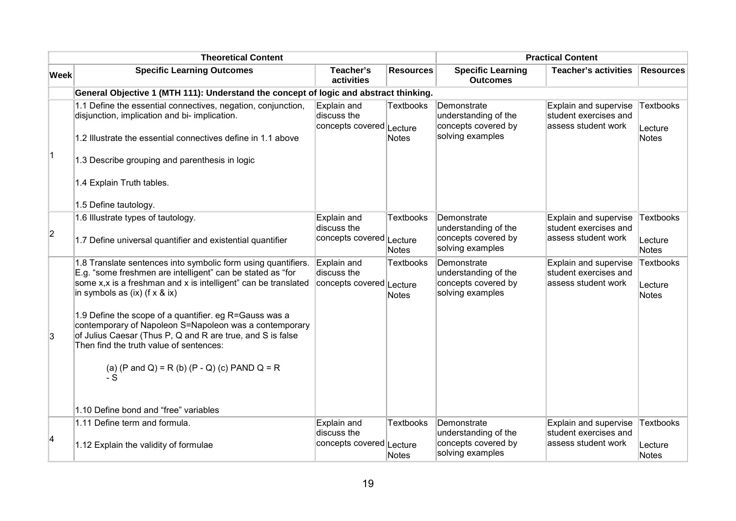|                 | <b>Theoretical Content</b>                                                                                                                                                                                                                                                                                                                                                                                                                                                                                                                                                     |                                                        |                                  |                                                                                | <b>Practical Content</b>                                              |                                      |
|-----------------|--------------------------------------------------------------------------------------------------------------------------------------------------------------------------------------------------------------------------------------------------------------------------------------------------------------------------------------------------------------------------------------------------------------------------------------------------------------------------------------------------------------------------------------------------------------------------------|--------------------------------------------------------|----------------------------------|--------------------------------------------------------------------------------|-----------------------------------------------------------------------|--------------------------------------|
| <b>Week</b>     | <b>Specific Learning Outcomes</b>                                                                                                                                                                                                                                                                                                                                                                                                                                                                                                                                              | Teacher's<br>activities                                | <b>Resources</b>                 | <b>Specific Learning</b><br><b>Outcomes</b>                                    | <b>Teacher's activities</b>                                           | <b>Resources</b>                     |
|                 | General Objective 1 (MTH 111): Understand the concept of logic and abstract thinking.                                                                                                                                                                                                                                                                                                                                                                                                                                                                                          |                                                        |                                  |                                                                                |                                                                       |                                      |
| $\vert$ 1       | 1.1 Define the essential connectives, negation, conjunction,<br>disjunction, implication and bi- implication.<br>1.2 Illustrate the essential connectives define in 1.1 above                                                                                                                                                                                                                                                                                                                                                                                                  | Explain and<br>discuss the<br>concepts covered Lecture | <b>Textbooks</b><br><b>Notes</b> | Demonstrate<br>understanding of the<br>concepts covered by<br>solving examples | Explain and supervise<br>student exercises and<br>assess student work | Textbooks<br>Lecture<br>Notes        |
|                 | 1.3 Describe grouping and parenthesis in logic                                                                                                                                                                                                                                                                                                                                                                                                                                                                                                                                 |                                                        |                                  |                                                                                |                                                                       |                                      |
|                 | 1.4 Explain Truth tables.                                                                                                                                                                                                                                                                                                                                                                                                                                                                                                                                                      |                                                        |                                  |                                                                                |                                                                       |                                      |
|                 | 1.5 Define tautology.                                                                                                                                                                                                                                                                                                                                                                                                                                                                                                                                                          |                                                        |                                  |                                                                                |                                                                       |                                      |
| $\overline{2}$  | 1.6 Illustrate types of tautology.<br>1.7 Define universal quantifier and existential quantifier                                                                                                                                                                                                                                                                                                                                                                                                                                                                               | Explain and<br>discuss the<br>concepts covered Lecture | <b>Textbooks</b><br><b>Notes</b> | Demonstrate<br>understanding of the<br>concepts covered by<br>solving examples | Explain and supervise<br>student exercises and<br>assess student work | <b>Textbooks</b><br>Lecture<br>Notes |
| $\overline{3}$  | 1.8 Translate sentences into symbolic form using quantifiers.<br>E.g. "some freshmen are intelligent" can be stated as "for<br>some x,x is a freshman and x is intelligent" can be translated<br>in symbols as $(ix)$ (f $x$ & ix)<br>1.9 Define the scope of a quantifier. eg R=Gauss was a<br>contemporary of Napoleon S=Napoleon was a contemporary<br>of Julius Caesar (Thus P, Q and R are true, and S is false<br>Then find the truth value of sentences:<br>(a) $(P \text{ and } Q) = R$ (b) $(P - Q)$ (c) PAND $Q = R$<br>- S<br>1.10 Define bond and "free" variables | Explain and<br>discuss the<br>concepts covered Lecture | <b>Textbooks</b><br><b>Notes</b> | Demonstrate<br>understanding of the<br>concepts covered by<br>solving examples | Explain and supervise<br>student exercises and<br>assess student work | Textbooks<br>Lecture<br>Notes        |
|                 |                                                                                                                                                                                                                                                                                                                                                                                                                                                                                                                                                                                |                                                        |                                  |                                                                                |                                                                       |                                      |
| $\vert 4 \vert$ | 1.11 Define term and formula.<br>1.12 Explain the validity of formulae                                                                                                                                                                                                                                                                                                                                                                                                                                                                                                         | Explain and<br>discuss the<br>concepts covered Lecture | <b>Textbooks</b>                 | Demonstrate<br>understanding of the<br>concepts covered by                     | Explain and supervise<br>student exercises and<br>assess student work | Textbooks<br>Lecture                 |
|                 |                                                                                                                                                                                                                                                                                                                                                                                                                                                                                                                                                                                |                                                        | <b>Notes</b>                     | solving examples                                                               |                                                                       | Notes                                |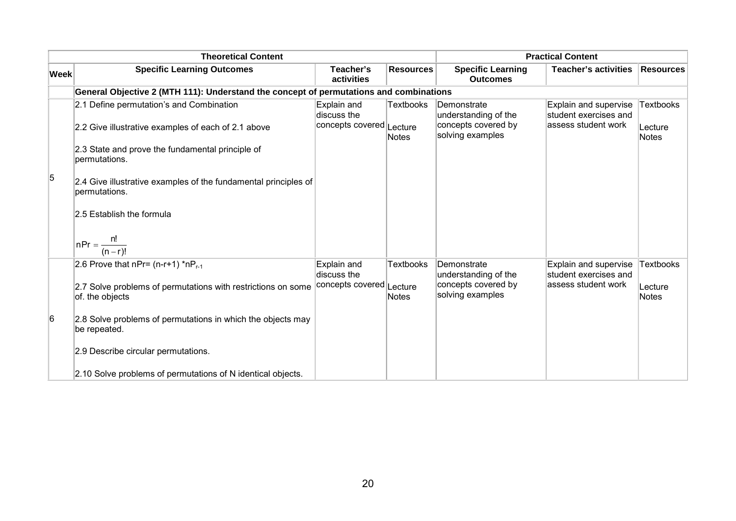|             | <b>Theoretical Content</b>                                                                                                                                                                                                                                                                                               |                                                        |                                             |                                                                                | <b>Practical Content</b>                                               |                               |
|-------------|--------------------------------------------------------------------------------------------------------------------------------------------------------------------------------------------------------------------------------------------------------------------------------------------------------------------------|--------------------------------------------------------|---------------------------------------------|--------------------------------------------------------------------------------|------------------------------------------------------------------------|-------------------------------|
| <b>Week</b> | <b>Specific Learning Outcomes</b>                                                                                                                                                                                                                                                                                        | Teacher's<br>activities                                | <b>Resources</b>                            | <b>Specific Learning</b><br><b>Outcomes</b>                                    | <b>Teacher's activities</b>                                            | <b>Resources</b>              |
|             | General Objective 2 (MTH 111): Understand the concept of permutations and combinations                                                                                                                                                                                                                                   |                                                        |                                             |                                                                                |                                                                        |                               |
| 5           | 2.1 Define permutation's and Combination<br>2.2 Give illustrative examples of each of 2.1 above<br>2.3 State and prove the fundamental principle of<br>permutations.<br>2.4 Give illustrative examples of the fundamental principles of<br>bermutations.<br>2.5 Establish the formula<br>$nPr = \frac{n!}{(n-r)!}$       | Explain and<br>discuss the<br>concepts covered Lecture | Textbooks<br><b>Notes</b>                   | Demonstrate<br>understanding of the<br>concepts covered by<br>solving examples | Explain and supervise<br>student exercises and<br>lassess student work | Textbooks<br>Lecture<br>Notes |
| 6           | 2.6 Prove that nPr= $(n-r+1)$ *nP <sub>r-1</sub><br>2.7 Solve problems of permutations with restrictions on some<br>of. the objects<br>2.8 Solve problems of permutations in which the objects may<br>be repeated.<br>2.9 Describe circular permutations.<br>2.10 Solve problems of permutations of N identical objects. | Explain and<br>discuss the<br>concepts covered         | <b>Textbooks</b><br>Lecture<br><b>Notes</b> | Demonstrate<br>understanding of the<br>concepts covered by<br>solving examples | Explain and supervise<br>student exercises and<br>lassess student work | Textbooks<br>Lecture<br>Notes |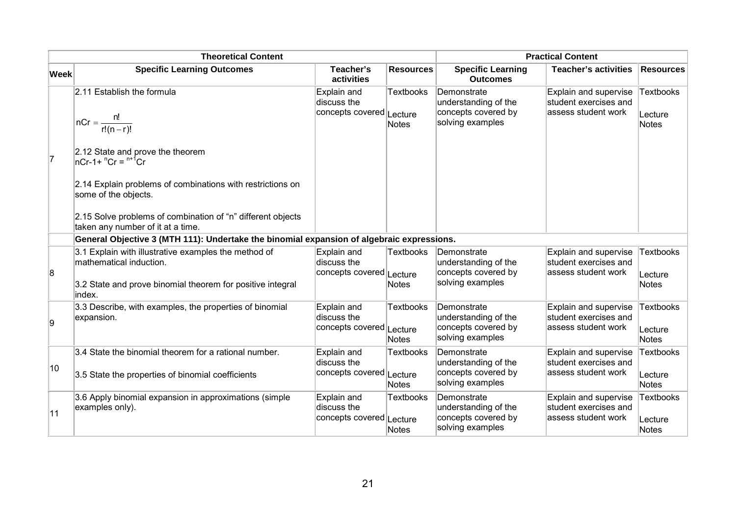|             | <b>Theoretical Content</b>                                                                                                                                                                                            |                                                        |                               |                                                                                | <b>Practical Content</b>                                              |                                             |
|-------------|-----------------------------------------------------------------------------------------------------------------------------------------------------------------------------------------------------------------------|--------------------------------------------------------|-------------------------------|--------------------------------------------------------------------------------|-----------------------------------------------------------------------|---------------------------------------------|
| <b>Week</b> | <b>Specific Learning Outcomes</b>                                                                                                                                                                                     | Teacher's<br>activities                                | <b>Resources</b>              | <b>Specific Learning</b><br><b>Outcomes</b>                                    | <b>Teacher's activities</b>                                           | <b>Resources</b>                            |
|             | 2.11 Establish the formula<br>$\left  nCr = \frac{n!}{r!(n-r)!} \right $<br>2.12 State and prove the theorem                                                                                                          | Explain and<br>discuss the<br>concepts covered Lecture | Textbooks<br>Notes            | Demonstrate<br>understanding of the<br>concepts covered by<br>solving examples | Explain and supervise<br>student exercises and<br>assess student work | <b>Textbooks</b><br>Lecture<br><b>Notes</b> |
|             | $nCr-1+{}^nCr = {}^{n+1}Cr$<br>2.14 Explain problems of combinations with restrictions on<br>some of the objects.<br>2.15 Solve problems of combination of "n" different objects<br>taken any number of it at a time. |                                                        |                               |                                                                                |                                                                       |                                             |
|             | General Objective 3 (MTH 111): Undertake the binomial expansion of algebraic expressions.                                                                                                                             |                                                        |                               |                                                                                |                                                                       |                                             |
| 8           | 3.1 Explain with illustrative examples the method of<br>mathematical induction.<br>3.2 State and prove binomial theorem for positive integral<br>index.                                                               | Explain and<br>discuss the<br>concepts covered Lecture | Textbooks<br>Notes            | Demonstrate<br>understanding of the<br>concepts covered by<br>solving examples | Explain and supervise<br>student exercises and<br>assess student work | Textbooks<br>Lecture<br><b>Notes</b>        |
| g,          | 3.3 Describe, with examples, the properties of binomial<br>expansion.                                                                                                                                                 | Explain and<br>discuss the<br>concepts covered         | Textbooks<br>Lecture<br>Notes | Demonstrate<br>understanding of the<br>concepts covered by<br>solving examples | Explain and supervise<br>student exercises and<br>assess student work | Textbooks<br>Lecture<br><b>Notes</b>        |
| 10          | 3.4 State the binomial theorem for a rational number.<br>3.5 State the properties of binomial coefficients                                                                                                            | Explain and<br>discuss the<br>concepts covered Lecture | <b>Textbooks</b><br>Notes     | Demonstrate<br>understanding of the<br>concepts covered by<br>solving examples | Explain and supervise<br>student exercises and<br>assess student work | Textbooks<br>Lecture<br><b>Notes</b>        |
| 11          | 3.6 Apply binomial expansion in approximations (simple<br>examples only).                                                                                                                                             | Explain and<br>discuss the<br>concepts covered Lecture | Textbooks<br>Notes            | Demonstrate<br>understanding of the<br>concepts covered by<br>solving examples | Explain and supervise<br>student exercises and<br>assess student work | <b>Textbooks</b><br>Lecture<br><b>Notes</b> |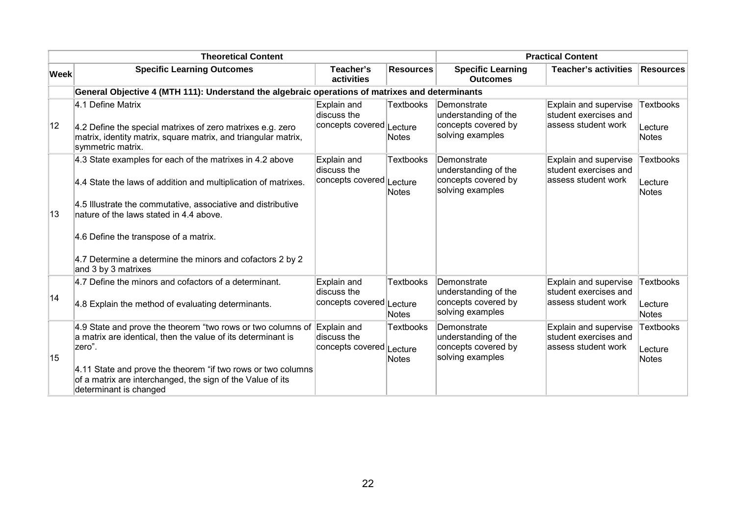|             | <b>Theoretical Content</b>                                                                                                                                                                                                                                                                                                                                         |                                                        |                                             |                                                                                | <b>Practical Content</b>                                              |                                             |
|-------------|--------------------------------------------------------------------------------------------------------------------------------------------------------------------------------------------------------------------------------------------------------------------------------------------------------------------------------------------------------------------|--------------------------------------------------------|---------------------------------------------|--------------------------------------------------------------------------------|-----------------------------------------------------------------------|---------------------------------------------|
| <b>Week</b> | <b>Specific Learning Outcomes</b>                                                                                                                                                                                                                                                                                                                                  | Teacher's<br>activities                                | <b>Resources</b>                            | <b>Specific Learning</b><br><b>Outcomes</b>                                    | <b>Teacher's activities</b>                                           | <b>Resources</b>                            |
|             | General Objective 4 (MTH 111): Understand the algebraic operations of matrixes and determinants                                                                                                                                                                                                                                                                    |                                                        |                                             |                                                                                |                                                                       |                                             |
| 12          | 4.1 Define Matrix<br>$ 4.2$ Define the special matrixes of zero matrixes e.g. zero<br>matrix, identity matrix, square matrix, and triangular matrix,<br>symmetric matrix.                                                                                                                                                                                          | Explain and<br>discuss the<br>concepts covered         | <b>Textbooks</b><br>Lecture<br><b>Notes</b> | Demonstrate<br>understanding of the<br>concepts covered by<br>solving examples | Explain and supervise<br>student exercises and<br>assess student work | <b>Textbooks</b><br>Lecture<br>Notes        |
| 13          | 4.3 State examples for each of the matrixes in 4.2 above<br>4.4 State the laws of addition and multiplication of matrixes.<br>4.5 Illustrate the commutative, associative and distributive<br>nature of the laws stated in 4.4 above.<br>4.6 Define the transpose of a matrix.<br>4.7 Determine a determine the minors and cofactors 2 by 2<br>and 3 by 3 matrixes | Explain and<br>discuss the<br>concepts covered         | <b>Textbooks</b><br>Lecture<br><b>Notes</b> | Demonstrate<br>understanding of the<br>concepts covered by<br>solving examples | Explain and supervise<br>student exercises and<br>assess student work | <b>Textbooks</b><br>Lecture<br>Notes        |
| 14          | 4.7 Define the minors and cofactors of a determinant.<br>4.8 Explain the method of evaluating determinants.                                                                                                                                                                                                                                                        | Explain and<br>discuss the<br>concepts covered         | <b>Textbooks</b><br>Lecture<br><b>Notes</b> | Demonstrate<br>understanding of the<br>concepts covered by<br>solving examples | Explain and supervise<br>student exercises and<br>assess student work | <b>Textbooks</b><br>Lecture<br><b>Notes</b> |
| 15          | 4.9 State and prove the theorem "two rows or two columns of<br>a matrix are identical, then the value of its determinant is<br>zero".<br>4.11 State and prove the theorem "if two rows or two columns<br>of a matrix are interchanged, the sign of the Value of its<br>determinant is changed                                                                      | Explain and<br>discuss the<br>concepts covered Lecture | Textbooks<br><b>Notes</b>                   | Demonstrate<br>understanding of the<br>concepts covered by<br>solving examples | Explain and supervise<br>student exercises and<br>assess student work | <b>Textbooks</b><br>Lecture<br>Notes        |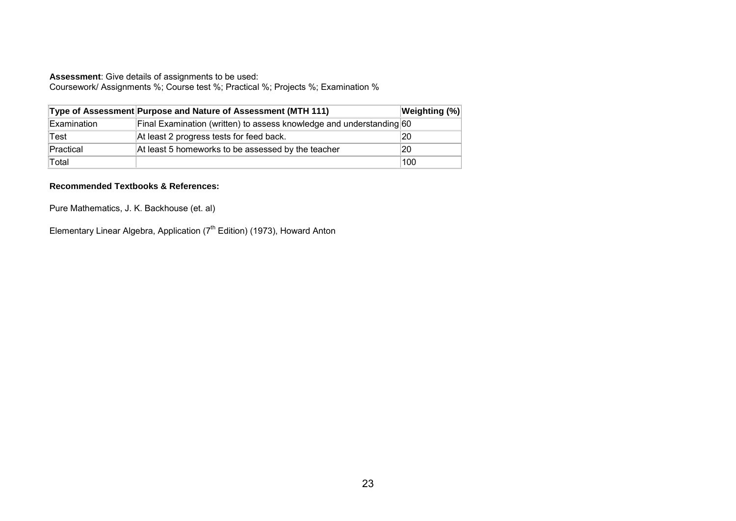**Assessment**: Give details of assignments to be used: Coursework/ Assignments %; Course test %; Practical %; Projects %; Examination %

|             | Type of Assessment Purpose and Nature of Assessment (MTH 111)        | Weighting (%) |
|-------------|----------------------------------------------------------------------|---------------|
| Examination | Final Examination (written) to assess knowledge and understanding 60 |               |
| Test        | At least 2 progress tests for feed back.                             | 20            |
| Practical   | At least 5 homeworks to be assessed by the teacher                   | 20            |
| Total       |                                                                      | 100           |

### **Recommended Textbooks & References:**

Pure Mathematics, J. K. Backhouse (et. al)

Elementary Linear Algebra, Application (7<sup>th</sup> Edition) (1973), Howard Anton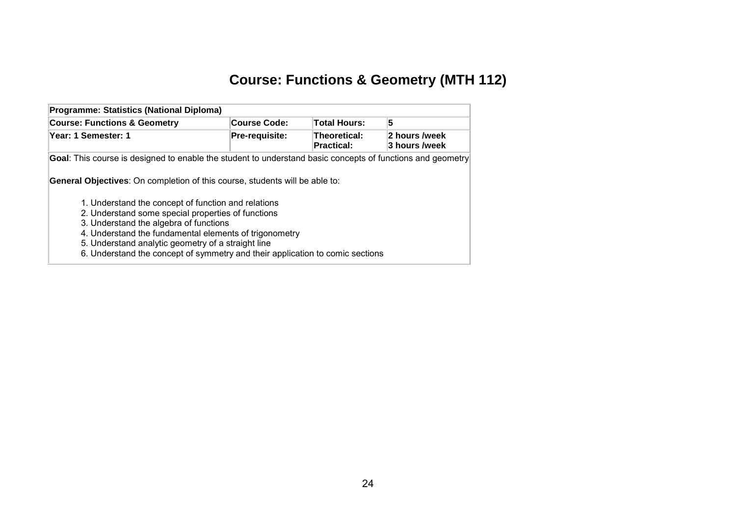## **Course: Functions & Geometry (MTH 112)**

| <b>Programme: Statistics (National Diploma)</b>                                                                                                                                                                                                                                                                                                      |                     |                            |                                |  |  |  |  |
|------------------------------------------------------------------------------------------------------------------------------------------------------------------------------------------------------------------------------------------------------------------------------------------------------------------------------------------------------|---------------------|----------------------------|--------------------------------|--|--|--|--|
| <b>Course: Functions &amp; Geometry</b>                                                                                                                                                                                                                                                                                                              | <b>Course Code:</b> | <b>Total Hours:</b>        | 5                              |  |  |  |  |
| Year: 1 Semester: 1                                                                                                                                                                                                                                                                                                                                  | Pre-requisite:      | Theoretical:<br>Practical: | 2 hours /week<br>3 hours /week |  |  |  |  |
| Goal: This course is designed to enable the student to understand basic concepts of functions and geometry                                                                                                                                                                                                                                           |                     |                            |                                |  |  |  |  |
| <b>General Objectives:</b> On completion of this course, students will be able to:                                                                                                                                                                                                                                                                   |                     |                            |                                |  |  |  |  |
| 1. Understand the concept of function and relations<br>2. Understand some special properties of functions<br>3. Understand the algebra of functions<br>4. Understand the fundamental elements of trigonometry<br>5. Understand analytic geometry of a straight line<br>6. Understand the concept of symmetry and their application to comic sections |                     |                            |                                |  |  |  |  |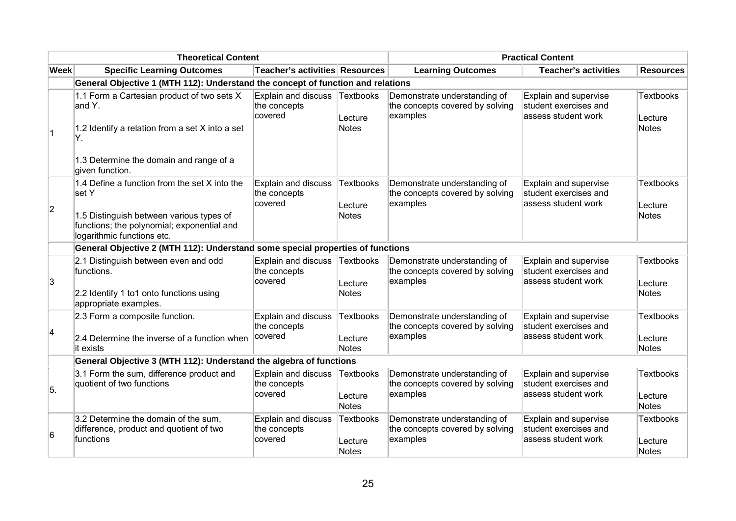|                                              | <b>Theoretical Content</b>                                                                                                                                                     |                                                          |                                      |                                                                             | <b>Practical Content</b>                                              |                                      |
|----------------------------------------------|--------------------------------------------------------------------------------------------------------------------------------------------------------------------------------|----------------------------------------------------------|--------------------------------------|-----------------------------------------------------------------------------|-----------------------------------------------------------------------|--------------------------------------|
| $ \mathsf{W}\mathsf{e}\mathsf{e}\mathsf{k} $ | <b>Specific Learning Outcomes</b>                                                                                                                                              | Teacher's activities Resources                           |                                      | <b>Learning Outcomes</b>                                                    | <b>Teacher's activities</b>                                           | <b>Resources</b>                     |
|                                              | General Objective 1 (MTH 112): Understand the concept of function and relations                                                                                                |                                                          |                                      |                                                                             |                                                                       |                                      |
| $\overline{1}$                               | 1.1 Form a Cartesian product of two sets X<br>and Y.<br>1.2 Identify a relation from a set X into a set<br>Y.                                                                  | Explain and discuss Textbooks<br>the concepts<br>covered | Lecture<br>Notes                     | Demonstrate understanding of<br>the concepts covered by solving<br>examples | Explain and supervise<br>student exercises and<br>assess student work | Textbooks<br>Lecture<br><b>Notes</b> |
|                                              | 1.3 Determine the domain and range of a<br>given function.                                                                                                                     |                                                          |                                      |                                                                             |                                                                       |                                      |
| 2                                            | 1.4 Define a function from the set X into the<br>set Y<br>1.5 Distinguish between various types of<br>functions; the polynomial; exponential and<br>logarithmic functions etc. | Explain and discuss<br>the concepts<br>covered           | <b>Textbooks</b><br>Lecture<br>Notes | Demonstrate understanding of<br>the concepts covered by solving<br>examples | Explain and supervise<br>student exercises and<br>assess student work | Textbooks<br>Lecture<br><b>Notes</b> |
|                                              | General Objective 2 (MTH 112): Understand some special properties of functions                                                                                                 |                                                          |                                      |                                                                             |                                                                       |                                      |
| 3                                            | 2.1 Distinguish between even and odd<br>functions.<br>2.2 Identify 1 to1 onto functions using<br>appropriate examples.                                                         | <b>Explain and discuss</b><br>the concepts<br>covered    | Textbooks<br>Lecture<br>Notes        | Demonstrate understanding of<br>the concepts covered by solving<br>examples | Explain and supervise<br>student exercises and<br>assess student work | Textbooks<br>Lecture<br><b>Notes</b> |
| 14                                           | 2.3 Form a composite function.<br>2.4 Determine the inverse of a function when<br>it exists                                                                                    | Explain and discuss<br>the concepts<br>covered           | <b>Textbooks</b><br>Lecture<br>Notes | Demonstrate understanding of<br>the concepts covered by solving<br>examples | Explain and supervise<br>student exercises and<br>assess student work | Textbooks<br>Lecture<br>Notes        |
|                                              | General Objective 3 (MTH 112): Understand the algebra of functions                                                                                                             |                                                          |                                      |                                                                             |                                                                       |                                      |
| 5.                                           | 3.1 Form the sum, difference product and<br>quotient of two functions                                                                                                          | Explain and discuss<br>the concepts<br>covered           | Textbooks<br>Lecture<br>Notes        | Demonstrate understanding of<br>the concepts covered by solving<br>examples | Explain and supervise<br>student exercises and<br>assess student work | Textbooks<br>Lecture<br><b>Notes</b> |
| 6                                            | 3.2 Determine the domain of the sum.<br>difference, product and quotient of two<br>functions                                                                                   | Explain and discuss<br>the concepts<br>covered           | <b>Textbooks</b><br>Lecture<br>Notes | Demonstrate understanding of<br>the concepts covered by solving<br>examples | Explain and supervise<br>student exercises and<br>assess student work | Textbooks<br>Lecture<br><b>Notes</b> |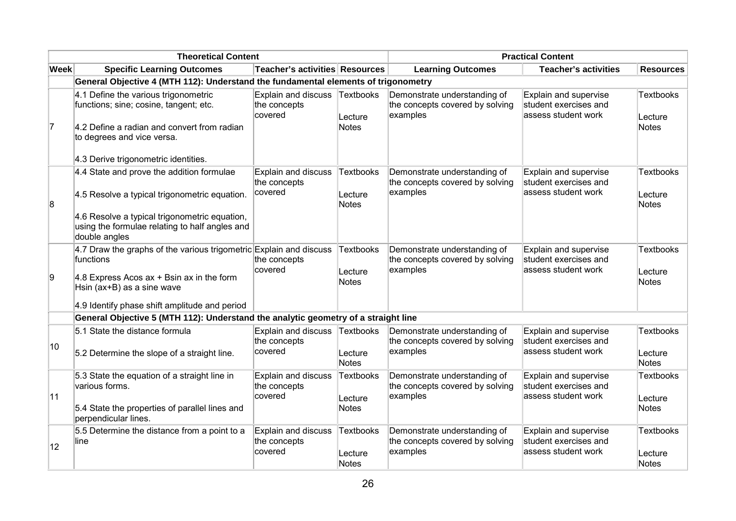|                   | <b>Theoretical Content</b>                                                                                                                                                                                            |                                                          |                                             | <b>Practical Content</b>                                                    |                                                                       |                                             |
|-------------------|-----------------------------------------------------------------------------------------------------------------------------------------------------------------------------------------------------------------------|----------------------------------------------------------|---------------------------------------------|-----------------------------------------------------------------------------|-----------------------------------------------------------------------|---------------------------------------------|
| $ \textsf{Week} $ | <b>Specific Learning Outcomes</b>                                                                                                                                                                                     | Teacher's activities Resources                           |                                             | <b>Learning Outcomes</b>                                                    | <b>Teacher's activities</b>                                           | <b>Resources</b>                            |
|                   | General Objective 4 (MTH 112): Understand the fundamental elements of trigonometry                                                                                                                                    |                                                          |                                             |                                                                             |                                                                       |                                             |
| $\vert 7 \vert$   | 4.1 Define the various trigonometric<br>functions; sine; cosine, tangent; etc.<br>4.2 Define a radian and convert from radian<br>to degrees and vice versa.                                                           | Explain and discuss Textbooks<br>the concepts<br>covered | Lecture<br><b>Notes</b>                     | Demonstrate understanding of<br>the concepts covered by solving<br>examples | Explain and supervise<br>student exercises and<br>assess student work | Textbooks<br>Lecture<br><b>Notes</b>        |
|                   | 4.3 Derive trigonometric identities.                                                                                                                                                                                  |                                                          |                                             |                                                                             |                                                                       |                                             |
| 8                 | 4.4 State and prove the addition formulae<br>4.5 Resolve a typical trigonometric equation.<br>4.6 Resolve a typical trigonometric equation,<br>using the formulae relating to half angles and<br>double angles        | Explain and discuss<br>the concepts<br>covered           | Textbooks<br>Lecture<br>Notes               | Demonstrate understanding of<br>the concepts covered by solving<br>examples | Explain and supervise<br>student exercises and<br>assess student work | <b>Textbooks</b><br>Lecture<br><b>Notes</b> |
| 19                | 4.7 Draw the graphs of the various trigometric Explain and discuss<br><b>functions</b><br>4.8 Express Acos $ax + B\sin ax$ in the form<br>Hsin (ax+B) as a sine wave<br>4.9 Identify phase shift amplitude and period | the concepts<br>covered                                  | <b>Textbooks</b><br>Lecture<br><b>Notes</b> | Demonstrate understanding of<br>the concepts covered by solving<br>examples | Explain and supervise<br>student exercises and<br>assess student work | Textbooks<br>Lecture<br><b>Notes</b>        |
|                   | General Objective 5 (MTH 112): Understand the analytic geometry of a straight line                                                                                                                                    |                                                          |                                             |                                                                             |                                                                       |                                             |
| 10                | 5.1 State the distance formula<br>5.2 Determine the slope of a straight line.                                                                                                                                         | Explain and discuss<br>the concepts<br>covered           | Textbooks<br>Lecture<br><b>Notes</b>        | Demonstrate understanding of<br>the concepts covered by solving<br>examples | Explain and supervise<br>student exercises and<br>assess student work | Textbooks<br>Lecture<br><b>Notes</b>        |
| 11                | 5.3 State the equation of a straight line in<br>various forms.<br>5.4 State the properties of parallel lines and<br>perpendicular lines.                                                                              | <b>Explain and discuss</b><br>the concepts<br>covered    | <b>Textbooks</b><br>Lecture<br><b>Notes</b> | Demonstrate understanding of<br>the concepts covered by solving<br>examples | Explain and supervise<br>student exercises and<br>assess student work | Textbooks<br>Lecture<br><b>Notes</b>        |
| $ 12\rangle$      | 5.5 Determine the distance from a point to a<br>line                                                                                                                                                                  | Explain and discuss<br>the concepts<br>covered           | Textbooks<br>Lecture<br><b>Notes</b>        | Demonstrate understanding of<br>the concepts covered by solving<br>examples | Explain and supervise<br>student exercises and<br>assess student work | Textbooks<br>Lecture<br><b>Notes</b>        |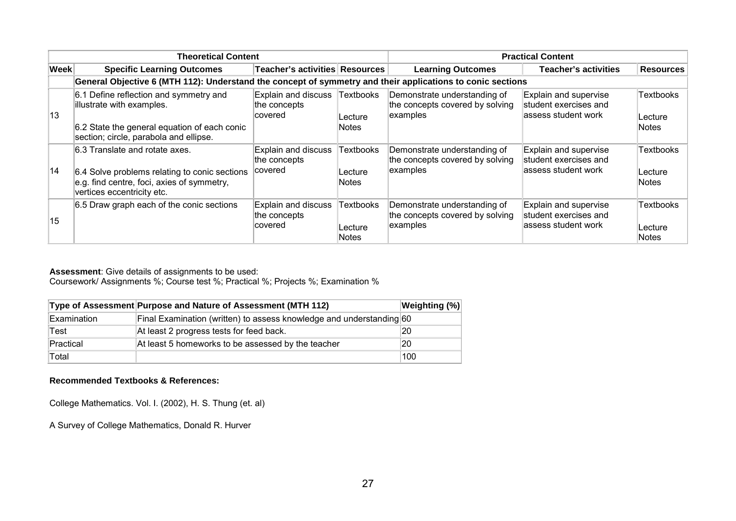| <b>Theoretical Content</b> |                                                                                                                           |                                                |                      | <b>Practical Content</b>                                                    |                                                                        |                             |
|----------------------------|---------------------------------------------------------------------------------------------------------------------------|------------------------------------------------|----------------------|-----------------------------------------------------------------------------|------------------------------------------------------------------------|-----------------------------|
| <b>Week</b>                | <b>Specific Learning Outcomes</b>                                                                                         | Teacher's activities Resources                 |                      | <b>Learning Outcomes</b>                                                    | <b>Teacher's activities</b>                                            | <b>Resources</b>            |
|                            | General Objective 6 (MTH 112): Understand the concept of symmetry and their applications to conic sections                |                                                |                      |                                                                             |                                                                        |                             |
| 13                         | 6.1 Define reflection and symmetry and<br>illustrate with examples.                                                       | Explain and discuss<br>the concepts<br>covered | Textbooks<br>Lecture | Demonstrate understanding of<br>the concepts covered by solving<br>examples | Explain and supervise<br>student exercises and<br>lassess student work | <b>Textbooks</b><br>Lecture |
|                            | 6.2 State the general equation of each conic<br>section; circle, parabola and ellipse.                                    |                                                | Notes                |                                                                             |                                                                        | Notes                       |
|                            | 6.3 Translate and rotate axes.                                                                                            | Explain and discuss<br>the concepts            | Textbooks            | Demonstrate understanding of<br>the concepts covered by solving             | Explain and supervise<br>student exercises and                         | Textbooks                   |
| 14                         | 6.4 Solve problems relating to conic sections<br>e.g. find centre, foci, axies of symmetry,<br>vertices eccentricity etc. | covered                                        | Lecture<br>Notes     | examples                                                                    | assess student work                                                    | Lecture<br>Notes            |
| 15                         | 6.5 Draw graph each of the conic sections                                                                                 | Explain and discuss<br>the concepts            | Textbooks            | Demonstrate understanding of<br>the concepts covered by solving             | Explain and supervise<br>student exercises and                         | <b>Textbooks</b>            |
|                            |                                                                                                                           | covered                                        | Lecture<br>Notes.    | examples                                                                    | lassess student work                                                   | Lecture<br>Notes            |

**Assessment**: Give details of assignments to be used:

Coursework/ Assignments %; Course test %; Practical %; Projects %; Examination %

|             | Type of Assessment Purpose and Nature of Assessment (MTH 112)        | <b>Weighting (%)</b> |
|-------------|----------------------------------------------------------------------|----------------------|
| Examination | Final Examination (written) to assess knowledge and understanding 60 |                      |
| Test        | At least 2 progress tests for feed back.                             | 20                   |
| Practical   | At least 5 homeworks to be assessed by the teacher                   | 20                   |
| Total       |                                                                      | 100                  |

**Recommended Textbooks & References:**

College Mathematics. Vol. I. (2002), H. S. Thung (et. al)

A Survey of College Mathematics, Donald R. Hurver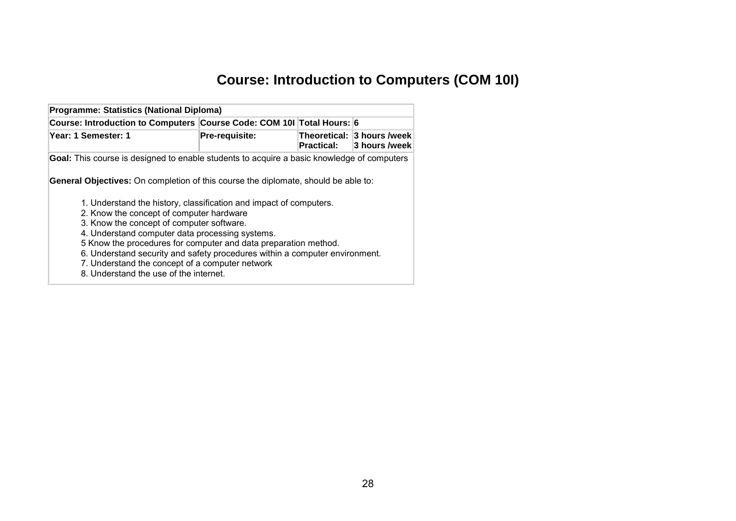## **Course: Introduction to Computers (COM 10I)**

| <b>Programme: Statistics (National Diploma)</b>                       |                                                                                                                                                                                                                                                                                                                                                                                                                                                                                                                                                             |            |                                             |  |  |  |  |  |
|-----------------------------------------------------------------------|-------------------------------------------------------------------------------------------------------------------------------------------------------------------------------------------------------------------------------------------------------------------------------------------------------------------------------------------------------------------------------------------------------------------------------------------------------------------------------------------------------------------------------------------------------------|------------|---------------------------------------------|--|--|--|--|--|
| Course: Introduction to Computers Course Code: COM 10I Total Hours: 6 |                                                                                                                                                                                                                                                                                                                                                                                                                                                                                                                                                             |            |                                             |  |  |  |  |  |
| Year: 1 Semester: 1                                                   | Pre-requisite:                                                                                                                                                                                                                                                                                                                                                                                                                                                                                                                                              | Practical: | Theoretical: 3 hours /week<br>3 hours /week |  |  |  |  |  |
|                                                                       |                                                                                                                                                                                                                                                                                                                                                                                                                                                                                                                                                             |            |                                             |  |  |  |  |  |
| 7. Understand the concept of a computer network                       | Goal: This course is designed to enable students to acquire a basic knowledge of computers<br><b>General Objectives:</b> On completion of this course the diplomate, should be able to:<br>1. Understand the history, classification and impact of computers.<br>2. Know the concept of computer hardware<br>3. Know the concept of computer software.<br>4. Understand computer data processing systems.<br>5 Know the procedures for computer and data preparation method.<br>6. Understand security and safety procedures within a computer environment. |            |                                             |  |  |  |  |  |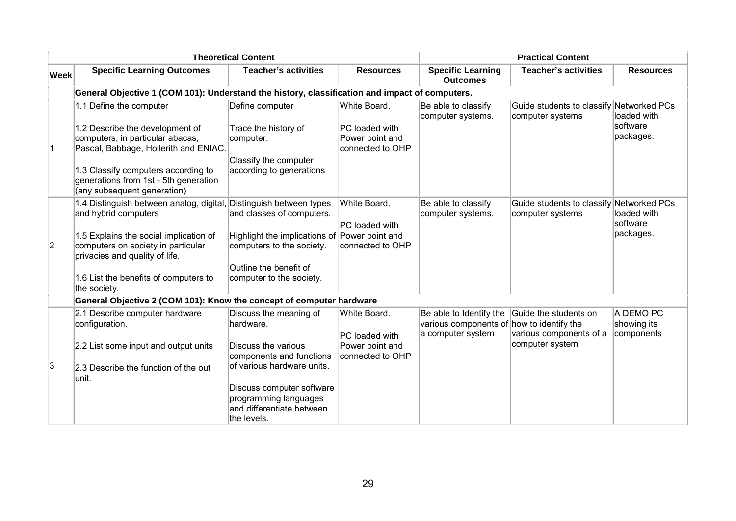|                |                                                                                                                | <b>Theoretical Content</b>                                                                     |                                                       |                                                                                           | <b>Practical Content</b>                                     |                                        |
|----------------|----------------------------------------------------------------------------------------------------------------|------------------------------------------------------------------------------------------------|-------------------------------------------------------|-------------------------------------------------------------------------------------------|--------------------------------------------------------------|----------------------------------------|
| <b>Week</b>    | <b>Specific Learning Outcomes</b>                                                                              | <b>Teacher's activities</b>                                                                    | <b>Resources</b>                                      | <b>Specific Learning</b><br><b>Outcomes</b>                                               | <b>Teacher's activities</b>                                  | <b>Resources</b>                       |
|                | General Objective 1 (COM 101): Understand the history, classification and impact of computers.                 |                                                                                                |                                                       |                                                                                           |                                                              |                                        |
|                | 1.1 Define the computer                                                                                        | Define computer                                                                                | White Board.                                          | Be able to classify<br>computer systems.                                                  | Guide students to classify Networked PCs<br>computer systems | loaded with                            |
| 1              | 1.2 Describe the development of<br>computers, in particular abacas,<br>Pascal, Babbage, Hollerith and ENIAC.   | Trace the history of<br>computer.                                                              | PC loaded with<br>Power point and<br>connected to OHP |                                                                                           |                                                              | software<br>packages.                  |
|                | 1.3 Classify computers according to<br>generations from 1st - 5th generation<br>(any subsequent generation)    | Classify the computer<br>according to generations                                              |                                                       |                                                                                           |                                                              |                                        |
|                | 1.4 Distinguish between analog, digital, Distinguish between types<br>and hybrid computers                     | and classes of computers.                                                                      | White Board.<br>PC loaded with                        | Be able to classify<br>computer systems.                                                  | Guide students to classify Networked PCs<br>computer systems | loaded with<br>software                |
| $\overline{2}$ | 1.5 Explains the social implication of<br>computers on society in particular<br>privacies and quality of life. | Highlight the implications of Power point and<br>computers to the society.                     | connected to OHP                                      |                                                                                           |                                                              | packages.                              |
|                | 1.6 List the benefits of computers to<br>the society.                                                          | Outline the benefit of<br>computer to the society.                                             |                                                       |                                                                                           |                                                              |                                        |
|                | General Objective 2 (COM 101): Know the concept of computer hardware                                           |                                                                                                |                                                       |                                                                                           |                                                              |                                        |
|                | 2.1 Describe computer hardware<br>configuration.                                                               | Discuss the meaning of<br>hardware.                                                            | White Board.                                          | Be able to Identify the<br>various components of how to identify the<br>a computer system | Guide the students on<br>various components of a             | A DEMO PC<br>showing its<br>components |
|                | 2.2 List some input and output units                                                                           | Discuss the various<br>components and functions                                                | PC loaded with<br>Power point and<br>connected to OHP |                                                                                           | computer system                                              |                                        |
| 3              | 2.3 Describe the function of the out<br>unit.                                                                  | of various hardware units.                                                                     |                                                       |                                                                                           |                                                              |                                        |
|                |                                                                                                                | Discuss computer software<br>programming languages<br>and differentiate between<br>the levels. |                                                       |                                                                                           |                                                              |                                        |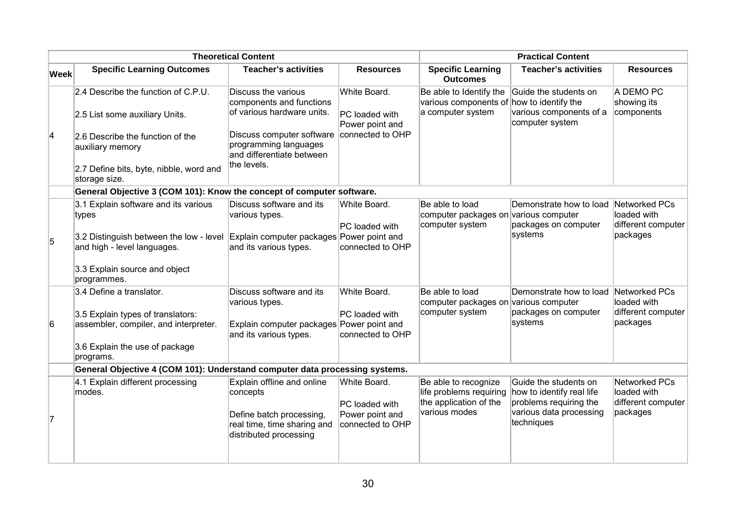| <b>Theoretical Content</b>                   |                                                                                                                  |                                                                                                                 | <b>Practical Content</b>                          |                                                                                            |                                                                                                                       |                                                                       |
|----------------------------------------------|------------------------------------------------------------------------------------------------------------------|-----------------------------------------------------------------------------------------------------------------|---------------------------------------------------|--------------------------------------------------------------------------------------------|-----------------------------------------------------------------------------------------------------------------------|-----------------------------------------------------------------------|
| $ \mathsf{W}\mathsf{e}\mathsf{e}\mathsf{k} $ | <b>Specific Learning Outcomes</b>                                                                                | <b>Teacher's activities</b>                                                                                     | <b>Resources</b>                                  | <b>Specific Learning</b><br><b>Outcomes</b>                                                | <b>Teacher's activities</b>                                                                                           | <b>Resources</b>                                                      |
|                                              | 2.4 Describe the function of C.P.U.<br>2.5 List some auxiliary Units.                                            | Discuss the various<br>components and functions<br>of various hardware units.                                   | White Board.<br>PC loaded with<br>Power point and | Be able to Identify the<br>various components of how to identify the<br>a computer system  | Guide the students on<br>various components of a<br>computer system                                                   | A DEMO PC<br>showing its<br>components                                |
| 4                                            | 2.6 Describe the function of the<br>auxiliary memory<br>2.7 Define bits, byte, nibble, word and<br>storage size. | Discuss computer software connected to OHP<br>programming languages<br>and differentiate between<br>the levels. |                                                   |                                                                                            |                                                                                                                       |                                                                       |
|                                              | General Objective 3 (COM 101): Know the concept of computer software.                                            |                                                                                                                 |                                                   |                                                                                            |                                                                                                                       |                                                                       |
|                                              | 3.1 Explain software and its various<br>types                                                                    | Discuss software and its<br>various types.                                                                      | White Board.                                      | Be able to load<br>computer packages on various computer<br>computer system                | Demonstrate how to load<br>packages on computer                                                                       | Networked PCs<br>loaded with<br>different computer                    |
| 5                                            | 3.2 Distinguish between the low - level<br>and high - level languages.                                           | Explain computer packages Power point and<br>and its various types.                                             | PC loaded with<br>connected to OHP                |                                                                                            | systems                                                                                                               | packages                                                              |
|                                              | 3.3 Explain source and object<br>programmes.                                                                     |                                                                                                                 |                                                   |                                                                                            |                                                                                                                       |                                                                       |
|                                              | 3.4 Define a translator.                                                                                         | Discuss software and its<br>various types.                                                                      | White Board.                                      | Be able to load<br>computer packages on various computer                                   | Demonstrate how to load Networked PCs                                                                                 | loaded with                                                           |
| 6                                            | 3.5 Explain types of translators:<br>assembler, compiler, and interpreter.                                       | Explain computer packages Power point and<br>and its various types.                                             | PC loaded with<br>connected to OHP                | computer system                                                                            | packages on computer<br>systems                                                                                       | different computer<br>packages                                        |
|                                              | 3.6 Explain the use of package<br>programs.                                                                      |                                                                                                                 |                                                   |                                                                                            |                                                                                                                       |                                                                       |
|                                              | General Objective 4 (COM 101): Understand computer data processing systems.                                      |                                                                                                                 |                                                   |                                                                                            |                                                                                                                       |                                                                       |
| 17                                           | 4.1 Explain different processing<br>modes.                                                                       | Explain offline and online<br>concepts<br>Define batch processing,                                              | White Board.<br>PC loaded with<br>Power point and | Be able to recognize<br>life problems requiring<br>the application of the<br>various modes | Guide the students on<br>how to identify real life<br>problems requiring the<br>various data processing<br>techniques | <b>Networked PCs</b><br>loaded with<br>different computer<br>packages |
|                                              |                                                                                                                  | real time, time sharing and<br>distributed processing                                                           | connected to OHP                                  |                                                                                            |                                                                                                                       |                                                                       |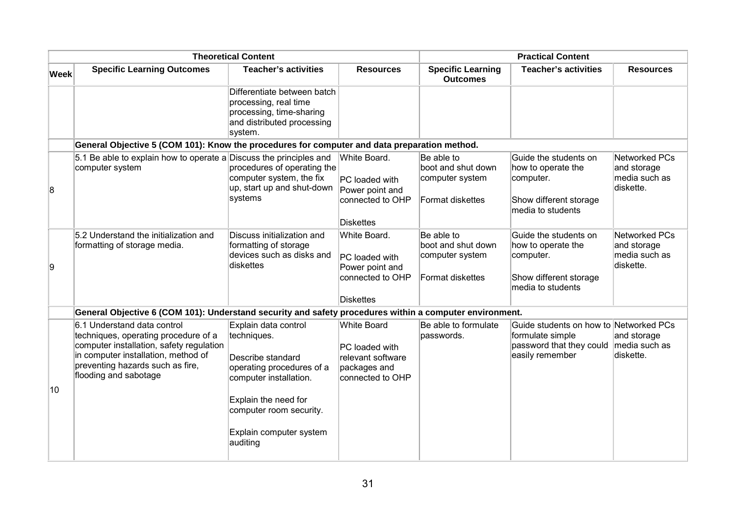|      |                                                                                                                                                                                                                     | <b>Theoretical Content</b>                                                                                                                                                                                |                                                                                           |                                                                         | <b>Practical Content</b>                                                                                                |                                                            |
|------|---------------------------------------------------------------------------------------------------------------------------------------------------------------------------------------------------------------------|-----------------------------------------------------------------------------------------------------------------------------------------------------------------------------------------------------------|-------------------------------------------------------------------------------------------|-------------------------------------------------------------------------|-------------------------------------------------------------------------------------------------------------------------|------------------------------------------------------------|
| Week | <b>Specific Learning Outcomes</b>                                                                                                                                                                                   | <b>Teacher's activities</b>                                                                                                                                                                               | <b>Resources</b>                                                                          | <b>Specific Learning</b><br><b>Outcomes</b>                             | <b>Teacher's activities</b>                                                                                             | <b>Resources</b>                                           |
|      |                                                                                                                                                                                                                     | Differentiate between batch<br>processing, real time<br>processing, time-sharing<br>and distributed processing<br>system.                                                                                 |                                                                                           |                                                                         |                                                                                                                         |                                                            |
|      | General Objective 5 (COM 101): Know the procedures for computer and data preparation method.                                                                                                                        |                                                                                                                                                                                                           |                                                                                           |                                                                         |                                                                                                                         |                                                            |
| 8    | 5.1 Be able to explain how to operate a Discuss the principles and<br>computer system                                                                                                                               | procedures of operating the<br>computer system, the fix<br>up, start up and shut-down<br>systems                                                                                                          | White Board.<br>PC loaded with<br>Power point and<br>connected to OHP<br><b>Diskettes</b> | Be able to<br>boot and shut down<br>computer system<br>Format diskettes | Guide the students on<br>how to operate the<br>computer.<br>Show different storage<br>media to students                 | Networked PCs<br>and storage<br>media such as<br>diskette. |
| 9    | 5.2 Understand the initialization and<br>formatting of storage media.                                                                                                                                               | Discuss initialization and<br>formatting of storage<br>devices such as disks and<br>diskettes                                                                                                             | White Board.<br>PC loaded with<br>Power point and<br>connected to OHP<br><b>Diskettes</b> | Be able to<br>boot and shut down<br>computer system<br>Format diskettes | Guide the students on<br>how to operate the<br>computer.<br>Show different storage<br>media to students                 | Networked PCs<br>and storage<br>media such as<br>diskette. |
|      | General Objective 6 (COM 101): Understand security and safety procedures within a computer environment.                                                                                                             |                                                                                                                                                                                                           |                                                                                           |                                                                         |                                                                                                                         |                                                            |
| 10   | 6.1 Understand data control<br>techniques, operating procedure of a<br>computer installation, safety regulation<br>in computer installation, method of<br>preventing hazards such as fire,<br>flooding and sabotage | Explain data control<br>techniques.<br>Describe standard<br>operating procedures of a<br>computer installation.<br>Explain the need for<br>computer room security.<br>Explain computer system<br>auditing | White Board<br>PC loaded with<br>relevant software<br>packages and<br>connected to OHP    | Be able to formulate<br>passwords.                                      | Guide students on how to Networked PCs<br>formulate simple<br>password that they could media such as<br>easily remember | and storage<br>diskette.                                   |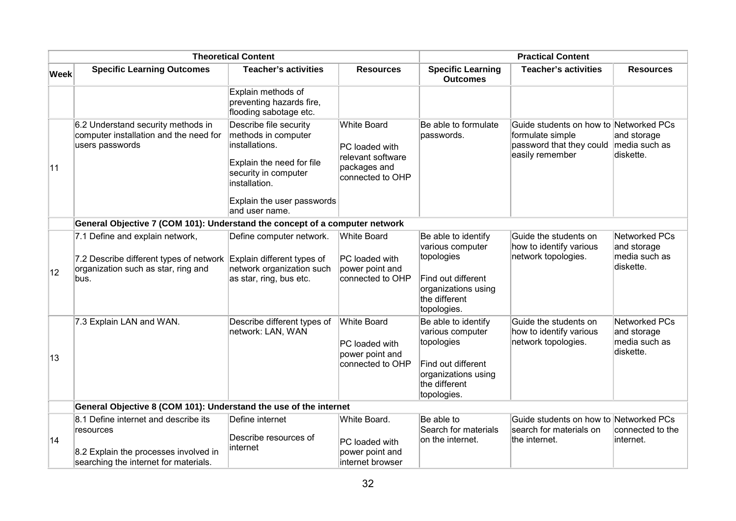| <b>Theoretical Content</b> |                                                                                                       |                                                                          | <b>Practical Content</b>                              |                                                                           |                                                                                        |                                                            |
|----------------------------|-------------------------------------------------------------------------------------------------------|--------------------------------------------------------------------------|-------------------------------------------------------|---------------------------------------------------------------------------|----------------------------------------------------------------------------------------|------------------------------------------------------------|
| <b>Week</b>                | <b>Specific Learning Outcomes</b>                                                                     | <b>Teacher's activities</b>                                              | <b>Resources</b>                                      | <b>Specific Learning</b><br><b>Outcomes</b>                               | <b>Teacher's activities</b>                                                            | <b>Resources</b>                                           |
|                            |                                                                                                       | Explain methods of<br>preventing hazards fire,<br>flooding sabotage etc. |                                                       |                                                                           |                                                                                        |                                                            |
|                            | 6.2 Understand security methods in<br>computer installation and the need for<br>users passwords       | Describe file security<br>methods in computer<br>installations.          | <b>White Board</b><br>PC loaded with                  | Be able to formulate<br>passwords.                                        | Guide students on how to Networked PCs<br>formulate simple<br>password that they could | and storage<br>media such as                               |
| 11                         |                                                                                                       | Explain the need for file<br>security in computer<br>installation.       | relevant software<br>packages and<br>connected to OHP |                                                                           | easily remember                                                                        | diskette.                                                  |
|                            |                                                                                                       | Explain the user passwords<br>and user name.                             |                                                       |                                                                           |                                                                                        |                                                            |
|                            | General Objective 7 (COM 101): Understand the concept of a computer network                           |                                                                          |                                                       |                                                                           |                                                                                        |                                                            |
|                            | 7.1 Define and explain network,<br>7.2 Describe different types of network Explain different types of | Define computer network.                                                 | White Board<br>PC loaded with                         | Be able to identify<br>various computer<br>topologies                     | Guide the students on<br>how to identify various<br>network topologies.                | Networked PCs<br>and storage<br>media such as              |
| $ 12\rangle$               | organization such as star, ring and<br>bus.                                                           | network organization such<br>as star, ring, bus etc.                     | power point and<br>connected to OHP                   | Find out different<br>organizations using<br>the different<br>topologies. |                                                                                        | diskette.                                                  |
|                            | 7.3 Explain LAN and WAN.                                                                              | Describe different types of<br>network: LAN, WAN                         | White Board<br>PC loaded with<br>power point and      | Be able to identify<br>various computer<br>topologies                     | Guide the students on<br>how to identify various<br>network topologies.                | Networked PCs<br>and storage<br>media such as<br>diskette. |
| 13                         |                                                                                                       |                                                                          | connected to OHP                                      | Find out different<br>organizations using<br>the different<br>topologies. |                                                                                        |                                                            |
|                            | General Objective 8 (COM 101): Understand the use of the internet                                     |                                                                          |                                                       |                                                                           |                                                                                        |                                                            |
|                            | 8.1 Define internet and describe its<br>resources                                                     | Define internet                                                          | White Board.                                          | Be able to<br>Search for materials                                        | Guide students on how to Networked PCs<br>search for materials on                      | connected to the                                           |
| 14                         | 8.2 Explain the processes involved in                                                                 | Describe resources of<br>internet                                        | PC loaded with<br>power point and                     | on the internet.                                                          | the internet.                                                                          | internet.                                                  |
|                            | searching the internet for materials.                                                                 |                                                                          | internet browser                                      |                                                                           |                                                                                        |                                                            |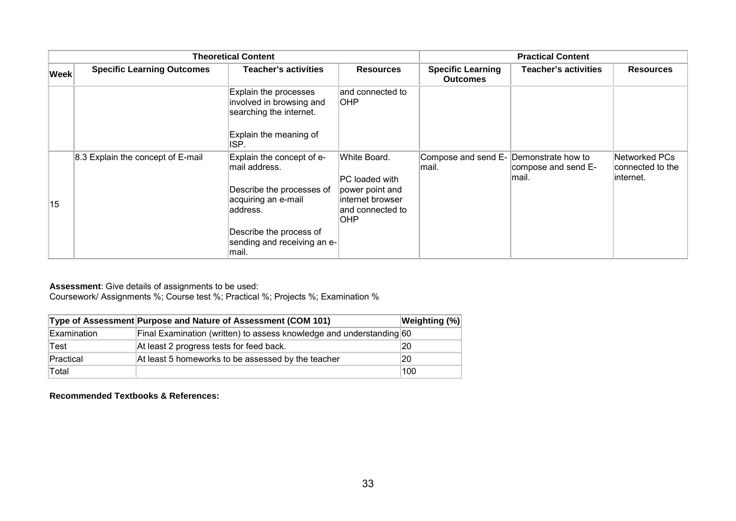|             |                                   | <b>Theoretical Content</b>                                                   |                                                     |                                                 | <b>Practical Content</b>     |                                                 |
|-------------|-----------------------------------|------------------------------------------------------------------------------|-----------------------------------------------------|-------------------------------------------------|------------------------------|-------------------------------------------------|
| <b>Week</b> | <b>Specific Learning Outcomes</b> | <b>Teacher's activities</b>                                                  | <b>Resources</b>                                    | <b>Specific Learning</b><br><b>Outcomes</b>     | <b>Teacher's activities</b>  | <b>Resources</b>                                |
|             |                                   | Explain the processes<br>involved in browsing and<br>searching the internet. | and connected to<br><b>OHP</b>                      |                                                 |                              |                                                 |
|             |                                   | Explain the meaning of<br>ISP.                                               |                                                     |                                                 |                              |                                                 |
|             | 8.3 Explain the concept of E-mail | Explain the concept of e-<br>mail address.<br>Describe the processes of      | White Board.<br>PC loaded with<br>power point and   | Compose and send E- Demonstrate how to<br>mail. | compose and send E-<br>mail. | Networked PCs<br>connected to the<br>linternet. |
| 15          |                                   | acquiring an e-mail<br>address.                                              | internet browser<br>land connected to<br><b>OHP</b> |                                                 |                              |                                                 |
|             |                                   | Describe the process of<br>sending and receiving an e-<br>mail.              |                                                     |                                                 |                              |                                                 |

#### **Assessment**: Give details of assignments to be used:

Coursework/ Assignments %; Course test %; Practical %; Projects %; Examination %

|             | Type of Assessment Purpose and Nature of Assessment (COM 101)        | Weighting (%) |
|-------------|----------------------------------------------------------------------|---------------|
| Examination | Final Examination (written) to assess knowledge and understanding 60 |               |
| Test        | At least 2 progress tests for feed back.                             | 20            |
| Practical   | At least 5 homeworks to be assessed by the teacher                   | 20            |
| Total       |                                                                      | 100           |

**Recommended Textbooks & References:**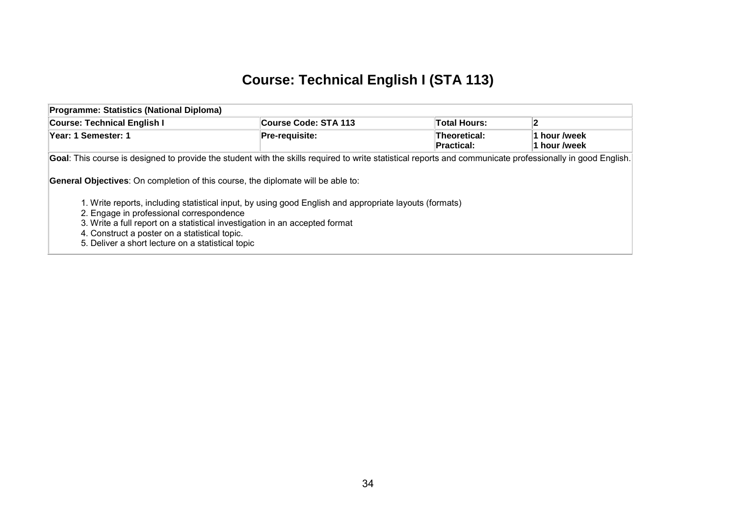# **Course: Technical English I (STA 113)**

| <b>Programme: Statistics (National Diploma)</b>                                                                                                                                                   |                                                                                                                         |                                   |                              |  |  |  |  |
|---------------------------------------------------------------------------------------------------------------------------------------------------------------------------------------------------|-------------------------------------------------------------------------------------------------------------------------|-----------------------------------|------------------------------|--|--|--|--|
| <b>Course: Technical English I</b>                                                                                                                                                                | Course Code: STA 113                                                                                                    | <b>Total Hours:</b>               |                              |  |  |  |  |
| Year: 1 Semester: 1                                                                                                                                                                               | <b>Pre-requisite:</b>                                                                                                   | Theoretical:<br><b>Practical:</b> | 1 hour /week<br>1 hour /week |  |  |  |  |
| Goal: This course is designed to provide the student with the skills required to write statistical reports and communicate professionally in good English.                                        |                                                                                                                         |                                   |                              |  |  |  |  |
| <b>General Objectives:</b> On completion of this course, the diplomate will be able to:<br>1. Write reports, including statistical input, by using good English and appropriate layouts (formats) |                                                                                                                         |                                   |                              |  |  |  |  |
| 4. Construct a poster on a statistical topic.<br>5. Deliver a short lecture on a statistical topic                                                                                                | 2. Engage in professional correspondence<br>3. Write a full report on a statistical investigation in an accepted format |                                   |                              |  |  |  |  |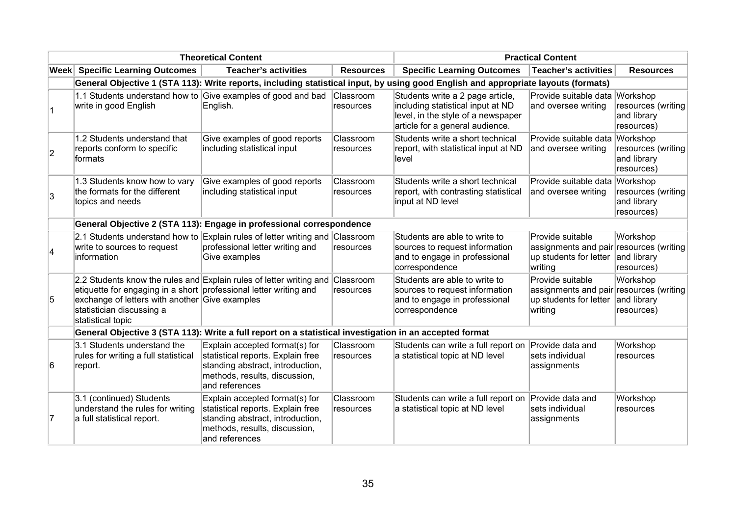| <b>Theoretical Content</b> |                                                                                                                                                                       |                                                                                                                                                            |                        | <b>Practical Content</b>                                                                                                                       |                                                                                                  |                                                 |
|----------------------------|-----------------------------------------------------------------------------------------------------------------------------------------------------------------------|------------------------------------------------------------------------------------------------------------------------------------------------------------|------------------------|------------------------------------------------------------------------------------------------------------------------------------------------|--------------------------------------------------------------------------------------------------|-------------------------------------------------|
|                            | <b>Week</b> Specific Learning Outcomes                                                                                                                                | <b>Teacher's activities</b>                                                                                                                                | <b>Resources</b>       | <b>Specific Learning Outcomes</b>                                                                                                              | <b>Teacher's activities</b>                                                                      | <b>Resources</b>                                |
|                            |                                                                                                                                                                       |                                                                                                                                                            |                        | General Objective 1 (STA 113): Write reports, including statistical input, by using good English and appropriate layouts (formats)             |                                                                                                  |                                                 |
|                            | write in good English                                                                                                                                                 | 1.1 Students understand how to Give examples of good and bad Classroom<br>English.                                                                         | resources              | Students write a 2 page article,<br>including statistical input at ND<br>level, in the style of a newspaper<br>article for a general audience. | Provide suitable data Workshop<br>and oversee writing                                            | resources (writing<br>and library<br>resources) |
| $\overline{2}$             | 1.2 Students understand that<br>reports conform to specific<br>formats                                                                                                | Give examples of good reports<br>including statistical input                                                                                               | Classroom<br>resources | Students write a short technical<br>report, with statistical input at ND<br>level                                                              | Provide suitable data Workshop<br>and oversee writing                                            | resources (writing<br>and library<br>resources) |
| 3                          | 1.3 Students know how to vary<br>the formats for the different<br>topics and needs                                                                                    | Give examples of good reports<br>including statistical input                                                                                               | Classroom<br>resources | Students write a short technical<br>report, with contrasting statistical<br>input at ND level                                                  | Provide suitable data Workshop<br>and oversee writing                                            | resources (writing<br>and library<br>resources) |
|                            |                                                                                                                                                                       | General Objective 2 (STA 113): Engage in professional correspondence                                                                                       |                        |                                                                                                                                                |                                                                                                  |                                                 |
| 4                          | write to sources to request<br>information                                                                                                                            | 2.1 Students understand how to Explain rules of letter writing and Classroom<br>professional letter writing and<br>Give examples                           | resources              | Students are able to write to<br>sources to request information<br>and to engage in professional<br>correspondence                             | Provide suitable<br>assignments and pair resources (writing<br>up students for letter<br>writing | Workshop<br>and library<br>resources)           |
| 5                          | etiquette for engaging in a short professional letter writing and<br>exchange of letters with another Give examples<br>statistician discussing a<br>statistical topic | 2.2 Students know the rules and Explain rules of letter writing and Classroom                                                                              | resources              | Students are able to write to<br>sources to request information<br>and to engage in professional<br>correspondence                             | Provide suitable<br>assignments and pair resources (writing<br>up students for letter<br>writing | Workshop<br>and library<br>resources)           |
|                            |                                                                                                                                                                       | General Objective 3 (STA 113): Write a full report on a statistical investigation in an accepted format                                                    |                        |                                                                                                                                                |                                                                                                  |                                                 |
| 6                          | 3.1 Students understand the<br>rules for writing a full statistical<br>report.                                                                                        | Explain accepted format(s) for<br>statistical reports. Explain free<br>standing abstract, introduction,<br>methods, results, discussion,<br>and references | Classroom<br>resources | Students can write a full report on<br>a statistical topic at ND level                                                                         | Provide data and<br>sets individual<br>assignments                                               | Workshop<br>resources                           |
| 17                         | 3.1 (continued) Students<br>understand the rules for writing<br>a full statistical report.                                                                            | Explain accepted format(s) for<br>statistical reports. Explain free<br>standing abstract, introduction,<br>methods, results, discussion,<br>and references | Classroom<br>resources | Students can write a full report on<br>a statistical topic at ND level                                                                         | Provide data and<br>sets individual<br>assignments                                               | Workshop<br>resources                           |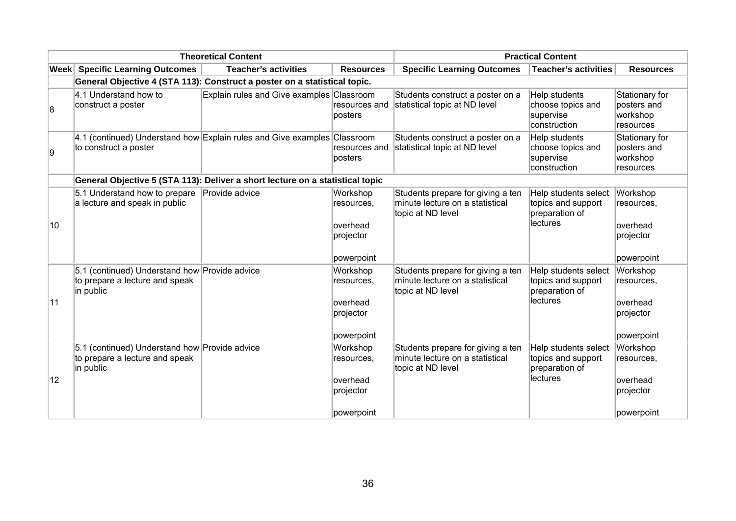|    | <b>Theoretical Content</b>                                                                   |                                                                               |                                                  | <b>Practical Content</b>                                                                  |                                                                          |                                                        |
|----|----------------------------------------------------------------------------------------------|-------------------------------------------------------------------------------|--------------------------------------------------|-------------------------------------------------------------------------------------------|--------------------------------------------------------------------------|--------------------------------------------------------|
|    | <b>Week Specific Learning Outcomes</b>                                                       | <b>Teacher's activities</b>                                                   | <b>Resources</b>                                 | <b>Specific Learning Outcomes</b>                                                         | <b>Teacher's activities</b>                                              | <b>Resources</b>                                       |
|    |                                                                                              | General Objective 4 (STA 113): Construct a poster on a statistical topic.     |                                                  |                                                                                           |                                                                          |                                                        |
| 8  | 4.1 Understand how to<br>construct a poster                                                  | Explain rules and Give examples Classroom                                     | resources and<br>posters                         | Students construct a poster on a<br>statistical topic at ND level                         | Help students<br>choose topics and<br>supervise<br>construction          | Stationary for<br>posters and<br>workshop<br>resources |
| g. | to construct a poster                                                                        | 4.1 (continued) Understand how Explain rules and Give examples Classroom      | resources and<br>posters                         | Students construct a poster on a<br>statistical topic at ND level                         | Help students<br>choose topics and<br>supervise<br>construction          | Stationary for<br>posters and<br>workshop<br>resources |
|    |                                                                                              | General Objective 5 (STA 113): Deliver a short lecture on a statistical topic |                                                  |                                                                                           |                                                                          |                                                        |
|    | 5.1 Understand how to prepare<br>a lecture and speak in public                               | Provide advice                                                                | Workshop<br>resources.                           | Students prepare for giving a ten<br>minute lecture on a statistical<br>topic at ND level | Help students select<br>topics and support<br>preparation of             | Workshop<br>resources.                                 |
| 10 |                                                                                              |                                                                               | loverhead<br>projector                           |                                                                                           | lectures                                                                 | loverhead<br>projector                                 |
|    |                                                                                              |                                                                               | powerpoint                                       |                                                                                           |                                                                          | powerpoint                                             |
| 11 | 5.1 (continued) Understand how Provide advice<br>to prepare a lecture and speak<br>in public |                                                                               | Workshop<br>resources,<br>overhead<br> projector | Students prepare for giving a ten<br>minute lecture on a statistical<br>topic at ND level | Help students select<br>topics and support<br>preparation of<br>lectures | Workshop<br>resources,<br>overhead<br>projector        |
|    |                                                                                              |                                                                               | powerpoint                                       |                                                                                           |                                                                          | powerpoint                                             |
|    | 5.1 (continued) Understand how Provide advice<br>to prepare a lecture and speak<br>in public |                                                                               | Workshop<br>resources,                           | Students prepare for giving a ten<br>minute lecture on a statistical<br>topic at ND level | Help students select<br>topics and support<br>preparation of             | Workshop<br>resources,                                 |
| 12 |                                                                                              |                                                                               | overhead<br>projector                            |                                                                                           | <b>lectures</b>                                                          | overhead<br>projector                                  |
|    |                                                                                              |                                                                               | powerpoint                                       |                                                                                           |                                                                          | powerpoint                                             |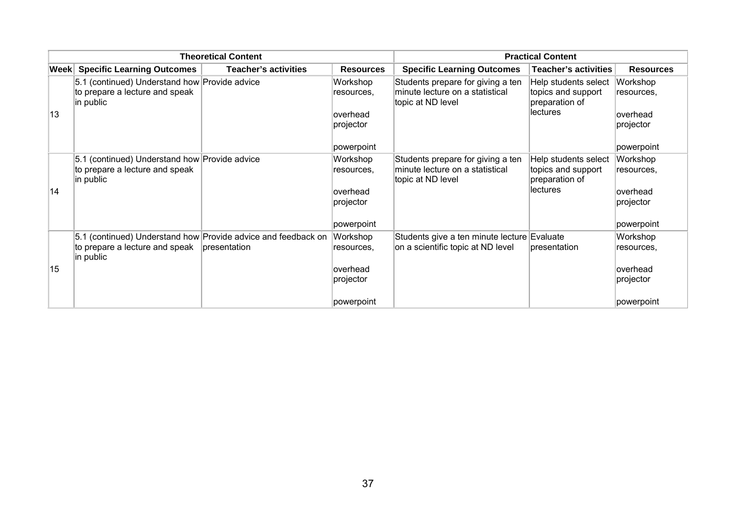| <b>Theoretical Content</b> |                                                                                              |                                                                               | <b>Practical Content</b>             |                                                                                           |                                                                          |                                     |
|----------------------------|----------------------------------------------------------------------------------------------|-------------------------------------------------------------------------------|--------------------------------------|-------------------------------------------------------------------------------------------|--------------------------------------------------------------------------|-------------------------------------|
| Week                       | <b>Specific Learning Outcomes</b>                                                            | <b>Teacher's activities</b>                                                   | <b>Resources</b>                     | <b>Specific Learning Outcomes</b>                                                         | <b>Teacher's activities</b>                                              | <b>Resources</b>                    |
| 13                         | 5.1 (continued) Understand how Provide advice<br>to prepare a lecture and speak<br>in public |                                                                               | Workshop<br>resources.<br>overhead   | Students prepare for giving a ten<br>minute lecture on a statistical<br>topic at ND level | Help students select<br>topics and support<br>preparation of<br>lectures | Workshop<br>resources,<br>overhead  |
|                            |                                                                                              |                                                                               | projector<br>powerpoint              |                                                                                           |                                                                          | projector<br>powerpoint             |
|                            | 5.1 (continued) Understand how Provide advice<br>to prepare a lecture and speak<br>in public |                                                                               | Workshop<br>resources,               | Students prepare for giving a ten<br>minute lecture on a statistical<br>topic at ND level | Help students select<br>topics and support<br>preparation of             | Workshop<br>resources,              |
| 14                         |                                                                                              |                                                                               | loverhead<br>projector<br>powerpoint |                                                                                           | lectures                                                                 | overhead<br>projector<br>powerpoint |
|                            | to prepare a lecture and speak<br>in public                                                  | 5.1 (continued) Understand how Provide advice and feedback on<br>presentation | Workshop<br>resources,               | Students give a ten minute lecture Evaluate<br>on a scientific topic at ND level          | presentation                                                             | Workshop<br>resources,              |
| 15                         |                                                                                              |                                                                               | overhead<br>projector<br>powerpoint  |                                                                                           |                                                                          | overhead<br>projector<br>powerpoint |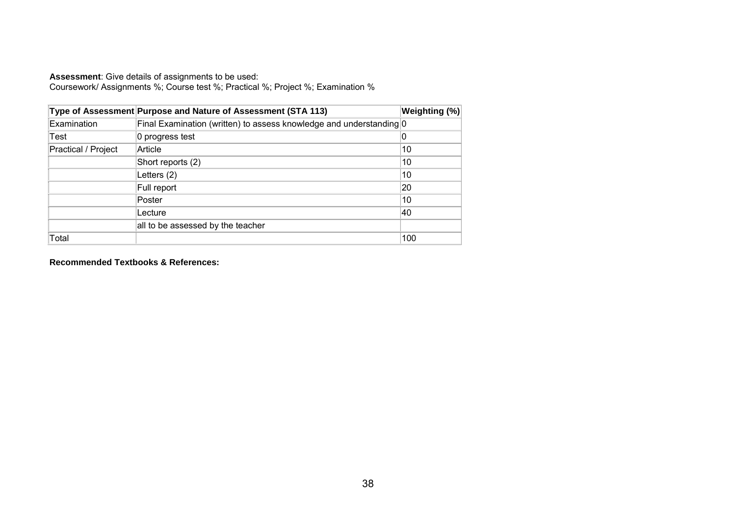Coursework/ Assignments %; Course test %; Practical %; Project %; Examination %

|                     | Type of Assessment Purpose and Nature of Assessment (STA 113)       | Weighting (%) |
|---------------------|---------------------------------------------------------------------|---------------|
| Examination         | Final Examination (written) to assess knowledge and understanding 0 |               |
| Test                | 0 progress test                                                     | 0             |
| Practical / Project | Article                                                             | 10            |
|                     | Short reports (2)                                                   | 10            |
|                     | Letters (2)                                                         | 10            |
|                     | Full report                                                         | 20            |
|                     | Poster                                                              | 10            |
|                     | Lecture                                                             | 40            |
|                     | all to be assessed by the teacher                                   |               |
| Total               |                                                                     | 100           |

**Recommended Textbooks & References:**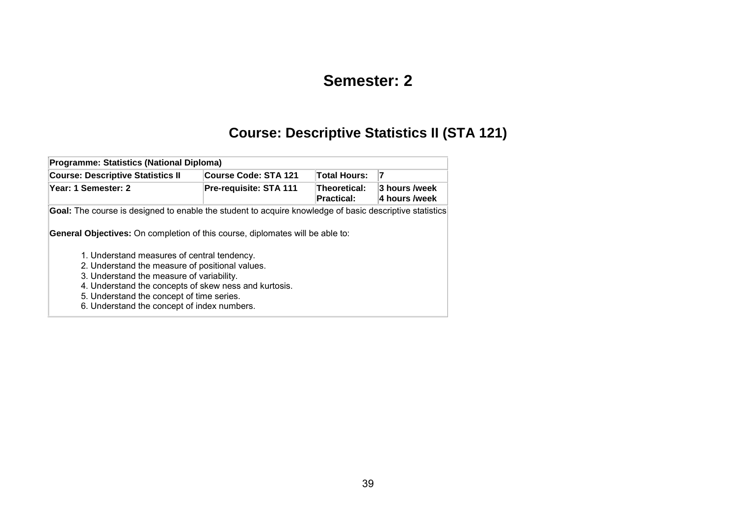### **Semester: 2**

## **Course: Descriptive Statistics II (STA 121)**

| <b>Programme: Statistics (National Diploma)</b>                                                                                                                                                                                                                                                                                                                                                                                                                                                     |                             |                                          |                                |  |  |  |  |  |  |
|-----------------------------------------------------------------------------------------------------------------------------------------------------------------------------------------------------------------------------------------------------------------------------------------------------------------------------------------------------------------------------------------------------------------------------------------------------------------------------------------------------|-----------------------------|------------------------------------------|--------------------------------|--|--|--|--|--|--|
| <b>Course: Descriptive Statistics II</b>                                                                                                                                                                                                                                                                                                                                                                                                                                                            | <b>Course Code: STA 121</b> | <b>Total Hours:</b>                      | 17                             |  |  |  |  |  |  |
| Year: 1 Semester: 2                                                                                                                                                                                                                                                                                                                                                                                                                                                                                 | Pre-requisite: STA 111      | <b>Theoretical:</b><br><b>Practical:</b> | 3 hours /week<br>4 hours /week |  |  |  |  |  |  |
|                                                                                                                                                                                                                                                                                                                                                                                                                                                                                                     |                             |                                          |                                |  |  |  |  |  |  |
| Goal: The course is designed to enable the student to acquire knowledge of basic descriptive statistics<br><b>General Objectives:</b> On completion of this course, diplomates will be able to:<br>1. Understand measures of central tendency.<br>2. Understand the measure of positional values.<br>3. Understand the measure of variability.<br>4. Understand the concepts of skew ness and kurtosis.<br>5. Understand the concept of time series.<br>6. Understand the concept of index numbers. |                             |                                          |                                |  |  |  |  |  |  |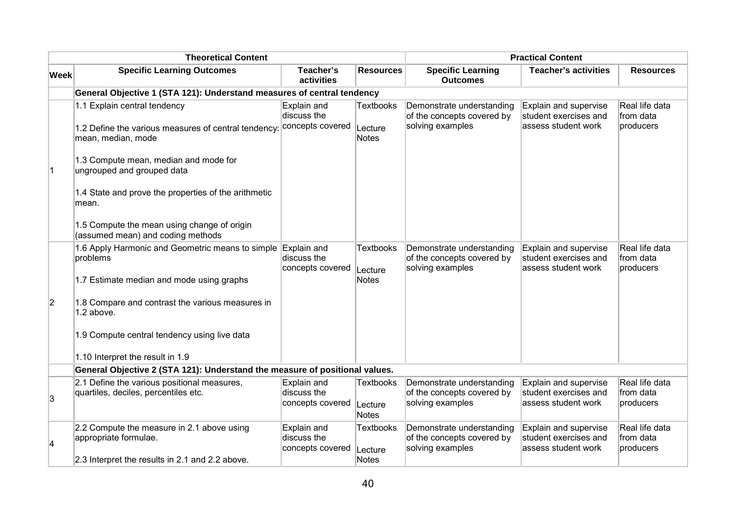|             | <b>Theoretical Content</b>                                                                                             |                                                |                                             |                                                                             | <b>Practical Content</b>                                               |                                          |
|-------------|------------------------------------------------------------------------------------------------------------------------|------------------------------------------------|---------------------------------------------|-----------------------------------------------------------------------------|------------------------------------------------------------------------|------------------------------------------|
| <b>Week</b> | <b>Specific Learning Outcomes</b>                                                                                      | Teacher's<br>activities                        | <b>Resources</b>                            | <b>Specific Learning</b><br><b>Outcomes</b>                                 | <b>Teacher's activities</b>                                            | <b>Resources</b>                         |
|             | General Objective 1 (STA 121): Understand measures of central tendency                                                 |                                                |                                             |                                                                             |                                                                        |                                          |
|             | 1.1 Explain central tendency<br>1.2 Define the various measures of central tendency:<br>mean, median, mode             | Explain and<br>discuss the<br>concepts covered | <b>Textbooks</b><br>Lecture<br><b>Notes</b> | Demonstrate understanding<br>of the concepts covered by<br>solving examples | Explain and supervise<br>student exercises and<br>lassess student work | Real life data<br>from data<br>producers |
| $\vert$ 1   | 1.3 Compute mean, median and mode for<br>ungrouped and grouped data                                                    |                                                |                                             |                                                                             |                                                                        |                                          |
|             | 1.4 State and prove the properties of the arithmetic<br>mean.                                                          |                                                |                                             |                                                                             |                                                                        |                                          |
|             | 1.5 Compute the mean using change of origin<br>(assumed mean) and coding methods                                       |                                                |                                             |                                                                             |                                                                        |                                          |
|             | 1.6 Apply Harmonic and Geometric means to simple<br>problems<br>1.7 Estimate median and mode using graphs              | Explain and<br>discuss the<br>concepts covered | <b>Textbooks</b><br>Lecture<br><b>Notes</b> | Demonstrate understanding<br>of the concepts covered by<br>solving examples | Explain and supervise<br>student exercises and<br>assess student work  | Real life data<br>from data<br>producers |
| $ 2\rangle$ | 1.8 Compare and contrast the various measures in<br>1.2 above.                                                         |                                                |                                             |                                                                             |                                                                        |                                          |
|             | 1.9 Compute central tendency using live data                                                                           |                                                |                                             |                                                                             |                                                                        |                                          |
|             | 1.10 Interpret the result in 1.9                                                                                       |                                                |                                             |                                                                             |                                                                        |                                          |
|             | General Objective 2 (STA 121): Understand the measure of positional values.                                            |                                                |                                             |                                                                             |                                                                        |                                          |
| 3           | 2.1 Define the various positional measures,<br>quartiles, deciles, percentiles etc.                                    | Explain and<br>discuss the<br>concepts covered | <b>Textbooks</b><br>Lecture<br>Notes        | Demonstrate understanding<br>of the concepts covered by<br>solving examples | Explain and supervise<br>student exercises and<br>assess student work  | Real life data<br>from data<br>producers |
| 4           | 2.2 Compute the measure in 2.1 above using<br>appropriate formulae.<br>2.3 Interpret the results in 2.1 and 2.2 above. | Explain and<br>discuss the<br>concepts covered | <b>Textbooks</b><br>Lecture<br>Notes        | Demonstrate understanding<br>of the concepts covered by<br>solving examples | Explain and supervise<br>student exercises and<br>assess student work  | Real life data<br>from data<br>producers |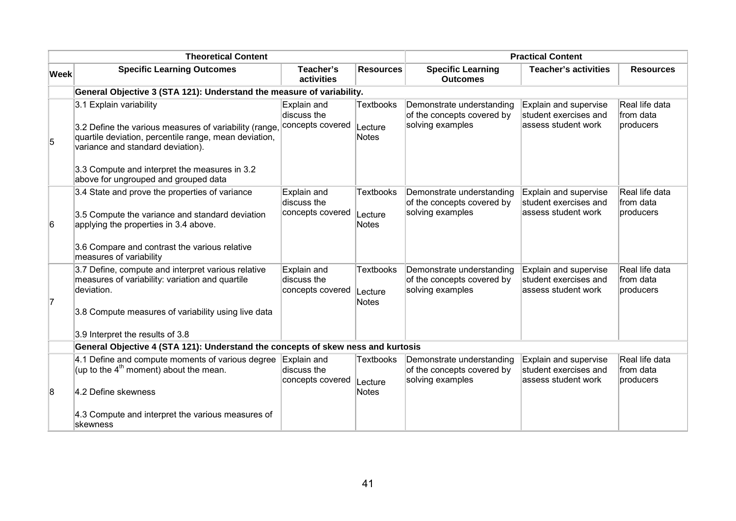| <b>Theoretical Content</b> |                                                                                                                                                                                 |                                                |                                             | <b>Practical Content</b>                                                    |                                                                       |                                           |
|----------------------------|---------------------------------------------------------------------------------------------------------------------------------------------------------------------------------|------------------------------------------------|---------------------------------------------|-----------------------------------------------------------------------------|-----------------------------------------------------------------------|-------------------------------------------|
| Week                       | <b>Specific Learning Outcomes</b>                                                                                                                                               | Teacher's<br>activities                        | <b>Resources</b>                            | <b>Specific Learning</b><br><b>Outcomes</b>                                 | <b>Teacher's activities</b>                                           | <b>Resources</b>                          |
|                            | General Objective 3 (STA 121): Understand the measure of variability.                                                                                                           |                                                |                                             |                                                                             |                                                                       |                                           |
| 5                          | 3.1 Explain variability<br>3.2 Define the various measures of variability (range,<br>quartile deviation, percentile range, mean deviation,<br>variance and standard deviation). | Explain and<br>discuss the<br>concepts covered | <b>Textbooks</b><br>Lecture<br><b>Notes</b> | Demonstrate understanding<br>of the concepts covered by<br>solving examples | Explain and supervise<br>student exercises and<br>assess student work | Real life data<br>from data<br>producers  |
|                            | 3.3 Compute and interpret the measures in 3.2<br>above for ungrouped and grouped data                                                                                           |                                                |                                             |                                                                             |                                                                       |                                           |
| 6                          | 3.4 State and prove the properties of variance<br>3.5 Compute the variance and standard deviation<br>applying the properties in 3.4 above.                                      | Explain and<br>discuss the<br>concepts covered | <b>Textbooks</b><br>Lecture<br>Notes        | Demonstrate understanding<br>of the concepts covered by<br>solving examples | Explain and supervise<br>student exercises and<br>assess student work | Real life data<br>lfrom data<br>producers |
|                            | 3.6 Compare and contrast the various relative<br>measures of variability                                                                                                        |                                                |                                             |                                                                             |                                                                       |                                           |
| 17                         | 3.7 Define, compute and interpret various relative<br>measures of variability: variation and quartile<br>deviation.<br>3.8 Compute measures of variability using live data      | Explain and<br>discuss the<br>concepts covered | <b>Textbooks</b><br>Lecture<br>Notes        | Demonstrate understanding<br>of the concepts covered by<br>solving examples | Explain and supervise<br>student exercises and<br>assess student work | Real life data<br>from data<br>producers  |
|                            | 3.9 Interpret the results of 3.8                                                                                                                                                |                                                |                                             |                                                                             |                                                                       |                                           |
|                            | General Objective 4 (STA 121): Understand the concepts of skew ness and kurtosis                                                                                                |                                                |                                             |                                                                             |                                                                       |                                           |
|                            | 4.1 Define and compute moments of various degree $\mathsf{Explain}$ and<br>(up to the 4 <sup>th</sup> moment) about the mean.                                                   | discuss the<br>concepts covered                | <b>Textbooks</b>                            | Demonstrate understanding<br>of the concepts covered by<br>solving examples | Explain and supervise<br>student exercises and<br>assess student work | Real life data<br>lfrom data<br>producers |
| 8                          | 4.2 Define skewness                                                                                                                                                             |                                                | Lecture<br>Notes                            |                                                                             |                                                                       |                                           |
|                            | 4.3 Compute and interpret the various measures of<br>skewness                                                                                                                   |                                                |                                             |                                                                             |                                                                       |                                           |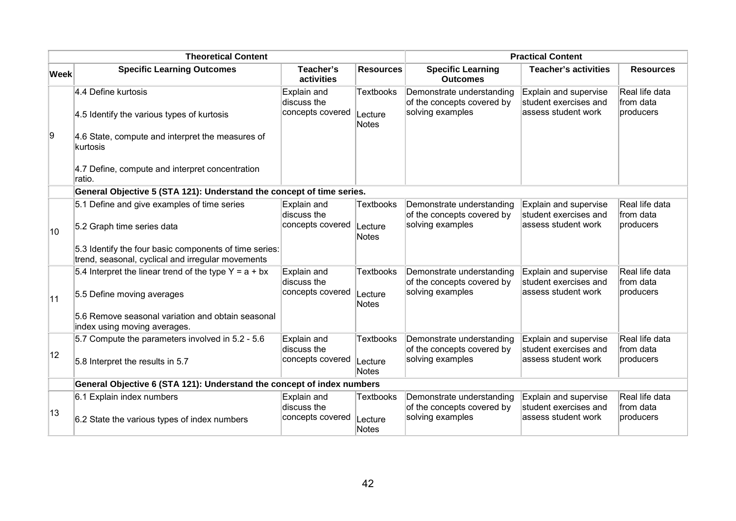| <b>Theoretical Content</b> |                                                                                                             |                            | <b>Practical Content</b> |                                                         |                                                |                             |
|----------------------------|-------------------------------------------------------------------------------------------------------------|----------------------------|--------------------------|---------------------------------------------------------|------------------------------------------------|-----------------------------|
| <b>Week</b>                | <b>Specific Learning Outcomes</b>                                                                           | Teacher's<br>activities    | <b>Resources</b>         | <b>Specific Learning</b><br><b>Outcomes</b>             | <b>Teacher's activities</b>                    | <b>Resources</b>            |
|                            | 4.4 Define kurtosis                                                                                         | Explain and<br>discuss the | <b>Textbooks</b>         | Demonstrate understanding<br>of the concepts covered by | Explain and supervise<br>student exercises and | Real life data<br>from data |
|                            | 4.5 Identify the various types of kurtosis                                                                  | concepts covered           | Lecture<br>Notes         | solving examples                                        | assess student work                            | producers                   |
| 9                          | 4.6 State, compute and interpret the measures of<br>kurtosis                                                |                            |                          |                                                         |                                                |                             |
|                            | 4.7 Define, compute and interpret concentration<br>ratio.                                                   |                            |                          |                                                         |                                                |                             |
|                            | General Objective 5 (STA 121): Understand the concept of time series.                                       |                            |                          |                                                         |                                                |                             |
|                            | 5.1 Define and give examples of time series                                                                 | Explain and<br>discuss the | <b>Textbooks</b>         | Demonstrate understanding<br>of the concepts covered by | Explain and supervise<br>student exercises and | Real life data<br>from data |
| 10                         | 5.2 Graph time series data                                                                                  | concepts covered           | Lecture<br>Notes         | solving examples                                        | lassess student work                           | producers                   |
|                            | 5.3 Identify the four basic components of time series:<br>trend, seasonal, cyclical and irregular movements |                            |                          |                                                         |                                                |                             |
|                            | 5.4 Interpret the linear trend of the type $Y = a + bx$                                                     | Explain and<br>discuss the | <b>Textbooks</b>         | Demonstrate understanding<br>of the concepts covered by | Explain and supervise<br>student exercises and | Real life data<br>from data |
| 11                         | 5.5 Define moving averages                                                                                  | concepts covered           | Lecture<br>Notes         | solving examples                                        | assess student work                            | producers                   |
|                            | 5.6 Remove seasonal variation and obtain seasonal<br>index using moving averages.                           |                            |                          |                                                         |                                                |                             |
| 12                         | 5.7 Compute the parameters involved in 5.2 - 5.6                                                            | Explain and<br>discuss the | <b>Textbooks</b>         | Demonstrate understanding<br>of the concepts covered by | Explain and supervise<br>student exercises and | Real life data<br>from data |
|                            | 5.8 Interpret the results in 5.7                                                                            | concepts covered           | Lecture<br>Notes         | solving examples                                        | assess student work                            | producers                   |
|                            | General Objective 6 (STA 121): Understand the concept of index numbers                                      |                            |                          |                                                         |                                                |                             |
| 13                         | 6.1 Explain index numbers                                                                                   | Explain and<br>discuss the | <b>Textbooks</b>         | Demonstrate understanding<br>of the concepts covered by | Explain and supervise<br>student exercises and | Real life data<br>from data |
|                            | 6.2 State the various types of index numbers                                                                | concepts covered           | Lecture<br>Notes         | solving examples                                        | lassess student work                           | producers                   |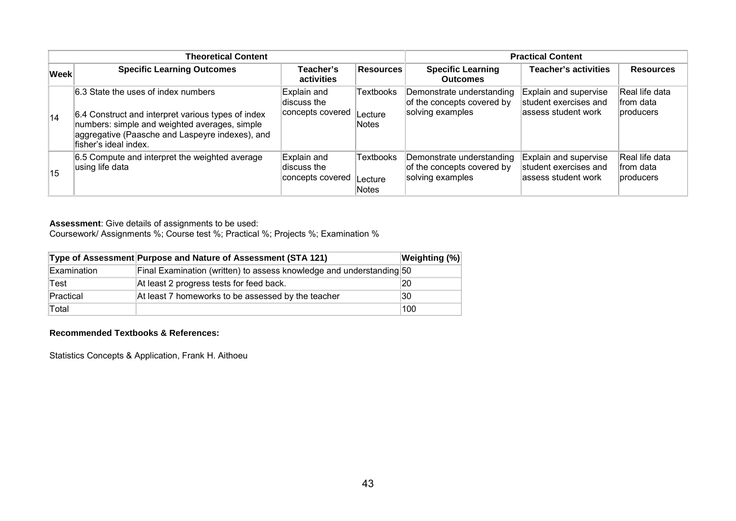| <b>Theoretical Content</b> |                                                                                                                                                                                                                        |                                                |                                      | <b>Practical Content</b>                                                    |                                                                       |                                           |
|----------------------------|------------------------------------------------------------------------------------------------------------------------------------------------------------------------------------------------------------------------|------------------------------------------------|--------------------------------------|-----------------------------------------------------------------------------|-----------------------------------------------------------------------|-------------------------------------------|
| <b>Week</b>                | <b>Specific Learning Outcomes</b>                                                                                                                                                                                      | Teacher's<br>activities                        | <b>Resources</b>                     | <b>Specific Learning</b><br><b>Outcomes</b>                                 | <b>Teacher's activities</b>                                           | <b>Resources</b>                          |
| 14                         | 6.3 State the uses of index numbers<br>6.4 Construct and interpret various types of index<br>numbers: simple and weighted averages, simple<br>aggregative (Paasche and Laspeyre indexes), and<br>fisher's ideal index. | Explain and<br>discuss the<br>concepts covered | <b>Textbooks</b><br>Lecture<br>Notes | Demonstrate understanding<br>of the concepts covered by<br>solving examples | Explain and supervise<br>student exercises and<br>assess student work | Real life data<br>lfrom data<br>producers |
| 15                         | 6.5 Compute and interpret the weighted average<br>using life data                                                                                                                                                      | Explain and<br>discuss the<br>concepts covered | Textbooks<br>Lecture<br>Notes        | Demonstrate understanding<br>of the concepts covered by<br>solving examples | Explain and supervise<br>student exercises and<br>assess student work | Real life data<br>lfrom data<br>producers |

Coursework/ Assignments %; Course test %; Practical %; Projects %; Examination %

|             | Type of Assessment Purpose and Nature of Assessment (STA 121)        | <b>Weighting (%)</b> |
|-------------|----------------------------------------------------------------------|----------------------|
| Examination | Final Examination (written) to assess knowledge and understanding 50 |                      |
| Test        | At least 2 progress tests for feed back.                             | 20                   |
| Practical   | At least 7 homeworks to be assessed by the teacher                   | 30                   |
| Total       |                                                                      | 100                  |

#### **Recommended Textbooks & References:**

Statistics Concepts & Application, Frank H. Aithoeu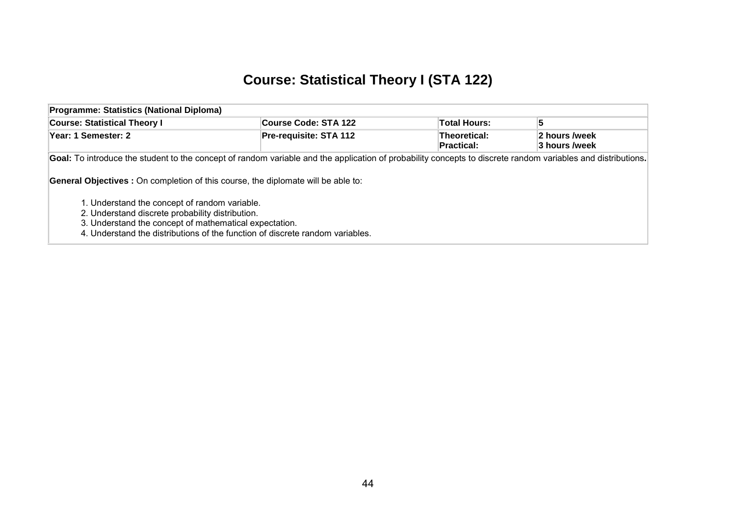### **Course: Statistical Theory I (STA 122)**

| <b>Programme: Statistics (National Diploma)</b>                                                                                                                                                                                                          |                             |                                   |                                |  |  |  |  |  |
|----------------------------------------------------------------------------------------------------------------------------------------------------------------------------------------------------------------------------------------------------------|-----------------------------|-----------------------------------|--------------------------------|--|--|--|--|--|
| <b>Course: Statistical Theory I</b>                                                                                                                                                                                                                      | <b>Course Code: STA 122</b> | <b>Total Hours:</b>               | 5                              |  |  |  |  |  |
| Year: 1 Semester: 2                                                                                                                                                                                                                                      | Pre-requisite: STA 112      | Theoretical:<br><b>Practical:</b> | 2 hours /week<br>3 hours /week |  |  |  |  |  |
| Goal: To introduce the student to the concept of random variable and the application of probability concepts to discrete random variables and distributions.<br><b>General Objectives :</b> On completion of this course, the diplomate will be able to: |                             |                                   |                                |  |  |  |  |  |
| 1. Understand the concept of random variable.<br>2. Understand discrete probability distribution.<br>3. Understand the concept of mathematical expectation.<br>4. Understand the distributions of the function of discrete random variables.             |                             |                                   |                                |  |  |  |  |  |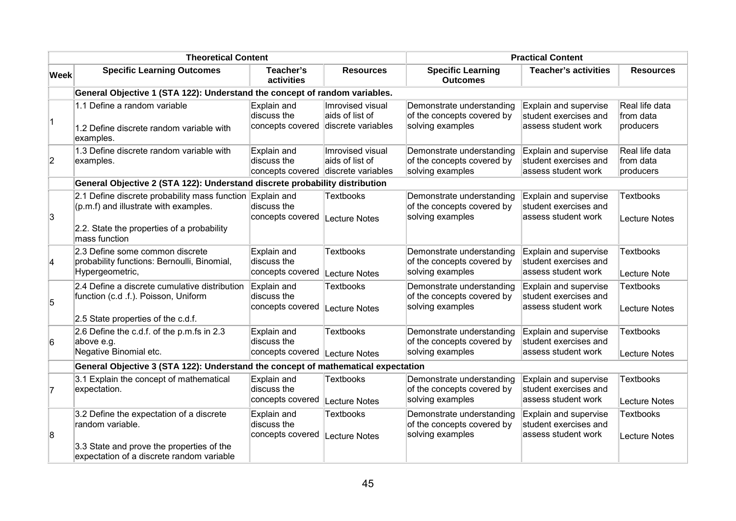|                | <b>Theoretical Content</b>                                                                                                                                        |                                                |                                                                            | <b>Practical Content</b>                                                    |                                                                       |                                          |
|----------------|-------------------------------------------------------------------------------------------------------------------------------------------------------------------|------------------------------------------------|----------------------------------------------------------------------------|-----------------------------------------------------------------------------|-----------------------------------------------------------------------|------------------------------------------|
| <b>Week</b>    | <b>Specific Learning Outcomes</b>                                                                                                                                 | Teacher's<br>activities                        | <b>Resources</b>                                                           | <b>Specific Learning</b><br><b>Outcomes</b>                                 | <b>Teacher's activities</b>                                           | <b>Resources</b>                         |
|                | General Objective 1 (STA 122): Understand the concept of random variables.                                                                                        |                                                |                                                                            |                                                                             |                                                                       |                                          |
| $\vert$ 1      | 1.1 Define a random variable<br>1.2 Define discrete random variable with<br>examples.                                                                             | Explain and<br>discuss the<br>concepts covered | Imrovised visual<br>aids of list of<br>discrete variables                  | Demonstrate understanding<br>of the concepts covered by<br>solving examples | Explain and supervise<br>student exercises and<br>assess student work | Real life data<br>from data<br>producers |
| $\overline{2}$ | 1.3 Define discrete random variable with<br>examples.                                                                                                             | Explain and<br>discuss the                     | Imrovised visual<br>aids of list of<br>concepts covered discrete variables | Demonstrate understanding<br>of the concepts covered by<br>solving examples | Explain and supervise<br>student exercises and<br>assess student work | Real life data<br>from data<br>producers |
|                | General Objective 2 (STA 122): Understand discrete probability distribution                                                                                       |                                                |                                                                            |                                                                             |                                                                       |                                          |
| Ι3             | 2.1 Define discrete probability mass function Explain and<br>(p.m.f) and illustrate with examples.<br>2.2. State the properties of a probability<br>mass function | discuss the<br>concepts covered                | <b>Textbooks</b><br><b>Lecture Notes</b>                                   | Demonstrate understanding<br>of the concepts covered by<br>solving examples | Explain and supervise<br>student exercises and<br>assess student work | <b>Textbooks</b><br><b>Lecture Notes</b> |
| $\vert$ 4      | 2.3 Define some common discrete<br>probability functions: Bernoulli, Binomial,<br>Hypergeometric,                                                                 | Explain and<br>discuss the<br>concepts covered | <b>Textbooks</b><br>Lecture Notes                                          | Demonstrate understanding<br>of the concepts covered by<br>solving examples | Explain and supervise<br>student exercises and<br>assess student work | <b>Textbooks</b><br>Lecture Note         |
| 5              | 2.4 Define a discrete cumulative distribution<br>function (c.d.f.). Poisson, Uniform<br>2.5 State properties of the c.d.f.                                        | Explain and<br>discuss the<br>concepts covered | <b>Textbooks</b><br><b>Lecture Notes</b>                                   | Demonstrate understanding<br>of the concepts covered by<br>solving examples | Explain and supervise<br>student exercises and<br>assess student work | <b>Textbooks</b><br>Lecture Notes        |
| 6              | 2.6 Define the c.d.f. of the p.m.fs in 2.3<br>above e.g.<br>Negative Binomial etc.                                                                                | Explain and<br>discuss the<br>concepts covered | <b>Textbooks</b><br><b>Lecture Notes</b>                                   | Demonstrate understanding<br>of the concepts covered by<br>solving examples | Explain and supervise<br>student exercises and<br>assess student work | <b>Textbooks</b><br>Lecture Notes        |
|                | General Objective 3 (STA 122): Understand the concept of mathematical expectation                                                                                 |                                                |                                                                            |                                                                             |                                                                       |                                          |
| $\overline{7}$ | 3.1 Explain the concept of mathematical<br>expectation.                                                                                                           | Explain and<br>discuss the<br>concepts covered | <b>Textbooks</b><br><b>Lecture Notes</b>                                   | Demonstrate understanding<br>of the concepts covered by<br>solving examples | Explain and supervise<br>student exercises and<br>assess student work | <b>Textbooks</b><br>Lecture Notes        |
| 8              | 3.2 Define the expectation of a discrete<br>random variable.<br>3.3 State and prove the properties of the<br>expectation of a discrete random variable            | Explain and<br>discuss the<br>concepts covered | <b>Textbooks</b><br><b>Lecture Notes</b>                                   | Demonstrate understanding<br>of the concepts covered by<br>solving examples | Explain and supervise<br>student exercises and<br>assess student work | <b>Textbooks</b><br>Lecture Notes        |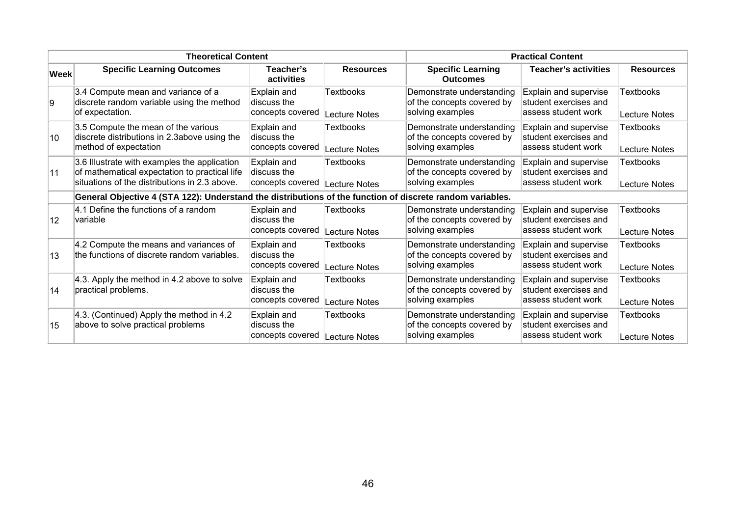|             | <b>Theoretical Content</b>                                                                                                                     |                                                | <b>Practical Content</b>          |                                                                             |                                                                       |                                          |
|-------------|------------------------------------------------------------------------------------------------------------------------------------------------|------------------------------------------------|-----------------------------------|-----------------------------------------------------------------------------|-----------------------------------------------------------------------|------------------------------------------|
| <b>Week</b> | <b>Specific Learning Outcomes</b>                                                                                                              | Teacher's<br>activities                        | <b>Resources</b>                  | <b>Specific Learning</b><br><b>Outcomes</b>                                 | <b>Teacher's activities</b>                                           | <b>Resources</b>                         |
| 9           | 3.4 Compute mean and variance of a<br>discrete random variable using the method<br>of expectation.                                             | Explain and<br>discuss the<br>concepts covered | Textbooks<br>Lecture Notes        | Demonstrate understanding<br>of the concepts covered by<br>solving examples | Explain and supervise<br>student exercises and<br>assess student work | Textbooks<br>Lecture Notes               |
| 10          | 3.5 Compute the mean of the various<br>discrete distributions in 2.3above using the<br>method of expectation                                   | Explain and<br>discuss the<br>concepts covered | Textbooks<br>Lecture Notes        | Demonstrate understanding<br>of the concepts covered by<br>solving examples | Explain and supervise<br>student exercises and<br>assess student work | Textbooks<br>Lecture Notes               |
| 11          | 3.6 Illustrate with examples the application<br>of mathematical expectation to practical life<br>situations of the distributions in 2.3 above. | Explain and<br>discuss the<br>concepts covered | Textbooks<br>Lecture Notes        | Demonstrate understanding<br>of the concepts covered by<br>solving examples | Explain and supervise<br>student exercises and<br>assess student work | Textbooks<br>Lecture Notes               |
|             | General Objective 4 (STA 122): Understand the distributions of the function of discrete random variables.                                      |                                                |                                   |                                                                             |                                                                       |                                          |
| 12          | $ 4.1$ Define the functions of a random<br>variable                                                                                            | Explain and<br>discuss the<br>concepts covered | <b>Textbooks</b><br>Lecture Notes | Demonstrate understanding<br>of the concepts covered by<br>solving examples | Explain and supervise<br>student exercises and<br>assess student work | <b>Textbooks</b><br><b>Lecture Notes</b> |
| 13          | 4.2 Compute the means and variances of<br>the functions of discrete random variables.                                                          | Explain and<br>discuss the<br>concepts covered | Textbooks<br>Lecture Notes        | Demonstrate understanding<br>of the concepts covered by<br>solving examples | Explain and supervise<br>student exercises and<br>assess student work | Textbooks<br>Lecture Notes               |
| 14          | 4.3. Apply the method in 4.2 above to solve<br>practical problems.                                                                             | Explain and<br>discuss the<br>concepts covered | Textbooks<br>Lecture Notes        | Demonstrate understanding<br>of the concepts covered by<br>solving examples | Explain and supervise<br>student exercises and<br>assess student work | <b>Textbooks</b><br>Lecture Notes        |
| 15          | 4.3. (Continued) Apply the method in 4.2<br>above to solve practical problems                                                                  | Explain and<br>discuss the<br>concepts covered | Textbooks<br>Lecture Notes        | Demonstrate understanding<br>of the concepts covered by<br>solving examples | Explain and supervise<br>student exercises and<br>assess student work | Textbooks<br>Lecture Notes               |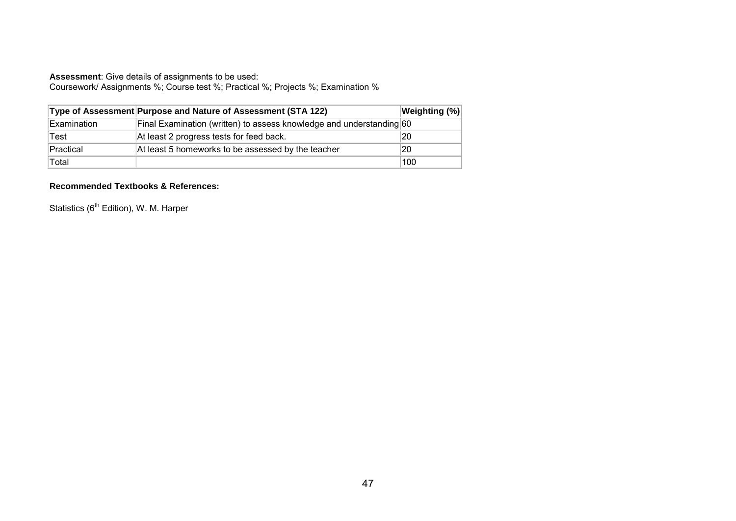Coursework/ Assignments %; Course test %; Practical %; Projects %; Examination %

|             | Type of Assessment Purpose and Nature of Assessment (STA 122)        | <b>Weighting (%)</b> |
|-------------|----------------------------------------------------------------------|----------------------|
| Examination | Final Examination (written) to assess knowledge and understanding 60 |                      |
| Test        | At least 2 progress tests for feed back.                             | 20                   |
| Practical   | At least 5 homeworks to be assessed by the teacher                   | 20                   |
| Total       |                                                                      | 100                  |

#### **Recommended Textbooks & References:**

Statistics (6<sup>th</sup> Edition), W. M. Harper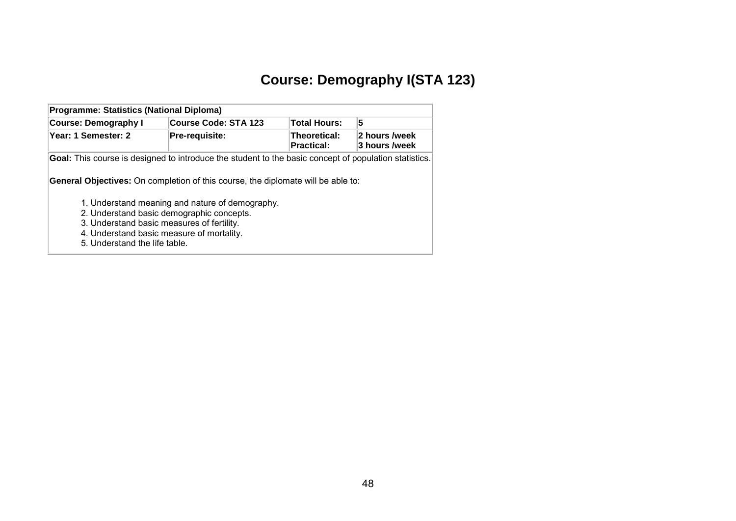# **Course: Demography I(STA 123)**

| Programme: Statistics (National Diploma) |                                                                                                              |                                   |                                |  |  |  |  |
|------------------------------------------|--------------------------------------------------------------------------------------------------------------|-----------------------------------|--------------------------------|--|--|--|--|
| <b>Course: Demography I</b>              | <b>Course Code: STA 123</b>                                                                                  | <b>Total Hours:</b>               | 5                              |  |  |  |  |
| Year: 1 Semester: 2                      | Pre-requisite:                                                                                               | <b>Theoretical:</b><br>Practical: | 2 hours /week<br>3 hours /week |  |  |  |  |
|                                          | <b>Goal:</b> This course is designed to introduce the student to the basic concept of population statistics. |                                   |                                |  |  |  |  |
|                                          | <b>General Objectives:</b> On completion of this course, the diplomate will be able to:                      |                                   |                                |  |  |  |  |
|                                          | 1. Understand meaning and nature of demography.                                                              |                                   |                                |  |  |  |  |
|                                          | 2. Understand basic demographic concepts.                                                                    |                                   |                                |  |  |  |  |
|                                          | 3. Understand basic measures of fertility.                                                                   |                                   |                                |  |  |  |  |
|                                          | 4. Understand basic measure of mortality.                                                                    |                                   |                                |  |  |  |  |
| 5. Understand the life table.            |                                                                                                              |                                   |                                |  |  |  |  |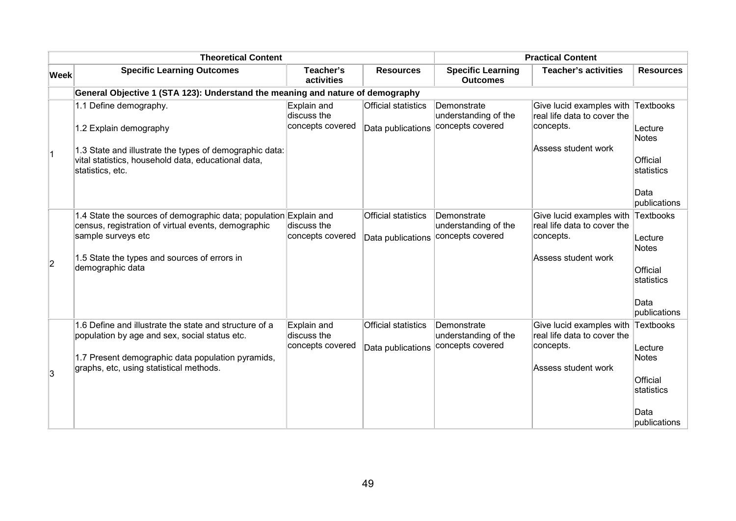|                | <b>Theoretical Content</b>                                                                                                         |                            |                            | <b>Practical Content</b>                    |                                                                   |                         |
|----------------|------------------------------------------------------------------------------------------------------------------------------------|----------------------------|----------------------------|---------------------------------------------|-------------------------------------------------------------------|-------------------------|
| <b>Week</b>    | <b>Specific Learning Outcomes</b>                                                                                                  | Teacher's<br>activities    | <b>Resources</b>           | <b>Specific Learning</b><br><b>Outcomes</b> | <b>Teacher's activities</b>                                       | <b>Resources</b>        |
|                | General Objective 1 (STA 123): Understand the meaning and nature of demography                                                     |                            |                            |                                             |                                                                   |                         |
|                | 1.1 Define demography.                                                                                                             | Explain and<br>discuss the | <b>Official statistics</b> | Demonstrate<br>understanding of the         | Give lucid examples with<br>real life data to cover the           | Textbooks               |
|                | 1.2 Explain demography                                                                                                             | concepts covered           | Data publications          | concepts covered                            | concepts.                                                         | Lecture<br>Notes        |
| $\vert$ 1      | 1.3 State and illustrate the types of demographic data:<br>vital statistics, household data, educational data,<br>statistics, etc. |                            |                            |                                             | Assess student work                                               | Official<br>statistics  |
|                |                                                                                                                                    |                            |                            |                                             |                                                                   | Data<br>publications    |
|                | 1.4 State the sources of demographic data; population Explain and<br>census, registration of virtual events, demographic           | discuss the                | <b>Official statistics</b> | Demonstrate<br>understanding of the         | Give lucid examples with Textbooks<br>real life data to cover the |                         |
|                | sample surveys etc                                                                                                                 | concepts covered           | Data publications          | concepts covered                            | concepts.                                                         | Lecture<br><b>Notes</b> |
| $\overline{2}$ | 1.5 State the types and sources of errors in<br>demographic data                                                                   |                            |                            |                                             | Assess student work                                               | Official<br>statistics  |
|                |                                                                                                                                    |                            |                            |                                             |                                                                   | Data<br>publications    |
|                | 1.6 Define and illustrate the state and structure of a<br>population by age and sex, social status etc.                            | Explain and<br>discuss the | <b>Official statistics</b> | Demonstrate<br>understanding of the         | Give lucid examples with<br>real life data to cover the           | Textbooks               |
|                | 1.7 Present demographic data population pyramids,                                                                                  | concepts covered           | Data publications          | concepts covered                            | concepts.                                                         | Lecture<br>Notes        |
| 3              | graphs, etc, using statistical methods.                                                                                            |                            |                            |                                             | Assess student work                                               | Official<br>statistics  |
|                |                                                                                                                                    |                            |                            |                                             |                                                                   | Data<br>publications    |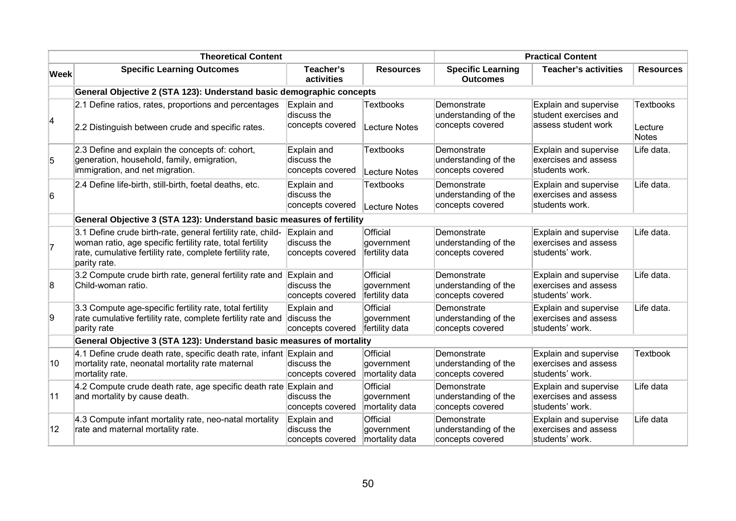|             | <b>Theoretical Content</b>                                                                                                                                                                            |                                                |                                          |                                                         | <b>Practical Content</b>                                              |                                             |
|-------------|-------------------------------------------------------------------------------------------------------------------------------------------------------------------------------------------------------|------------------------------------------------|------------------------------------------|---------------------------------------------------------|-----------------------------------------------------------------------|---------------------------------------------|
| <b>Week</b> | <b>Specific Learning Outcomes</b>                                                                                                                                                                     | Teacher's<br>activities                        | <b>Resources</b>                         | <b>Specific Learning</b><br><b>Outcomes</b>             | <b>Teacher's activities</b>                                           | <b>Resources</b>                            |
|             | General Objective 2 (STA 123): Understand basic demographic concepts                                                                                                                                  |                                                |                                          |                                                         |                                                                       |                                             |
| 4           | 2.1 Define ratios, rates, proportions and percentages<br>2.2 Distinguish between crude and specific rates.                                                                                            | Explain and<br>discuss the<br>concepts covered | <b>Textbooks</b><br>Lecture Notes        | Demonstrate<br>understanding of the<br>concepts covered | Explain and supervise<br>student exercises and<br>assess student work | <b>Textbooks</b><br>Lecture<br><b>Notes</b> |
| 5           | 2.3 Define and explain the concepts of: cohort,<br>generation, household, family, emigration,<br>immigration, and net migration.                                                                      | Explain and<br>discuss the<br>concepts covered | <b>Textbooks</b><br>Lecture Notes        | Demonstrate<br>understanding of the<br>concepts covered | Explain and supervise<br>exercises and assess<br>students work.       | Life data.                                  |
| 6           | 2.4 Define life-birth, still-birth, foetal deaths, etc.                                                                                                                                               | Explain and<br>discuss the<br>concepts covered | <b>Textbooks</b><br>Lecture Notes        | Demonstrate<br>understanding of the<br>concepts covered | Explain and supervise<br>exercises and assess<br>students work.       | Life data.                                  |
|             | General Objective 3 (STA 123): Understand basic measures of fertility                                                                                                                                 |                                                |                                          |                                                         |                                                                       |                                             |
| 7           | 3.1 Define crude birth-rate, general fertility rate, child-<br>woman ratio, age specific fertility rate, total fertility<br>rate, cumulative fertility rate, complete fertility rate,<br>parity rate. | Explain and<br>discuss the<br>concepts covered | Official<br>government<br>fertility data | Demonstrate<br>understanding of the<br>concepts covered | Explain and supervise<br>exercises and assess<br>students' work.      | Life data.                                  |
| 8           | 3.2 Compute crude birth rate, general fertility rate and<br>Child-woman ratio.                                                                                                                        | Explain and<br>discuss the<br>concepts covered | Official<br>government<br>fertility data | Demonstrate<br>understanding of the<br>concepts covered | Explain and supervise<br>exercises and assess<br>students' work.      | Life data.                                  |
| 9           | 3.3 Compute age-specific fertility rate, total fertility<br>rate cumulative fertility rate, complete fertility rate and<br>parity rate                                                                | Explain and<br>discuss the<br>concepts covered | Official<br>government<br>fertility data | Demonstrate<br>understanding of the<br>concepts covered | Explain and supervise<br>exercises and assess<br>students' work.      | Life data.                                  |
|             | General Objective 3 (STA 123): Understand basic measures of mortality                                                                                                                                 |                                                |                                          |                                                         |                                                                       |                                             |
| 10          | 4.1 Define crude death rate, specific death rate, infant Explain and<br>mortality rate, neonatal mortality rate maternal<br>mortality rate.                                                           | discuss the<br>concepts covered                | Official<br>government<br>mortality data | Demonstrate<br>understanding of the<br>concepts covered | Explain and supervise<br>exercises and assess<br>students' work.      | Textbook                                    |
| 11          | 4.2 Compute crude death rate, age specific death rate Explain and<br>and mortality by cause death.                                                                                                    | discuss the<br>concepts covered                | Official<br>government<br>mortality data | Demonstrate<br>understanding of the<br>concepts covered | Explain and supervise<br>exercises and assess<br>students' work.      | Life data                                   |
| 12          | 4.3 Compute infant mortality rate, neo-natal mortality<br>rate and maternal mortality rate.                                                                                                           | Explain and<br>discuss the<br>concepts covered | Official<br>government<br>mortality data | Demonstrate<br>understanding of the<br>concepts covered | Explain and supervise<br>exercises and assess<br>students' work.      | Life data                                   |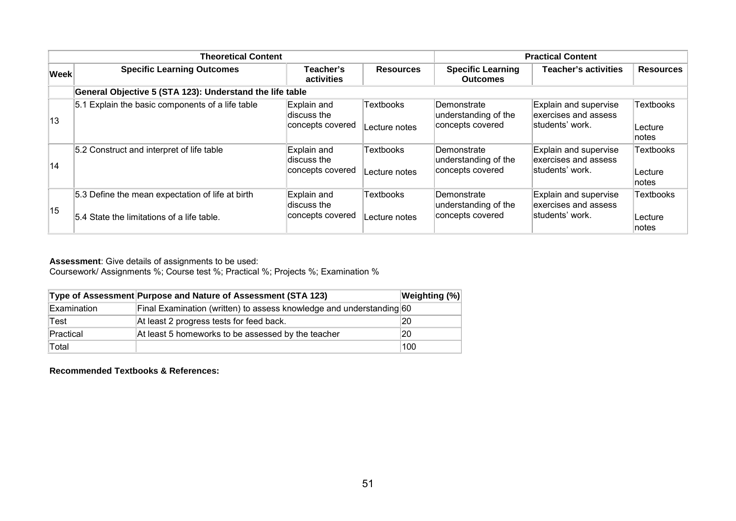|             | <b>Theoretical Content</b>                                                                     |                                                | <b>Practical Content</b>          |                                                         |                                                                   |                                      |
|-------------|------------------------------------------------------------------------------------------------|------------------------------------------------|-----------------------------------|---------------------------------------------------------|-------------------------------------------------------------------|--------------------------------------|
| <b>Week</b> | <b>Specific Learning Outcomes</b>                                                              | Teacher's<br>activities                        | <b>Resources</b>                  | <b>Specific Learning</b><br><b>Outcomes</b>             | <b>Teacher's activities</b>                                       | <b>Resources</b>                     |
|             | General Objective 5 (STA 123): Understand the life table                                       |                                                |                                   |                                                         |                                                                   |                                      |
| 13          | 5.1 Explain the basic components of a life table                                               | Explain and<br>discuss the<br>concepts covered | Textbooks<br>Lecture notes        | Demonstrate<br>understanding of the<br>concepts covered | Explain and supervise<br>exercises and assess<br>lstudents' work. | Textbooks<br>Lecture<br>∣notes       |
| 14          | 5.2 Construct and interpret of life table                                                      | Explain and<br>discuss the<br>concepts covered | <b>Textbooks</b><br>Lecture notes | Demonstrate<br>understanding of the<br>concepts covered | Explain and supervise<br>exercises and assess<br>lstudents' work. | <b>Textbooks</b><br>Lecture<br>notes |
| 15          | 5.3 Define the mean expectation of life at birth<br>5.4 State the limitations of a life table. | Explain and<br>discuss the<br>concepts covered | <b>Textbooks</b><br>Lecture notes | Demonstrate<br>understanding of the<br>concepts covered | Explain and supervise<br>exercises and assess<br>lstudents' work. | <b>Textbooks</b><br>Lecture<br>notes |

Coursework/ Assignments %; Course test %; Practical %; Projects %; Examination %

|             | Type of Assessment Purpose and Nature of Assessment (STA 123)        | Weighting (%) |
|-------------|----------------------------------------------------------------------|---------------|
| Examination | Final Examination (written) to assess knowledge and understanding 60 |               |
| Test        | At least 2 progress tests for feed back.                             | 20            |
| Practical   | At least 5 homeworks to be assessed by the teacher                   | 20            |
| Total       |                                                                      | 100           |

**Recommended Textbooks & References:**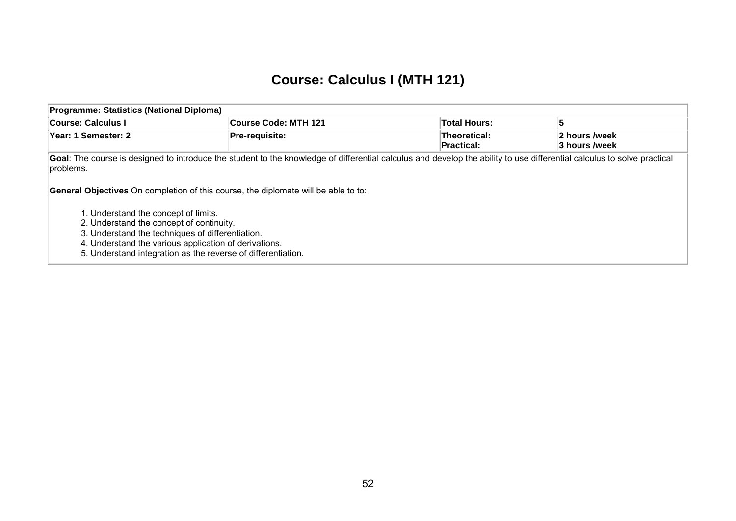### **Course: Calculus I (MTH 121)**

| <b>Programme: Statistics (National Diploma)</b>                                                                                                                                                                                                                                                                                                                                                                                                                                                                                                    |                       |                                          |                                |
|----------------------------------------------------------------------------------------------------------------------------------------------------------------------------------------------------------------------------------------------------------------------------------------------------------------------------------------------------------------------------------------------------------------------------------------------------------------------------------------------------------------------------------------------------|-----------------------|------------------------------------------|--------------------------------|
| Course: Calculus I                                                                                                                                                                                                                                                                                                                                                                                                                                                                                                                                 | Course Code: MTH 121  | <b>Total Hours:</b>                      | 5                              |
| Year: 1 Semester: 2                                                                                                                                                                                                                                                                                                                                                                                                                                                                                                                                | <b>Pre-requisite:</b> | <b>Theoretical:</b><br><b>Practical:</b> | 2 hours /week<br>3 hours /week |
| Goal: The course is designed to introduce the student to the knowledge of differential calculus and develop the ability to use differential calculus to solve practical<br>problems.<br><b>General Objectives</b> On completion of this course, the diplomate will be able to to:<br>1. Understand the concept of limits.<br>2. Understand the concept of continuity.<br>3. Understand the techniques of differentiation.<br>4. Understand the various application of derivations.<br>5. Understand integration as the reverse of differentiation. |                       |                                          |                                |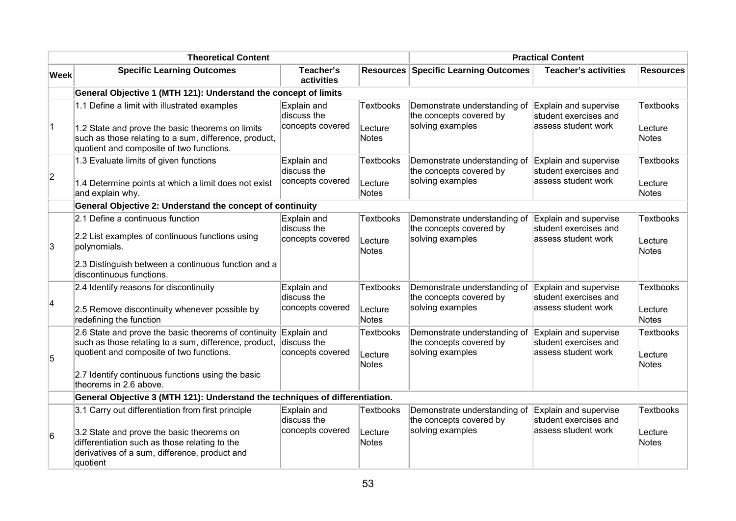| <b>Theoretical Content</b> |                                                                                                                                                                                                                                          |                                                | <b>Practical Content</b>                    |                                                                             |                                                                       |                                      |
|----------------------------|------------------------------------------------------------------------------------------------------------------------------------------------------------------------------------------------------------------------------------------|------------------------------------------------|---------------------------------------------|-----------------------------------------------------------------------------|-----------------------------------------------------------------------|--------------------------------------|
| <b>Week</b>                | <b>Specific Learning Outcomes</b>                                                                                                                                                                                                        | Teacher's<br>activities                        |                                             | <b>Resources Specific Learning Outcomes</b>                                 | <b>Teacher's activities</b>                                           | <b>Resources</b>                     |
|                            | General Objective 1 (MTH 121): Understand the concept of limits                                                                                                                                                                          |                                                |                                             |                                                                             |                                                                       |                                      |
| $\vert$ 1                  | 1.1 Define a limit with illustrated examples<br>1.2 State and prove the basic theorems on limits<br>such as those relating to a sum, difference, product,<br>quotient and composite of two functions.                                    | Explain and<br>discuss the<br>concepts covered | <b>Textbooks</b><br>Lecture<br>Notes        | Demonstrate understanding of<br>the concepts covered by<br>solving examples | Explain and supervise<br>student exercises and<br>assess student work | <b>Textbooks</b><br>Lecture<br>Notes |
| 2                          | 1.3 Evaluate limits of given functions<br>1.4 Determine points at which a limit does not exist<br>and explain why.                                                                                                                       | Explain and<br>discuss the<br>concepts covered | <b>Textbooks</b><br>Lecture<br>Notes        | Demonstrate understanding of<br>the concepts covered by<br>solving examples | Explain and supervise<br>student exercises and<br>assess student work | <b>Textbooks</b><br>Lecture<br>Notes |
|                            | General Objective 2: Understand the concept of continuity                                                                                                                                                                                |                                                |                                             |                                                                             |                                                                       |                                      |
| 3                          | 2.1 Define a continuous function<br>2.2 List examples of continuous functions using<br>polynomials.                                                                                                                                      | Explain and<br>discuss the<br>concepts covered | <b>Textbooks</b><br>Lecture<br>Notes        | Demonstrate understanding of<br>the concepts covered by<br>solving examples | Explain and supervise<br>student exercises and<br>assess student work | <b>Textbooks</b><br>Lecture<br>Notes |
|                            | 2.3 Distinguish between a continuous function and a<br>discontinuous functions.                                                                                                                                                          |                                                |                                             |                                                                             |                                                                       |                                      |
| 4                          | 2.4 Identify reasons for discontinuity<br>2.5 Remove discontinuity whenever possible by<br>redefining the function                                                                                                                       | Explain and<br>discuss the<br>concepts covered | <b>Textbooks</b><br>Lecture<br>Notes        | Demonstrate understanding of<br>the concepts covered by<br>solving examples | Explain and supervise<br>student exercises and<br>assess student work | <b>Textbooks</b><br>Lecture<br>Notes |
| 5                          | 2.6 State and prove the basic theorems of continuity<br>such as those relating to a sum, difference, product,<br>quotient and composite of two functions.<br>2.7 Identify continuous functions using the basic<br>theorems in 2.6 above. | Explain and<br>discuss the<br>concepts covered | <b>Textbooks</b><br>Lecture<br><b>Notes</b> | Demonstrate understanding of<br>the concepts covered by<br>solving examples | Explain and supervise<br>student exercises and<br>assess student work | <b>Textbooks</b><br>Lecture<br>Notes |
|                            | General Objective 3 (MTH 121): Understand the techniques of differentiation.                                                                                                                                                             |                                                |                                             |                                                                             |                                                                       |                                      |
|                            | 3.1 Carry out differentiation from first principle                                                                                                                                                                                       | Explain and<br>discuss the<br>concepts covered | <b>Textbooks</b>                            | Demonstrate understanding of<br>the concepts covered by<br>solving examples | Explain and supervise<br>student exercises and<br>assess student work | <b>Textbooks</b>                     |
| 6                          | 3.2 State and prove the basic theorems on<br>differentiation such as those relating to the<br>derivatives of a sum, difference, product and<br>quotient                                                                                  |                                                | Lecture<br><b>Notes</b>                     |                                                                             |                                                                       | Lecture<br>Notes                     |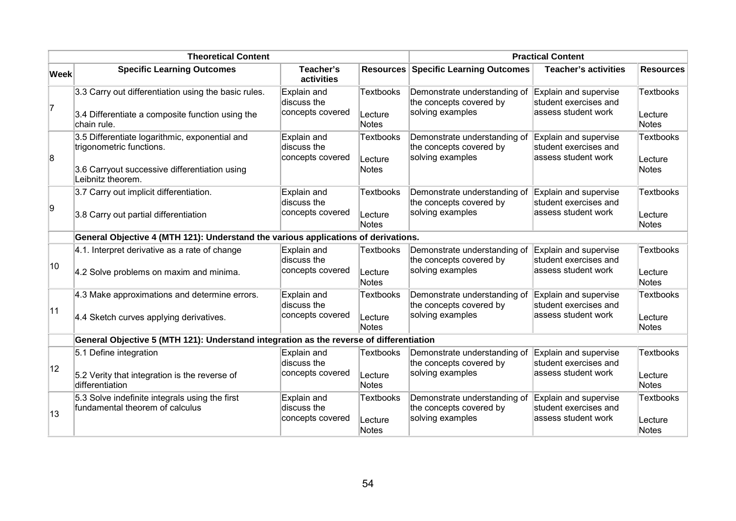| <b>Theoretical Content</b> |                                                                                                                                                  |                                                | <b>Practical Content</b>                    |                                                                             |                                                                       |                                             |
|----------------------------|--------------------------------------------------------------------------------------------------------------------------------------------------|------------------------------------------------|---------------------------------------------|-----------------------------------------------------------------------------|-----------------------------------------------------------------------|---------------------------------------------|
| <b>Week</b>                | <b>Specific Learning Outcomes</b>                                                                                                                | Teacher's<br>activities                        |                                             | <b>Resources Specific Learning Outcomes</b>                                 | <b>Teacher's activities</b>                                           | <b>Resources</b>                            |
| 7                          | 3.3 Carry out differentiation using the basic rules.<br>3.4 Differentiate a composite function using the<br>chain rule.                          | Explain and<br>discuss the<br>concepts covered | <b>Textbooks</b><br>Lecture<br><b>Notes</b> | Demonstrate understanding of<br>the concepts covered by<br>solving examples | Explain and supervise<br>student exercises and<br>assess student work | <b>Textbooks</b><br>Lecture<br><b>Notes</b> |
| 8                          | 3.5 Differentiate logarithmic, exponential and<br>trigonometric functions.<br>3.6 Carryout successive differentiation using<br>Leibnitz theorem. | Explain and<br>discuss the<br>concepts covered | <b>Textbooks</b><br>Lecture<br><b>Notes</b> | Demonstrate understanding of<br>the concepts covered by<br>solving examples | Explain and supervise<br>student exercises and<br>assess student work | <b>Textbooks</b><br>Lecture<br><b>Notes</b> |
| 9                          | 3.7 Carry out implicit differentiation.<br>3.8 Carry out partial differentiation                                                                 | Explain and<br>discuss the<br>concepts covered | <b>Textbooks</b><br>Lecture<br><b>Notes</b> | Demonstrate understanding of<br>the concepts covered by<br>solving examples | Explain and supervise<br>student exercises and<br>assess student work | <b>Textbooks</b><br>Lecture<br><b>Notes</b> |
|                            | General Objective 4 (MTH 121): Understand the various applications of derivations.                                                               |                                                |                                             |                                                                             |                                                                       |                                             |
| 10                         | 4.1. Interpret derivative as a rate of change<br>4.2 Solve problems on maxim and minima.                                                         | Explain and<br>discuss the<br>concepts covered | <b>Textbooks</b><br>Lecture<br><b>Notes</b> | Demonstrate understanding of<br>the concepts covered by<br>solving examples | Explain and supervise<br>student exercises and<br>assess student work | <b>Textbooks</b><br>Lecture<br><b>Notes</b> |
| 11                         | 4.3 Make approximations and determine errors.<br>4.4 Sketch curves applying derivatives.                                                         | Explain and<br>discuss the<br>concepts covered | <b>Textbooks</b><br>Lecture<br>Notes        | Demonstrate understanding of<br>the concepts covered by<br>solving examples | Explain and supervise<br>student exercises and<br>assess student work | <b>Textbooks</b><br>Lecture<br><b>Notes</b> |
|                            | General Objective 5 (MTH 121): Understand integration as the reverse of differentiation                                                          |                                                |                                             |                                                                             |                                                                       |                                             |
| 12                         | 5.1 Define integration<br>5.2 Verity that integration is the reverse of<br>differentiation                                                       | Explain and<br>discuss the<br>concepts covered | <b>Textbooks</b><br>Lecture<br><b>Notes</b> | Demonstrate understanding of<br>the concepts covered by<br>solving examples | Explain and supervise<br>student exercises and<br>assess student work | <b>Textbooks</b><br>Lecture<br><b>Notes</b> |
| 13                         | 5.3 Solve indefinite integrals using the first<br>fundamental theorem of calculus                                                                | Explain and<br>discuss the<br>concepts covered | <b>Textbooks</b><br>Lecture<br><b>Notes</b> | Demonstrate understanding of<br>the concepts covered by<br>solving examples | Explain and supervise<br>student exercises and<br>assess student work | <b>Textbooks</b><br>Lecture<br><b>Notes</b> |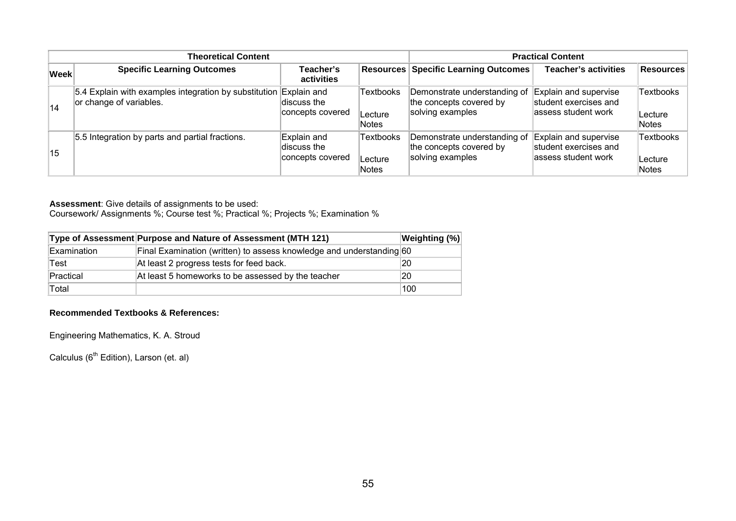|                                              | <b>Theoretical Content</b>                                                                   | <b>Practical Content</b>                       |                                      |                                                                             |                                                                        |                                      |
|----------------------------------------------|----------------------------------------------------------------------------------------------|------------------------------------------------|--------------------------------------|-----------------------------------------------------------------------------|------------------------------------------------------------------------|--------------------------------------|
| $ \mathsf{W}\mathsf{e}\mathsf{e}\mathsf{k} $ | <b>Specific Learning Outcomes</b>                                                            | Teacher's<br>activities                        |                                      | <b>Resources Specific Learning Outcomes</b>                                 | <b>Teacher's activities</b>                                            | <b>Resources</b>                     |
| 14                                           | 5.4 Explain with examples integration by substitution Explain and<br>or change of variables. | discuss the<br>concepts covered                | <b>Textbooks</b><br>Lecture<br>Notes | Demonstrate understanding of<br>the concepts covered by<br>solving examples | Explain and supervise<br>student exercises and<br>lassess student work | Textbooks<br>Lecture<br>Notes        |
| 15                                           | 5.5 Integration by parts and partial fractions.                                              | Explain and<br>discuss the<br>concepts covered | Textbooks<br>Lecture<br>Notes        | Demonstrate understanding of<br>the concepts covered by<br>solving examples | Explain and supervise<br>student exercises and<br>lassess student work | Textbooks<br>Lecture<br><b>Notes</b> |

Coursework/ Assignments %; Course test %; Practical %; Projects %; Examination %

|             | Type of Assessment Purpose and Nature of Assessment (MTH 121)        | Weighting (%) |
|-------------|----------------------------------------------------------------------|---------------|
| Examination | Final Examination (written) to assess knowledge and understanding 60 |               |
| Test        | At least 2 progress tests for feed back.                             | 20            |
| Practical   | At least 5 homeworks to be assessed by the teacher                   | 20            |
| Total       |                                                                      | 100           |

#### **Recommended Textbooks & References:**

Engineering Mathematics, K. A. Stroud

Calculus (6<sup>th</sup> Edition), Larson (et. al)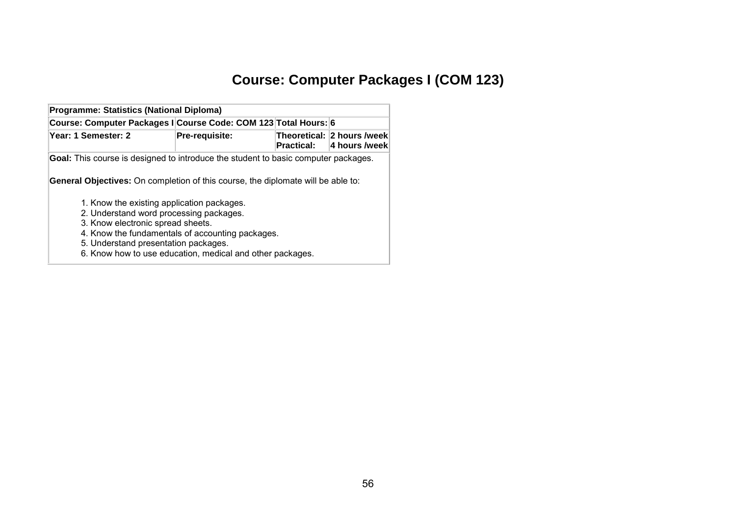### **Course: Computer Packages I (COM 123)**

|                                                                                           | <b>Programme: Statistics (National Diploma)</b>                                                                                       |                   |                                             |  |  |  |  |  |
|-------------------------------------------------------------------------------------------|---------------------------------------------------------------------------------------------------------------------------------------|-------------------|---------------------------------------------|--|--|--|--|--|
| Course: Computer Packages I Course Code: COM 123 Total Hours: 6                           |                                                                                                                                       |                   |                                             |  |  |  |  |  |
| Year: 1 Semester: 2                                                                       | <b>Pre-requisite:</b>                                                                                                                 | <b>Practical:</b> | Theoretical: 2 hours /week<br>4 hours /week |  |  |  |  |  |
| <b>Goal:</b> This course is designed to introduce the student to basic computer packages. |                                                                                                                                       |                   |                                             |  |  |  |  |  |
|                                                                                           | <b>General Objectives:</b> On completion of this course, the diplomate will be able to:<br>1. Know the existing application packages. |                   |                                             |  |  |  |  |  |
| 2. Understand word processing packages.                                                   |                                                                                                                                       |                   |                                             |  |  |  |  |  |
|                                                                                           | 3. Know electronic spread sheets.                                                                                                     |                   |                                             |  |  |  |  |  |
| 4. Know the fundamentals of accounting packages.                                          |                                                                                                                                       |                   |                                             |  |  |  |  |  |
| 5. Understand presentation packages.                                                      |                                                                                                                                       |                   |                                             |  |  |  |  |  |
|                                                                                           | 6. Know how to use education, medical and other packages.                                                                             |                   |                                             |  |  |  |  |  |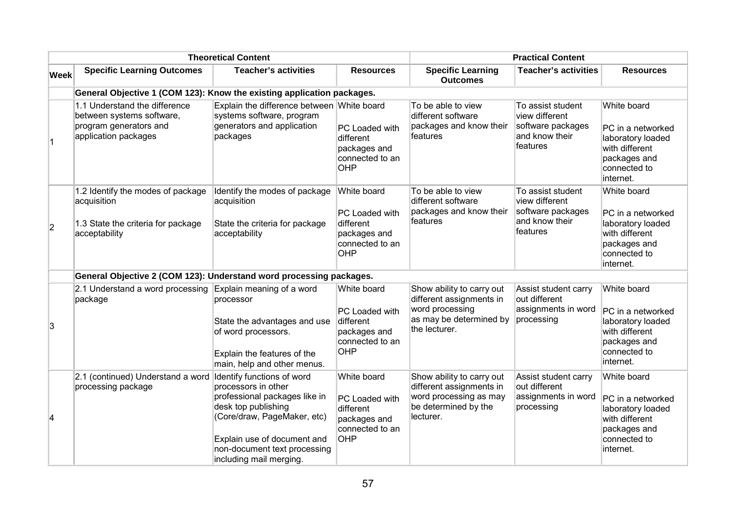|                |                                                                                                              | <b>Theoretical Content</b>                                                                                                                                                                                                         |                                                                                      |                                                                                                                      | <b>Practical Content</b>                                                               |                                                                                                                      |
|----------------|--------------------------------------------------------------------------------------------------------------|------------------------------------------------------------------------------------------------------------------------------------------------------------------------------------------------------------------------------------|--------------------------------------------------------------------------------------|----------------------------------------------------------------------------------------------------------------------|----------------------------------------------------------------------------------------|----------------------------------------------------------------------------------------------------------------------|
| <b>Week</b>    | <b>Specific Learning Outcomes</b>                                                                            | <b>Teacher's activities</b>                                                                                                                                                                                                        | <b>Resources</b>                                                                     | <b>Specific Learning</b><br><b>Outcomes</b>                                                                          | <b>Teacher's activities</b>                                                            | <b>Resources</b>                                                                                                     |
|                | General Objective 1 (COM 123): Know the existing application packages.                                       |                                                                                                                                                                                                                                    |                                                                                      |                                                                                                                      |                                                                                        |                                                                                                                      |
| 1              | 1.1 Understand the difference<br>between systems software,<br>program generators and<br>application packages | Explain the difference between White board<br>systems software, program<br>generators and application<br>packages                                                                                                                  | PC Loaded with<br>different<br>packages and<br>connected to an<br>OHP                | To be able to view<br>different software<br>packages and know their<br>features                                      | To assist student<br>view different<br>software packages<br>and know their<br>features | White board<br>PC in a networked<br>laboratory loaded<br>with different<br>packages and<br>connected to<br>internet. |
| $\overline{2}$ | 1.2 Identify the modes of package<br>acquisition<br>1.3 State the criteria for package<br>acceptability      | Identify the modes of package<br>acquisition<br>State the criteria for package<br>acceptability                                                                                                                                    | White board<br>PC Loaded with<br>different<br>packages and<br>connected to an<br>OHP | To be able to view<br>different software<br>packages and know their<br>features                                      | To assist student<br>view different<br>software packages<br>and know their<br>features | White board<br>PC in a networked<br>laboratory loaded<br>with different<br>packages and<br>connected to<br>internet. |
|                | General Objective 2 (COM 123): Understand word processing packages.                                          |                                                                                                                                                                                                                                    |                                                                                      |                                                                                                                      |                                                                                        |                                                                                                                      |
| 3              | 2.1 Understand a word processing Explain meaning of a word<br>package                                        | processor<br>State the advantages and use<br>of word processors.<br>Explain the features of the<br>main, help and other menus.                                                                                                     | White board<br>PC Loaded with<br>different<br>packages and<br>connected to an<br>OHP | Show ability to carry out<br>different assignments in<br>word processing<br>as may be determined by<br>the lecturer. | Assist student carry<br>out different<br>assignments in word<br>processing             | White board<br>PC in a networked<br>laboratory loaded<br>with different<br>packages and<br>connected to<br>internet. |
| 4              | 2.1 (continued) Understand a word<br>processing package                                                      | Identify functions of word<br>processors in other<br>professional packages like in<br>desk top publishing<br>(Core/draw, PageMaker, etc)<br>Explain use of document and<br>non-document text processing<br>including mail merging. | White board<br>PC Loaded with<br>different<br>packages and<br>connected to an<br>OHP | Show ability to carry out<br>different assignments in<br>word processing as may<br>be determined by the<br>lecturer. | Assist student carry<br>out different<br>assignments in word<br>processing             | White board<br>PC in a networked<br>laboratory loaded<br>with different<br>packages and<br>connected to<br>internet. |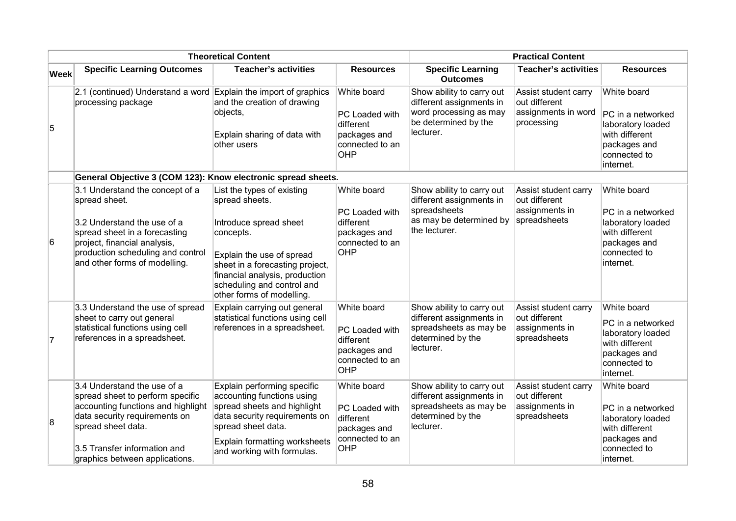| <b>Theoretical Content</b> |                                                                                                                                                                                                                                |                                                                                                                                                                                                                                                  | <b>Practical Content</b>                                                             |                                                                                                                      |                                                                            |                                                                                                                      |
|----------------------------|--------------------------------------------------------------------------------------------------------------------------------------------------------------------------------------------------------------------------------|--------------------------------------------------------------------------------------------------------------------------------------------------------------------------------------------------------------------------------------------------|--------------------------------------------------------------------------------------|----------------------------------------------------------------------------------------------------------------------|----------------------------------------------------------------------------|----------------------------------------------------------------------------------------------------------------------|
| <b>Week</b>                | <b>Specific Learning Outcomes</b>                                                                                                                                                                                              | <b>Teacher's activities</b>                                                                                                                                                                                                                      | <b>Resources</b>                                                                     | <b>Specific Learning</b><br><b>Outcomes</b>                                                                          | <b>Teacher's activities</b>                                                | <b>Resources</b>                                                                                                     |
| 5                          | 2.1 (continued) Understand a word Explain the import of graphics<br>processing package                                                                                                                                         | and the creation of drawing<br>objects,<br>Explain sharing of data with<br>other users                                                                                                                                                           | White board<br>PC Loaded with<br>different<br>packages and<br>connected to an<br>OHP | Show ability to carry out<br>different assignments in<br>word processing as may<br>be determined by the<br>lecturer. | Assist student carry<br>out different<br>assignments in word<br>processing | White board<br>PC in a networked<br>laboratory loaded<br>with different<br>packages and<br>connected to<br>internet. |
|                            | General Objective 3 (COM 123): Know electronic spread sheets.                                                                                                                                                                  |                                                                                                                                                                                                                                                  |                                                                                      |                                                                                                                      |                                                                            |                                                                                                                      |
| 6                          | 3.1 Understand the concept of a<br>spread sheet.<br>3.2 Understand the use of a<br>spread sheet in a forecasting<br>project, financial analysis,<br>production scheduling and control<br>and other forms of modelling.         | List the types of existing<br>spread sheets.<br>Introduce spread sheet<br>concepts.<br>Explain the use of spread<br>sheet in a forecasting project,<br>financial analysis, production<br>scheduling and control and<br>other forms of modelling. | White board<br>PC Loaded with<br>different<br>packages and<br>connected to an<br>OHP | Show ability to carry out<br>different assignments in<br>spreadsheets<br>as may be determined by<br>the lecturer.    | Assist student carry<br>out different<br>assignments in<br>spreadsheets    | White board<br>PC in a networked<br>laboratory loaded<br>with different<br>packages and<br>connected to<br>internet. |
| 7                          | 3.3 Understand the use of spread<br>sheet to carry out general<br>statistical functions using cell<br>references in a spreadsheet.                                                                                             | Explain carrying out general<br>statistical functions using cell<br>references in a spreadsheet.                                                                                                                                                 | White board<br>PC Loaded with<br>different<br>packages and<br>connected to an<br>OHP | Show ability to carry out<br>different assignments in<br>spreadsheets as may be<br>determined by the<br>lecturer.    | Assist student carry<br>out different<br>assignments in<br>spreadsheets    | White board<br>PC in a networked<br>laboratory loaded<br>with different<br>packages and<br>connected to<br>internet. |
| 8                          | 3.4 Understand the use of a<br>spread sheet to perform specific<br>accounting functions and highlight<br>data security requirements on<br>spread sheet data.<br>3.5 Transfer information and<br>graphics between applications. | Explain performing specific<br>accounting functions using<br>spread sheets and highlight<br>data security requirements on<br>spread sheet data.<br>Explain formatting worksheets<br>and working with formulas.                                   | White board<br>PC Loaded with<br>different<br>packages and<br>connected to an<br>OHP | Show ability to carry out<br>different assignments in<br>spreadsheets as may be<br>determined by the<br>lecturer.    | Assist student carry<br>out different<br>assignments in<br>spreadsheets    | White board<br>PC in a networked<br>laboratory loaded<br>with different<br>packages and<br>connected to<br>internet. |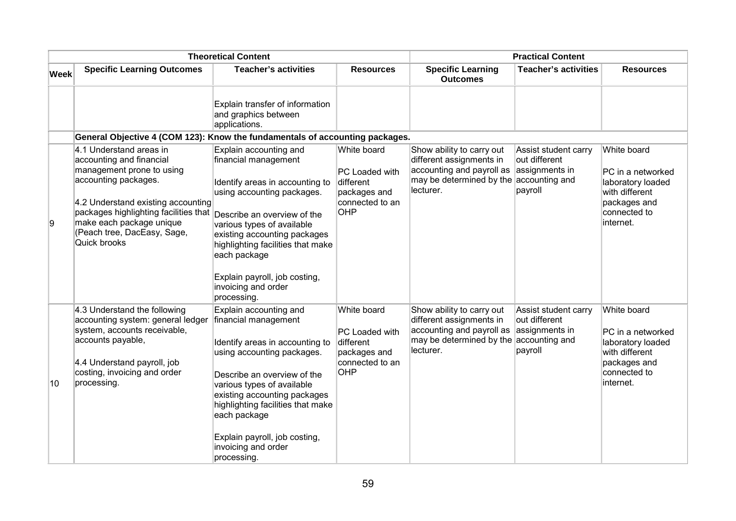| <b>Theoretical Content</b> |                                                                                                                                                                                                                                                                    |                                                                                                                                                                                                                                                                                                                                          | <b>Practical Content</b>                                                                    |                                                                                                                                            |                                                                    |                                                                                                                      |
|----------------------------|--------------------------------------------------------------------------------------------------------------------------------------------------------------------------------------------------------------------------------------------------------------------|------------------------------------------------------------------------------------------------------------------------------------------------------------------------------------------------------------------------------------------------------------------------------------------------------------------------------------------|---------------------------------------------------------------------------------------------|--------------------------------------------------------------------------------------------------------------------------------------------|--------------------------------------------------------------------|----------------------------------------------------------------------------------------------------------------------|
| <b>Week</b>                | <b>Specific Learning Outcomes</b>                                                                                                                                                                                                                                  | <b>Teacher's activities</b>                                                                                                                                                                                                                                                                                                              | <b>Resources</b>                                                                            | <b>Specific Learning</b><br><b>Outcomes</b>                                                                                                | <b>Teacher's activities</b>                                        | <b>Resources</b>                                                                                                     |
|                            | General Objective 4 (COM 123): Know the fundamentals of accounting packages.                                                                                                                                                                                       | Explain transfer of information<br>and graphics between<br>applications.                                                                                                                                                                                                                                                                 |                                                                                             |                                                                                                                                            |                                                                    |                                                                                                                      |
| 9                          | 4.1 Understand areas in<br>accounting and financial<br>management prone to using<br>accounting packages.<br>4.2 Understand existing accounting<br>packages highlighting facilities that<br>make each package unique<br>(Peach tree, DacEasy, Sage,<br>Quick brooks | Explain accounting and<br>financial management<br>Identify areas in accounting to<br>using accounting packages.<br>Describe an overview of the<br>various types of available<br>existing accounting packages<br>highlighting facilities that make<br>each package<br>Explain payroll, job costing,<br>invoicing and order<br>processing. | White board<br>PC Loaded with<br>different<br>packages and<br>connected to an<br>OHP        | Show ability to carry out<br>different assignments in<br>accounting and payroll as<br>may be determined by the accounting and<br>lecturer. | Assist student carry<br>out different<br>assignments in<br>payroll | White board<br>PC in a networked<br>laboratory loaded<br>with different<br>packages and<br>connected to<br>internet. |
| 10                         | 4.3 Understand the following<br>accounting system: general ledger<br>system, accounts receivable,<br>accounts payable,<br>4.4 Understand payroll, job<br>costing, invoicing and order<br>processing.                                                               | Explain accounting and<br>financial management<br>Identify areas in accounting to<br>using accounting packages.<br>Describe an overview of the<br>various types of available<br>existing accounting packages<br>highlighting facilities that make<br>each package<br>Explain payroll, job costing,<br>invoicing and order<br>processing. | White board<br>PC Loaded with<br>different<br>packages and<br>connected to an<br><b>OHP</b> | Show ability to carry out<br>different assignments in<br>accounting and payroll as<br>may be determined by the accounting and<br>lecturer. | Assist student carry<br>out different<br>assignments in<br>payroll | White board<br>PC in a networked<br>laboratory loaded<br>with different<br>packages and<br>connected to<br>internet. |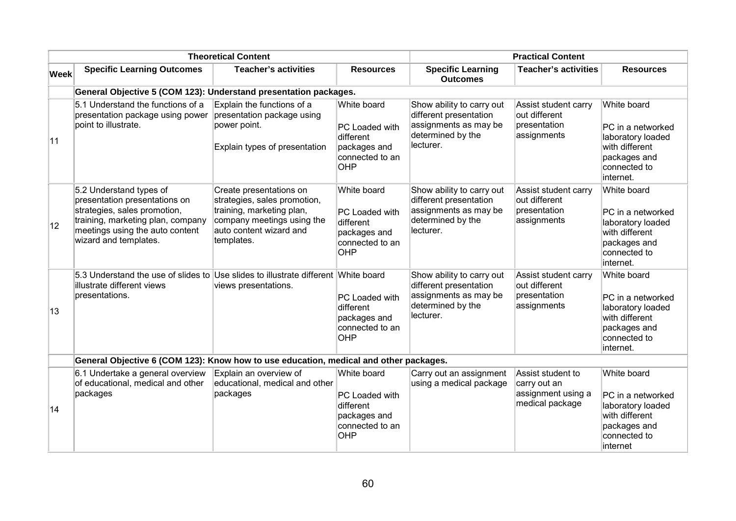|             |                                                                                                                                                                                           | <b>Theoretical Content</b>                                                                                                                                  |                                                                                      | <b>Practical Content</b>                                                                                       |                                                                            |                                                                                                                      |
|-------------|-------------------------------------------------------------------------------------------------------------------------------------------------------------------------------------------|-------------------------------------------------------------------------------------------------------------------------------------------------------------|--------------------------------------------------------------------------------------|----------------------------------------------------------------------------------------------------------------|----------------------------------------------------------------------------|----------------------------------------------------------------------------------------------------------------------|
| <b>Week</b> | <b>Specific Learning Outcomes</b>                                                                                                                                                         | <b>Teacher's activities</b>                                                                                                                                 | <b>Resources</b>                                                                     | <b>Specific Learning</b><br><b>Outcomes</b>                                                                    | <b>Teacher's activities</b>                                                | <b>Resources</b>                                                                                                     |
|             | General Objective 5 (COM 123): Understand presentation packages.                                                                                                                          |                                                                                                                                                             |                                                                                      |                                                                                                                |                                                                            |                                                                                                                      |
| 11          | 5.1 Understand the functions of a<br>presentation package using power<br>point to illustrate.                                                                                             | Explain the functions of a<br>presentation package using<br>power point.<br>Explain types of presentation                                                   | White board<br>PC Loaded with<br>different<br>packages and<br>connected to an<br>OHP | Show ability to carry out<br>different presentation<br>assignments as may be<br>determined by the<br>lecturer. | Assist student carry<br>out different<br>presentation<br>assignments       | White board<br>PC in a networked<br>laboratory loaded<br>with different<br>packages and<br>connected to<br>internet. |
| 12          | 5.2 Understand types of<br>presentation presentations on<br>strategies, sales promotion,<br>training, marketing plan, company<br>meetings using the auto content<br>wizard and templates. | Create presentations on<br>strategies, sales promotion,<br>training, marketing plan,<br>company meetings using the<br>auto content wizard and<br>templates. | White board<br>PC Loaded with<br>different<br>packages and<br>connected to an<br>OHP | Show ability to carry out<br>different presentation<br>assignments as may be<br>determined by the<br>lecturer. | Assist student carry<br>out different<br>presentation<br>assignments       | White board<br>PC in a networked<br>laboratory loaded<br>with different<br>packages and<br>connected to<br>internet. |
| 13          | 5.3 Understand the use of slides to Use slides to illustrate different White board<br>illustrate different views<br>presentations.                                                        | views presentations.                                                                                                                                        | PC Loaded with<br>different<br>packages and<br>connected to an<br>OHP                | Show ability to carry out<br>different presentation<br>assignments as may be<br>determined by the<br>lecturer. | Assist student carry<br>out different<br>presentation<br>assignments       | White board<br>PC in a networked<br>laboratory loaded<br>with different<br>packages and<br>connected to<br>internet. |
|             | General Objective 6 (COM 123): Know how to use education, medical and other packages.                                                                                                     |                                                                                                                                                             |                                                                                      |                                                                                                                |                                                                            |                                                                                                                      |
| 14          | 6.1 Undertake a general overview<br>of educational, medical and other<br>packages                                                                                                         | Explain an overview of<br>educational, medical and other<br>packages                                                                                        | White board<br>PC Loaded with<br>different<br>packages and<br>connected to an<br>OHP | Carry out an assignment<br>using a medical package                                                             | Assist student to<br>carry out an<br>assignment using a<br>medical package | White board<br>PC in a networked<br>laboratory loaded<br>with different<br>packages and<br>connected to<br>linternet |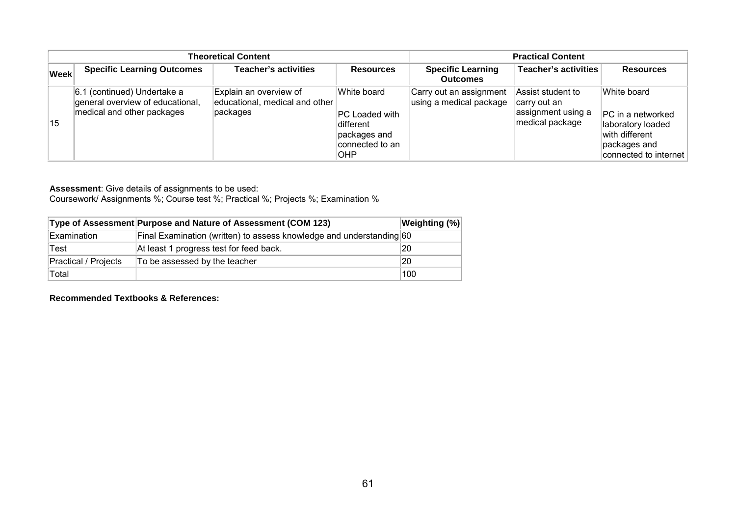| <b>Theoretical Content</b> |                                                                                               |                                                                      |                                                                                                    | <b>Practical Content</b>                           |                                                                            |                                                                                                                         |
|----------------------------|-----------------------------------------------------------------------------------------------|----------------------------------------------------------------------|----------------------------------------------------------------------------------------------------|----------------------------------------------------|----------------------------------------------------------------------------|-------------------------------------------------------------------------------------------------------------------------|
| <b>Week</b>                | <b>Specific Learning Outcomes</b>                                                             | <b>Teacher's activities</b>                                          | <b>Resources</b>                                                                                   | <b>Specific Learning</b><br><b>Outcomes</b>        | <b>Teacher's activities</b>                                                | <b>Resources</b>                                                                                                        |
| 15                         | 6.1 (continued) Undertake a<br>general overview of educational,<br>medical and other packages | Explain an overview of<br>educational, medical and other<br>packages | White board<br><b>PC Loaded with</b><br>different<br>packages and<br>connected to an<br><b>OHP</b> | Carry out an assignment<br>using a medical package | Assist student to<br>carry out an<br>assignment using a<br>medical package | White board<br><b>PC</b> in a networked<br>laboratory loaded<br>with different<br>packages and<br>connected to internet |

Coursework/ Assignments %; Course test %; Practical %; Projects %; Examination %

|                      | Type of Assessment Purpose and Nature of Assessment (COM 123)        | Weighting (%) |
|----------------------|----------------------------------------------------------------------|---------------|
| Examination          | Final Examination (written) to assess knowledge and understanding 60 |               |
| Test                 | At least 1 progress test for feed back.                              | 20            |
| Practical / Projects | To be assessed by the teacher                                        | <b>20</b>     |
| Total                |                                                                      | 100           |

**Recommended Textbooks & References:**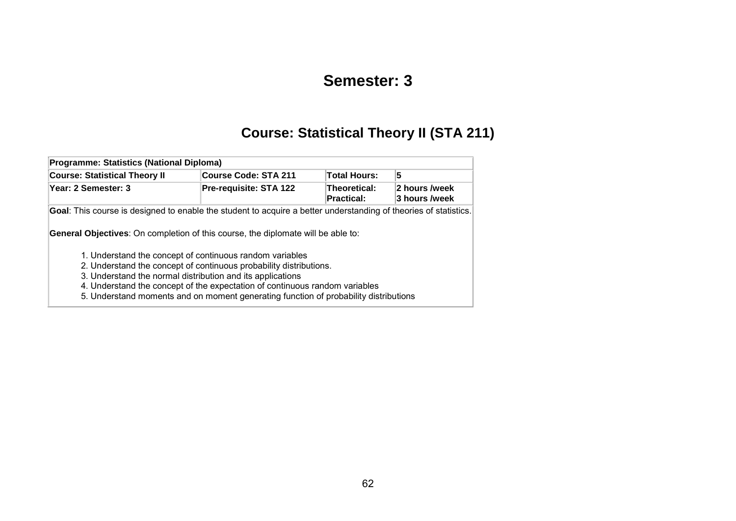### **Semester: 3**

# **Course: Statistical Theory II (STA 211)**

| <b>Programme: Statistics (National Diploma)</b>                                                                  |                                                                                                                                                                     |                                   |                                |  |  |  |  |  |  |  |
|------------------------------------------------------------------------------------------------------------------|---------------------------------------------------------------------------------------------------------------------------------------------------------------------|-----------------------------------|--------------------------------|--|--|--|--|--|--|--|
| <b>Course: Statistical Theory II</b>                                                                             | <b>Course Code: STA 211</b>                                                                                                                                         | <b>Total Hours:</b>               | 5                              |  |  |  |  |  |  |  |
| Year: 2 Semester: 3                                                                                              | Pre-requisite: STA 122                                                                                                                                              | Theoretical:<br><b>Practical:</b> | 2 hours /week<br>3 hours /week |  |  |  |  |  |  |  |
| Goal: This course is designed to enable the student to acquire a better understanding of theories of statistics. |                                                                                                                                                                     |                                   |                                |  |  |  |  |  |  |  |
| <b>General Objectives:</b> On completion of this course, the diplomate will be able to:                          |                                                                                                                                                                     |                                   |                                |  |  |  |  |  |  |  |
|                                                                                                                  | 1. Understand the concept of continuous random variables                                                                                                            |                                   |                                |  |  |  |  |  |  |  |
| 2. Understand the concept of continuous probability distributions.                                               |                                                                                                                                                                     |                                   |                                |  |  |  |  |  |  |  |
|                                                                                                                  |                                                                                                                                                                     |                                   |                                |  |  |  |  |  |  |  |
|                                                                                                                  | 3. Understand the normal distribution and its applications                                                                                                          |                                   |                                |  |  |  |  |  |  |  |
|                                                                                                                  | 4. Understand the concept of the expectation of continuous random variables<br>5. Understand moments and on moment generating function of probability distributions |                                   |                                |  |  |  |  |  |  |  |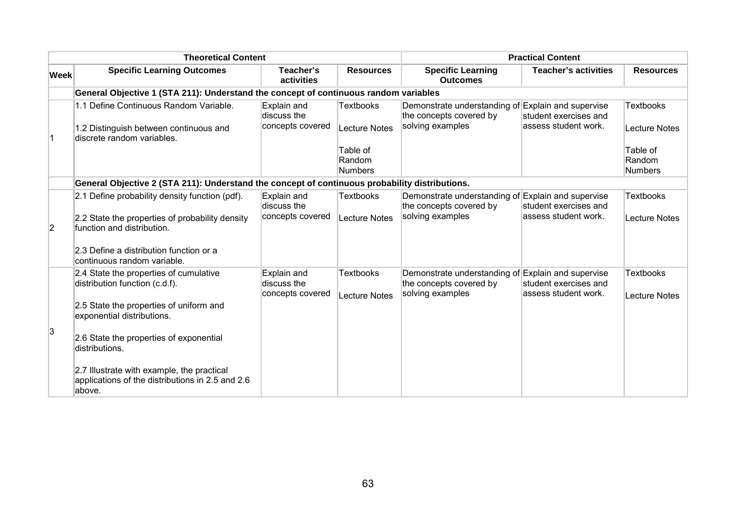|                | <b>Theoretical Content</b>                                                                                     |                                                |                                          |                                                                                                   | <b>Practical Content</b>                      |                                          |
|----------------|----------------------------------------------------------------------------------------------------------------|------------------------------------------------|------------------------------------------|---------------------------------------------------------------------------------------------------|-----------------------------------------------|------------------------------------------|
| <b>Week</b>    | <b>Specific Learning Outcomes</b>                                                                              | Teacher's<br>activities                        | <b>Resources</b>                         | <b>Specific Learning</b><br><b>Outcomes</b>                                                       | <b>Teacher's activities</b>                   | <b>Resources</b>                         |
|                | General Objective 1 (STA 211): Understand the concept of continuous random variables                           |                                                |                                          |                                                                                                   |                                               |                                          |
|                | 1.1 Define Continuous Random Variable.<br>1.2 Distinguish between continuous and<br>discrete random variables. | Explain and<br>discuss the<br>concepts covered | <b>Textbooks</b><br><b>Lecture Notes</b> | Demonstrate understanding of Explain and supervise<br>the concepts covered by<br>solving examples | student exercises and<br>assess student work. | <b>Textbooks</b><br>Lecture Notes        |
|                |                                                                                                                |                                                | Table of<br>Random<br><b>Numbers</b>     |                                                                                                   |                                               | Table of<br>Random<br>Numbers            |
|                | General Objective 2 (STA 211): Understand the concept of continuous probability distributions.                 |                                                |                                          |                                                                                                   |                                               |                                          |
|                | 2.1 Define probability density function (pdf).                                                                 | Explain and<br>discuss the                     | <b>Textbooks</b>                         | Demonstrate understanding of Explain and supervise<br>the concepts covered by                     | student exercises and                         | <b>Textbooks</b>                         |
| $\overline{2}$ | 2.2 State the properties of probability density<br>function and distribution.                                  | concepts covered                               | <b>Lecture Notes</b>                     | solving examples                                                                                  | assess student work.                          | <b>Lecture Notes</b>                     |
|                | 2.3 Define a distribution function or a<br>continuous random variable.                                         |                                                |                                          |                                                                                                   |                                               |                                          |
|                | 2.4 State the properties of cumulative<br>distribution function (c.d.f).                                       | Explain and<br>discuss the<br>concepts covered | <b>Textbooks</b><br><b>Lecture Notes</b> | Demonstrate understanding of Explain and supervise<br>the concepts covered by<br>solving examples | student exercises and<br>assess student work. | <b>Textbooks</b><br><b>Lecture Notes</b> |
|                | 2.5 State the properties of uniform and<br>exponential distributions.                                          |                                                |                                          |                                                                                                   |                                               |                                          |
| 3              | 2.6 State the properties of exponential<br>distributions.                                                      |                                                |                                          |                                                                                                   |                                               |                                          |
|                | 2.7 Illustrate with example, the practical<br>applications of the distributions in 2.5 and 2.6<br>above.       |                                                |                                          |                                                                                                   |                                               |                                          |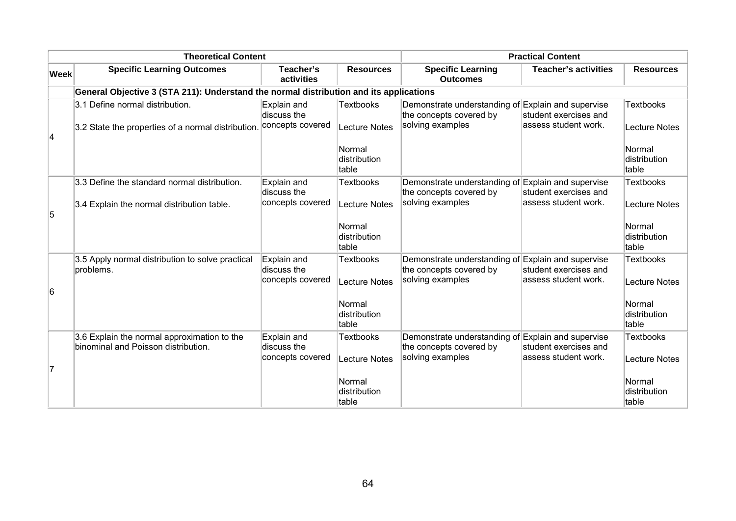|             | <b>Theoretical Content</b>                                                             |                                                |                                                         |                                                                                                   | <b>Practical Content</b>                      |                                                         |
|-------------|----------------------------------------------------------------------------------------|------------------------------------------------|---------------------------------------------------------|---------------------------------------------------------------------------------------------------|-----------------------------------------------|---------------------------------------------------------|
| <b>Week</b> | <b>Specific Learning Outcomes</b>                                                      | Teacher's<br>activities                        | <b>Resources</b>                                        | <b>Specific Learning</b><br><b>Outcomes</b>                                                       | <b>Teacher's activities</b>                   | <b>Resources</b>                                        |
|             | General Objective 3 (STA 211): Understand the normal distribution and its applications |                                                |                                                         |                                                                                                   |                                               |                                                         |
|             | 3.1 Define normal distribution.<br>3.2 State the properties of a normal distribution   | Explain and<br>discuss the<br>concepts covered | <b>Textbooks</b><br><b>Lecture Notes</b>                | Demonstrate understanding of Explain and supervise<br>the concepts covered by<br>solving examples | student exercises and<br>assess student work. | Textbooks<br><b>Lecture Notes</b>                       |
| 4           |                                                                                        |                                                | Normal<br>distribution<br>table                         |                                                                                                   |                                               | Normal<br>distribution<br>table                         |
|             | 3.3 Define the standard normal distribution.                                           | Explain and<br>discuss the                     | Textbooks                                               | Demonstrate understanding of Explain and supervise<br>the concepts covered by                     | student exercises and                         | Textbooks                                               |
| 5           | 3.4 Explain the normal distribution table.                                             | concepts covered                               | <b>Lecture Notes</b>                                    | solving examples                                                                                  | assess student work.                          | <b>Lecture Notes</b>                                    |
|             |                                                                                        |                                                | Normal<br>distribution<br>table                         |                                                                                                   |                                               | Normal<br>distribution<br>table                         |
|             | 3.5 Apply normal distribution to solve practical<br>problems.                          | Explain and<br>discuss the<br>concepts covered | <b>Textbooks</b><br><b>Lecture Notes</b>                | Demonstrate understanding of Explain and supervise<br>the concepts covered by<br>solving examples | student exercises and<br>assess student work. | <b>Textbooks</b><br><b>Lecture Notes</b>                |
| 6           |                                                                                        |                                                | Normal<br>distribution<br>table                         |                                                                                                   |                                               | Normal<br>distribution<br>table                         |
|             | 3.6 Explain the normal approximation to the<br>binominal and Poisson distribution.     | Explain and<br>discuss the                     | <b>Textbooks</b>                                        | Demonstrate understanding of Explain and supervise<br>the concepts covered by                     | student exercises and                         | <b>Textbooks</b>                                        |
| 17          |                                                                                        | concepts covered                               | <b>Lecture Notes</b><br>Normal<br>distribution<br>table | solving examples                                                                                  | assess student work.                          | <b>Lecture Notes</b><br>Normal<br>distribution<br>table |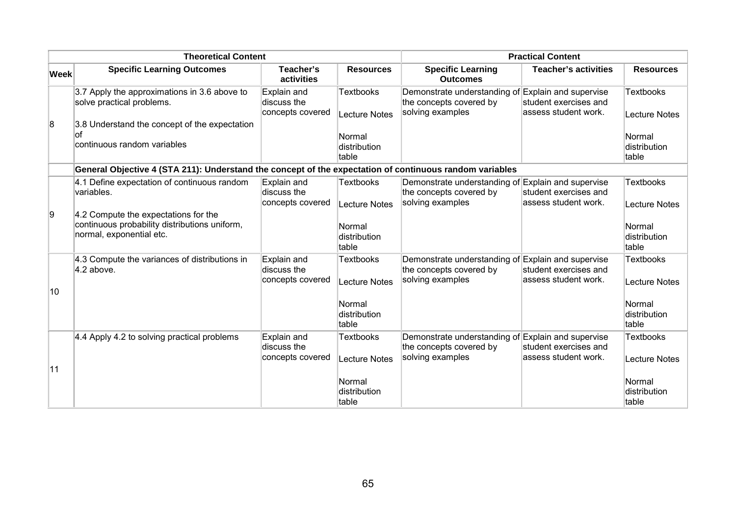|                | <b>Theoretical Content</b>                                                                                        |                                                |                                                         |                                                                                                   | <b>Practical Content</b>                       |                                                         |
|----------------|-------------------------------------------------------------------------------------------------------------------|------------------------------------------------|---------------------------------------------------------|---------------------------------------------------------------------------------------------------|------------------------------------------------|---------------------------------------------------------|
| <b>Week</b>    | <b>Specific Learning Outcomes</b>                                                                                 | Teacher's<br>activities                        | <b>Resources</b>                                        | <b>Specific Learning</b><br><b>Outcomes</b>                                                       | <b>Teacher's activities</b>                    | <b>Resources</b>                                        |
|                | 3.7 Apply the approximations in 3.6 above to<br>solve practical problems.                                         | Explain and<br>discuss the<br>concepts covered | <b>Textbooks</b><br>Lecture Notes                       | Demonstrate understanding of Explain and supervise<br>the concepts covered by<br>solving examples | student exercises and<br>assess student work.  | <b>Textbooks</b><br>Lecture Notes                       |
| $\overline{8}$ | 3.8 Understand the concept of the expectation<br>оf<br>continuous random variables                                |                                                | Normal<br>distribution<br>table                         |                                                                                                   |                                                | Normal<br>distribution<br>table                         |
|                | General Objective 4 (STA 211): Understand the concept of the expectation of continuous random variables           |                                                |                                                         |                                                                                                   |                                                |                                                         |
|                | 4.1 Define expectation of continuous random<br>variables.                                                         | Explain and<br>discuss the<br>concepts covered | <b>Textbooks</b>                                        | Demonstrate understanding of Explain and supervise<br>the concepts covered by<br>solving examples | student exercises and<br>assess student work.  | <b>Textbooks</b>                                        |
| 9              | 4.2 Compute the expectations for the<br>continuous probability distributions uniform,<br>normal, exponential etc. |                                                | <b>Lecture Notes</b><br>Normal<br>distribution<br>table |                                                                                                   |                                                | <b>Lecture Notes</b><br>Normal<br>distribution<br>table |
| 10             | 4.3 Compute the variances of distributions in<br>4.2 above.                                                       | Explain and<br>discuss the<br>concepts covered | <b>Textbooks</b><br>Lecture Notes                       | Demonstrate understanding of Explain and supervise<br>the concepts covered by<br>solving examples | student exercises and<br>lassess student work. | <b>Textbooks</b><br>Lecture Notes                       |
|                |                                                                                                                   |                                                | Normal<br>distribution<br>table                         |                                                                                                   |                                                | Normal<br>distribution<br>table                         |
|                | 4.4 Apply 4.2 to solving practical problems                                                                       | Explain and<br>discuss the<br>concepts covered | <b>Textbooks</b>                                        | Demonstrate understanding of Explain and supervise<br>the concepts covered by<br>solving examples | student exercises and<br>assess student work.  | <b>Textbooks</b>                                        |
| 11             |                                                                                                                   |                                                | <b>Lecture Notes</b><br>Normal<br>distribution          |                                                                                                   |                                                | <b>Lecture Notes</b><br>Normal<br>distribution          |
|                |                                                                                                                   |                                                | table                                                   |                                                                                                   |                                                | table                                                   |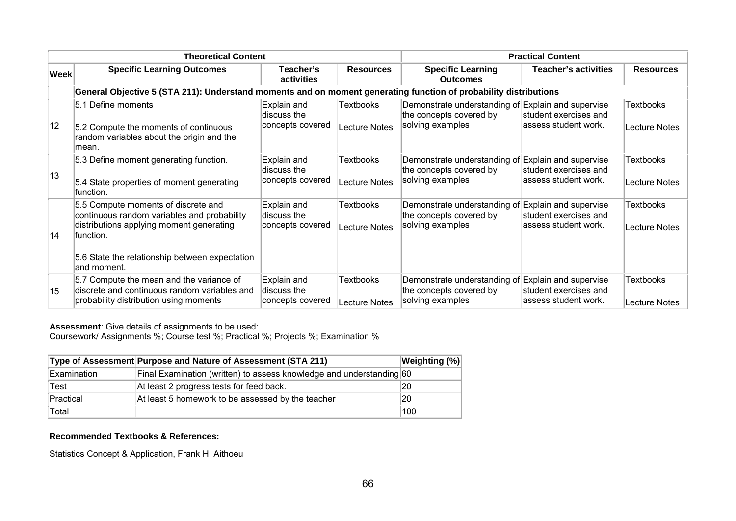|                                              | <b>Theoretical Content</b>                                                                                                                                                                                   |                                                |                                   |                                                                                                   | <b>Practical Content</b>                       |                            |
|----------------------------------------------|--------------------------------------------------------------------------------------------------------------------------------------------------------------------------------------------------------------|------------------------------------------------|-----------------------------------|---------------------------------------------------------------------------------------------------|------------------------------------------------|----------------------------|
| $ \mathsf{W}\mathsf{e}\mathsf{e}\mathsf{k} $ | <b>Specific Learning Outcomes</b>                                                                                                                                                                            | Teacher's<br>activities                        | <b>Resources</b>                  | <b>Specific Learning</b><br><b>Outcomes</b>                                                       | <b>Teacher's activities</b>                    | <b>Resources</b>           |
|                                              | General Objective 5 (STA 211): Understand moments and on moment generating function of probability distributions                                                                                             |                                                |                                   |                                                                                                   |                                                |                            |
| $ 12\rangle$                                 | 5.1 Define moments<br>5.2 Compute the moments of continuous<br>random variables about the origin and the                                                                                                     | Explain and<br>discuss the<br>concepts covered | Textbooks<br>Lecture Notes        | Demonstrate understanding of Explain and supervise<br>the concepts covered by<br>solving examples | student exercises and<br>lassess student work. | Textbooks<br>Lecture Notes |
|                                              | lmean.                                                                                                                                                                                                       |                                                |                                   |                                                                                                   |                                                |                            |
| 13                                           | 5.3 Define moment generating function.<br>5.4 State properties of moment generating<br>function.                                                                                                             | Explain and<br>discuss the<br>concepts covered | Textbooks<br>Lecture Notes        | Demonstrate understanding of Explain and supervise<br>the concepts covered by<br>solving examples | student exercises and<br>assess student work.  | Textbooks<br>Lecture Notes |
| 14                                           | 5.5 Compute moments of discrete and<br>continuous random variables and probability<br>distributions applying moment generating<br>function.<br>5.6 State the relationship between expectation<br>and moment. | Explain and<br>discuss the<br>concepts covered | <b>Textbooks</b><br>Lecture Notes | Demonstrate understanding of Explain and supervise<br>the concepts covered by<br>solving examples | student exercises and<br>assess student work.  | Textbooks<br>Lecture Notes |
| 15                                           | 5.7 Compute the mean and the variance of<br>discrete and continuous random variables and<br>probability distribution using moments                                                                           | Explain and<br>discuss the<br>concepts covered | Textbooks<br>Lecture Notes        | Demonstrate understanding of Explain and supervise<br>the concepts covered by<br>solving examples | student exercises and<br>assess student work.  | Textbooks<br>Lecture Notes |

Coursework/ Assignments %; Course test %; Practical %; Projects %; Examination %

|             | Type of Assessment Purpose and Nature of Assessment (STA 211)        | Weighting (%) |
|-------------|----------------------------------------------------------------------|---------------|
| Examination | Final Examination (written) to assess knowledge and understanding 60 |               |
| Test        | At least 2 progress tests for feed back.                             | 20            |
| Practical   | At least 5 homework to be assessed by the teacher                    | 20            |
| Total       |                                                                      | 100           |

#### **Recommended Textbooks & References:**

Statistics Concept & Application, Frank H. Aithoeu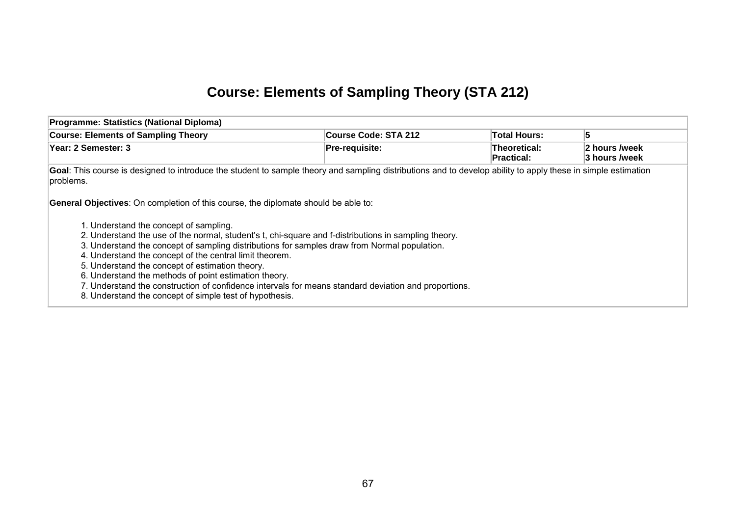# **Course: Elements of Sampling Theory (STA 212)**

| <b>Programme: Statistics (National Diploma)</b>                                                                                                                                                                                                                                                                                                                                                                                                                                                                                                                                          |                      |                                   |                                |
|------------------------------------------------------------------------------------------------------------------------------------------------------------------------------------------------------------------------------------------------------------------------------------------------------------------------------------------------------------------------------------------------------------------------------------------------------------------------------------------------------------------------------------------------------------------------------------------|----------------------|-----------------------------------|--------------------------------|
| <b>Course: Elements of Sampling Theory</b>                                                                                                                                                                                                                                                                                                                                                                                                                                                                                                                                               | Course Code: STA 212 | <b>Total Hours:</b>               | 5                              |
| Year: 2 Semester: 3                                                                                                                                                                                                                                                                                                                                                                                                                                                                                                                                                                      | Pre-requisite:       | Theoretical:<br><b>Practical:</b> | 2 hours /week<br>3 hours /week |
| Goal: This course is designed to introduce the student to sample theory and sampling distributions and to develop ability to apply these in simple estimation<br>problems.                                                                                                                                                                                                                                                                                                                                                                                                               |                      |                                   |                                |
| <b>General Objectives:</b> On completion of this course, the diplomate should be able to:                                                                                                                                                                                                                                                                                                                                                                                                                                                                                                |                      |                                   |                                |
| 1. Understand the concept of sampling.<br>2. Understand the use of the normal, student's t, chi-square and f-distributions in sampling theory.<br>3. Understand the concept of sampling distributions for samples draw from Normal population.<br>4. Understand the concept of the central limit theorem.<br>5. Understand the concept of estimation theory.<br>6. Understand the methods of point estimation theory.<br>7. Understand the construction of confidence intervals for means standard deviation and proportions.<br>8. Understand the concept of simple test of hypothesis. |                      |                                   |                                |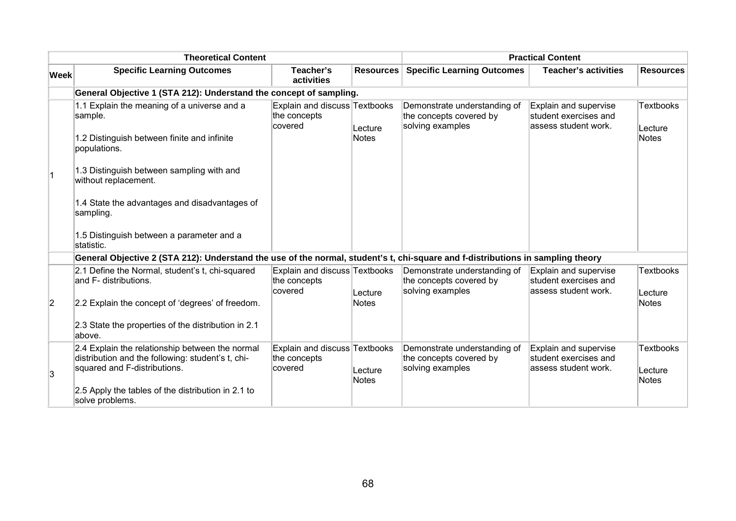| <b>Theoretical Content</b> |                                                                                                                                                                                                               |                                                          | <b>Practical Content</b> |                                                                             |                                                                         |                                             |
|----------------------------|---------------------------------------------------------------------------------------------------------------------------------------------------------------------------------------------------------------|----------------------------------------------------------|--------------------------|-----------------------------------------------------------------------------|-------------------------------------------------------------------------|---------------------------------------------|
| Week                       | <b>Specific Learning Outcomes</b>                                                                                                                                                                             | Teacher's<br>activities                                  | <b>Resources</b>         | <b>Specific Learning Outcomes</b>                                           | <b>Teacher's activities</b>                                             | <b>Resources</b>                            |
|                            | General Objective 1 (STA 212): Understand the concept of sampling.                                                                                                                                            |                                                          |                          |                                                                             |                                                                         |                                             |
|                            | 1.1 Explain the meaning of a universe and a<br>sample.<br>1.2 Distinguish between finite and infinite<br>populations.                                                                                         | Explain and discuss Textbooks<br>the concepts<br>covered | Lecture<br><b>Notes</b>  | Demonstrate understanding of<br>the concepts covered by<br>solving examples | Explain and supervise<br>student exercises and<br>assess student work.  | <b>Textbooks</b><br>Lecture<br><b>Notes</b> |
|                            | 1.3 Distinguish between sampling with and<br>without replacement.                                                                                                                                             |                                                          |                          |                                                                             |                                                                         |                                             |
|                            | 1.4 State the advantages and disadvantages of<br>sampling.                                                                                                                                                    |                                                          |                          |                                                                             |                                                                         |                                             |
|                            | 1.5 Distinguish between a parameter and a<br>statistic.                                                                                                                                                       |                                                          |                          |                                                                             |                                                                         |                                             |
|                            | General Objective 2 (STA 212): Understand the use of the normal, student's t, chi-square and f-distributions in sampling theory                                                                               |                                                          |                          |                                                                             |                                                                         |                                             |
| $\overline{2}$             | 2.1 Define the Normal, student's t, chi-squared<br>and F- distributions.                                                                                                                                      | Explain and discuss Textbooks<br>the concepts<br>covered | Lecture                  | Demonstrate understanding of<br>the concepts covered by<br>solving examples | Explain and supervise<br>student exercises and<br>lassess student work. | <b>Textbooks</b><br>Lecture                 |
|                            | 2.2 Explain the concept of 'degrees' of freedom.<br>2.3 State the properties of the distribution in 2.1<br>labove.                                                                                            |                                                          | <b>Notes</b>             |                                                                             |                                                                         | <b>Notes</b>                                |
| 3                          | 2.4 Explain the relationship between the normal<br>distribution and the following: student's t, chi-<br>squared and F-distributions.<br>2.5 Apply the tables of the distribution in 2.1 to<br>solve problems. | Explain and discuss Textbooks<br>the concepts<br>covered | Lecture<br><b>Notes</b>  | Demonstrate understanding of<br>the concepts covered by<br>solving examples | Explain and supervise<br>student exercises and<br>assess student work.  | <b>Textbooks</b><br>Lecture<br><b>Notes</b> |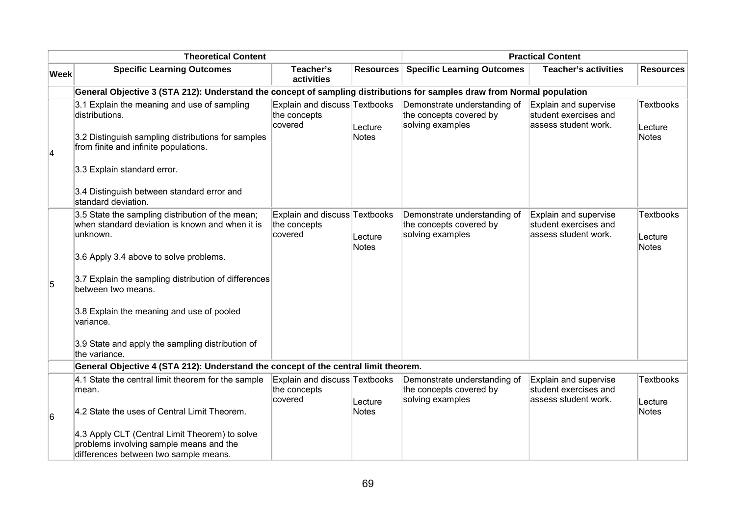|             | <b>Theoretical Content</b>                                                                                                                                                                                                                                                                                                                                             |                                                          |                  | <b>Practical Content</b>                                                    |                                                                        |                                             |  |  |  |
|-------------|------------------------------------------------------------------------------------------------------------------------------------------------------------------------------------------------------------------------------------------------------------------------------------------------------------------------------------------------------------------------|----------------------------------------------------------|------------------|-----------------------------------------------------------------------------|------------------------------------------------------------------------|---------------------------------------------|--|--|--|
| <b>Week</b> | <b>Specific Learning Outcomes</b>                                                                                                                                                                                                                                                                                                                                      | Teacher's<br>activities                                  |                  | Resources   Specific Learning Outcomes                                      | <b>Teacher's activities</b>                                            | <b>Resources</b>                            |  |  |  |
|             | General Objective 3 (STA 212): Understand the concept of sampling distributions for samples draw from Normal population                                                                                                                                                                                                                                                |                                                          |                  |                                                                             |                                                                        |                                             |  |  |  |
| 14          | 3.1 Explain the meaning and use of sampling<br>distributions.<br>3.2 Distinguish sampling distributions for samples<br>from finite and infinite populations.<br>3.3 Explain standard error.                                                                                                                                                                            | Explain and discuss Textbooks<br>the concepts<br>covered | Lecture<br>Notes | Demonstrate understanding of<br>the concepts covered by<br>solving examples | Explain and supervise<br>student exercises and<br>assess student work. | <b>Textbooks</b><br>Lecture<br><b>Notes</b> |  |  |  |
|             | 3.4 Distinguish between standard error and<br>standard deviation.                                                                                                                                                                                                                                                                                                      |                                                          |                  |                                                                             |                                                                        |                                             |  |  |  |
| 5           | 3.5 State the sampling distribution of the mean;<br>when standard deviation is known and when it is<br>unknown.<br>3.6 Apply 3.4 above to solve problems.<br>3.7 Explain the sampling distribution of differences<br>between two means.<br>3.8 Explain the meaning and use of pooled<br>variance.<br>3.9 State and apply the sampling distribution of<br>the variance. | Explain and discuss Textbooks<br>the concepts<br>covered | Lecture<br>Notes | Demonstrate understanding of<br>the concepts covered by<br>solving examples | Explain and supervise<br>student exercises and<br>assess student work. | <b>Textbooks</b><br>Lecture<br><b>Notes</b> |  |  |  |
|             | General Objective 4 (STA 212): Understand the concept of the central limit theorem.                                                                                                                                                                                                                                                                                    |                                                          |                  |                                                                             |                                                                        |                                             |  |  |  |
| 6           | 4.1 State the central limit theorem for the sample<br>lmean.<br>4.2 State the uses of Central Limit Theorem.                                                                                                                                                                                                                                                           | Explain and discuss Textbooks<br>the concepts<br>covered | Lecture<br>Notes | Demonstrate understanding of<br>the concepts covered by<br>solving examples | Explain and supervise<br>student exercises and<br>assess student work. | <b>Textbooks</b><br>Lecture<br><b>Notes</b> |  |  |  |
|             | 4.3 Apply CLT (Central Limit Theorem) to solve<br>problems involving sample means and the<br>differences between two sample means.                                                                                                                                                                                                                                     |                                                          |                  |                                                                             |                                                                        |                                             |  |  |  |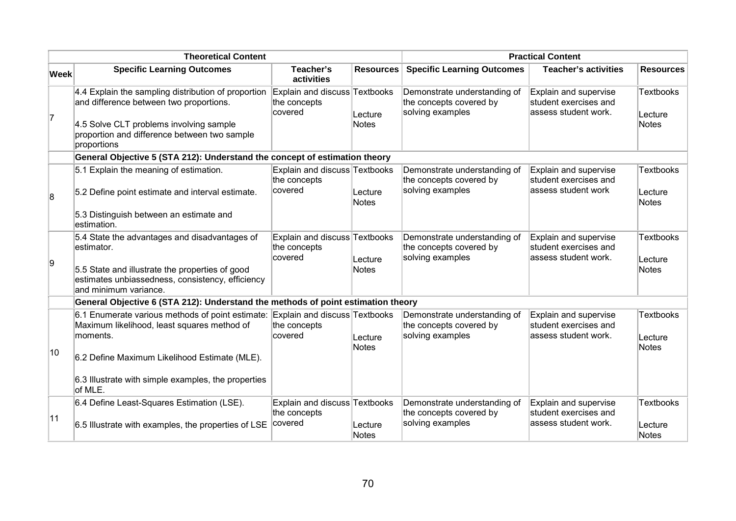|             | <b>Theoretical Content</b>                                                                                                                                                                                                                                   |                                                          |                         | <b>Practical Content</b>                                                    |                                                                        |                                             |
|-------------|--------------------------------------------------------------------------------------------------------------------------------------------------------------------------------------------------------------------------------------------------------------|----------------------------------------------------------|-------------------------|-----------------------------------------------------------------------------|------------------------------------------------------------------------|---------------------------------------------|
| <b>Week</b> | <b>Specific Learning Outcomes</b>                                                                                                                                                                                                                            | Teacher's<br>activities                                  | <b>Resources</b>        | <b>Specific Learning Outcomes</b>                                           | <b>Teacher's activities</b>                                            | <b>Resources</b>                            |
| 7           | 4.4 Explain the sampling distribution of proportion<br>and difference between two proportions.<br>4.5 Solve CLT problems involving sample<br>proportion and difference between two sample<br>proportions                                                     | Explain and discuss Textbooks<br>the concepts<br>covered | Lecture<br><b>Notes</b> | Demonstrate understanding of<br>the concepts covered by<br>solving examples | Explain and supervise<br>student exercises and<br>assess student work. | <b>Textbooks</b><br>Lecture<br><b>Notes</b> |
|             | General Objective 5 (STA 212): Understand the concept of estimation theory                                                                                                                                                                                   |                                                          |                         |                                                                             |                                                                        |                                             |
| 8           | 5.1 Explain the meaning of estimation.<br>5.2 Define point estimate and interval estimate.<br>5.3 Distinguish between an estimate and                                                                                                                        | Explain and discuss Textbooks<br>the concepts<br>covered | Lecture<br><b>Notes</b> | Demonstrate understanding of<br>the concepts covered by<br>solving examples | Explain and supervise<br>student exercises and<br>assess student work  | <b>Textbooks</b><br>Lecture<br><b>Notes</b> |
|             | estimation.                                                                                                                                                                                                                                                  |                                                          |                         |                                                                             |                                                                        |                                             |
| 9           | 5.4 State the advantages and disadvantages of<br>estimator.<br>5.5 State and illustrate the properties of good<br>estimates unbiassedness, consistency, efficiency<br>and minimum variance.                                                                  | Explain and discuss Textbooks<br>the concepts<br>covered | Lecture<br><b>Notes</b> | Demonstrate understanding of<br>the concepts covered by<br>solving examples | Explain and supervise<br>student exercises and<br>assess student work. | <b>Textbooks</b><br>Lecture<br><b>Notes</b> |
|             | General Objective 6 (STA 212): Understand the methods of point estimation theory                                                                                                                                                                             |                                                          |                         |                                                                             |                                                                        |                                             |
| 10          | 6.1 Enumerate various methods of point estimate: Explain and discuss Textbooks<br>Maximum likelihood, least squares method of<br>moments.<br>6.2 Define Maximum Likelihood Estimate (MLE).<br>6.3 Illustrate with simple examples, the properties<br>of MLE. | the concepts<br>covered                                  | Lecture<br><b>Notes</b> | Demonstrate understanding of<br>the concepts covered by<br>solving examples | Explain and supervise<br>student exercises and<br>assess student work. | <b>Textbooks</b><br>Lecture<br><b>Notes</b> |
|             | 6.4 Define Least-Squares Estimation (LSE).                                                                                                                                                                                                                   | Explain and discuss Textbooks                            |                         | Demonstrate understanding of                                                | Explain and supervise                                                  | <b>Textbooks</b>                            |
| 11          | 6.5 Illustrate with examples, the properties of LSE                                                                                                                                                                                                          | the concepts<br>covered                                  | Lecture<br><b>Notes</b> | the concepts covered by<br>solving examples                                 | student exercises and<br>assess student work.                          | Lecture<br><b>Notes</b>                     |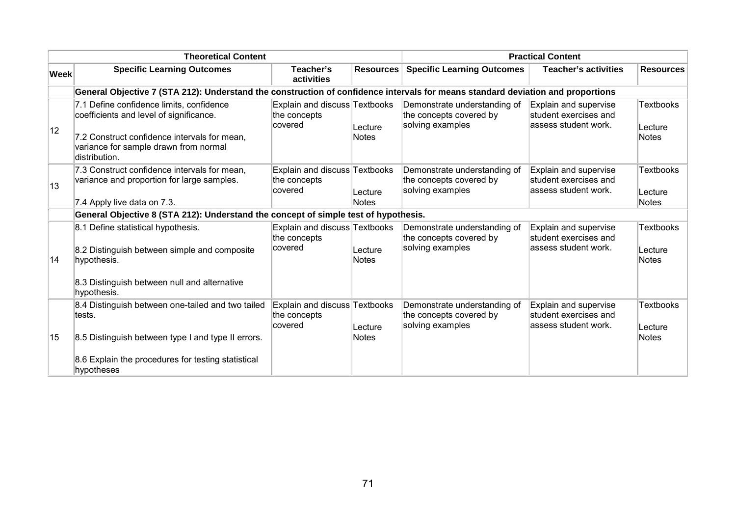| <b>Theoretical Content</b> |                                                                                                                                                                                               |                                                          | <b>Practical Content</b> |                                                                             |                                                                        |                                             |
|----------------------------|-----------------------------------------------------------------------------------------------------------------------------------------------------------------------------------------------|----------------------------------------------------------|--------------------------|-----------------------------------------------------------------------------|------------------------------------------------------------------------|---------------------------------------------|
| <b>Week</b>                | <b>Specific Learning Outcomes</b>                                                                                                                                                             | Teacher's<br>activities                                  | <b>Resources</b>         | <b>Specific Learning Outcomes</b>                                           | <b>Teacher's activities</b>                                            | <b>Resources</b>                            |
|                            | General Objective 7 (STA 212): Understand the construction of confidence intervals for means standard deviation and proportions                                                               |                                                          |                          |                                                                             |                                                                        |                                             |
| 12                         | 7.1 Define confidence limits, confidence<br>coefficients and level of significance.<br>7.2 Construct confidence intervals for mean,<br>variance for sample drawn from normal<br>distribution. | Explain and discuss Textbooks<br>the concepts<br>covered | Lecture<br><b>Notes</b>  | Demonstrate understanding of<br>the concepts covered by<br>solving examples | Explain and supervise<br>student exercises and<br>assess student work. | <b>Textbooks</b><br>Lecture<br><b>Notes</b> |
| 13                         | 7.3 Construct confidence intervals for mean,<br>variance and proportion for large samples.<br>7.4 Apply live data on 7.3.                                                                     | Explain and discuss Textbooks<br>the concepts<br>covered | Lecture<br>Notes         | Demonstrate understanding of<br>the concepts covered by<br>solving examples | Explain and supervise<br>student exercises and<br>assess student work. | <b>Textbooks</b><br>Lecture<br>Notes        |
|                            | General Objective 8 (STA 212): Understand the concept of simple test of hypothesis.                                                                                                           |                                                          |                          |                                                                             |                                                                        |                                             |
| 14                         | 8.1 Define statistical hypothesis.<br>8.2 Distinguish between simple and composite<br>hypothesis.<br>8.3 Distinguish between null and alternative<br>hypothesis.                              | Explain and discuss Textbooks<br>the concepts<br>covered | Lecture<br><b>Notes</b>  | Demonstrate understanding of<br>the concepts covered by<br>solving examples | Explain and supervise<br>student exercises and<br>assess student work. | <b>Textbooks</b><br>Lecture<br><b>Notes</b> |
| 15                         | 8.4 Distinguish between one-tailed and two tailed<br>tests.<br>8.5 Distinguish between type I and type II errors.<br>8.6 Explain the procedures for testing statistical<br>hypotheses         | Explain and discuss Textbooks<br>the concepts<br>covered | Lecture<br><b>Notes</b>  | Demonstrate understanding of<br>the concepts covered by<br>solving examples | Explain and supervise<br>student exercises and<br>assess student work. | <b>Textbooks</b><br>Lecture<br><b>Notes</b> |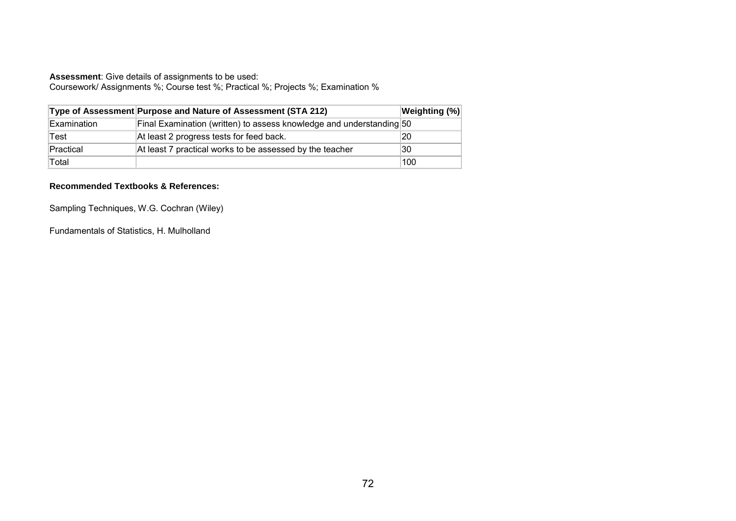**Assessment**: Give details of assignments to be used: Coursework/ Assignments %; Course test %; Practical %; Projects %; Examination %

**Type of Assessment Purpose and Nature of Assessment (STA 212) Weighting (%)** Examination Final Examination (written) to assess knowledge and understanding 50 Test **At least 2 progress tests for feed back.** 20 Practical **At least 7 practical works to be assessed by the teacher** 30 Total 100 100

#### **Recommended Textbooks & References:**

Sampling Techniques, W.G. Cochran (Wiley)

Fundamentals of Statistics, H. Mulholland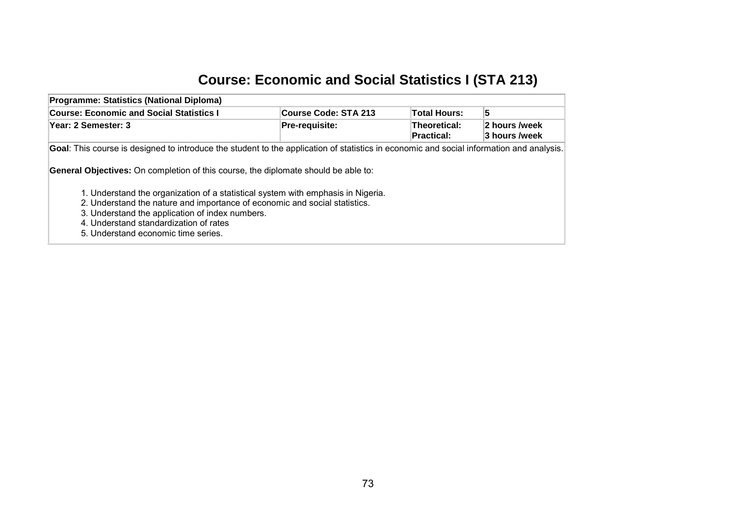## **Course: Economic and Social Statistics I (STA 213)**

| <b>Programme: Statistics (National Diploma)</b>                                                                                                                                                                                                                                                    |                             |                            |                                |  |  |  |  |
|----------------------------------------------------------------------------------------------------------------------------------------------------------------------------------------------------------------------------------------------------------------------------------------------------|-----------------------------|----------------------------|--------------------------------|--|--|--|--|
| <b>Course: Economic and Social Statistics I</b>                                                                                                                                                                                                                                                    | <b>Course Code: STA 213</b> | <b>Total Hours:</b>        | 5                              |  |  |  |  |
| Year: 2 Semester: 3                                                                                                                                                                                                                                                                                | <b>Pre-requisite:</b>       | Theoretical:<br>Practical: | 2 hours /week<br>3 hours /week |  |  |  |  |
| Goal: This course is designed to introduce the student to the application of statistics in economic and social information and analysis.<br><b>General Objectives:</b> On completion of this course, the diplomate should be able to:                                                              |                             |                            |                                |  |  |  |  |
| 1. Understand the organization of a statistical system with emphasis in Nigeria.<br>2. Understand the nature and importance of economic and social statistics.<br>3. Understand the application of index numbers.<br>4. Understand standardization of rates<br>5. Understand economic time series. |                             |                            |                                |  |  |  |  |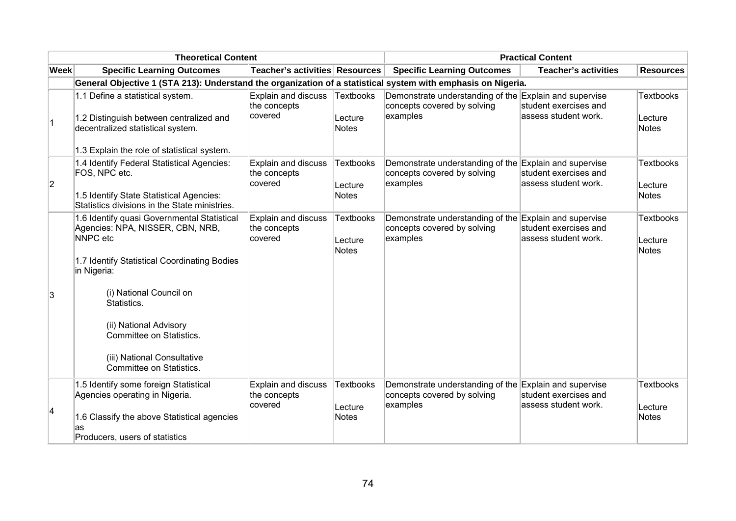|             | <b>Theoretical Content</b>                                                                                                                                                                                                                                                                                            | <b>Practical Content</b>                              |                                             |                                                                                                   |                                                                        |                                             |
|-------------|-----------------------------------------------------------------------------------------------------------------------------------------------------------------------------------------------------------------------------------------------------------------------------------------------------------------------|-------------------------------------------------------|---------------------------------------------|---------------------------------------------------------------------------------------------------|------------------------------------------------------------------------|---------------------------------------------|
| <b>Week</b> | <b>Specific Learning Outcomes</b>                                                                                                                                                                                                                                                                                     | Teacher's activities Resources                        |                                             | <b>Specific Learning Outcomes</b>                                                                 | <b>Teacher's activities</b>                                            | <b>Resources</b>                            |
|             | General Objective 1 (STA 213): Understand the organization of a statistical system with emphasis on Nigeria.                                                                                                                                                                                                          |                                                       |                                             |                                                                                                   |                                                                        |                                             |
| $\vert$ 1   | 1.1 Define a statistical system.<br>1.2 Distinguish between centralized and<br>decentralized statistical system.<br>1.3 Explain the role of statistical system.                                                                                                                                                       | Explain and discuss<br>the concepts<br>covered        | Textbooks<br>Lecture<br><b>Notes</b>        | Demonstrate understanding of the Explain and supervise<br>concepts covered by solving<br>examples | student exercises and<br>assess student work.                          | <b>Textbooks</b><br>Lecture<br><b>Notes</b> |
| 2           | 1.4 Identify Federal Statistical Agencies:<br>FOS, NPC etc.<br>1.5 Identify State Statistical Agencies:<br>Statistics divisions in the State ministries.                                                                                                                                                              | Explain and discuss<br>the concepts<br>covered        | Textbooks<br>Lecture<br><b>Notes</b>        | Demonstrate understanding of the Explain and supervise<br>concepts covered by solving<br>examples | student exercises and<br>assess student work.                          | <b>Textbooks</b><br>Lecture<br><b>Notes</b> |
| 3           | 1.6 Identify quasi Governmental Statistical<br>Agencies: NPA, NISSER, CBN, NRB,<br>NNPC etc<br>1.7 Identify Statistical Coordinating Bodies<br>in Nigeria:<br>(i) National Council on<br>Statistics.<br>(ii) National Advisory<br>Committee on Statistics.<br>(iii) National Consultative<br>Committee on Statistics. | <b>Explain and discuss</b><br>the concepts<br>covered | <b>Textbooks</b><br>Lecture<br><b>Notes</b> | Demonstrate understanding of the<br>concepts covered by solving<br>examples                       | Explain and supervise<br>student exercises and<br>assess student work. | <b>Textbooks</b><br>Lecture<br><b>Notes</b> |
| 14          | 1.5 Identify some foreign Statistical<br>Agencies operating in Nigeria.<br>1.6 Classify the above Statistical agencies<br>as<br>Producers, users of statistics                                                                                                                                                        | <b>Explain and discuss</b><br>the concepts<br>covered | Textbooks<br>Lecture<br><b>Notes</b>        | Demonstrate understanding of the Explain and supervise<br>concepts covered by solving<br>examples | student exercises and<br>assess student work.                          | <b>Textbooks</b><br>Lecture<br><b>Notes</b> |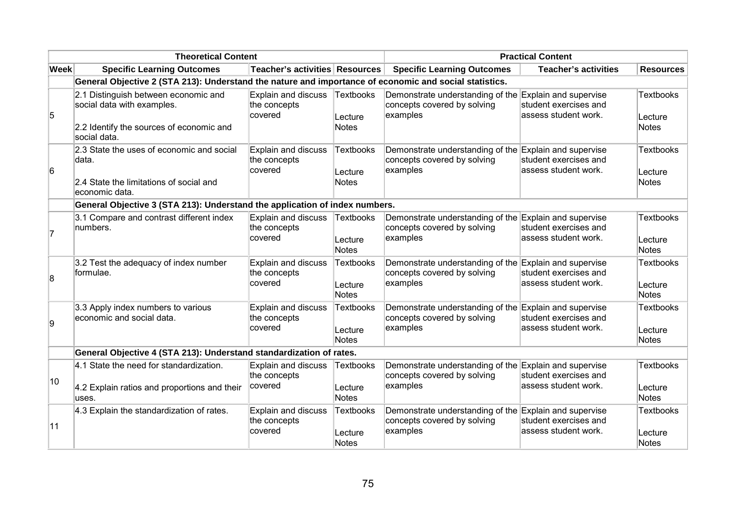|      | <b>Theoretical Content</b>                                                                                                     | <b>Practical Content</b>                              |                                      |                                                                                                   |                                               |                                      |
|------|--------------------------------------------------------------------------------------------------------------------------------|-------------------------------------------------------|--------------------------------------|---------------------------------------------------------------------------------------------------|-----------------------------------------------|--------------------------------------|
| Week | <b>Specific Learning Outcomes</b>                                                                                              | Teacher's activities Resources                        |                                      | <b>Specific Learning Outcomes</b>                                                                 | <b>Teacher's activities</b>                   | <b>Resources</b>                     |
|      | General Objective 2 (STA 213): Understand the nature and importance of economic and social statistics.                         |                                                       |                                      |                                                                                                   |                                               |                                      |
| 5    | 2.1 Distinguish between economic and<br>social data with examples.<br>2.2 Identify the sources of economic and<br>social data. | Explain and discuss<br>the concepts<br>covered        | Textbooks<br>Lecture<br>Notes        | Demonstrate understanding of the Explain and supervise<br>concepts covered by solving<br>examples | student exercises and<br>assess student work. | <b>Textbooks</b><br>Lecture<br>Notes |
| 6    | 2.3 State the uses of economic and social<br>data.<br>2.4 State the limitations of social and<br>economic data.                | Explain and discuss<br>the concepts<br>covered        | <b>Textbooks</b><br>Lecture<br>Notes | Demonstrate understanding of the Explain and supervise<br>concepts covered by solving<br>examples | student exercises and<br>assess student work. | <b>Textbooks</b><br>Lecture<br>Notes |
|      | General Objective 3 (STA 213): Understand the application of index numbers.                                                    |                                                       |                                      |                                                                                                   |                                               |                                      |
| 7    | 3.1 Compare and contrast different index<br>numbers.                                                                           | Explain and discuss<br>the concepts<br>covered        | Textbooks<br>Lecture<br>Notes        | Demonstrate understanding of the Explain and supervise<br>concepts covered by solving<br>examples | student exercises and<br>assess student work. | <b>Textbooks</b><br>Lecture<br>Notes |
| 8    | 3.2 Test the adequacy of index number<br>formulae.                                                                             | <b>Explain and discuss</b><br>the concepts<br>covered | <b>Textbooks</b><br>Lecture<br>Notes | Demonstrate understanding of the Explain and supervise<br>concepts covered by solving<br>examples | student exercises and<br>assess student work. | <b>Textbooks</b><br>Lecture<br>Notes |
| g.   | 3.3 Apply index numbers to various<br>economic and social data.                                                                | <b>Explain and discuss</b><br>the concepts<br>covered | <b>Textbooks</b><br>Lecture<br>Notes | Demonstrate understanding of the Explain and supervise<br>concepts covered by solving<br>examples | student exercises and<br>assess student work. | <b>Textbooks</b><br>Lecture<br>Notes |
|      | General Objective 4 (STA 213): Understand standardization of rates.                                                            |                                                       |                                      |                                                                                                   |                                               |                                      |
| 10   | 4.1 State the need for standardization.<br>4.2 Explain ratios and proportions and their<br>uses.                               | <b>Explain and discuss</b><br>the concepts<br>covered | Textbooks<br>Lecture<br>Notes        | Demonstrate understanding of the Explain and supervise<br>concepts covered by solving<br>examples | student exercises and<br>assess student work. | <b>Textbooks</b><br>Lecture<br>Notes |
| 11   | 4.3 Explain the standardization of rates.                                                                                      | Explain and discuss<br>the concepts<br>covered        | <b>Textbooks</b><br>Lecture<br>Notes | Demonstrate understanding of the Explain and supervise<br>concepts covered by solving<br>examples | student exercises and<br>assess student work. | <b>Textbooks</b><br>Lecture<br>Notes |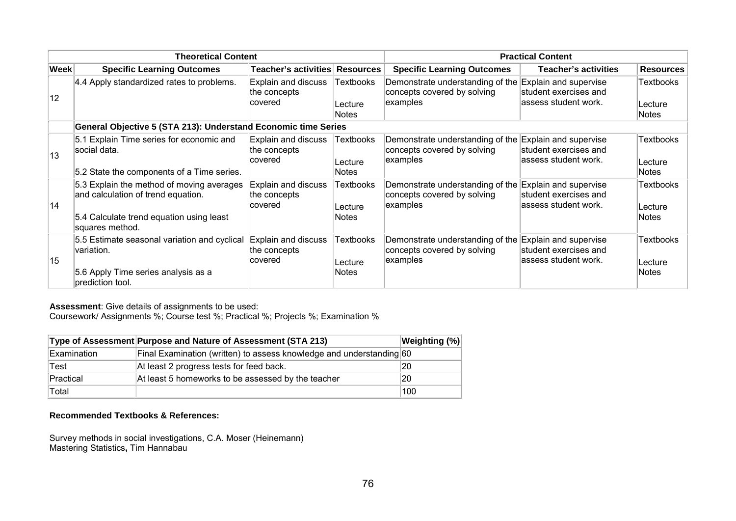|              | <b>Theoretical Content</b>                                                                                                                     |                                                       |                                             | <b>Practical Content</b>                                                    |                                                                         |                                      |
|--------------|------------------------------------------------------------------------------------------------------------------------------------------------|-------------------------------------------------------|---------------------------------------------|-----------------------------------------------------------------------------|-------------------------------------------------------------------------|--------------------------------------|
| <b>Week</b>  | <b>Specific Learning Outcomes</b>                                                                                                              | Teacher's activities Resources                        |                                             | <b>Specific Learning Outcomes</b>                                           | <b>Teacher's activities</b>                                             | <b>Resources</b>                     |
| $ 12\rangle$ | 4.4 Apply standardized rates to problems.                                                                                                      | <b>Explain and discuss</b><br>the concepts<br>covered | Textbooks<br>Lecture<br>Notes               | Demonstrate understanding of the<br>concepts covered by solving<br>examples | Explain and supervise<br>student exercises and<br>lassess student work. | Textbooks<br>Lecture<br><b>Notes</b> |
|              | General Objective 5 (STA 213): Understand Economic time Series                                                                                 |                                                       |                                             |                                                                             |                                                                         |                                      |
| 13           | 5.1 Explain Time series for economic and<br>lsocial data.<br>5.2 State the components of a Time series.                                        | Explain and discuss<br>the concepts<br>covered        | <b>Textbooks</b><br>Lecture<br><b>Notes</b> | Demonstrate understanding of the<br>concepts covered by solving<br>examples | Explain and supervise<br>student exercises and<br>lassess student work. | Textbooks<br>Lecture<br>Notes        |
| 14           | 5.3 Explain the method of moving averages<br>and calculation of trend equation.<br>5.4 Calculate trend equation using least<br>squares method. | Explain and discuss<br>the concepts<br>covered        | Textbooks<br>Lecture<br><b>Notes</b>        | Demonstrate understanding of the<br>concepts covered by solving<br>examples | Explain and supervise<br>student exercises and<br>lassess student work. | Textbooks<br>Lecture<br><b>Notes</b> |
| 15           | 5.5 Estimate seasonal variation and cyclical<br>∣variation.<br>5.6 Apply Time series analysis as a<br>prediction tool.                         | Explain and discuss<br>the concepts<br>covered        | Textbooks<br>Lecture<br><b>Notes</b>        | Demonstrate understanding of the<br>concepts covered by solving<br>examples | Explain and supervise<br>student exercises and<br>assess student work.  | Textbooks<br>Lecture<br><b>Notes</b> |

Coursework/ Assignments %; Course test %; Practical %; Projects %; Examination %

|             | Type of Assessment Purpose and Nature of Assessment (STA 213)        | Weighting (%) |
|-------------|----------------------------------------------------------------------|---------------|
| Examination | Final Examination (written) to assess knowledge and understanding 60 |               |
| Test        | At least 2 progress tests for feed back.                             | 20            |
| Practical   | At least 5 homeworks to be assessed by the teacher                   | 20            |
| Total       |                                                                      | 100           |

#### **Recommended Textbooks & References:**

Survey methods in social investigations, C.A. Moser (Heinemann) Mastering Statistics**,** Tim Hannabau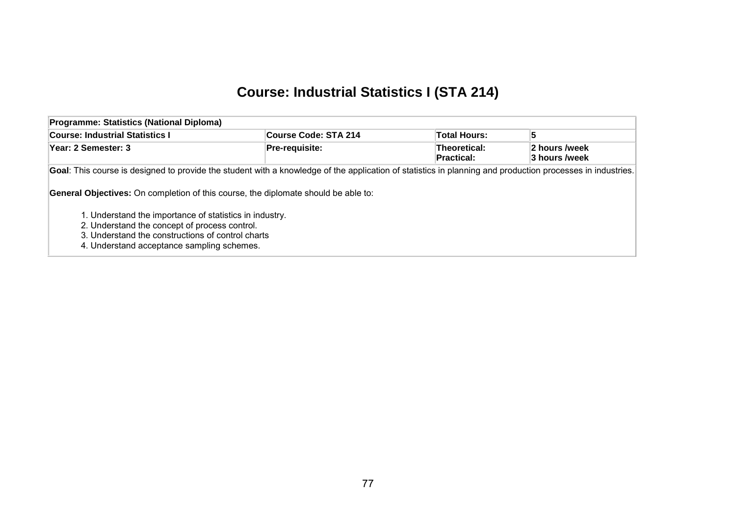# **Course: Industrial Statistics I (STA 214)**

| Programme: Statistics (National Diploma) |                            |                                                                                                                                                            |  |  |  |  |
|------------------------------------------|----------------------------|------------------------------------------------------------------------------------------------------------------------------------------------------------|--|--|--|--|
|                                          | Total Hours:               |                                                                                                                                                            |  |  |  |  |
|                                          | Theoretical:<br>Practical: | 2 hours /week<br>3 hours /week                                                                                                                             |  |  |  |  |
|                                          |                            | Goal: This course is designed to provide the student with a knowledge of the application of statistics in planning and production processes in industries. |  |  |  |  |
|                                          |                            |                                                                                                                                                            |  |  |  |  |
|                                          |                            |                                                                                                                                                            |  |  |  |  |
|                                          |                            |                                                                                                                                                            |  |  |  |  |
|                                          |                            |                                                                                                                                                            |  |  |  |  |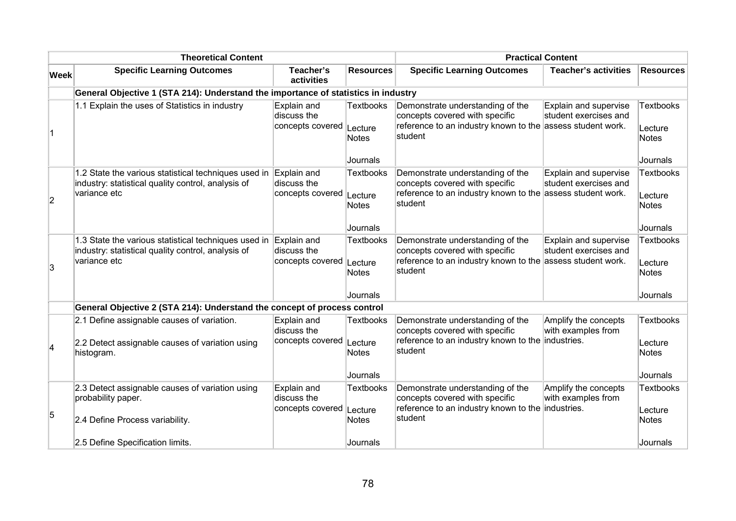| <b>Theoretical Content</b> |                                                                                                                            |                                                |                                                         | <b>Practical Content</b>                                                                                                                    |                                                |                                                  |  |
|----------------------------|----------------------------------------------------------------------------------------------------------------------------|------------------------------------------------|---------------------------------------------------------|---------------------------------------------------------------------------------------------------------------------------------------------|------------------------------------------------|--------------------------------------------------|--|
| <b>Week</b>                | <b>Specific Learning Outcomes</b>                                                                                          | Teacher's<br>activities                        | <b>Resources</b>                                        | <b>Specific Learning Outcomes</b>                                                                                                           | <b>Teacher's activities</b>                    | <b>Resources</b>                                 |  |
|                            | General Objective 1 (STA 214): Understand the importance of statistics in industry                                         |                                                |                                                         |                                                                                                                                             |                                                |                                                  |  |
| 1                          | 1.1 Explain the uses of Statistics in industry                                                                             | Explain and<br>discuss the<br>concepts covered | <b>Textbooks</b><br>Lecture<br><b>Notes</b>             | Demonstrate understanding of the<br>concepts covered with specific<br>reference to an industry known to the assess student work.<br>student | Explain and supervise<br>student exercises and | <b>Textbooks</b><br>Lecture<br>Notes             |  |
|                            |                                                                                                                            |                                                | Journals                                                |                                                                                                                                             |                                                | Journals                                         |  |
| 2                          | 1.2 State the various statistical techniques used in<br>industry: statistical quality control, analysis of<br>variance etc | Explain and<br>discuss the<br>concepts covered | <b>Textbooks</b><br>Lecture<br><b>Notes</b>             | Demonstrate understanding of the<br>concepts covered with specific<br>reference to an industry known to the assess student work.<br>student | Explain and supervise<br>student exercises and | <b>Textbooks</b><br>Lecture<br>Notes             |  |
|                            |                                                                                                                            |                                                | Journals                                                |                                                                                                                                             |                                                | Journals                                         |  |
| 3                          | 1.3 State the various statistical techniques used in<br>industry: statistical quality control, analysis of<br>variance etc | Explain and<br>discuss the<br>concepts covered | <b>Textbooks</b><br>Lecture<br><b>Notes</b>             | Demonstrate understanding of the<br>concepts covered with specific<br>reference to an industry known to the assess student work.<br>student | Explain and supervise<br>student exercises and | <b>Textbooks</b><br>Lecture<br>Notes             |  |
|                            |                                                                                                                            |                                                | Journals                                                |                                                                                                                                             |                                                | Journals                                         |  |
|                            | General Objective 2 (STA 214): Understand the concept of process control                                                   |                                                |                                                         |                                                                                                                                             |                                                |                                                  |  |
| 4                          | 2.1 Define assignable causes of variation.<br>2.2 Detect assignable causes of variation using<br>histogram.                | Explain and<br>discuss the<br>concepts covered | <b>Textbooks</b><br>Lecture<br><b>Notes</b><br>Journals | Demonstrate understanding of the<br>concepts covered with specific<br>reference to an industry known to the industries.<br>student          | Amplify the concepts<br>with examples from     | <b>Textbooks</b><br>Lecture<br>Notes<br>Journals |  |
|                            | 2.3 Detect assignable causes of variation using                                                                            | Explain and                                    | <b>Textbooks</b>                                        | Demonstrate understanding of the                                                                                                            | Amplify the concepts                           | <b>Textbooks</b>                                 |  |
| 5                          | probability paper.<br>2.4 Define Process variability.                                                                      | discuss the<br>concepts covered                | Lecture<br><b>Notes</b>                                 | concepts covered with specific<br>reference to an industry known to the industries.<br>student                                              | with examples from                             | Lecture<br>Notes                                 |  |
|                            | 2.5 Define Specification limits.                                                                                           |                                                | Journals                                                |                                                                                                                                             |                                                | Journals                                         |  |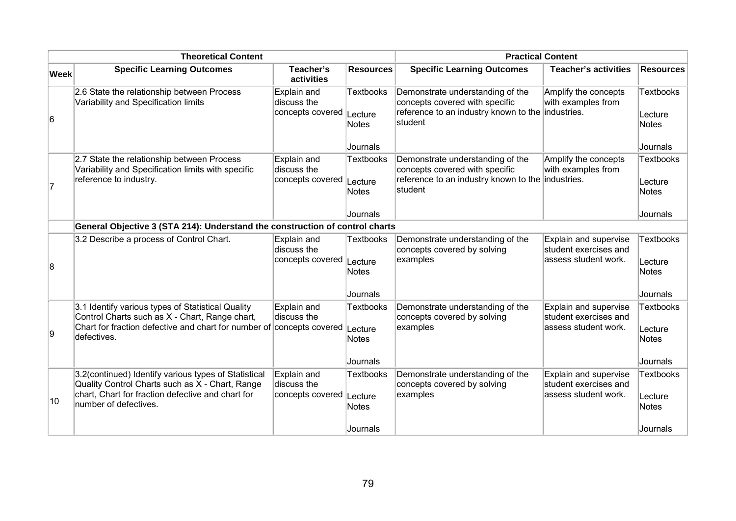|             | <b>Theoretical Content</b>                                                                                                                                                            |                                                |                                                         | <b>Practical Content</b>                                                                                                           |                                                                        |                                                         |
|-------------|---------------------------------------------------------------------------------------------------------------------------------------------------------------------------------------|------------------------------------------------|---------------------------------------------------------|------------------------------------------------------------------------------------------------------------------------------------|------------------------------------------------------------------------|---------------------------------------------------------|
| <b>Week</b> | <b>Specific Learning Outcomes</b>                                                                                                                                                     | Teacher's<br>activities                        | <b>Resources</b>                                        | <b>Specific Learning Outcomes</b>                                                                                                  | <b>Teacher's activities</b>                                            | <b>Resources</b>                                        |
| 6           | 2.6 State the relationship between Process<br>Variability and Specification limits                                                                                                    | Explain and<br>discuss the<br>concepts covered | <b>Textbooks</b><br>Lecture<br><b>Notes</b><br>Journals | Demonstrate understanding of the<br>concepts covered with specific<br>reference to an industry known to the industries.<br>student | Amplify the concepts<br>with examples from                             | <b>Textbooks</b><br>Lecture<br><b>Notes</b><br>Journals |
| 7           | 2.7 State the relationship between Process<br>Variability and Specification limits with specific<br>reference to industry.                                                            | Explain and<br>discuss the<br>concepts covered | <b>Textbooks</b><br>Lecture<br><b>Notes</b><br>Journals | Demonstrate understanding of the<br>concepts covered with specific<br>reference to an industry known to the industries.<br>student | Amplify the concepts<br>with examples from                             | <b>Textbooks</b><br>Lecture<br><b>Notes</b><br>Journals |
|             | General Objective 3 (STA 214): Understand the construction of control charts                                                                                                          |                                                |                                                         |                                                                                                                                    |                                                                        |                                                         |
| 8           | 3.2 Describe a process of Control Chart.                                                                                                                                              | Explain and<br>discuss the<br>concepts covered | <b>Textbooks</b><br>Lecture<br><b>Notes</b><br>Journals | Demonstrate understanding of the<br>concepts covered by solving<br>examples                                                        | Explain and supervise<br>student exercises and<br>assess student work. | <b>Textbooks</b><br>Lecture<br>Notes<br>Journals        |
| 9           | 3.1 Identify various types of Statistical Quality<br>Control Charts such as X - Chart, Range chart,<br>Chart for fraction defective and chart for number of<br>defectives.            | Explain and<br>discuss the<br>concepts covered | <b>Textbooks</b><br>Lecture<br><b>Notes</b><br>Journals | Demonstrate understanding of the<br>concepts covered by solving<br>examples                                                        | Explain and supervise<br>student exercises and<br>assess student work. | <b>Textbooks</b><br>Lecture<br>Notes<br>Journals        |
| 10          | 3.2(continued) Identify various types of Statistical<br>Quality Control Charts such as X - Chart, Range<br>chart, Chart for fraction defective and chart for<br>number of defectives. | Explain and<br>discuss the<br>concepts covered | <b>Textbooks</b><br>Lecture<br><b>Notes</b><br>Journals | Demonstrate understanding of the<br>concepts covered by solving<br>examples                                                        | Explain and supervise<br>student exercises and<br>assess student work. | <b>Textbooks</b><br>Lecture<br>Notes<br>Journals        |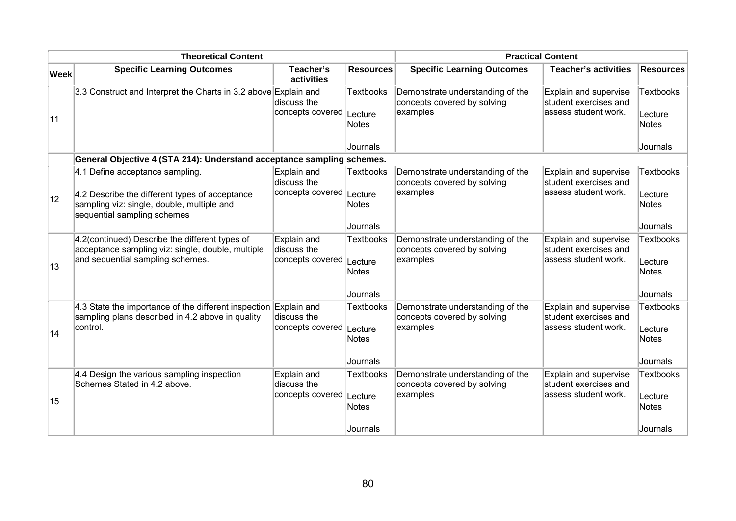|              | <b>Theoretical Content</b>                                                                                                                                     |                                                |                                                         | <b>Practical Content</b>                                                    |                                                                               |                                                  |
|--------------|----------------------------------------------------------------------------------------------------------------------------------------------------------------|------------------------------------------------|---------------------------------------------------------|-----------------------------------------------------------------------------|-------------------------------------------------------------------------------|--------------------------------------------------|
| <b>Week</b>  | <b>Specific Learning Outcomes</b>                                                                                                                              | Teacher's<br>activities                        | <b>Resources</b>                                        | <b>Specific Learning Outcomes</b>                                           | <b>Teacher's activities</b>                                                   | <b>Resources</b>                                 |
| 11           | 3.3 Construct and Interpret the Charts in 3.2 above Explain and                                                                                                | discuss the<br>concepts covered                | <b>Textbooks</b><br>Lecture<br><b>Notes</b><br>Journals | Demonstrate understanding of the<br>concepts covered by solving<br>examples | Explain and supervise<br>student exercises and<br>assess student work.        | <b>Textbooks</b><br>Lecture<br>Notes<br>Journals |
|              | General Objective 4 (STA 214): Understand acceptance sampling schemes.                                                                                         |                                                |                                                         |                                                                             |                                                                               |                                                  |
| $ 12\rangle$ | 4.1 Define acceptance sampling.<br>4.2 Describe the different types of acceptance<br>sampling viz: single, double, multiple and<br>sequential sampling schemes | Explain and<br>discuss the<br>concepts covered | <b>Textbooks</b><br>Lecture<br><b>Notes</b>             | Demonstrate understanding of the<br>concepts covered by solving<br>examples | Explain and supervise<br>student exercises and<br>assess student work.        | <b>Textbooks</b><br>Lecture<br>Notes             |
|              |                                                                                                                                                                |                                                | Journals                                                |                                                                             |                                                                               | Journals                                         |
| 13           | 4.2(continued) Describe the different types of<br>acceptance sampling viz: single, double, multiple<br>and sequential sampling schemes.                        | Explain and<br>discuss the<br>concepts covered | <b>Textbooks</b><br>Lecture<br><b>Notes</b>             | Demonstrate understanding of the<br>concepts covered by solving<br>examples | Explain and supervise<br>student exercises and<br>assess student work.        | <b>Textbooks</b><br>Lecture<br>Notes             |
|              |                                                                                                                                                                |                                                | Journals                                                |                                                                             |                                                                               | Journals                                         |
| 14           | 4.3 State the importance of the different inspection<br>sampling plans described in 4.2 above in quality<br>control.                                           | Explain and<br>discuss the<br>concepts covered | <b>Textbooks</b><br>Lecture<br><b>Notes</b>             | Demonstrate understanding of the<br>concepts covered by solving<br>examples | Explain and supervise<br>student exercises and<br>assess student work.        | <b>Textbooks</b><br>Lecture<br>Notes             |
|              |                                                                                                                                                                |                                                | Journals                                                |                                                                             |                                                                               | Journals                                         |
| 15           | 4.4 Design the various sampling inspection<br>Schemes Stated in 4.2 above.                                                                                     | Explain and<br>discuss the<br>concepts covered | <b>Textbooks</b><br>Lecture<br><b>Notes</b><br>Journals | Demonstrate understanding of the<br>concepts covered by solving<br>examples | <b>Explain and supervise</b><br>student exercises and<br>assess student work. | <b>Textbooks</b><br>Lecture<br>Notes<br>Journals |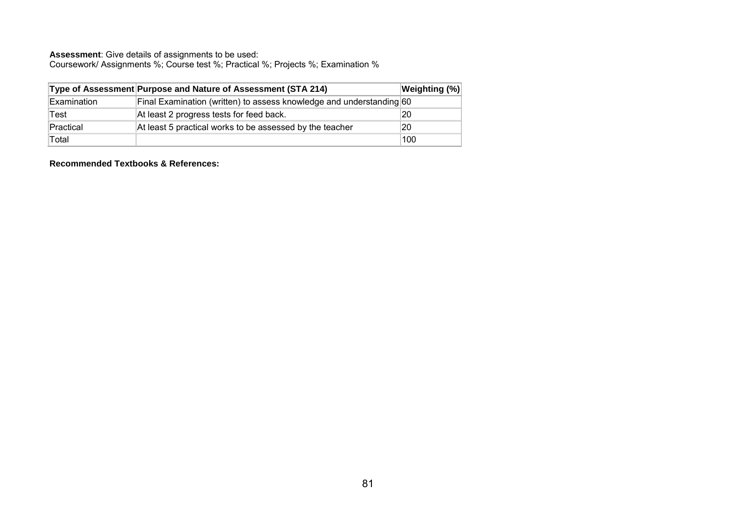Coursework/ Assignments %; Course test %; Practical %; Projects %; Examination %

|             | Type of Assessment Purpose and Nature of Assessment (STA 214)        | Weighting (%) |
|-------------|----------------------------------------------------------------------|---------------|
| Examination | Final Examination (written) to assess knowledge and understanding 60 |               |
| Test        | At least 2 progress tests for feed back.                             | 20            |
| Practical   | At least 5 practical works to be assessed by the teacher             | 20            |
| Total       |                                                                      | 100           |

**Recommended Textbooks & References:**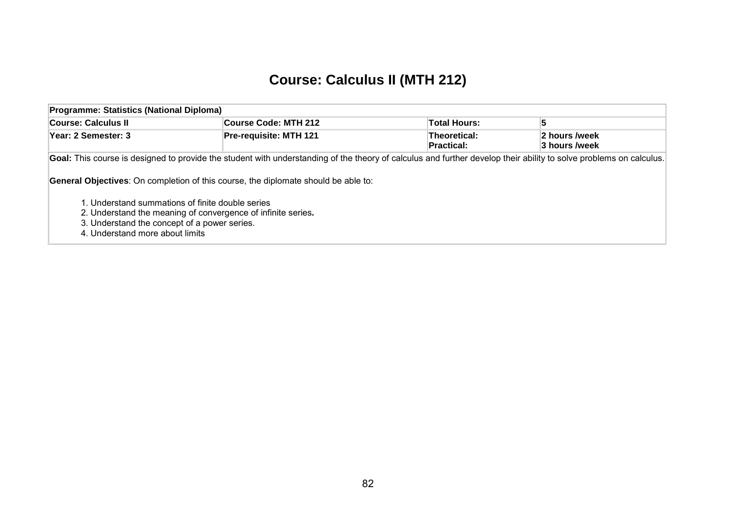## **Course: Calculus II (MTH 212)**

| Programme: Statistics (National Diploma)                                                                                                                                                                                                                        |                                                              |                                   |                                |  |  |  |
|-----------------------------------------------------------------------------------------------------------------------------------------------------------------------------------------------------------------------------------------------------------------|--------------------------------------------------------------|-----------------------------------|--------------------------------|--|--|--|
| Course: Calculus II                                                                                                                                                                                                                                             | <b>Course Code: MTH 212</b>                                  | <b>Total Hours:</b>               |                                |  |  |  |
| Pre-requisite: MTH 121<br>Year: 2 Semester: 3                                                                                                                                                                                                                   |                                                              | <b>Theoretical:</b><br>Practical: | 2 hours /week<br>3 hours /week |  |  |  |
| Goal: This course is designed to provide the student with understanding of the theory of calculus and further develop their ability to solve problems on calculus.<br><b>General Objectives:</b> On completion of this course, the diplomate should be able to: |                                                              |                                   |                                |  |  |  |
| 1. Understand summations of finite double series<br>3. Understand the concept of a power series.<br>4. Understand more about limits                                                                                                                             | 2. Understand the meaning of convergence of infinite series. |                                   |                                |  |  |  |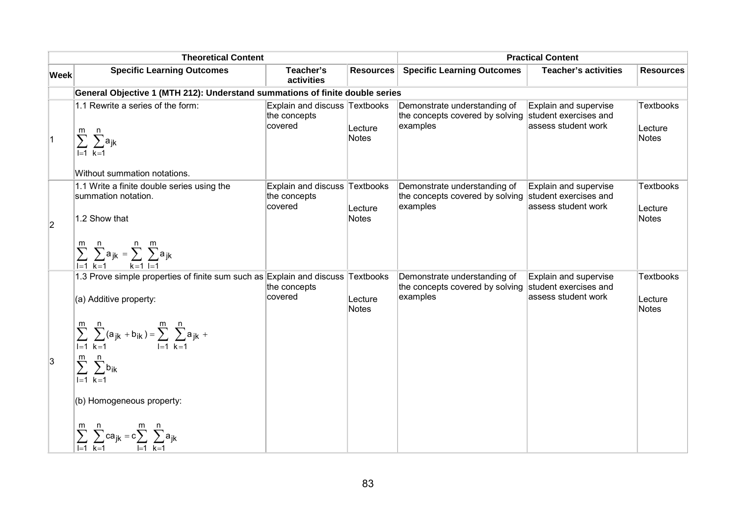|                | <b>Theoretical Content</b>                                                                                                                                                                                                                                                                                                                                     |                                                          |                  | <b>Practical Content</b>                                                    |                                                                       |                                      |
|----------------|----------------------------------------------------------------------------------------------------------------------------------------------------------------------------------------------------------------------------------------------------------------------------------------------------------------------------------------------------------------|----------------------------------------------------------|------------------|-----------------------------------------------------------------------------|-----------------------------------------------------------------------|--------------------------------------|
| <b>Week</b>    | <b>Specific Learning Outcomes</b>                                                                                                                                                                                                                                                                                                                              | Teacher's<br>activities                                  | <b>Resources</b> | <b>Specific Learning Outcomes</b>                                           | <b>Teacher's activities</b>                                           | <b>Resources</b>                     |
|                | General Objective 1 (MTH 212): Understand summations of finite double series                                                                                                                                                                                                                                                                                   |                                                          |                  |                                                                             |                                                                       |                                      |
| $ 1\rangle$    | 1.1 Rewrite a series of the form:<br>$\sum_{l=1}^m \sum_{k=1}^n a_{jk}$<br>Without summation notations.                                                                                                                                                                                                                                                        | Explain and discuss Textbooks<br>the concepts<br>covered | Lecture<br>Notes | Demonstrate understanding of<br>the concepts covered by solving<br>examples | Explain and supervise<br>student exercises and<br>assess student work | <b>Textbooks</b><br>Lecture<br>Notes |
| $\overline{2}$ | 1.1 Write a finite double series using the<br>summation notation.<br>1.2 Show that<br>$\sum_{l=1}^{m} \sum_{k=1}^{n} a_{jk} = \sum_{k=1}^{n} \sum_{l=1}^{m} a_{jk}$                                                                                                                                                                                            | Explain and discuss Textbooks<br>the concepts<br>covered | Lecture<br>Notes | Demonstrate understanding of<br>the concepts covered by solving<br>examples | Explain and supervise<br>student exercises and<br>assess student work | <b>Textbooks</b><br>Lecture<br>Notes |
| $ 3\rangle$    | 1.3 Prove simple properties of finite sum such as Explain and discuss Textbooks<br>(a) Additive property:<br>$\sum_{l=1}^{m} \sum_{k=1}^{n} (a_{jk} + b_{ik}) = \sum_{l=1}^{m} \sum_{k=1}^{n} a_{jk} +$<br>$\sum_{l=1}^m \sum_{k=1}^n b_{ik}$<br>(b) Homogeneous property:<br>$\sum_{l=1}^{m} \sum_{k=1}^{n} ca_{jk} = c \sum_{l=1}^{m} \sum_{k=1}^{n} a_{jk}$ | the concepts<br>covered                                  | Lecture<br>Notes | Demonstrate understanding of<br>the concepts covered by solving<br>examples | Explain and supervise<br>student exercises and<br>assess student work | <b>Textbooks</b><br>Lecture<br>Notes |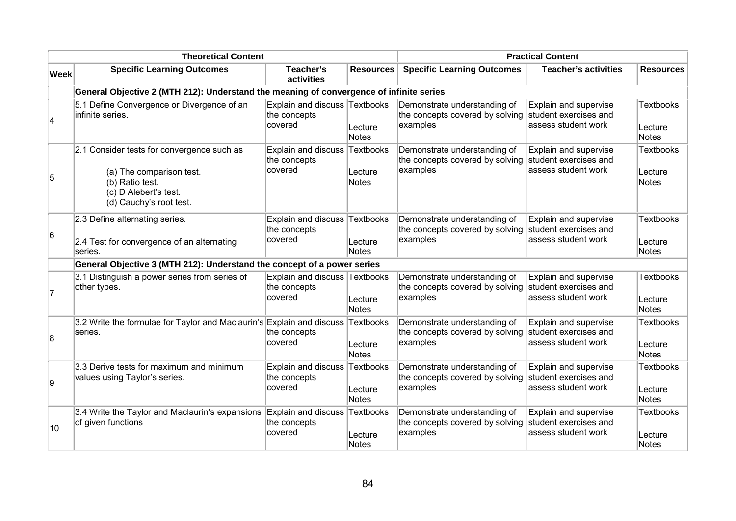|                | <b>Theoretical Content</b>                                                                                                                    | <b>Practical Content</b>                                 |                         |                                                                                                   |                                                                       |                                             |
|----------------|-----------------------------------------------------------------------------------------------------------------------------------------------|----------------------------------------------------------|-------------------------|---------------------------------------------------------------------------------------------------|-----------------------------------------------------------------------|---------------------------------------------|
| <b>Week</b>    | <b>Specific Learning Outcomes</b>                                                                                                             | Teacher's<br>activities                                  | <b>Resources</b>        | <b>Specific Learning Outcomes</b>                                                                 | <b>Teacher's activities</b>                                           | <b>Resources</b>                            |
|                | General Objective 2 (MTH 212): Understand the meaning of convergence of infinite series                                                       |                                                          |                         |                                                                                                   |                                                                       |                                             |
| $\overline{4}$ | 5.1 Define Convergence or Divergence of an<br>infinite series.                                                                                | Explain and discuss Textbooks<br>the concepts<br>covered | Lecture<br>Notes        | Demonstrate understanding of<br>the concepts covered by solving<br>examples                       | Explain and supervise<br>student exercises and<br>assess student work | <b>Textbooks</b><br>Lecture<br>Notes        |
| 5              | 2.1 Consider tests for convergence such as<br>(a) The comparison test.<br>(b) Ratio test.<br>(c) D Alebert's test.<br>(d) Cauchy's root test. | Explain and discuss Textbooks<br>the concepts<br>covered | Lecture<br><b>Notes</b> | Demonstrate understanding of<br>the concepts covered by solving student exercises and<br>examples | Explain and supervise<br>assess student work                          | <b>Textbooks</b><br>Lecture<br><b>Notes</b> |
| 6              | 2.3 Define alternating series.<br>2.4 Test for convergence of an alternating<br>series.                                                       | Explain and discuss Textbooks<br>the concepts<br>covered | Lecture<br><b>Notes</b> | Demonstrate understanding of<br>the concepts covered by solving<br>examples                       | Explain and supervise<br>student exercises and<br>assess student work | <b>Textbooks</b><br>Lecture<br><b>Notes</b> |
|                | General Objective 3 (MTH 212): Understand the concept of a power series                                                                       |                                                          |                         |                                                                                                   |                                                                       |                                             |
| $\overline{7}$ | 3.1 Distinguish a power series from series of<br>other types.                                                                                 | Explain and discuss Textbooks<br>the concepts<br>covered | Lecture<br><b>Notes</b> | Demonstrate understanding of<br>the concepts covered by solving student exercises and<br>examples | Explain and supervise<br>assess student work                          | <b>Textbooks</b><br>Lecture<br>Notes        |
| 8              | 3.2 Write the formulae for Taylor and Maclaurin's Explain and discuss Textbooks<br>series.                                                    | the concepts<br>covered                                  | Lecture<br>Notes        | Demonstrate understanding of<br>the concepts covered by solving student exercises and<br>examples | Explain and supervise<br>assess student work                          | <b>Textbooks</b><br>Lecture<br>Notes        |
| g              | 3.3 Derive tests for maximum and minimum<br>values using Taylor's series.                                                                     | Explain and discuss Textbooks<br>the concepts<br>covered | Lecture<br>Notes        | Demonstrate understanding of<br>the concepts covered by solving<br>examples                       | Explain and supervise<br>student exercises and<br>assess student work | <b>Textbooks</b><br>Lecture<br>Notes        |
| 10             | 3.4 Write the Taylor and Maclaurin's expansions<br>of given functions                                                                         | Explain and discuss Textbooks<br>the concepts<br>covered | Lecture<br><b>Notes</b> | Demonstrate understanding of<br>the concepts covered by solving<br>examples                       | Explain and supervise<br>student exercises and<br>assess student work | Textbooks<br>Lecture<br>Notes               |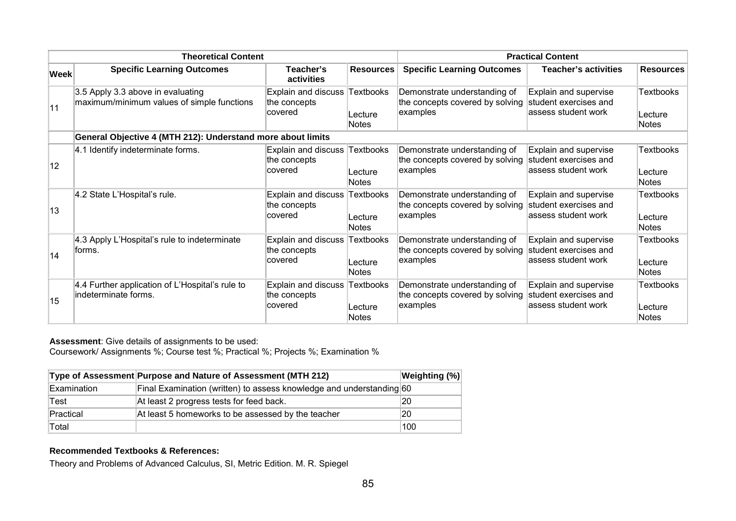| <b>Theoretical Content</b> |                                                                                 |                                                          |                               | <b>Practical Content</b>                                                    |                                                                       |                                             |
|----------------------------|---------------------------------------------------------------------------------|----------------------------------------------------------|-------------------------------|-----------------------------------------------------------------------------|-----------------------------------------------------------------------|---------------------------------------------|
| <b>Week</b>                | <b>Specific Learning Outcomes</b>                                               | Teacher's<br>activities                                  | <b>Resources</b>              | <b>Specific Learning Outcomes</b>                                           | <b>Teacher's activities</b>                                           | <b>Resources</b>                            |
| 11                         | 3.5 Apply 3.3 above in evaluating<br>maximum/minimum values of simple functions | Explain and discuss Textbooks<br>the concepts<br>covered | Lecture<br>Notes              | Demonstrate understanding of<br>the concepts covered by solving<br>examples | Explain and supervise<br>student exercises and<br>assess student work | <b>Textbooks</b><br>Lecture<br><b>Notes</b> |
|                            | General Objective 4 (MTH 212): Understand more about limits                     |                                                          |                               |                                                                             |                                                                       |                                             |
| 12                         | 4.1 Identify indeterminate forms.                                               | Explain and discuss<br>the concepts<br>covered           | Textbooks<br>Lecture<br>Notes | Demonstrate understanding of<br>the concepts covered by solving<br>examples | Explain and supervise<br>student exercises and<br>assess student work | <b>Textbooks</b><br>Lecture<br>Notes        |
| 13                         | 4.2 State L'Hospital's rule.                                                    | Explain and discuss<br>the concepts<br>covered           | Textbooks<br>Lecture<br>Notes | Demonstrate understanding of<br>the concepts covered by solving<br>examples | Explain and supervise<br>student exercises and<br>assess student work | Textbooks<br>Lecture<br>Notes               |
| 14                         | 4.3 Apply L'Hospital's rule to indeterminate<br>lforms.                         | Explain and discuss<br>the concepts<br>covered           | Textbooks<br>Lecture<br>Notes | Demonstrate understanding of<br>the concepts covered by solving<br>examples | Explain and supervise<br>student exercises and<br>assess student work | <b>Textbooks</b><br>Lecture<br>Notes        |
| 15                         | 4.4 Further application of L'Hospital's rule to<br>indeterminate forms.         | Explain and discuss<br>the concepts<br>covered           | Textbooks<br>Lecture<br>Notes | Demonstrate understanding of<br>the concepts covered by solving<br>examples | Explain and supervise<br>student exercises and<br>assess student work | Textbooks<br>Lecture<br><b>Notes</b>        |

Coursework/ Assignments %; Course test %; Practical %; Projects %; Examination %

|             | Type of Assessment Purpose and Nature of Assessment (MTH 212)        | <b>Weighting (%)</b> |
|-------------|----------------------------------------------------------------------|----------------------|
| Examination | Final Examination (written) to assess knowledge and understanding 60 |                      |
| Test        | At least 2 progress tests for feed back.                             | 20                   |
| Practical   | At least 5 homeworks to be assessed by the teacher                   | 20                   |
| Total       |                                                                      | 100                  |

#### **Recommended Textbooks & References:**

Theory and Problems of Advanced Calculus, SI, Metric Edition. M. R. Spiegel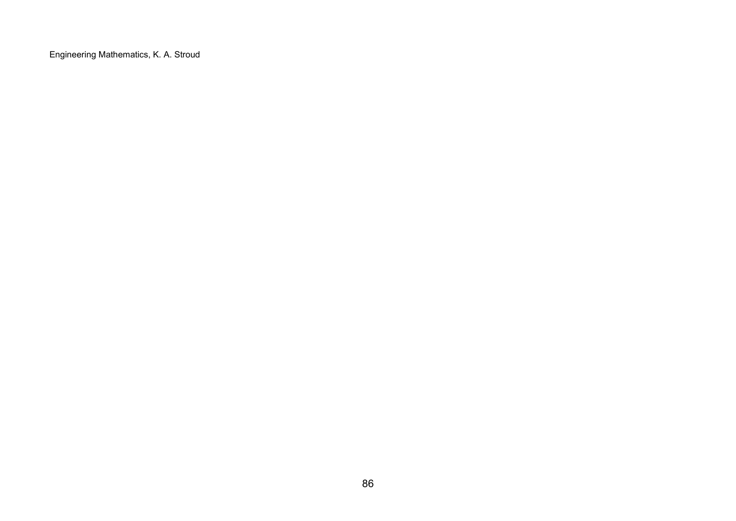Engineering Mathematics, K. A. Stroud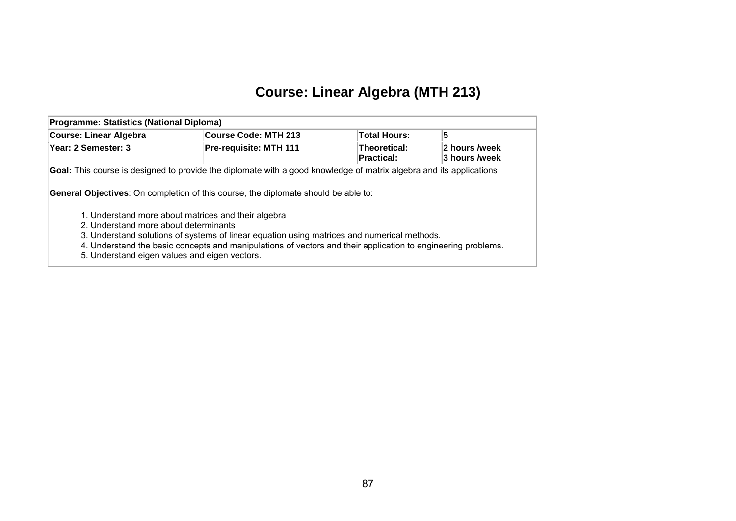### **Course: Linear Algebra (MTH 213)**

| <b>Programme: Statistics (National Diploma)</b> |                               |                                   |                                |  |  |  |
|-------------------------------------------------|-------------------------------|-----------------------------------|--------------------------------|--|--|--|
| Course: Linear Algebra                          | Course Code: MTH 213          | <b>Total Hours:</b>               |                                |  |  |  |
| Year: 2 Semester: 3                             | <b>Pre-requisite: MTH 111</b> | Theoretical:<br><b>Practical:</b> | 2 hours /week<br>3 hours /week |  |  |  |

**Goal:** This course is designed to provide the diplomate with a good knowledge of matrix algebra and its applications

**General Objectives**: On completion of this course, the diplomate should be able to:

- 1. Understand more about matrices and their algebra
- 2. Understand more about determinants
- 3. Understand solutions of systems of linear equation using matrices and numerical methods.
- 4. Understand the basic concepts and manipulations of vectors and their application to engineering problems.
- 5. Understand eigen values and eigen vectors.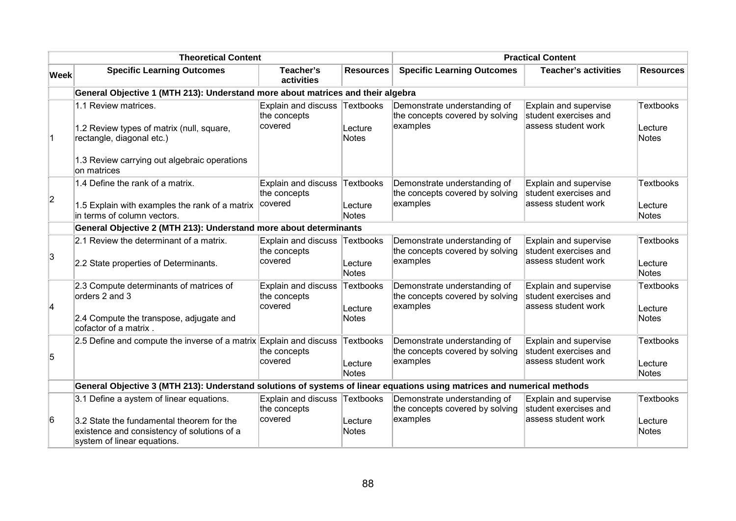| <b>Theoretical Content</b> |                                                                                                                               |                                                       |                                             | <b>Practical Content</b>                                                    |                                                                       |                                             |  |
|----------------------------|-------------------------------------------------------------------------------------------------------------------------------|-------------------------------------------------------|---------------------------------------------|-----------------------------------------------------------------------------|-----------------------------------------------------------------------|---------------------------------------------|--|
| <b>Week</b>                | <b>Specific Learning Outcomes</b>                                                                                             | Teacher's<br>activities                               | <b>Resources</b>                            | <b>Specific Learning Outcomes</b>                                           | <b>Teacher's activities</b>                                           | <b>Resources</b>                            |  |
|                            | General Objective 1 (MTH 213): Understand more about matrices and their algebra                                               |                                                       |                                             |                                                                             |                                                                       |                                             |  |
| 1                          | 1.1 Review matrices.<br>1.2 Review types of matrix (null, square,<br>rectangle, diagonal etc.)                                | Explain and discuss<br>the concepts<br>covered        | <b>Textbooks</b><br>Lecture<br><b>Notes</b> | Demonstrate understanding of<br>the concepts covered by solving<br>examples | Explain and supervise<br>student exercises and<br>assess student work | <b>Textbooks</b><br>Lecture<br><b>Notes</b> |  |
|                            | 1.3 Review carrying out algebraic operations<br>on matrices                                                                   |                                                       |                                             |                                                                             |                                                                       |                                             |  |
| 2                          | 1.4 Define the rank of a matrix.<br>1.5 Explain with examples the rank of a matrix<br>in terms of column vectors.             | <b>Explain and discuss</b><br>the concepts<br>covered | <b>Textbooks</b><br>Lecture<br><b>Notes</b> | Demonstrate understanding of<br>the concepts covered by solving<br>examples | Explain and supervise<br>student exercises and<br>assess student work | <b>Textbooks</b><br>Lecture<br><b>Notes</b> |  |
|                            | General Objective 2 (MTH 213): Understand more about determinants                                                             |                                                       |                                             |                                                                             |                                                                       |                                             |  |
| $\vert 3 \vert$            | 2.1 Review the determinant of a matrix.<br>2.2 State properties of Determinants.                                              | <b>Explain and discuss</b><br>the concepts<br>covered | <b>Textbooks</b><br>Lecture<br><b>Notes</b> | Demonstrate understanding of<br>the concepts covered by solving<br>examples | Explain and supervise<br>student exercises and<br>assess student work | <b>Textbooks</b><br>Lecture<br><b>Notes</b> |  |
| 4                          | 2.3 Compute determinants of matrices of<br>orders 2 and 3<br>2.4 Compute the transpose, adjugate and<br>cofactor of a matrix. | Explain and discuss<br>the concepts<br>covered        | <b>Textbooks</b><br>Lecture<br><b>Notes</b> | Demonstrate understanding of<br>the concepts covered by solving<br>examples | Explain and supervise<br>student exercises and<br>assess student work | <b>Textbooks</b><br>Lecture<br><b>Notes</b> |  |
| 5                          | 2.5 Define and compute the inverse of a matrix Explain and discuss                                                            | the concepts<br>covered                               | <b>Textbooks</b><br>Lecture<br><b>Notes</b> | Demonstrate understanding of<br>the concepts covered by solving<br>examples | Explain and supervise<br>student exercises and<br>assess student work | <b>Textbooks</b><br>Lecture<br><b>Notes</b> |  |
|                            | General Objective 3 (MTH 213): Understand solutions of systems of linear equations using matrices and numerical methods       |                                                       |                                             |                                                                             |                                                                       |                                             |  |
|                            | 3.1 Define a aystem of linear equations.                                                                                      | Explain and discuss<br>the concepts                   | <b>Textbooks</b>                            | Demonstrate understanding of<br>the concepts covered by solving             | Explain and supervise<br>student exercises and                        | <b>Textbooks</b>                            |  |
| 6                          | 3.2 State the fundamental theorem for the<br>existence and consistency of solutions of a<br>system of linear equations.       | covered                                               | Lecture<br><b>Notes</b>                     | examples                                                                    | assess student work                                                   | Lecture<br><b>Notes</b>                     |  |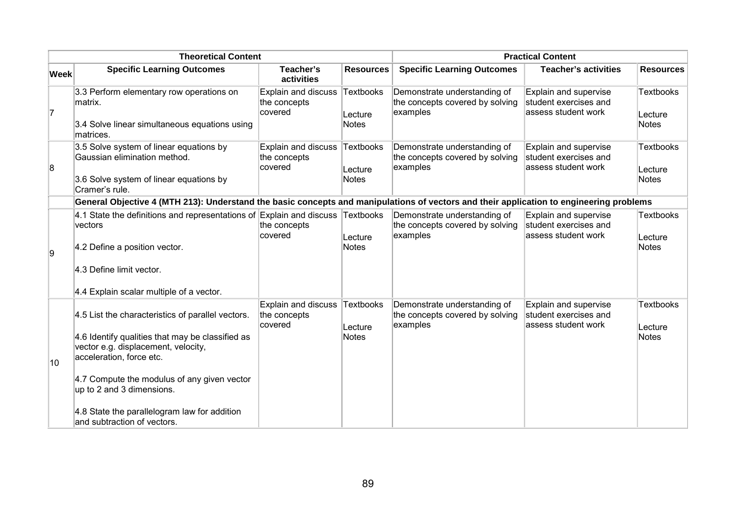| <b>Theoretical Content</b> |                                                                                                                                                                                                                                                                                                      |                                                |                                             | <b>Practical Content</b>                                                    |                                                                              |                                             |  |
|----------------------------|------------------------------------------------------------------------------------------------------------------------------------------------------------------------------------------------------------------------------------------------------------------------------------------------------|------------------------------------------------|---------------------------------------------|-----------------------------------------------------------------------------|------------------------------------------------------------------------------|---------------------------------------------|--|
| Week                       | <b>Specific Learning Outcomes</b>                                                                                                                                                                                                                                                                    | Teacher's<br>activities                        | <b>Resources</b>                            | <b>Specific Learning Outcomes</b>                                           | <b>Teacher's activities</b>                                                  | <b>Resources</b>                            |  |
| 7                          | 3.3 Perform elementary row operations on<br>lmatrix.<br>3.4 Solve linear simultaneous equations using<br>matrices.                                                                                                                                                                                   | Explain and discuss<br>the concepts<br>covered | <b>Textbooks</b><br>Lecture<br>Notes        | Demonstrate understanding of<br>the concepts covered by solving<br>examples | <b>Explain and supervise</b><br>student exercises and<br>assess student work | <b>Textbooks</b><br>Lecture<br>Notes        |  |
| 8                          | 3.5 Solve system of linear equations by<br>Gaussian elimination method.<br>3.6 Solve system of linear equations by<br>Cramer's rule.                                                                                                                                                                 | Explain and discuss<br>the concepts<br>covered | <b>Textbooks</b><br>Lecture<br>Notes        | Demonstrate understanding of<br>the concepts covered by solving<br>examples | <b>Explain and supervise</b><br>student exercises and<br>assess student work | <b>Textbooks</b><br>Lecture<br><b>Notes</b> |  |
|                            | General Objective 4 (MTH 213): Understand the basic concepts and manipulations of vectors and their application to engineering problems                                                                                                                                                              |                                                |                                             |                                                                             |                                                                              |                                             |  |
| 9                          | 4.1 State the definitions and representations of Explain and discuss<br>vectors<br>4.2 Define a position vector.<br>4.3 Define limit vector.<br>4.4 Explain scalar multiple of a vector.                                                                                                             | the concepts<br>covered                        | Textbooks<br>Lecture<br>Notes               | Demonstrate understanding of<br>the concepts covered by solving<br>examples | Explain and supervise<br>student exercises and<br>assess student work        | <b>Textbooks</b><br>Lecture<br>Notes        |  |
| 10                         | 4.5 List the characteristics of parallel vectors.<br>4.6 Identify qualities that may be classified as<br>vector e.g. displacement, velocity,<br>acceleration, force etc.<br>4.7 Compute the modulus of any given vector<br>up to 2 and 3 dimensions.<br>4.8 State the parallelogram law for addition | Explain and discuss<br>the concepts<br>covered | <b>Textbooks</b><br>Lecture<br><b>Notes</b> | Demonstrate understanding of<br>the concepts covered by solving<br>examples | <b>Explain and supervise</b><br>student exercises and<br>assess student work | <b>Textbooks</b><br>Lecture<br><b>Notes</b> |  |
|                            | and subtraction of vectors.                                                                                                                                                                                                                                                                          |                                                |                                             |                                                                             |                                                                              |                                             |  |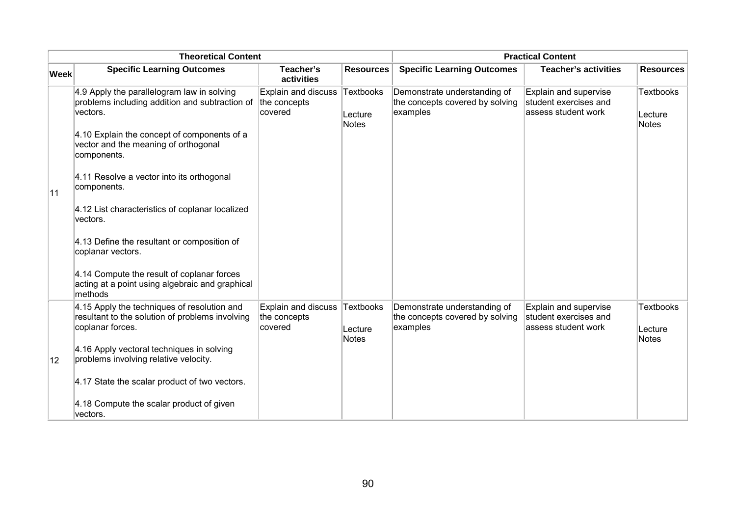| <b>Theoretical Content</b> |                                                                                                                                                                                                          |                                                       | <b>Practical Content</b>                    |                                                                             |                                                                       |                                             |
|----------------------------|----------------------------------------------------------------------------------------------------------------------------------------------------------------------------------------------------------|-------------------------------------------------------|---------------------------------------------|-----------------------------------------------------------------------------|-----------------------------------------------------------------------|---------------------------------------------|
| <b>Week</b>                | <b>Specific Learning Outcomes</b>                                                                                                                                                                        | Teacher's<br>activities                               | <b>Resources</b>                            | <b>Specific Learning Outcomes</b>                                           | <b>Teacher's activities</b>                                           | <b>Resources</b>                            |
|                            | 4.9 Apply the parallelogram law in solving<br>problems including addition and subtraction of<br>vectors.<br>4.10 Explain the concept of components of a<br>vector and the meaning of orthogonal          | Explain and discuss<br>the concepts<br>covered        | <b>Textbooks</b><br>Lecture<br><b>Notes</b> | Demonstrate understanding of<br>the concepts covered by solving<br>examples | Explain and supervise<br>student exercises and<br>assess student work | <b>Textbooks</b><br>Lecture<br>Notes        |
| 11                         | components.<br>4.11 Resolve a vector into its orthogonal<br>components.<br>4.12 List characteristics of coplanar localized                                                                               |                                                       |                                             |                                                                             |                                                                       |                                             |
|                            | vectors.<br>4.13 Define the resultant or composition of<br>coplanar vectors.<br>4.14 Compute the result of coplanar forces<br>acting at a point using algebraic and graphical<br>methods                 |                                                       |                                             |                                                                             |                                                                       |                                             |
| $ 12\rangle$               | 4.15 Apply the techniques of resolution and<br>resultant to the solution of problems involving<br>coplanar forces.<br>4.16 Apply vectoral techniques in solving<br>problems involving relative velocity. | <b>Explain and discuss</b><br>the concepts<br>covered | <b>Textbooks</b><br>Lecture<br><b>Notes</b> | Demonstrate understanding of<br>the concepts covered by solving<br>examples | Explain and supervise<br>student exercises and<br>assess student work | <b>Textbooks</b><br>Lecture<br><b>Notes</b> |
|                            | 4.17 State the scalar product of two vectors.<br>4.18 Compute the scalar product of given<br>vectors.                                                                                                    |                                                       |                                             |                                                                             |                                                                       |                                             |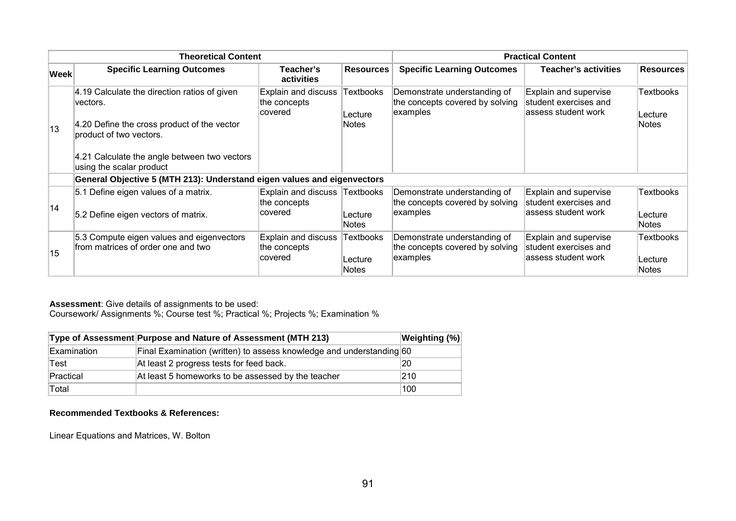| <b>Theoretical Content</b> |                                                                                                                                                                                                                |                                                |                                      | <b>Practical Content</b>                                                    |                                                                       |                               |
|----------------------------|----------------------------------------------------------------------------------------------------------------------------------------------------------------------------------------------------------------|------------------------------------------------|--------------------------------------|-----------------------------------------------------------------------------|-----------------------------------------------------------------------|-------------------------------|
| <b>Week</b>                | <b>Specific Learning Outcomes</b>                                                                                                                                                                              | Teacher's<br>activities                        | <b>Resources</b>                     | <b>Specific Learning Outcomes</b>                                           | <b>Teacher's activities</b>                                           | <b>Resources</b>              |
| 13                         | 4.19 Calculate the direction ratios of given<br>vectors.<br>4.20 Define the cross product of the vector<br>product of two vectors.<br>4.21 Calculate the angle between two vectors<br>using the scalar product | Explain and discuss<br>the concepts<br>covered | Textbooks<br>Lecture<br>Notes        | Demonstrate understanding of<br>the concepts covered by solving<br>examples | Explain and supervise<br>student exercises and<br>assess student work | Textbooks<br>Lecture<br>Notes |
|                            | General Objective 5 (MTH 213): Understand eigen values and eigenvectors                                                                                                                                        |                                                |                                      |                                                                             |                                                                       |                               |
| 14                         | 5.1 Define eigen values of a matrix.<br>5.2 Define eigen vectors of matrix.                                                                                                                                    | Explain and discuss<br>the concepts<br>covered | Textbooks<br>Lecture<br><b>Notes</b> | Demonstrate understanding of<br>the concepts covered by solving<br>examples | Explain and supervise<br>student exercises and<br>assess student work | Textbooks<br>Lecture<br>Notes |
| 15                         | 5.3 Compute eigen values and eigenvectors<br>from matrices of order one and two                                                                                                                                | Explain and discuss<br>the concepts<br>covered | <b>Textbooks</b><br>Lecture<br>Notes | Demonstrate understanding of<br>the concepts covered by solving<br>examples | Explain and supervise<br>student exercises and<br>assess student work | Textbooks<br>Lecture<br>Notes |

Coursework/ Assignments %; Course test %; Practical %; Projects %; Examination %

|             | Type of Assessment Purpose and Nature of Assessment (MTH 213)        | Weighting (%) |
|-------------|----------------------------------------------------------------------|---------------|
| Examination | Final Examination (written) to assess knowledge and understanding 60 |               |
| Test        | At least 2 progress tests for feed back.                             | 20            |
| Practical   | At least 5 homeworks to be assessed by the teacher                   | 210           |
| Total       |                                                                      | 100           |

#### **Recommended Textbooks & References:**

Linear Equations and Matrices, W. Bolton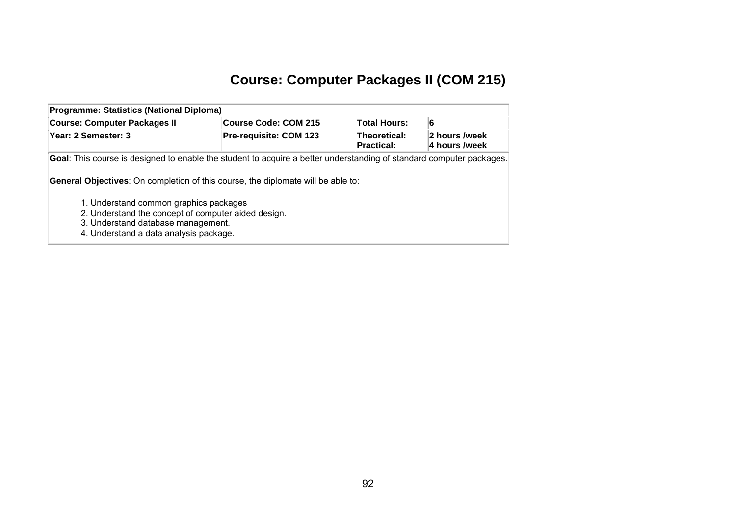## **Course: Computer Packages II (COM 215)**

| <b>Programme: Statistics (National Diploma)</b>                                                                      |                             |                            |                                |  |  |  |  |  |
|----------------------------------------------------------------------------------------------------------------------|-----------------------------|----------------------------|--------------------------------|--|--|--|--|--|
| <b>Course: Computer Packages II</b>                                                                                  | <b>Course Code: COM 215</b> | <b>Total Hours:</b>        | 6                              |  |  |  |  |  |
| Year: 2 Semester: 3                                                                                                  | Pre-requisite: COM 123      | Theoretical:<br>Practical: | 2 hours /week<br>4 hours /week |  |  |  |  |  |
| Goal: This course is designed to enable the student to acquire a better understanding of standard computer packages. |                             |                            |                                |  |  |  |  |  |
| <b>General Objectives:</b> On completion of this course, the diplomate will be able to:                              |                             |                            |                                |  |  |  |  |  |
| 1. Understand common graphics packages                                                                               |                             |                            |                                |  |  |  |  |  |
| 2. Understand the concept of computer aided design.                                                                  |                             |                            |                                |  |  |  |  |  |
| 3. Understand database management.                                                                                   |                             |                            |                                |  |  |  |  |  |
| 4. Understand a data analysis package.                                                                               |                             |                            |                                |  |  |  |  |  |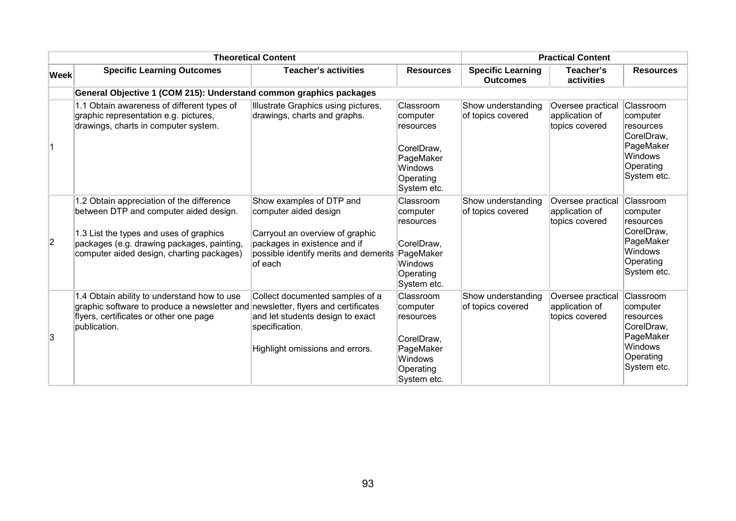| <b>Theoretical Content</b> |                                                                                                                                                                                                                           |                                                                                                                                                                                     |                                                                                                      | <b>Practical Content</b>                    |                                                       |                                                                                                             |
|----------------------------|---------------------------------------------------------------------------------------------------------------------------------------------------------------------------------------------------------------------------|-------------------------------------------------------------------------------------------------------------------------------------------------------------------------------------|------------------------------------------------------------------------------------------------------|---------------------------------------------|-------------------------------------------------------|-------------------------------------------------------------------------------------------------------------|
| <b>Week</b>                | <b>Specific Learning Outcomes</b>                                                                                                                                                                                         | <b>Teacher's activities</b>                                                                                                                                                         | <b>Resources</b>                                                                                     | <b>Specific Learning</b><br><b>Outcomes</b> | Teacher's<br>activities                               | <b>Resources</b>                                                                                            |
|                            | General Objective 1 (COM 215): Understand common graphics packages                                                                                                                                                        |                                                                                                                                                                                     |                                                                                                      |                                             |                                                       |                                                                                                             |
|                            | 1.1 Obtain awareness of different types of<br>graphic representation e.g. pictures,<br>drawings, charts in computer system.                                                                                               | Illustrate Graphics using pictures,<br>drawings, charts and graphs.                                                                                                                 | Classroom<br>computer<br>resources<br>CorelDraw,<br>PageMaker<br>Windows<br>Operating<br>System etc. | Show understanding<br>of topics covered     | Oversee practical<br>application of<br>topics covered | Classroom<br>computer<br>resources<br>CorelDraw,<br>PageMaker<br><b>Windows</b><br>Operating<br>System etc. |
| $ 2\rangle$                | 1.2 Obtain appreciation of the difference<br>between DTP and computer aided design.<br>1.3 List the types and uses of graphics<br>packages (e.g. drawing packages, painting,<br>computer aided design, charting packages) | Show examples of DTP and<br>computer aided design<br>Carryout an overview of graphic<br>packages in existence and if<br>possible identify merits and demerits PageMaker<br>∣of each | Classroom<br>computer<br>resources<br>CorelDraw,<br>Windows<br>Operating<br>System etc.              | Show understanding<br>of topics covered     | Oversee practical<br>application of<br>topics covered | Classroom<br>computer<br>resources<br>CorelDraw,<br>PageMaker<br><b>Windows</b><br>Operating<br>System etc. |
| 3                          | 1.4 Obtain ability to understand how to use<br>graphic software to produce a newsletter and newsletter, flyers and certificates<br>flyers, certificates or other one page<br>publication.                                 | Collect documented samples of a<br>and let students design to exact<br>specification.<br>Highlight omissions and errors.                                                            | Classroom<br>computer<br>resources<br>CorelDraw,<br>PageMaker<br>Windows<br>Operating<br>System etc. | Show understanding<br>of topics covered     | Oversee practical<br>application of<br>topics covered | Classroom<br>computer<br>resources<br>CorelDraw,<br>PageMaker<br>Windows<br>Operating<br>System etc.        |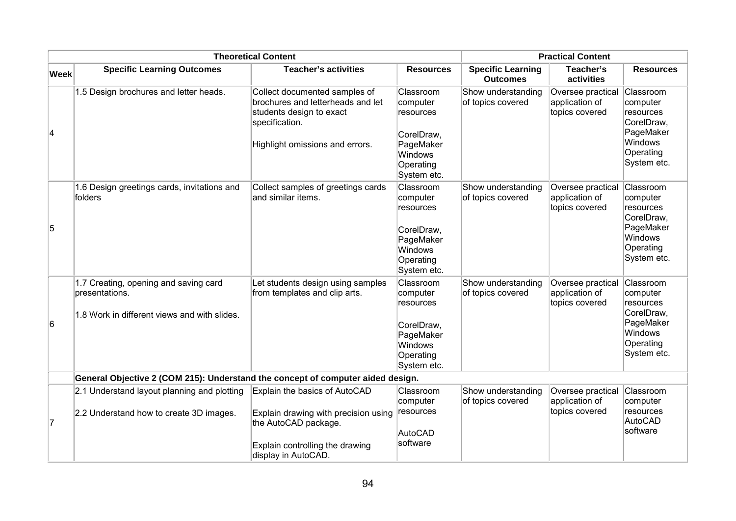| <b>Theoretical Content</b> |                                                                                                         |                                                                                                                                                         | <b>Practical Content</b>                                                                                    |                                             |                                                       |                                                                                                      |
|----------------------------|---------------------------------------------------------------------------------------------------------|---------------------------------------------------------------------------------------------------------------------------------------------------------|-------------------------------------------------------------------------------------------------------------|---------------------------------------------|-------------------------------------------------------|------------------------------------------------------------------------------------------------------|
| <b>Week</b>                | <b>Specific Learning Outcomes</b>                                                                       | <b>Teacher's activities</b>                                                                                                                             | <b>Resources</b>                                                                                            | <b>Specific Learning</b><br><b>Outcomes</b> | Teacher's<br>activities                               | <b>Resources</b>                                                                                     |
| 14                         | 1.5 Design brochures and letter heads.                                                                  | Collect documented samples of<br>brochures and letterheads and let<br>students design to exact<br>specification.<br>Highlight omissions and errors.     | Classroom<br>computer<br>resources<br>CorelDraw,<br>PageMaker<br>Windows<br>Operating<br>System etc.        | Show understanding<br>of topics covered     | Oversee practical<br>application of<br>topics covered | Classroom<br>computer<br>resources<br>CorelDraw,<br>PageMaker<br>Windows<br>Operating<br>System etc. |
| 5                          | 1.6 Design greetings cards, invitations and<br>folders                                                  | Collect samples of greetings cards<br>and similar items.                                                                                                | Classroom<br>computer<br>resources<br>CorelDraw,<br>PageMaker<br>Windows<br>Operating<br>System etc.        | Show understanding<br>of topics covered     | Oversee practical<br>application of<br>topics covered | Classroom<br>computer<br>resources<br>CorelDraw,<br>PageMaker<br>Windows<br>Operating<br>System etc. |
| 6                          | 1.7 Creating, opening and saving card<br>presentations.<br>1.8 Work in different views and with slides. | Let students design using samples<br>from templates and clip arts.                                                                                      | Classroom<br>computer<br>resources<br>CorelDraw,<br>PageMaker<br><b>Windows</b><br>Operating<br>System etc. | Show understanding<br>of topics covered     | Oversee practical<br>application of<br>topics covered | Classroom<br>computer<br>resources<br>CorelDraw,<br>PageMaker<br>Windows<br>Operating<br>System etc. |
|                            | General Objective 2 (COM 215): Understand the concept of computer aided design.                         |                                                                                                                                                         |                                                                                                             |                                             |                                                       |                                                                                                      |
| 7                          | 2.1 Understand layout planning and plotting<br>2.2 Understand how to create 3D images.                  | Explain the basics of AutoCAD<br>Explain drawing with precision using<br>the AutoCAD package.<br>Explain controlling the drawing<br>display in AutoCAD. | Classroom<br>computer<br>resources<br>AutoCAD<br>software                                                   | Show understanding<br>of topics covered     | Oversee practical<br>application of<br>topics covered | Classroom<br>computer<br>resources<br>AutoCAD<br>software                                            |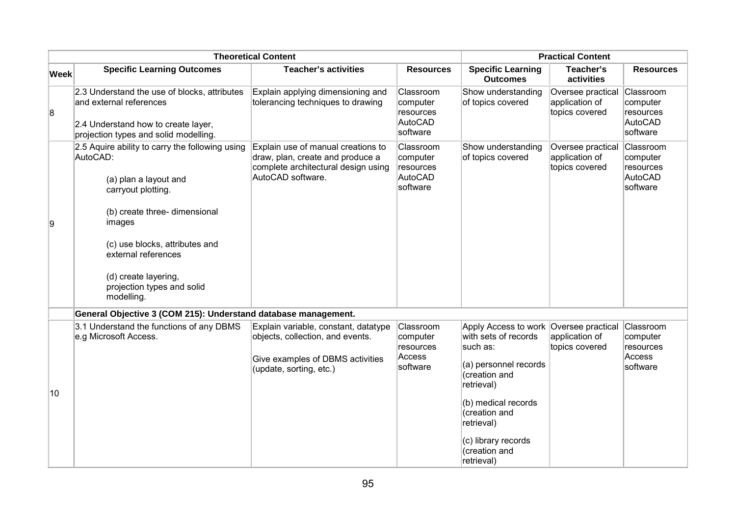|             |                                                                                                                                                                                                                                                                                   | <b>Theoretical Content</b>                                                                                                              | <b>Practical Content</b>                                  |                                                                                                                                                                                                                                                |                                                       |                                                                  |
|-------------|-----------------------------------------------------------------------------------------------------------------------------------------------------------------------------------------------------------------------------------------------------------------------------------|-----------------------------------------------------------------------------------------------------------------------------------------|-----------------------------------------------------------|------------------------------------------------------------------------------------------------------------------------------------------------------------------------------------------------------------------------------------------------|-------------------------------------------------------|------------------------------------------------------------------|
| <b>Week</b> | <b>Specific Learning Outcomes</b>                                                                                                                                                                                                                                                 | <b>Teacher's activities</b>                                                                                                             | <b>Resources</b>                                          | <b>Specific Learning</b><br><b>Outcomes</b>                                                                                                                                                                                                    | Teacher's<br>activities                               | <b>Resources</b>                                                 |
| 8           | 2.3 Understand the use of blocks, attributes<br>and external references<br>2.4 Understand how to create layer,<br>projection types and solid modelling.                                                                                                                           | Explain applying dimensioning and<br>tolerancing techniques to drawing                                                                  | Classroom<br>computer<br>resources<br>AutoCAD<br>software | Show understanding<br>of topics covered                                                                                                                                                                                                        | Oversee practical<br>application of<br>topics covered | Classroom<br>computer<br>resources<br><b>AutoCAD</b><br>software |
| 9           | 2.5 Aquire ability to carry the following using<br>AutoCAD:<br>(a) plan a layout and<br>carryout plotting.<br>(b) create three-dimensional<br>images<br>(c) use blocks, attributes and<br>external references<br>(d) create layering,<br>projection types and solid<br>modelling. | Explain use of manual creations to<br>draw, plan, create and produce a<br>complete architectural design using<br>AutoCAD software.      | Classroom<br>computer<br>resources<br>AutoCAD<br>software | Show understanding<br>of topics covered                                                                                                                                                                                                        | Oversee practical<br>application of<br>topics covered | Classroom<br>computer<br>resources<br>AutoCAD<br>software        |
|             | General Objective 3 (COM 215): Understand database management.                                                                                                                                                                                                                    |                                                                                                                                         |                                                           |                                                                                                                                                                                                                                                |                                                       |                                                                  |
| 10          | 3.1 Understand the functions of any DBMS<br>e.g Microsoft Access.                                                                                                                                                                                                                 | Explain variable, constant, datatype<br>objects, collection, and events.<br>Give examples of DBMS activities<br>(update, sorting, etc.) | Classroom<br>computer<br>resources<br>Access<br>software  | Apply Access to work Oversee practical<br>with sets of records<br>such as:<br>(a) personnel records<br>(creation and<br>retrieval)<br>(b) medical records<br>(creation and<br>retrieval)<br>(c) library records<br>(creation and<br>retrieval) | application of<br>topics covered                      | Classroom<br>computer<br>resources<br>Access<br>software         |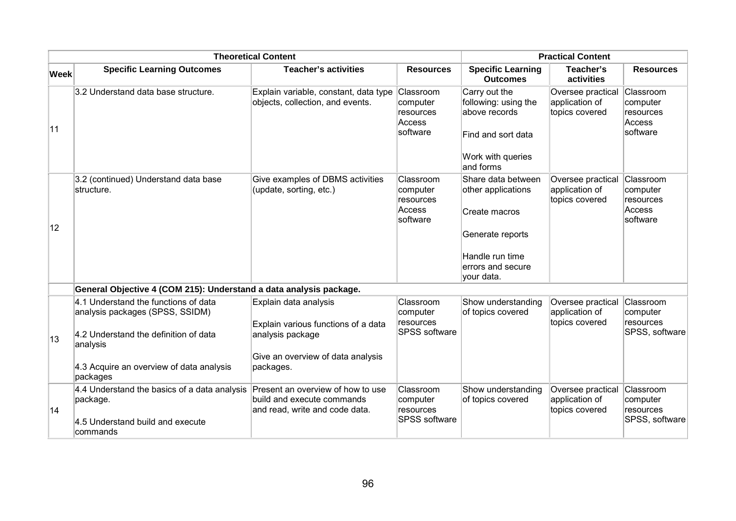|             |                                                                                                                              | <b>Theoretical Content</b>                                                                        |                                                            |                                                                                                                                     | <b>Practical Content</b>                              |                                                          |
|-------------|------------------------------------------------------------------------------------------------------------------------------|---------------------------------------------------------------------------------------------------|------------------------------------------------------------|-------------------------------------------------------------------------------------------------------------------------------------|-------------------------------------------------------|----------------------------------------------------------|
| <b>Week</b> | <b>Specific Learning Outcomes</b>                                                                                            | <b>Teacher's activities</b>                                                                       | <b>Resources</b>                                           | <b>Specific Learning</b><br><b>Outcomes</b>                                                                                         | Teacher's<br><b>activities</b>                        | <b>Resources</b>                                         |
| 11          | 3.2 Understand data base structure.                                                                                          | Explain variable, constant, data type<br>objects, collection, and events.                         | Classroom<br>computer<br>resources<br>Access<br>software   | Carry out the<br>following: using the<br>above records<br>Find and sort data<br>Work with queries<br>and forms                      | Oversee practical<br>application of<br>topics covered | Classroom<br>computer<br>resources<br>Access<br>software |
| 12          | 3.2 (continued) Understand data base<br>structure.                                                                           | Give examples of DBMS activities<br>(update, sorting, etc.)                                       | Classroom<br>computer<br>resources<br>Access<br>software   | Share data between<br>other applications<br>Create macros<br>Generate reports<br>Handle run time<br>errors and secure<br>vour data. | Oversee practical<br>application of<br>topics covered | Classroom<br>computer<br>resources<br>Access<br>software |
|             | General Objective 4 (COM 215): Understand a data analysis package.                                                           |                                                                                                   |                                                            |                                                                                                                                     |                                                       |                                                          |
| 13          | 4.1 Understand the functions of data<br>analysis packages (SPSS, SSIDM)<br>4.2 Understand the definition of data<br>analysis | Explain data analysis<br>Explain various functions of a data<br>analysis package                  | Classroom<br>computer<br>resources<br><b>SPSS software</b> | Show understanding<br>of topics covered                                                                                             | Oversee practical<br>application of<br>topics covered | Classroom<br>computer<br>resources<br>SPSS, software     |
|             | 4.3 Acquire an overview of data analysis<br>packages                                                                         | Give an overview of data analysis<br>packages.                                                    |                                                            |                                                                                                                                     |                                                       |                                                          |
| 14          | 4.4 Understand the basics of a data analysis<br>package.<br>4.5 Understand build and execute<br>commands                     | Present an overview of how to use<br>build and execute commands<br>and read, write and code data. | Classroom<br>computer<br>resources<br><b>SPSS software</b> | Show understanding<br>of topics covered                                                                                             | Oversee practical<br>application of<br>topics covered | Classroom<br>computer<br>resources<br>SPSS, software     |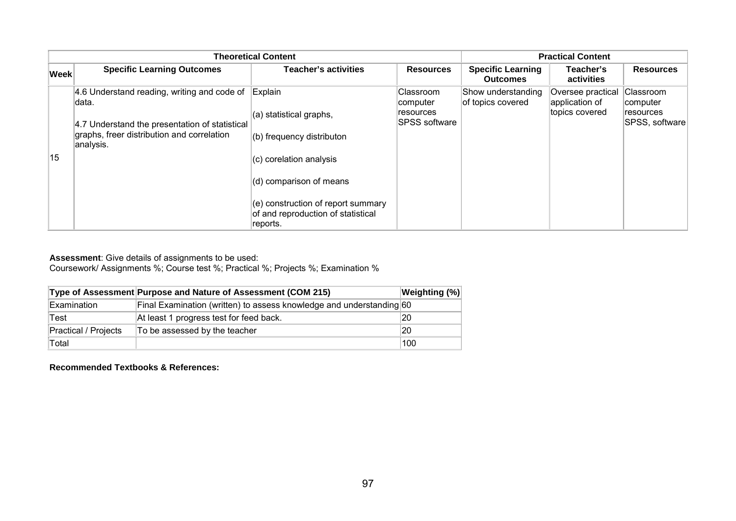|             | <b>Theoretical Content</b>                                                                                | <b>Practical Content</b>                                                                |                            |                                             |                                     |                             |
|-------------|-----------------------------------------------------------------------------------------------------------|-----------------------------------------------------------------------------------------|----------------------------|---------------------------------------------|-------------------------------------|-----------------------------|
| <b>Week</b> | <b>Specific Learning Outcomes</b>                                                                         | <b>Teacher's activities</b>                                                             | <b>Resources</b>           | <b>Specific Learning</b><br><b>Outcomes</b> | Teacher's<br>activities             | <b>Resources</b>            |
|             | 4.6 Understand reading, writing and code of<br>data.                                                      | Explain                                                                                 | Classroom<br>computer      | Show understanding<br>of topics covered     | Oversee practical<br>application of | Classroom<br>computer       |
|             | 4.7 Understand the presentation of statistical<br>graphs, freer distribution and correlation<br>analysis. | $\vert$ (a) statistical graphs,                                                         | resources<br>SPSS software |                                             | topics covered                      | resources<br>SPSS, software |
|             |                                                                                                           | $($ b) frequency distributon                                                            |                            |                                             |                                     |                             |
| 15          |                                                                                                           | $(c)$ corelation analysis                                                               |                            |                                             |                                     |                             |
|             |                                                                                                           | $\vert$ (d) comparison of means                                                         |                            |                                             |                                     |                             |
|             |                                                                                                           | $(e)$ construction of report summary<br>of and reproduction of statistical<br>∥reports. |                            |                                             |                                     |                             |

Coursework/ Assignments %; Course test %; Practical %; Projects %; Examination %

|                      | Type of Assessment Purpose and Nature of Assessment (COM 215)        | Weighting (%) |
|----------------------|----------------------------------------------------------------------|---------------|
| Examination          | Final Examination (written) to assess knowledge and understanding 60 |               |
| Test                 | At least 1 progress test for feed back.                              | 20            |
| Practical / Projects | To be assessed by the teacher                                        | 20            |
| Total                |                                                                      | 100           |

**Recommended Textbooks & References:**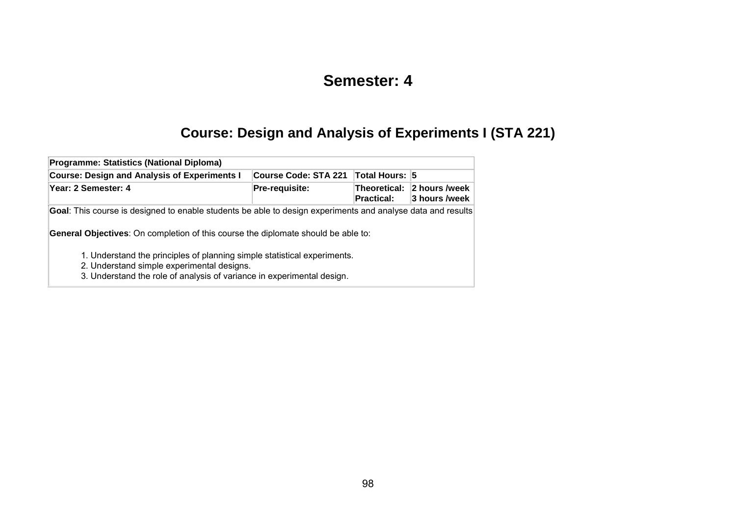### **Semester: 4**

## **Course: Design and Analysis of Experiments I (STA 221)**

| <b>Programme: Statistics (National Diploma)</b>                                                                                                                                                                                                                                                                                                                                                             |                             |                            |                                |  |  |  |  |  |
|-------------------------------------------------------------------------------------------------------------------------------------------------------------------------------------------------------------------------------------------------------------------------------------------------------------------------------------------------------------------------------------------------------------|-----------------------------|----------------------------|--------------------------------|--|--|--|--|--|
| <b>Course: Design and Analysis of Experiments I</b>                                                                                                                                                                                                                                                                                                                                                         | <b>Course Code: STA 221</b> | Total Hours: 5             |                                |  |  |  |  |  |
| Year: 2 Semester: 4                                                                                                                                                                                                                                                                                                                                                                                         | <b>Pre-requisite:</b>       | Theoretical:<br>Practical: | 2 hours /week<br>3 hours /week |  |  |  |  |  |
| Goal: This course is designed to enable students be able to design experiments and analyse data and results<br><b>General Objectives:</b> On completion of this course the diplomate should be able to:<br>1. Understand the principles of planning simple statistical experiments.<br>2. Understand simple experimental designs.<br>3. Understand the role of analysis of variance in experimental design. |                             |                            |                                |  |  |  |  |  |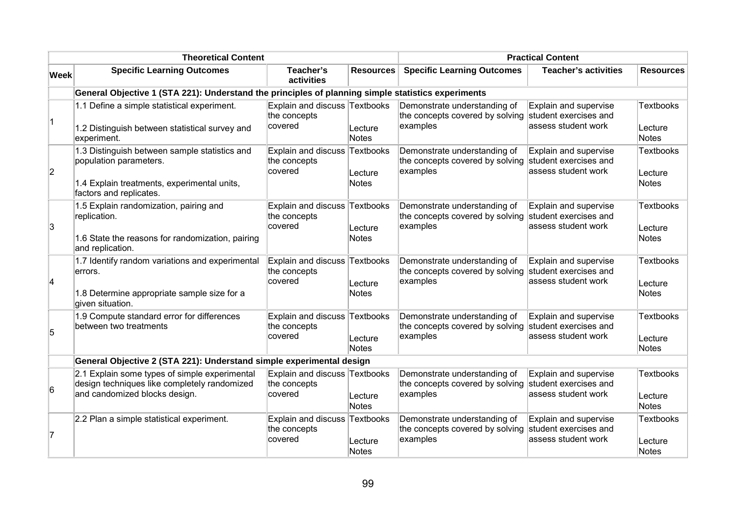|             | <b>Theoretical Content</b>                                                                                                                        |                                                          |                         |                                                                             | <b>Practical Content</b>                                                     |                                             |
|-------------|---------------------------------------------------------------------------------------------------------------------------------------------------|----------------------------------------------------------|-------------------------|-----------------------------------------------------------------------------|------------------------------------------------------------------------------|---------------------------------------------|
| Week        | <b>Specific Learning Outcomes</b>                                                                                                                 | Teacher's<br>activities                                  | <b>Resources</b>        | <b>Specific Learning Outcomes</b>                                           | <b>Teacher's activities</b>                                                  | <b>Resources</b>                            |
|             | General Objective 1 (STA 221): Understand the principles of planning simple statistics experiments                                                |                                                          |                         |                                                                             |                                                                              |                                             |
| $\vert$ 1   | 1.1 Define a simple statistical experiment.<br>1.2 Distinguish between statistical survey and<br>experiment.                                      | Explain and discuss Textbooks<br>the concepts<br>covered | Lecture<br><b>Notes</b> | Demonstrate understanding of<br>the concepts covered by solving<br>examples | Explain and supervise<br>student exercises and<br>assess student work        | <b>Textbooks</b><br>Lecture<br>Notes        |
| $ 2\rangle$ | 1.3 Distinguish between sample statistics and<br>population parameters.<br>1.4 Explain treatments, experimental units,<br>factors and replicates. | Explain and discuss Textbooks<br>the concepts<br>covered | Lecture<br><b>Notes</b> | Demonstrate understanding of<br>the concepts covered by solving<br>examples | Explain and supervise<br>student exercises and<br>assess student work        | <b>Textbooks</b><br>Lecture<br>Notes        |
| 3           | 1.5 Explain randomization, pairing and<br>replication.<br>1.6 State the reasons for randomization, pairing<br>and replication.                    | Explain and discuss Textbooks<br>the concepts<br>covered | Lecture<br><b>Notes</b> | Demonstrate understanding of<br>the concepts covered by solving<br>examples | Explain and supervise<br>student exercises and<br>assess student work        | <b>Textbooks</b><br>Lecture<br><b>Notes</b> |
| 4           | 1.7 Identify random variations and experimental<br>lerrors.<br>1.8 Determine appropriate sample size for a<br>given situation.                    | Explain and discuss Textbooks<br>the concepts<br>covered | Lecture<br><b>Notes</b> | Demonstrate understanding of<br>the concepts covered by solving<br>examples | Explain and supervise<br>student exercises and<br>assess student work        | <b>Textbooks</b><br>Lecture<br><b>Notes</b> |
| 5           | 1.9 Compute standard error for differences<br>between two treatments                                                                              | Explain and discuss Textbooks<br>the concepts<br>covered | Lecture<br><b>Notes</b> | Demonstrate understanding of<br>the concepts covered by solving<br>examples | Explain and supervise<br>student exercises and<br>assess student work        | <b>Textbooks</b><br>Lecture<br>Notes        |
|             | General Objective 2 (STA 221): Understand simple experimental design                                                                              |                                                          |                         |                                                                             |                                                                              |                                             |
| 6           | 2.1 Explain some types of simple experimental<br>design techniques like completely randomized<br>and candomized blocks design.                    | Explain and discuss Textbooks<br>the concepts<br>covered | Lecture<br><b>Notes</b> | Demonstrate understanding of<br>the concepts covered by solving<br>examples | <b>Explain and supervise</b><br>student exercises and<br>assess student work | <b>Textbooks</b><br>Lecture<br><b>Notes</b> |
| 17          | 2.2 Plan a simple statistical experiment.                                                                                                         | Explain and discuss Textbooks<br>the concepts<br>covered | Lecture<br><b>Notes</b> | Demonstrate understanding of<br>the concepts covered by solving<br>examples | Explain and supervise<br>student exercises and<br>assess student work        | <b>Textbooks</b><br>Lecture<br>Notes        |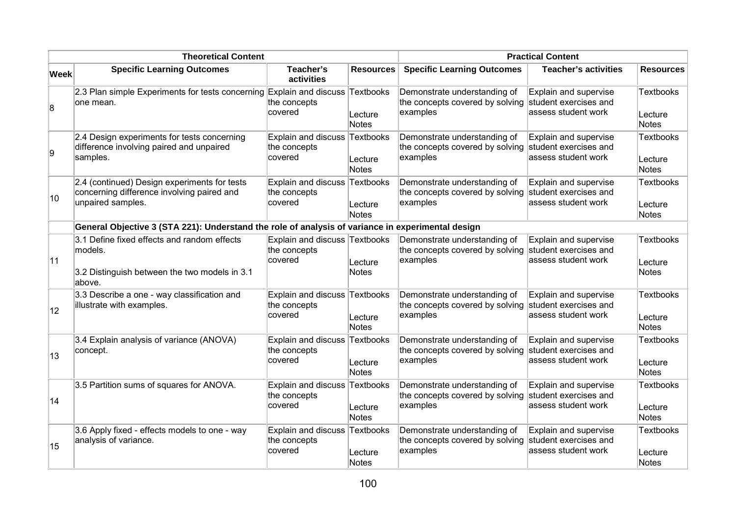| <b>Theoretical Content</b> |                                                                                                                 |                                                          | <b>Practical Content</b> |                                                                                                   |                                                                       |                                             |
|----------------------------|-----------------------------------------------------------------------------------------------------------------|----------------------------------------------------------|--------------------------|---------------------------------------------------------------------------------------------------|-----------------------------------------------------------------------|---------------------------------------------|
| <b>Week</b>                | <b>Specific Learning Outcomes</b>                                                                               | Teacher's<br>activities                                  | <b>Resources</b>         | <b>Specific Learning Outcomes</b>                                                                 | <b>Teacher's activities</b>                                           | <b>Resources</b>                            |
| $\overline{\mathbf{8}}$    | 2.3 Plan simple Experiments for tests concerning Explain and discuss Textbooks<br>one mean.                     | the concepts<br>covered                                  | Lecture<br><b>Notes</b>  | Demonstrate understanding of<br>the concepts covered by solving<br>examples                       | Explain and supervise<br>student exercises and<br>assess student work | <b>Textbooks</b><br>Lecture<br><b>Notes</b> |
| 9                          | 2.4 Design experiments for tests concerning<br>difference involving paired and unpaired<br>samples.             | Explain and discuss Textbooks<br>the concepts<br>covered | Lecture<br>Notes         | Demonstrate understanding of<br>the concepts covered by solving<br>examples                       | Explain and supervise<br>student exercises and<br>assess student work | <b>Textbooks</b><br>Lecture<br><b>Notes</b> |
| 10                         | 2.4 (continued) Design experiments for tests<br>concerning difference involving paired and<br>unpaired samples. | Explain and discuss Textbooks<br>the concepts<br>covered | Lecture<br>Notes         | Demonstrate understanding of<br>the concepts covered by solving<br>examples                       | Explain and supervise<br>student exercises and<br>assess student work | <b>Textbooks</b><br>Lecture<br><b>Notes</b> |
|                            | General Objective 3 (STA 221): Understand the role of analysis of variance in experimental design               |                                                          |                          |                                                                                                   |                                                                       |                                             |
| 11                         | 3.1 Define fixed effects and random effects<br>models.<br>3.2 Distinguish between the two models in 3.1         | Explain and discuss Textbooks<br>the concepts<br>covered | Lecture<br><b>Notes</b>  | Demonstrate understanding of<br>the concepts covered by solving student exercises and<br>examples | Explain and supervise<br>assess student work                          | <b>Textbooks</b><br>Lecture<br><b>Notes</b> |
| $ 12\rangle$               | above.<br>3.3 Describe a one - way classification and<br>illustrate with examples.                              | Explain and discuss Textbooks<br>the concepts<br>covered | Lecture<br><b>Notes</b>  | Demonstrate understanding of<br>the concepts covered by solving<br>examples                       | Explain and supervise<br>student exercises and<br>assess student work | <b>Textbooks</b><br>Lecture<br><b>Notes</b> |
| 13                         | 3.4 Explain analysis of variance (ANOVA)<br>concept.                                                            | Explain and discuss Textbooks<br>the concepts<br>covered | Lecture<br><b>Notes</b>  | Demonstrate understanding of<br>the concepts covered by solving<br>examples                       | Explain and supervise<br>student exercises and<br>assess student work | <b>Textbooks</b><br>Lecture<br><b>Notes</b> |
| 14                         | 3.5 Partition sums of squares for ANOVA.                                                                        | Explain and discuss Textbooks<br>the concepts<br>covered | Lecture<br><b>Notes</b>  | Demonstrate understanding of<br>the concepts covered by solving<br>examples                       | Explain and supervise<br>student exercises and<br>assess student work | <b>Textbooks</b><br>Lecture<br><b>Notes</b> |
| 15                         | 3.6 Apply fixed - effects models to one - way<br>analysis of variance.                                          | Explain and discuss Textbooks<br>the concepts<br>covered | Lecture<br><b>Notes</b>  | Demonstrate understanding of<br>the concepts covered by solving<br>examples                       | Explain and supervise<br>student exercises and<br>assess student work | <b>Textbooks</b><br>Lecture<br><b>Notes</b> |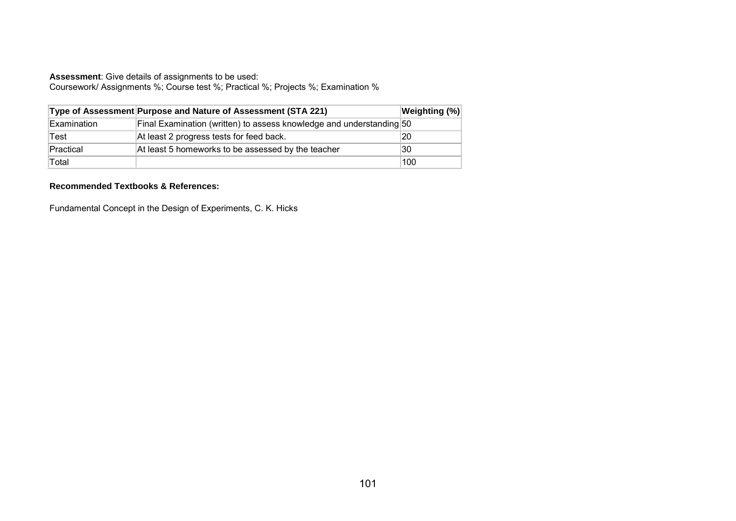Coursework/ Assignments %; Course test %; Practical %; Projects %; Examination %

|             | Type of Assessment Purpose and Nature of Assessment (STA 221)        | <b>Weighting (%)</b> |
|-------------|----------------------------------------------------------------------|----------------------|
| Examination | Final Examination (written) to assess knowledge and understanding 50 |                      |
| Test        | At least 2 progress tests for feed back.                             | 20                   |
| Practical   | At least 5 homeworks to be assessed by the teacher                   | 30                   |
| Total       |                                                                      | 100                  |

#### **Recommended Textbooks & References:**

Fundamental Concept in the Design of Experiments, C. K. Hicks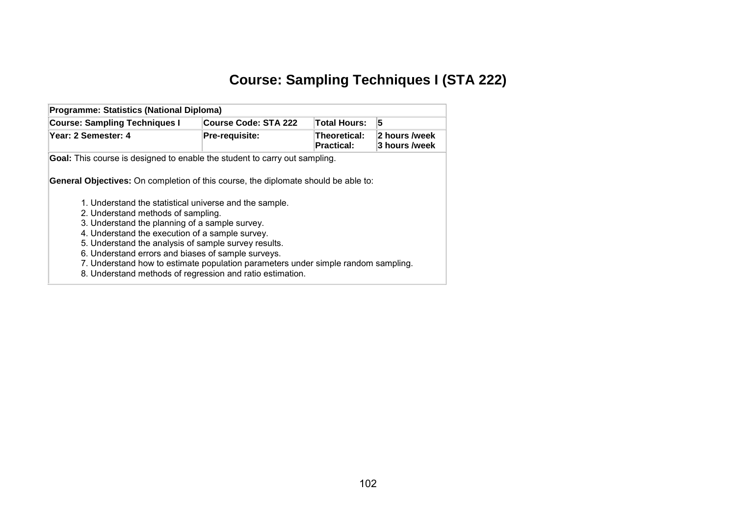# **Course: Sampling Techniques I (STA 222)**

| <b>Programme: Statistics (National Diploma)</b>                                                                                                                                                                                                                                                                                                                                                                                                                                                                                                                |                       |                                   |                                |
|----------------------------------------------------------------------------------------------------------------------------------------------------------------------------------------------------------------------------------------------------------------------------------------------------------------------------------------------------------------------------------------------------------------------------------------------------------------------------------------------------------------------------------------------------------------|-----------------------|-----------------------------------|--------------------------------|
| <b>Course: Sampling Techniques I</b>                                                                                                                                                                                                                                                                                                                                                                                                                                                                                                                           | Course Code: STA 222  | <b>Total Hours:</b>               | 5                              |
| Year: 2 Semester: 4                                                                                                                                                                                                                                                                                                                                                                                                                                                                                                                                            | <b>Pre-requisite:</b> | Theoretical:<br><b>Practical:</b> | 2 hours /week<br>3 hours /week |
| <b>Goal:</b> This course is designed to enable the student to carry out sampling.                                                                                                                                                                                                                                                                                                                                                                                                                                                                              |                       |                                   |                                |
| <b>General Objectives:</b> On completion of this course, the diplomate should be able to:<br>1. Understand the statistical universe and the sample.<br>2. Understand methods of sampling.<br>3. Understand the planning of a sample survey.<br>4. Understand the execution of a sample survey.<br>5. Understand the analysis of sample survey results.<br>6. Understand errors and biases of sample surveys.<br>7. Understand how to estimate population parameters under simple random sampling.<br>8. Understand methods of regression and ratio estimation. |                       |                                   |                                |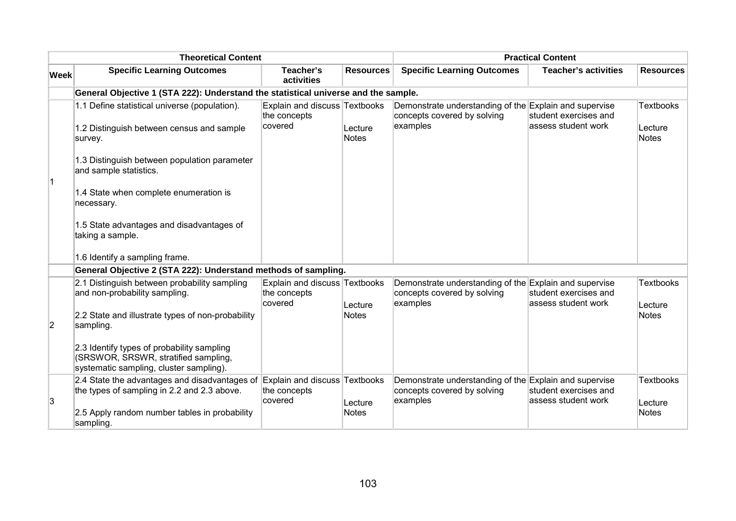|           | <b>Theoretical Content</b>                                                                                                                                                               |                                                          |                         |                                                                                                   | <b>Practical Content</b>                     |                                             |
|-----------|------------------------------------------------------------------------------------------------------------------------------------------------------------------------------------------|----------------------------------------------------------|-------------------------|---------------------------------------------------------------------------------------------------|----------------------------------------------|---------------------------------------------|
| Week      | <b>Specific Learning Outcomes</b>                                                                                                                                                        | Teacher's<br>activities                                  | <b>Resources</b>        | <b>Specific Learning Outcomes</b>                                                                 | <b>Teacher's activities</b>                  | <b>Resources</b>                            |
|           | General Objective 1 (STA 222): Understand the statistical universe and the sample.                                                                                                       |                                                          |                         |                                                                                                   |                                              |                                             |
| $\vert$ 1 | 1.1 Define statistical universe (population).<br>1.2 Distinguish between census and sample<br>survey.                                                                                    | Explain and discuss Textbooks<br>the concepts<br>covered | Lecture<br><b>Notes</b> | Demonstrate understanding of the Explain and supervise<br>concepts covered by solving<br>examples | student exercises and<br>assess student work | <b>Textbooks</b><br>Lecture<br><b>Notes</b> |
|           | 1.3 Distinguish between population parameter<br>and sample statistics.                                                                                                                   |                                                          |                         |                                                                                                   |                                              |                                             |
|           | 1.4 State when complete enumeration is<br>necessary.                                                                                                                                     |                                                          |                         |                                                                                                   |                                              |                                             |
|           | 1.5 State advantages and disadvantages of<br>taking a sample.                                                                                                                            |                                                          |                         |                                                                                                   |                                              |                                             |
|           | 1.6 Identify a sampling frame.                                                                                                                                                           |                                                          |                         |                                                                                                   |                                              |                                             |
|           | General Objective 2 (STA 222): Understand methods of sampling.                                                                                                                           |                                                          |                         |                                                                                                   |                                              |                                             |
| 2         | 2.1 Distinguish between probability sampling<br>and non-probability sampling.<br>2.2 State and illustrate types of non-probability<br>sampling.                                          | Explain and discuss Textbooks<br>the concepts<br>covered | Lecture<br>Notes        | Demonstrate understanding of the Explain and supervise<br>concepts covered by solving<br>examples | student exercises and<br>assess student work | <b>Textbooks</b><br>Lecture<br><b>Notes</b> |
|           | 2.3 Identify types of probability sampling<br>(SRSWOR, SRSWR, stratified sampling,<br>systematic sampling, cluster sampling).                                                            |                                                          |                         |                                                                                                   |                                              |                                             |
| 3         | 2.4 State the advantages and disadvantages of Explain and discuss Textbooks<br>the types of sampling in 2.2 and 2.3 above.<br>2.5 Apply random number tables in probability<br>sampling. | the concepts<br>covered                                  | Lecture<br><b>Notes</b> | Demonstrate understanding of the Explain and supervise<br>concepts covered by solving<br>examples | student exercises and<br>assess student work | <b>Textbooks</b><br>Lecture<br><b>Notes</b> |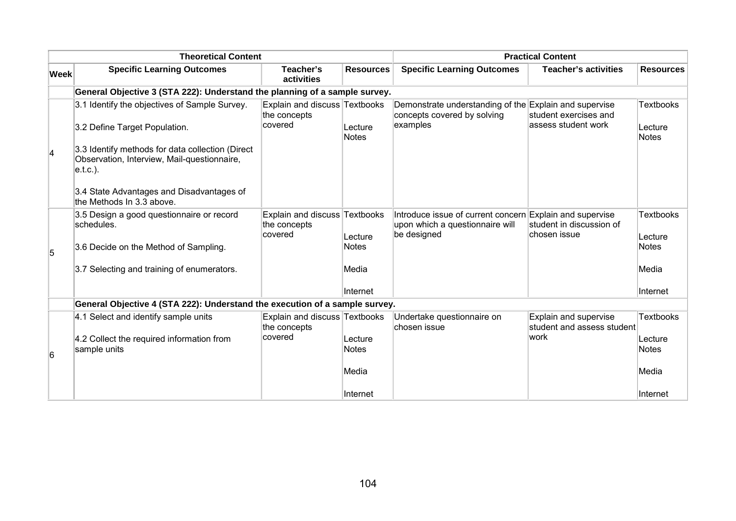|             | <b>Theoretical Content</b>                                                                                                                                                                        |                                                          |                  |                                                                                                            | <b>Practical Content</b>                                   |                                             |
|-------------|---------------------------------------------------------------------------------------------------------------------------------------------------------------------------------------------------|----------------------------------------------------------|------------------|------------------------------------------------------------------------------------------------------------|------------------------------------------------------------|---------------------------------------------|
| <b>Week</b> | <b>Specific Learning Outcomes</b>                                                                                                                                                                 | Teacher's<br>activities                                  | <b>Resources</b> | <b>Specific Learning Outcomes</b>                                                                          | <b>Teacher's activities</b>                                | <b>Resources</b>                            |
|             | General Objective 3 (STA 222): Understand the planning of a sample survey.                                                                                                                        |                                                          |                  |                                                                                                            |                                                            |                                             |
| 4           | 3.1 Identify the objectives of Sample Survey.<br>3.2 Define Target Population.<br>3.3 Identify methods for data collection (Direct<br>Observation, Interview, Mail-questionnaire,<br>$ e.t.c.$ ). | Explain and discuss Textbooks<br>the concepts<br>covered | Lecture<br>Notes | Demonstrate understanding of the Explain and supervise<br>concepts covered by solving<br>examples          | student exercises and<br>assess student work               | <b>Textbooks</b><br>Lecture<br><b>Notes</b> |
|             | 3.4 State Advantages and Disadvantages of<br>the Methods In 3.3 above.                                                                                                                            |                                                          |                  |                                                                                                            |                                                            |                                             |
| 5           | 3.5 Design a good questionnaire or record<br>schedules.<br>3.6 Decide on the Method of Sampling.                                                                                                  | Explain and discuss Textbooks<br>the concepts<br>covered | Lecture<br>Notes | Introduce issue of current concern Explain and supervise<br>upon which a questionnaire will<br>be designed | student in discussion of<br>chosen issue                   | <b>Textbooks</b><br>Lecture<br><b>Notes</b> |
|             | 3.7 Selecting and training of enumerators.                                                                                                                                                        |                                                          | Media            |                                                                                                            |                                                            | Media                                       |
|             |                                                                                                                                                                                                   |                                                          | Internet         |                                                                                                            |                                                            | Internet                                    |
|             | General Objective 4 (STA 222): Understand the execution of a sample survey.                                                                                                                       |                                                          |                  |                                                                                                            |                                                            |                                             |
|             | 4.1 Select and identify sample units                                                                                                                                                              | Explain and discuss Textbooks<br>the concepts            |                  | Undertake questionnaire on<br>chosen issue                                                                 | <b>Explain and supervise</b><br>student and assess student | Textbooks                                   |
| 6           | 4.2 Collect the required information from<br>sample units                                                                                                                                         | covered                                                  | Lecture<br>Notes |                                                                                                            | lwork                                                      | Lecture<br><b>Notes</b>                     |
|             |                                                                                                                                                                                                   |                                                          | Media            |                                                                                                            |                                                            | Media                                       |
|             |                                                                                                                                                                                                   |                                                          | ∣Internet        |                                                                                                            |                                                            | Internet                                    |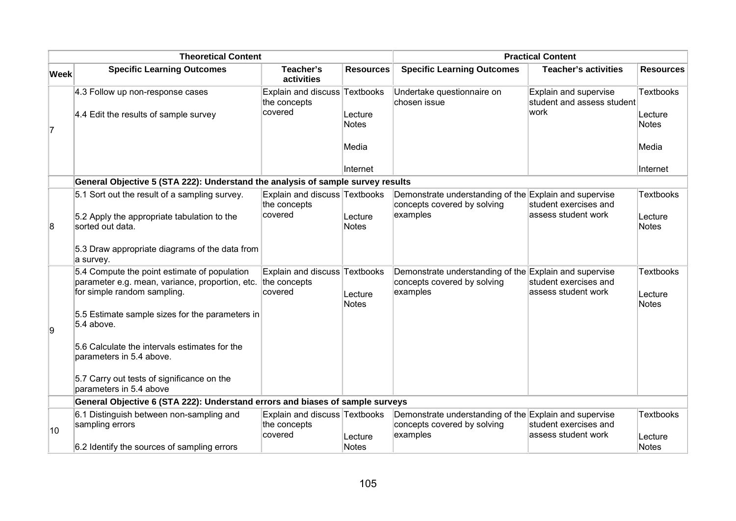|             | <b>Theoretical Content</b>                                                                                                                                                                      |                                                          |                         |                                                                                                   | <b>Practical Content</b>                                    |                                             |
|-------------|-------------------------------------------------------------------------------------------------------------------------------------------------------------------------------------------------|----------------------------------------------------------|-------------------------|---------------------------------------------------------------------------------------------------|-------------------------------------------------------------|---------------------------------------------|
| <b>Week</b> | <b>Specific Learning Outcomes</b>                                                                                                                                                               | Teacher's<br>activities                                  | <b>Resources</b>        | <b>Specific Learning Outcomes</b>                                                                 | <b>Teacher's activities</b>                                 | <b>Resources</b>                            |
| 7           | 4.3 Follow up non-response cases<br>$ 4.4$ Edit the results of sample survey                                                                                                                    | Explain and discuss Textbooks<br>the concepts<br>covered | Lecture<br>Notes        | Undertake questionnaire on<br>chosen issue                                                        | Explain and supervise<br>student and assess student<br>work | <b>Textbooks</b><br>Lecture<br><b>Notes</b> |
|             |                                                                                                                                                                                                 |                                                          | Media<br>Internet       |                                                                                                   |                                                             | Media<br>Internet                           |
|             | General Objective 5 (STA 222): Understand the analysis of sample survey results                                                                                                                 |                                                          |                         |                                                                                                   |                                                             |                                             |
| 8           | 5.1 Sort out the result of a sampling survey.<br>5.2 Apply the appropriate tabulation to the<br>sorted out data.                                                                                | Explain and discuss Textbooks<br>the concepts<br>covered | Lecture<br><b>Notes</b> | Demonstrate understanding of the Explain and supervise<br>concepts covered by solving<br>examples | student exercises and<br>assess student work                | <b>Textbooks</b><br>Lecture<br><b>Notes</b> |
|             | 5.3 Draw appropriate diagrams of the data from<br>a survey.                                                                                                                                     |                                                          |                         |                                                                                                   |                                                             |                                             |
| 9           | 5.4 Compute the point estimate of population<br>parameter e.g. mean, variance, proportion, etc.<br>for simple random sampling.<br>5.5 Estimate sample sizes for the parameters in<br>5.4 above. | Explain and discuss Textbooks<br>the concepts<br>covered | Lecture<br><b>Notes</b> | Demonstrate understanding of the Explain and supervise<br>concepts covered by solving<br>examples | student exercises and<br>lassess student work               | <b>Textbooks</b><br>Lecture<br><b>Notes</b> |
|             | 5.6 Calculate the intervals estimates for the<br>parameters in 5.4 above.<br>5.7 Carry out tests of significance on the<br>parameters in 5.4 above                                              |                                                          |                         |                                                                                                   |                                                             |                                             |
|             | General Objective 6 (STA 222): Understand errors and biases of sample surveys                                                                                                                   |                                                          |                         |                                                                                                   |                                                             |                                             |
| 10          | 6.1 Distinguish between non-sampling and<br>sampling errors                                                                                                                                     | Explain and discuss Textbooks<br>the concepts<br>covered | Lecture                 | Demonstrate understanding of the Explain and supervise<br>concepts covered by solving<br>examples | student exercises and<br>assess student work                | <b>Textbooks</b><br>Lecture                 |
|             | 6.2 Identify the sources of sampling errors                                                                                                                                                     |                                                          | Notes                   |                                                                                                   |                                                             | Notes                                       |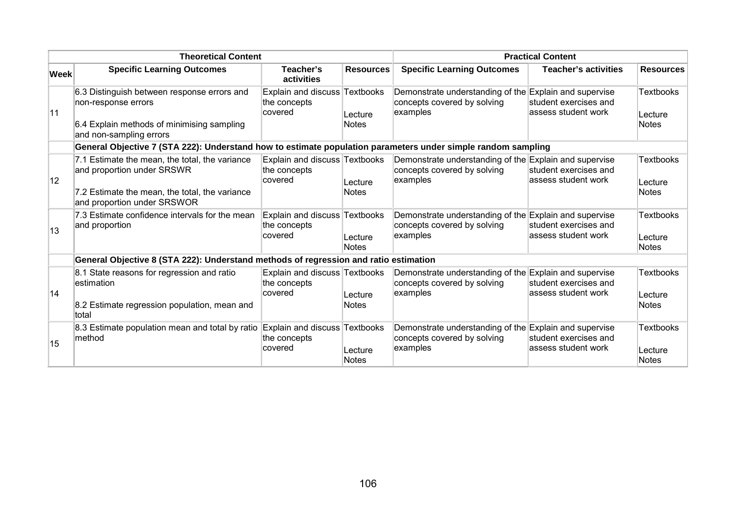| <b>Theoretical Content</b> |                                                                                                                                                               |                                                          |                                             | <b>Practical Content</b>                                                                          |                                               |                                             |  |  |
|----------------------------|---------------------------------------------------------------------------------------------------------------------------------------------------------------|----------------------------------------------------------|---------------------------------------------|---------------------------------------------------------------------------------------------------|-----------------------------------------------|---------------------------------------------|--|--|
| <b>Week</b>                | <b>Specific Learning Outcomes</b>                                                                                                                             | Teacher's<br>activities                                  | <b>Resources</b>                            | <b>Specific Learning Outcomes</b>                                                                 | <b>Teacher's activities</b>                   | <b>Resources</b>                            |  |  |
| 11                         | 6.3 Distinguish between response errors and<br>non-response errors<br>6.4 Explain methods of minimising sampling<br>and non-sampling errors                   | Explain and discuss<br>the concepts<br>covered           | <b>Textbooks</b><br>Lecture<br><b>Notes</b> | Demonstrate understanding of the Explain and supervise<br>concepts covered by solving<br>examples | student exercises and<br>assess student work  | <b>Textbooks</b><br>Lecture<br><b>Notes</b> |  |  |
|                            | General Objective 7 (STA 222): Understand how to estimate population parameters under simple random sampling                                                  |                                                          |                                             |                                                                                                   |                                               |                                             |  |  |
| $ 12\rangle$               | 7.1 Estimate the mean, the total, the variance<br>and proportion under SRSWR<br>7.2 Estimate the mean, the total, the variance<br>and proportion under SRSWOR | Explain and discuss Textbooks<br>the concepts<br>covered | Lecture<br>Notes                            | Demonstrate understanding of the Explain and supervise<br>concepts covered by solving<br>examples | student exercises and<br>lassess student work | <b>Textbooks</b><br>Lecture<br><b>Notes</b> |  |  |
| 13                         | 7.3 Estimate confidence intervals for the mean<br>and proportion                                                                                              | Explain and discuss Textbooks<br>the concepts<br>covered | Lecture<br>Notes                            | Demonstrate understanding of the Explain and supervise<br>concepts covered by solving<br>examples | student exercises and<br>lassess student work | <b>Textbooks</b><br>Lecture<br><b>Notes</b> |  |  |
|                            | General Objective 8 (STA 222): Understand methods of regression and ratio estimation                                                                          |                                                          |                                             |                                                                                                   |                                               |                                             |  |  |
| 14                         | 8.1 State reasons for regression and ratio<br>estimation<br>8.2 Estimate regression population, mean and<br>total                                             | Explain and discuss Textbooks<br>the concepts<br>covered | Lecture<br><b>Notes</b>                     | Demonstrate understanding of the Explain and supervise<br>concepts covered by solving<br>examples | student exercises and<br>lassess student work | <b>Textbooks</b><br>Lecture<br><b>Notes</b> |  |  |
| 15                         | 8.3 Estimate population mean and total by ratio<br>method                                                                                                     | Explain and discuss<br>the concepts<br>covered           | <b>Textbooks</b><br>Lecture<br><b>Notes</b> | Demonstrate understanding of the Explain and supervise<br>concepts covered by solving<br>examples | student exercises and<br>lassess student work | <b>Textbooks</b><br>Lecture<br><b>Notes</b> |  |  |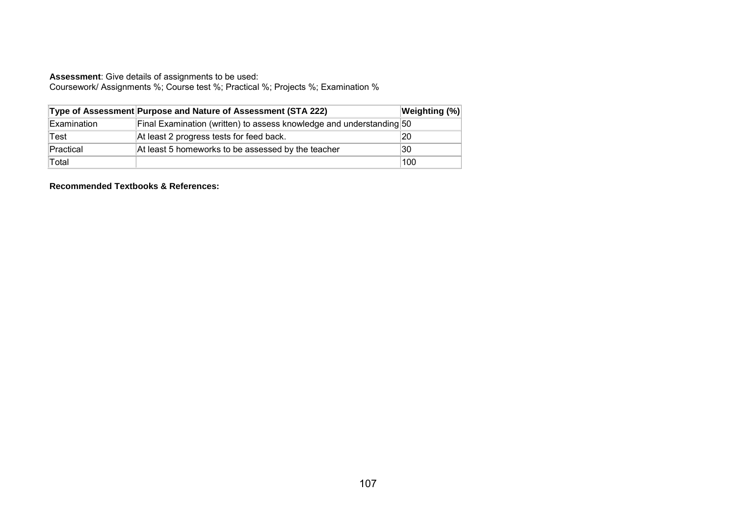Coursework/ Assignments %; Course test %; Practical %; Projects %; Examination %

|             | Type of Assessment Purpose and Nature of Assessment (STA 222)        | <b>Weighting (%)</b> |
|-------------|----------------------------------------------------------------------|----------------------|
| Examination | Final Examination (written) to assess knowledge and understanding 50 |                      |
| Test        | At least 2 progress tests for feed back.                             | 20                   |
| Practical   | At least 5 homeworks to be assessed by the teacher                   | 30                   |
| Total       |                                                                      | 100                  |

**Recommended Textbooks & References:**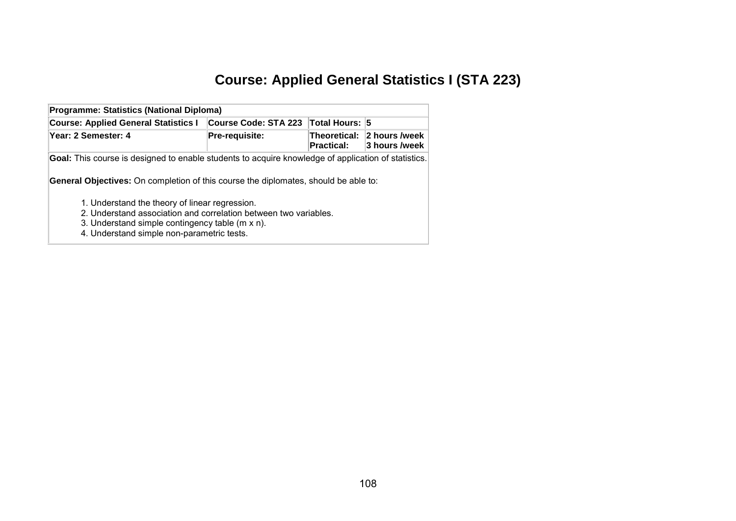## **Course: Applied General Statistics I (STA 223)**

| Programme: Statistics (National Diploma)                                                                                                                                                                            |                                       |                   |                                             |  |  |  |
|---------------------------------------------------------------------------------------------------------------------------------------------------------------------------------------------------------------------|---------------------------------------|-------------------|---------------------------------------------|--|--|--|
| <b>Course: Applied General Statistics I</b>                                                                                                                                                                         | Course Code: STA 223   Total Hours: 5 |                   |                                             |  |  |  |
| Year: 2 Semester: 4                                                                                                                                                                                                 | Pre-requisite:                        | <b>Practical:</b> | Theoretical: 2 hours /week<br>3 hours /week |  |  |  |
| <b>Goal:</b> This course is designed to enable students to acquire knowledge of application of statistics.<br><b>General Objectives:</b> On completion of this course the diplomates, should be able to:            |                                       |                   |                                             |  |  |  |
| 1. Understand the theory of linear regression.<br>2. Understand association and correlation between two variables.<br>3. Understand simple contingency table (m x n).<br>4. Understand simple non-parametric tests. |                                       |                   |                                             |  |  |  |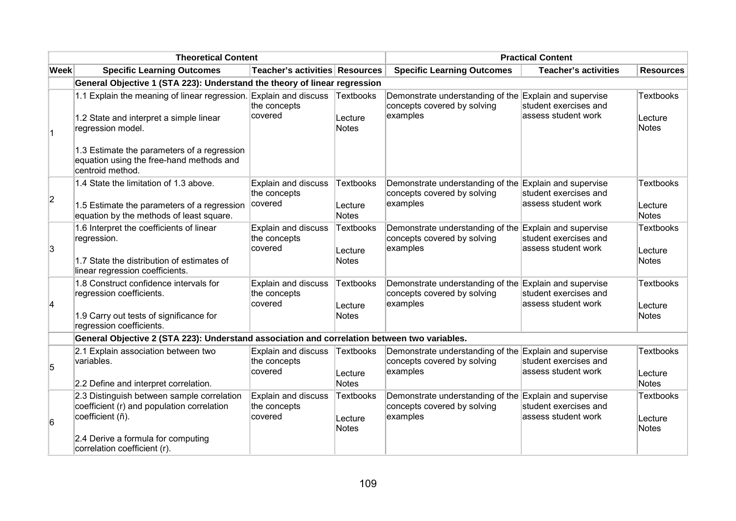|             | <b>Theoretical Content</b>                                                                                                                                                                                                   |                                                       |                                             | <b>Practical Content</b>                                                                          |                                               |                                      |
|-------------|------------------------------------------------------------------------------------------------------------------------------------------------------------------------------------------------------------------------------|-------------------------------------------------------|---------------------------------------------|---------------------------------------------------------------------------------------------------|-----------------------------------------------|--------------------------------------|
| <b>Week</b> | <b>Specific Learning Outcomes</b>                                                                                                                                                                                            | Teacher's activities Resources                        |                                             | <b>Specific Learning Outcomes</b>                                                                 | <b>Teacher's activities</b>                   | <b>Resources</b>                     |
|             | General Objective 1 (STA 223): Understand the theory of linear regression                                                                                                                                                    |                                                       |                                             |                                                                                                   |                                               |                                      |
| $\vert$ 1   | 1.1 Explain the meaning of linear regression. Explain and discuss<br>1.2 State and interpret a simple linear<br>regression model.<br>1.3 Estimate the parameters of a regression<br>equation using the free-hand methods and | the concepts<br>covered                               | Textbooks<br>Lecture<br><b>Notes</b>        | Demonstrate understanding of the Explain and supervise<br>concepts covered by solving<br>examples | student exercises and<br>assess student work  | <b>Textbooks</b><br>Lecture<br>Notes |
| 2           | centroid method.<br>1.4 State the limitation of 1.3 above.<br>1.5 Estimate the parameters of a regression<br>equation by the methods of least square.                                                                        | Explain and discuss<br>the concepts<br>covered        | <b>Textbooks</b><br>Lecture<br><b>Notes</b> | Demonstrate understanding of the Explain and supervise<br>concepts covered by solving<br>examples | student exercises and<br>assess student work  | <b>Textbooks</b><br>Lecture<br>Notes |
| 3           | 1.6 Interpret the coefficients of linear<br>regression.<br>1.7 State the distribution of estimates of<br>linear regression coefficients.                                                                                     | <b>Explain and discuss</b><br>the concepts<br>covered | Textbooks<br>Lecture<br><b>Notes</b>        | Demonstrate understanding of the Explain and supervise<br>concepts covered by solving<br>examples | student exercises and<br>lassess student work | <b>Textbooks</b><br>Lecture<br>Notes |
| 4           | 1.8 Construct confidence intervals for<br>regression coefficients.<br>1.9 Carry out tests of significance for<br>regression coefficients.                                                                                    | Explain and discuss<br>the concepts<br>covered        | <b>Textbooks</b><br>Lecture<br><b>Notes</b> | Demonstrate understanding of the Explain and supervise<br>concepts covered by solving<br>examples | student exercises and<br>assess student work  | <b>Textbooks</b><br>Lecture<br>Notes |
|             | General Objective 2 (STA 223): Understand association and correlation between two variables.                                                                                                                                 |                                                       |                                             |                                                                                                   |                                               |                                      |
| 5           | 2.1 Explain association between two<br>variables.<br>2.2 Define and interpret correlation.                                                                                                                                   | Explain and discuss<br>the concepts<br>covered        | Textbooks<br>Lecture<br><b>Notes</b>        | Demonstrate understanding of the Explain and supervise<br>concepts covered by solving<br>examples | student exercises and<br>assess student work  | <b>Textbooks</b><br>Lecture<br>Notes |
| 6           | 2.3 Distinguish between sample correlation<br>coefficient (r) and population correlation<br>coefficient (ñ).<br>2.4 Derive a formula for computing<br>correlation coefficient (r).                                           | Explain and discuss<br>the concepts<br>covered        | <b>Textbooks</b><br>Lecture<br><b>Notes</b> | Demonstrate understanding of the Explain and supervise<br>concepts covered by solving<br>examples | student exercises and<br>assess student work  | <b>Textbooks</b><br>Lecture<br>Notes |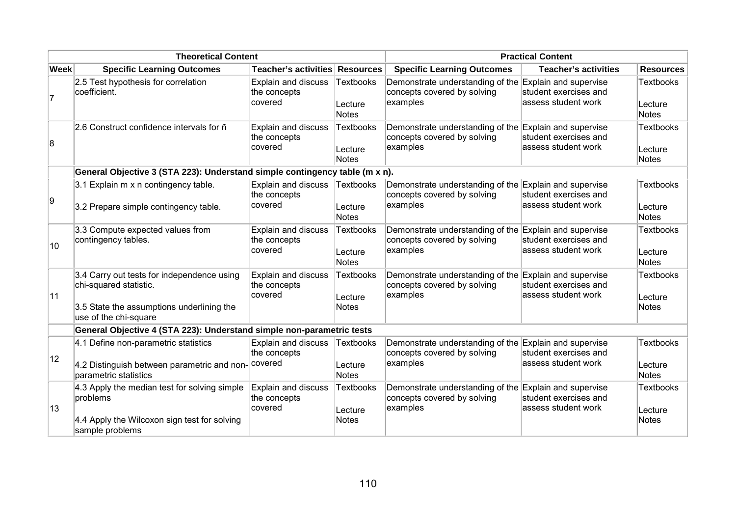| <b>Theoretical Content</b> |                                                                                                                                            |                                                | <b>Practical Content</b>                    |                                                                                                   |                                                                       |                                             |
|----------------------------|--------------------------------------------------------------------------------------------------------------------------------------------|------------------------------------------------|---------------------------------------------|---------------------------------------------------------------------------------------------------|-----------------------------------------------------------------------|---------------------------------------------|
| Week                       | <b>Specific Learning Outcomes</b>                                                                                                          | Teacher's activities Resources                 |                                             | <b>Specific Learning Outcomes</b>                                                                 | <b>Teacher's activities</b>                                           | <b>Resources</b>                            |
|                            | 2.5 Test hypothesis for correlation<br>coefficient.                                                                                        | Explain and discuss<br>the concepts<br>covered | <b>Textbooks</b><br>Lecture<br><b>Notes</b> | Demonstrate understanding of the<br>concepts covered by solving<br>examples                       | Explain and supervise<br>student exercises and<br>assess student work | <b>Textbooks</b><br>Lecture<br><b>Notes</b> |
| 8                          | 2.6 Construct confidence intervals for ñ                                                                                                   | Explain and discuss<br>the concepts<br>covered | <b>Textbooks</b><br>Lecture<br><b>Notes</b> | Demonstrate understanding of the<br>concepts covered by solving<br>examples                       | Explain and supervise<br>student exercises and<br>assess student work | <b>Textbooks</b><br>Lecture<br><b>Notes</b> |
|                            | General Objective 3 (STA 223): Understand simple contingency table (m x n).                                                                |                                                |                                             |                                                                                                   |                                                                       |                                             |
| 9                          | 3.1 Explain m x n contingency table.<br>3.2 Prepare simple contingency table.                                                              | Explain and discuss<br>the concepts<br>covered | <b>Textbooks</b><br>Lecture<br><b>Notes</b> | Demonstrate understanding of the Explain and supervise<br>concepts covered by solving<br>examples | student exercises and<br>assess student work                          | <b>Textbooks</b><br>Lecture<br><b>Notes</b> |
| 10                         | 3.3 Compute expected values from<br>contingency tables.                                                                                    | Explain and discuss<br>the concepts<br>covered | <b>Textbooks</b><br>Lecture<br><b>Notes</b> | Demonstrate understanding of the Explain and supervise<br>concepts covered by solving<br>examples | student exercises and<br>assess student work                          | <b>Textbooks</b><br>Lecture<br><b>Notes</b> |
| 11                         | 3.4 Carry out tests for independence using<br>chi-squared statistic.<br>3.5 State the assumptions underlining the<br>use of the chi-square | Explain and discuss<br>the concepts<br>covered | <b>Textbooks</b><br>Lecture<br><b>Notes</b> | Demonstrate understanding of the Explain and supervise<br>concepts covered by solving<br>examples | student exercises and<br>assess student work                          | <b>Textbooks</b><br>Lecture<br><b>Notes</b> |
|                            | General Objective 4 (STA 223): Understand simple non-parametric tests                                                                      |                                                |                                             |                                                                                                   |                                                                       |                                             |
| 12                         | 4.1 Define non-parametric statistics<br>4.2 Distinguish between parametric and non- Covered<br>parametric statistics                       | Explain and discuss<br>the concepts            | <b>Textbooks</b><br>Lecture<br><b>Notes</b> | Demonstrate understanding of the<br>concepts covered by solving<br>examples                       | Explain and supervise<br>student exercises and<br>assess student work | <b>Textbooks</b><br>Lecture<br><b>Notes</b> |
| 13                         | 4.3 Apply the median test for solving simple<br>problems<br>4.4 Apply the Wilcoxon sign test for solving<br>sample problems                | Explain and discuss<br>the concepts<br>covered | <b>Textbooks</b><br>Lecture<br><b>Notes</b> | Demonstrate understanding of the Explain and supervise<br>concepts covered by solving<br>examples | student exercises and<br>assess student work                          | <b>Textbooks</b><br>Lecture<br><b>Notes</b> |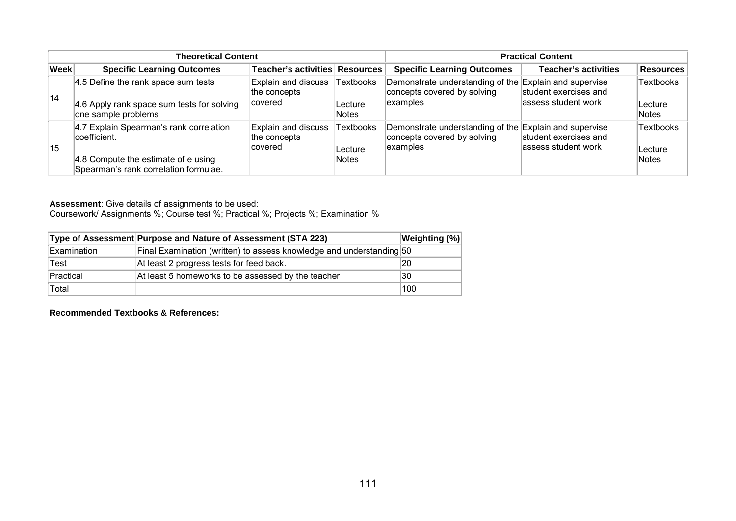| <b>Theoretical Content</b> |                                                                                                                                         |                                                 | <b>Practical Content</b>                    |                                                                                                    |                                               |                                      |
|----------------------------|-----------------------------------------------------------------------------------------------------------------------------------------|-------------------------------------------------|---------------------------------------------|----------------------------------------------------------------------------------------------------|-----------------------------------------------|--------------------------------------|
| Week                       | <b>Specific Learning Outcomes</b>                                                                                                       | Teacher's activities Resources                  |                                             | <b>Specific Learning Outcomes</b>                                                                  | <b>Teacher's activities</b>                   | <b>Resources</b>                     |
| 14                         | 4.5 Define the rank space sum tests<br>4.6 Apply rank space sum tests for solving<br>one sample problems                                | Explain and discuss<br>the concepts<br> covered | <b>Textbooks</b><br>Lecture<br><b>Notes</b> | Demonstrate understanding of the Explain and supervise<br>concepts covered by solving<br> examples | student exercises and<br>lassess student work | <b>Textbooks</b><br>Lecture<br>Notes |
| 15                         | 4.7 Explain Spearman's rank correlation<br>coefficient.<br>4.8 Compute the estimate of e using<br>Spearman's rank correlation formulae. | Explain and discuss<br>the concepts<br>covered  | <b>Textbooks</b><br>Lecture<br>Notes        | Demonstrate understanding of the Explain and supervise<br>concepts covered by solving<br> examples | student exercises and<br>assess student work  | Textbooks<br>Lecture<br>Notes        |

Coursework/ Assignments %; Course test %; Practical %; Projects %; Examination %

|             | Type of Assessment Purpose and Nature of Assessment (STA 223)        | Weighting (%) |
|-------------|----------------------------------------------------------------------|---------------|
| Examination | Final Examination (written) to assess knowledge and understanding 50 |               |
| Test        | At least 2 progress tests for feed back.                             | 20            |
| Practical   | At least 5 homeworks to be assessed by the teacher                   | 30            |
| Total       |                                                                      | 100           |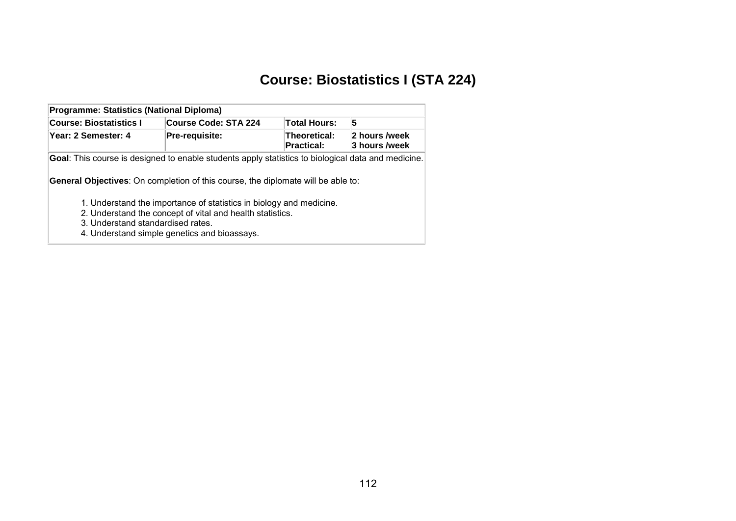# **Course: Biostatistics I (STA 224)**

| <b>Programme: Statistics (National Diploma)</b>                                                                                                                                                                       |  |                                   |                                |  |  |  |
|-----------------------------------------------------------------------------------------------------------------------------------------------------------------------------------------------------------------------|--|-----------------------------------|--------------------------------|--|--|--|
| <b>Course Code: STA 224</b><br><b>Course: Biostatistics I</b>                                                                                                                                                         |  | <b>Total Hours:</b>               | 5                              |  |  |  |
| <b>Pre-requisite:</b><br><b>Year: 2 Semester: 4</b>                                                                                                                                                                   |  | Theoretical:<br><b>Practical:</b> | 2 hours /week<br>3 hours /week |  |  |  |
| Goal: This course is designed to enable students apply statistics to biological data and medicine.<br><b>General Objectives:</b> On completion of this course, the diplomate will be able to:                         |  |                                   |                                |  |  |  |
| 1. Understand the importance of statistics in biology and medicine.<br>2. Understand the concept of vital and health statistics.<br>3. Understand standardised rates.<br>4. Understand simple genetics and bioassays. |  |                                   |                                |  |  |  |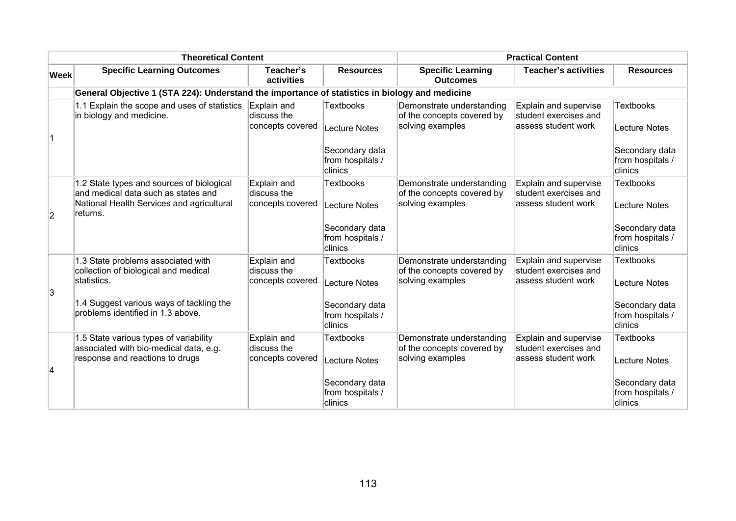|                | <b>Theoretical Content</b>                                                                                                                |                                                |                                                            |                                                                             | <b>Practical Content</b>                                                     |                                                            |
|----------------|-------------------------------------------------------------------------------------------------------------------------------------------|------------------------------------------------|------------------------------------------------------------|-----------------------------------------------------------------------------|------------------------------------------------------------------------------|------------------------------------------------------------|
| <b>Week</b>    | <b>Specific Learning Outcomes</b>                                                                                                         | Teacher's<br>activities                        | <b>Resources</b>                                           | <b>Specific Learning</b><br><b>Outcomes</b>                                 | <b>Teacher's activities</b>                                                  | <b>Resources</b>                                           |
|                | General Objective 1 (STA 224): Understand the importance of statistics in biology and medicine                                            |                                                |                                                            |                                                                             |                                                                              |                                                            |
|                | 1.1 Explain the scope and uses of statistics<br>in biology and medicine.                                                                  | Explain and<br>discuss the<br>concepts covered | <b>Textbooks</b><br><b>Lecture Notes</b><br>Secondary data | Demonstrate understanding<br>of the concepts covered by<br>solving examples | Explain and supervise<br>student exercises and<br>assess student work        | <b>Textbooks</b><br><b>Lecture Notes</b><br>Secondary data |
|                |                                                                                                                                           |                                                | from hospitals /<br>clinics                                |                                                                             |                                                                              | from hospitals /<br>clinics                                |
|                | 1.2 State types and sources of biological<br>and medical data such as states and<br>National Health Services and agricultural<br>returns. | Explain and<br>discuss the<br>concepts covered | <b>Textbooks</b><br>Lecture Notes                          | Demonstrate understanding<br>of the concepts covered by<br>solving examples | Explain and supervise<br>student exercises and<br>assess student work        | <b>Textbooks</b><br><b>Lecture Notes</b>                   |
| $\overline{2}$ |                                                                                                                                           |                                                | Secondary data<br>from hospitals /<br>clinics              |                                                                             |                                                                              | Secondary data<br>from hospitals /<br>clinics              |
| 3              | 1.3 State problems associated with<br>collection of biological and medical<br>statistics.                                                 | Explain and<br>discuss the<br>concepts covered | <b>Textbooks</b><br><b>Lecture Notes</b>                   | Demonstrate understanding<br>of the concepts covered by<br>solving examples | Explain and supervise<br>student exercises and<br>assess student work        | <b>Textbooks</b><br><b>Lecture Notes</b>                   |
|                | 1.4 Suggest various ways of tackling the<br>problems identified in 1.3 above.                                                             |                                                | Secondary data<br>from hospitals /<br>clinics              |                                                                             |                                                                              | Secondary data<br>from hospitals /<br>clinics              |
|                | 1.5 State various types of variability<br>associated with bio-medical data, e.g.<br>response and reactions to drugs                       | Explain and<br>discuss the<br>concepts covered | <b>Textbooks</b><br>Lecture Notes                          | Demonstrate understanding<br>of the concepts covered by<br>solving examples | <b>Explain and supervise</b><br>student exercises and<br>assess student work | <b>Textbooks</b><br><b>Lecture Notes</b>                   |
| 4              |                                                                                                                                           |                                                | Secondary data<br>from hospitals /<br>clinics              |                                                                             |                                                                              | Secondary data<br>from hospitals /<br>clinics              |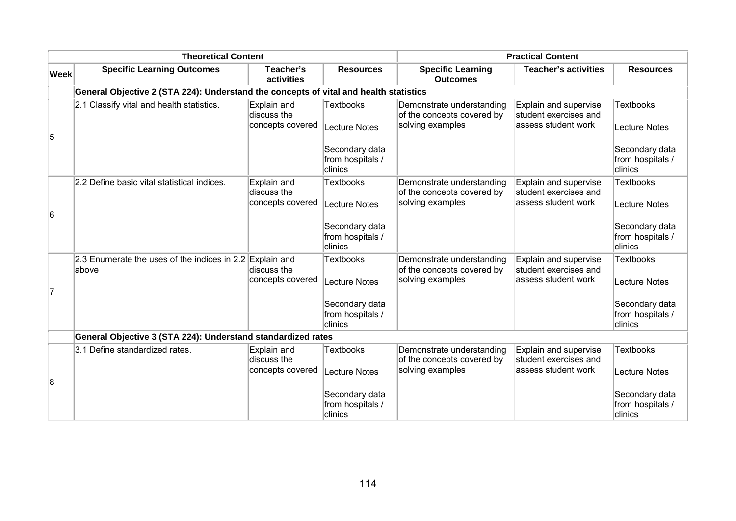|             | <b>Theoretical Content</b>                                                            |                                                |                                               |                                                                             | <b>Practical Content</b>                                               |                                               |
|-------------|---------------------------------------------------------------------------------------|------------------------------------------------|-----------------------------------------------|-----------------------------------------------------------------------------|------------------------------------------------------------------------|-----------------------------------------------|
| <b>Week</b> | <b>Specific Learning Outcomes</b>                                                     | Teacher's<br>activities                        | <b>Resources</b>                              | <b>Specific Learning</b><br><b>Outcomes</b>                                 | <b>Teacher's activities</b>                                            | <b>Resources</b>                              |
|             | General Objective 2 (STA 224): Understand the concepts of vital and health statistics |                                                |                                               |                                                                             |                                                                        |                                               |
| 5           | 2.1 Classify vital and health statistics.                                             | Explain and<br>discuss the<br>concepts covered | <b>Textbooks</b><br>Lecture Notes             | Demonstrate understanding<br>of the concepts covered by<br>solving examples | Explain and supervise<br>student exercises and<br>assess student work  | <b>Textbooks</b><br>Lecture Notes             |
|             |                                                                                       |                                                | Secondary data<br>from hospitals /<br>clinics |                                                                             |                                                                        | Secondary data<br>from hospitals /<br>clinics |
| 6           | 2.2 Define basic vital statistical indices.                                           | Explain and<br>discuss the<br>concepts covered | <b>Textbooks</b><br>Lecture Notes             | Demonstrate understanding<br>of the concepts covered by<br>solving examples | Explain and supervise<br>student exercises and<br>lassess student work | <b>Textbooks</b><br><b>Lecture Notes</b>      |
|             |                                                                                       |                                                | Secondary data<br>from hospitals /<br>clinics |                                                                             |                                                                        | Secondary data<br>from hospitals /<br>clinics |
| 17          | 2.3 Enumerate the uses of the indices in 2.2 Explain and<br>above                     | discuss the<br>concepts covered                | <b>Textbooks</b><br>Lecture Notes             | Demonstrate understanding<br>of the concepts covered by<br>solving examples | Explain and supervise<br>student exercises and<br>lassess student work | Textbooks<br><b>Lecture Notes</b>             |
|             |                                                                                       |                                                | Secondary data<br>from hospitals /<br>clinics |                                                                             |                                                                        | Secondary data<br>from hospitals /<br>clinics |
|             | General Objective 3 (STA 224): Understand standardized rates                          |                                                |                                               |                                                                             |                                                                        |                                               |
|             | 3.1 Define standardized rates.                                                        | Explain and<br>discuss the<br>concepts covered | <b>Textbooks</b><br>Lecture Notes             | Demonstrate understanding<br>of the concepts covered by<br>solving examples | Explain and supervise<br>student exercises and<br>lassess student work | <b>Textbooks</b><br><b>Lecture Notes</b>      |
| 8           |                                                                                       |                                                | Secondary data<br>from hospitals /<br>clinics |                                                                             |                                                                        | Secondary data<br>from hospitals /<br>clinics |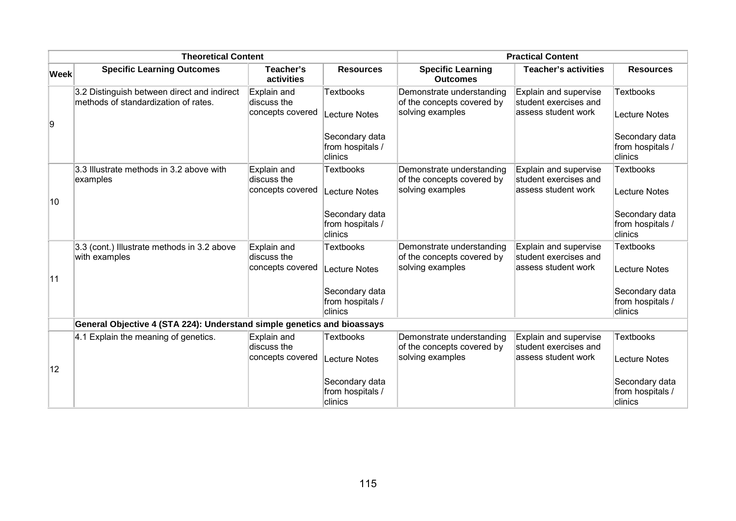|             | <b>Theoretical Content</b>                                                          |                                                |                                                                                    |                                                                             | <b>Practical Content</b>                                               |                                                                                           |
|-------------|-------------------------------------------------------------------------------------|------------------------------------------------|------------------------------------------------------------------------------------|-----------------------------------------------------------------------------|------------------------------------------------------------------------|-------------------------------------------------------------------------------------------|
| <b>Week</b> | <b>Specific Learning Outcomes</b>                                                   | Teacher's<br><b>activities</b>                 | <b>Resources</b>                                                                   | <b>Specific Learning</b><br><b>Outcomes</b>                                 | <b>Teacher's activities</b>                                            | <b>Resources</b>                                                                          |
| 9           | 3.2 Distinguish between direct and indirect<br>methods of standardization of rates. | Explain and<br>discuss the<br>concepts covered | <b>Textbooks</b><br>Lecture Notes<br>Secondary data<br>from hospitals /<br>clinics | Demonstrate understanding<br>of the concepts covered by<br>solving examples | Explain and supervise<br>student exercises and<br>assess student work  | <b>Textbooks</b><br><b>Lecture Notes</b><br>Secondary data<br>from hospitals /<br>clinics |
| 10          | 3.3 Illustrate methods in 3.2 above with<br>examples                                | Explain and<br>discuss the<br>concepts covered | <b>Textbooks</b><br>Lecture Notes<br>Secondary data<br>from hospitals /<br>clinics | Demonstrate understanding<br>of the concepts covered by<br>solving examples | Explain and supervise<br>student exercises and<br>assess student work  | <b>Textbooks</b><br><b>Lecture Notes</b><br>Secondary data<br>from hospitals /<br>clinics |
| 11          | 3.3 (cont.) Illustrate methods in 3.2 above<br>with examples                        | Explain and<br>discuss the<br>concepts covered | <b>Textbooks</b><br>Lecture Notes<br>Secondary data<br>from hospitals /<br>clinics | Demonstrate understanding<br>of the concepts covered by<br>solving examples | Explain and supervise<br>student exercises and<br>assess student work  | <b>Textbooks</b><br><b>Lecture Notes</b><br>Secondary data<br>from hospitals /<br>clinics |
|             | General Objective 4 (STA 224): Understand simple genetics and bioassays             |                                                |                                                                                    |                                                                             |                                                                        |                                                                                           |
| 12          | 4.1 Explain the meaning of genetics.                                                | Explain and<br>discuss the<br>concepts covered | <b>Textbooks</b><br>Lecture Notes<br>Secondary data<br>from hospitals /<br>clinics | Demonstrate understanding<br>of the concepts covered by<br>solving examples | Explain and supervise<br>student exercises and<br>lassess student work | <b>Textbooks</b><br><b>Lecture Notes</b><br>Secondary data<br>from hospitals /<br>clinics |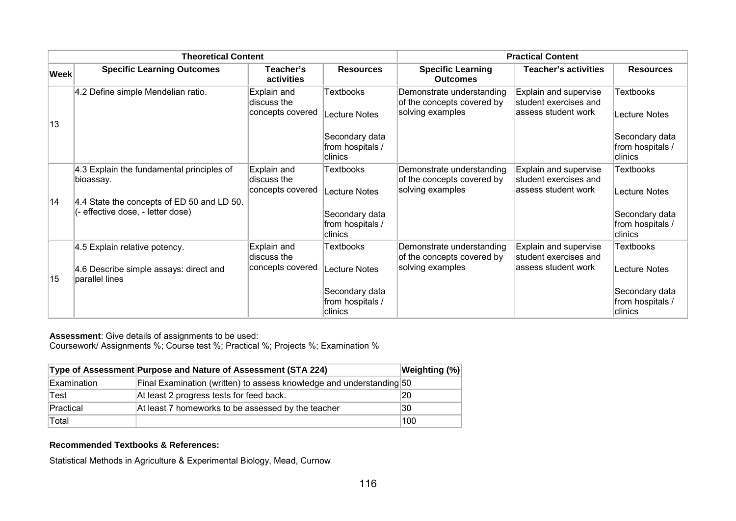|             | <b>Theoretical Content</b>                                                      |                                                |                                                      | <b>Practical Content</b>                                                    |                                                                       |                                                       |
|-------------|---------------------------------------------------------------------------------|------------------------------------------------|------------------------------------------------------|-----------------------------------------------------------------------------|-----------------------------------------------------------------------|-------------------------------------------------------|
| <b>Week</b> | <b>Specific Learning Outcomes</b>                                               | Teacher's<br>activities                        | <b>Resources</b>                                     | <b>Specific Learning</b><br><b>Outcomes</b>                                 | <b>Teacher's activities</b>                                           | <b>Resources</b>                                      |
| 13          | 4.2 Define simple Mendelian ratio.                                              | Explain and<br>discuss the<br>concepts covered | <b>Textbooks</b><br>Lecture Notes                    | Demonstrate understanding<br>of the concepts covered by<br>solving examples | Explain and supervise<br>student exercises and<br>assess student work | <b>Textbooks</b><br>Lecture Notes                     |
|             |                                                                                 |                                                | Secondary data<br>from hospitals /<br>clinics        |                                                                             |                                                                       | Secondary data<br>from hospitals /<br>clinics         |
|             | 4.3 Explain the fundamental principles of<br>bioassay.                          | Explain and<br>discuss the<br>concepts covered | <b>Textbooks</b><br>Lecture Notes                    | Demonstrate understanding<br>of the concepts covered by<br>solving examples | Explain and supervise<br>student exercises and<br>assess student work | Textbooks<br>Lecture Notes                            |
| 14          | 4.4 State the concepts of ED 50 and LD 50.<br>(- effective dose, - letter dose) |                                                | Secondary data<br>from hospitals /<br><b>clinics</b> |                                                                             |                                                                       | Secondary data<br>from hospitals /<br>clinics         |
|             | 4.5 Explain relative potency.                                                   | Explain and<br>discuss the                     | Textbooks                                            | Demonstrate understanding<br>of the concepts covered by                     | Explain and supervise<br>student exercises and                        | Textbooks                                             |
| 15          | 4.6 Describe simple assays: direct and<br>parallel lines                        | concepts covered                               | Lecture Notes                                        | solving examples                                                            | assess student work                                                   | Lecture Notes                                         |
|             |                                                                                 |                                                | Secondary data<br>from hospitals /<br>clinics        |                                                                             |                                                                       | Secondary data<br>from hospitals /<br><b>Iclinics</b> |

Coursework/ Assignments %; Course test %; Practical %; Projects %; Examination %

|             | Type of Assessment Purpose and Nature of Assessment (STA 224)        | Weighting (%) |
|-------------|----------------------------------------------------------------------|---------------|
| Examination | Final Examination (written) to assess knowledge and understanding 50 |               |
| Test        | At least 2 progress tests for feed back.                             | 20            |
| Practical   | At least 7 homeworks to be assessed by the teacher                   | 30            |
| Total       |                                                                      | 100           |

### **Recommended Textbooks & References:**

Statistical Methods in Agriculture & Experimental Biology, Mead, Curnow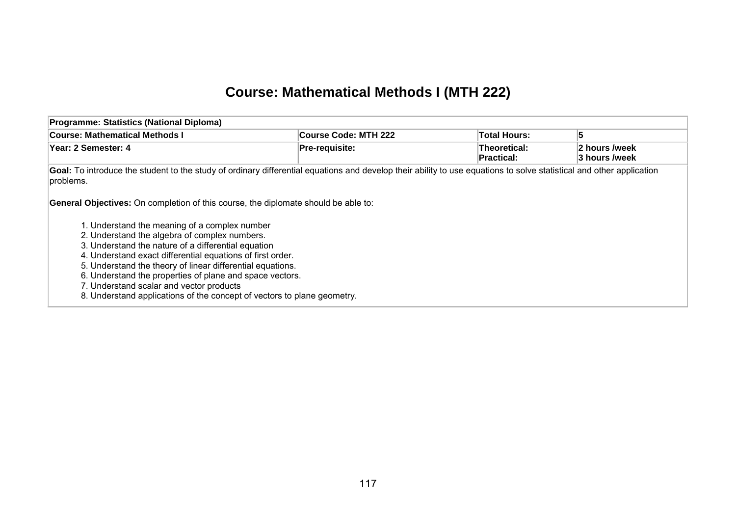# **Course: Mathematical Methods I (MTH 222)**

| <b>Programme: Statistics (National Diploma)</b>                                                                                                                                   |                             |                            |                                |  |  |  |  |
|-----------------------------------------------------------------------------------------------------------------------------------------------------------------------------------|-----------------------------|----------------------------|--------------------------------|--|--|--|--|
| <b>Course: Mathematical Methods I</b>                                                                                                                                             | <b>Course Code: MTH 222</b> | Total Hours:               | 15                             |  |  |  |  |
| Year: 2 Semester: 4                                                                                                                                                               | <b>Pre-requisite:</b>       | Theoretical:<br>Practical: | 2 hours /week<br>3 hours /week |  |  |  |  |
| Goal: To introduce the student to the study of ordinary differential equations and develop their ability to use equations to solve statistical and other application<br>problems. |                             |                            |                                |  |  |  |  |
| <b>General Objectives:</b> On completion of this course, the diplomate should be able to:                                                                                         |                             |                            |                                |  |  |  |  |
| 1. Understand the meaning of a complex number                                                                                                                                     |                             |                            |                                |  |  |  |  |
| 2. Understand the algebra of complex numbers.<br>3. Understand the nature of a differential equation                                                                              |                             |                            |                                |  |  |  |  |
| 4. Understand exact differential equations of first order.                                                                                                                        |                             |                            |                                |  |  |  |  |
| 5. Understand the theory of linear differential equations.                                                                                                                        |                             |                            |                                |  |  |  |  |
| 6. Understand the properties of plane and space vectors.                                                                                                                          |                             |                            |                                |  |  |  |  |
| 7. Understand scalar and vector products                                                                                                                                          |                             |                            |                                |  |  |  |  |
| 8. Understand applications of the concept of vectors to plane geometry.                                                                                                           |                             |                            |                                |  |  |  |  |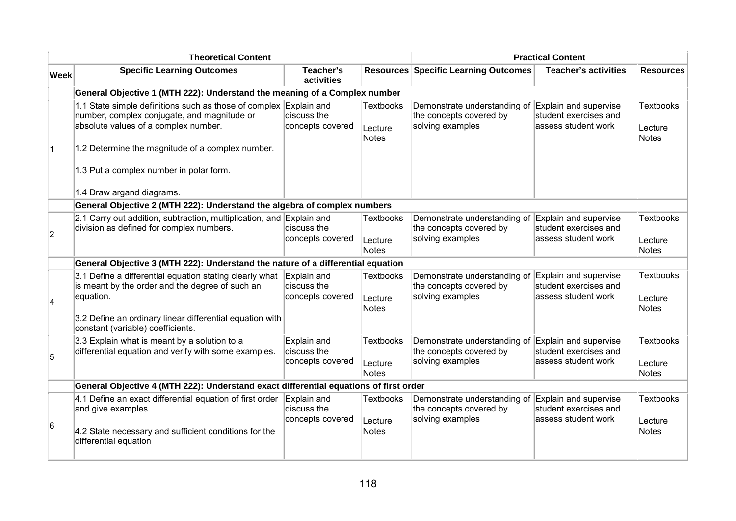| <b>Theoretical Content</b> |                                                                                                                                                                                                  |                                                | <b>Practical Content</b>             |                                                                             |                                                                       |                                      |
|----------------------------|--------------------------------------------------------------------------------------------------------------------------------------------------------------------------------------------------|------------------------------------------------|--------------------------------------|-----------------------------------------------------------------------------|-----------------------------------------------------------------------|--------------------------------------|
| <b>Week</b>                | <b>Specific Learning Outcomes</b>                                                                                                                                                                | Teacher's<br>activities                        |                                      | <b>Resources Specific Learning Outcomes</b>                                 | <b>Teacher's activities</b>                                           | <b>Resources</b>                     |
|                            | General Objective 1 (MTH 222): Understand the meaning of a Complex number                                                                                                                        |                                                |                                      |                                                                             |                                                                       |                                      |
| $\vert$ 1                  | 1.1 State simple definitions such as those of complex<br>number, complex conjugate, and magnitude or<br>absolute values of a complex number.<br>1.2 Determine the magnitude of a complex number. | Explain and<br>discuss the<br>concepts covered | <b>Textbooks</b><br>Lecture<br>Notes | Demonstrate understanding of<br>the concepts covered by<br>solving examples | Explain and supervise<br>student exercises and<br>assess student work | <b>Textbooks</b><br>Lecture<br>Notes |
|                            | 1.3 Put a complex number in polar form.                                                                                                                                                          |                                                |                                      |                                                                             |                                                                       |                                      |
|                            | 1.4 Draw argand diagrams.                                                                                                                                                                        |                                                |                                      |                                                                             |                                                                       |                                      |
|                            | General Objective 2 (MTH 222): Understand the algebra of complex numbers                                                                                                                         |                                                |                                      |                                                                             |                                                                       |                                      |
| 2                          | 2.1 Carry out addition, subtraction, multiplication, and Explain and<br>division as defined for complex numbers.                                                                                 | discuss the<br>concepts covered                | <b>Textbooks</b><br>Lecture<br>Notes | Demonstrate understanding of<br>the concepts covered by<br>solving examples | Explain and supervise<br>student exercises and<br>assess student work | <b>Textbooks</b><br>Lecture<br>Notes |
|                            | General Objective 3 (MTH 222): Understand the nature of a differential equation                                                                                                                  |                                                |                                      |                                                                             |                                                                       |                                      |
| $\overline{4}$             | 3.1 Define a differential equation stating clearly what<br>is meant by the order and the degree of such an<br>equation.<br>3.2 Define an ordinary linear differential equation with              | Explain and<br>discuss the<br>concepts covered | <b>Textbooks</b><br>Lecture<br>Notes | Demonstrate understanding of<br>the concepts covered by<br>solving examples | Explain and supervise<br>student exercises and<br>assess student work | <b>Textbooks</b><br>Lecture<br>Notes |
|                            | constant (variable) coefficients.<br>3.3 Explain what is meant by a solution to a                                                                                                                | Explain and                                    | <b>Textbooks</b>                     | Demonstrate understanding of                                                | Explain and supervise                                                 | <b>Textbooks</b>                     |
| 5                          | differential equation and verify with some examples.                                                                                                                                             | discuss the<br>concepts covered                | Lecture<br><b>Notes</b>              | the concepts covered by<br>solving examples                                 | student exercises and<br>assess student work                          | Lecture<br>Notes                     |
|                            | General Objective 4 (MTH 222): Understand exact differential equations of first order                                                                                                            |                                                |                                      |                                                                             |                                                                       |                                      |
| 6                          | 4.1 Define an exact differential equation of first order<br>and give examples.<br>4.2 State necessary and sufficient conditions for the<br>differential equation                                 | Explain and<br>discuss the<br>concepts covered | <b>Textbooks</b><br>Lecture<br>Notes | Demonstrate understanding of<br>the concepts covered by<br>solving examples | Explain and supervise<br>student exercises and<br>assess student work | <b>Textbooks</b><br>Lecture<br>Notes |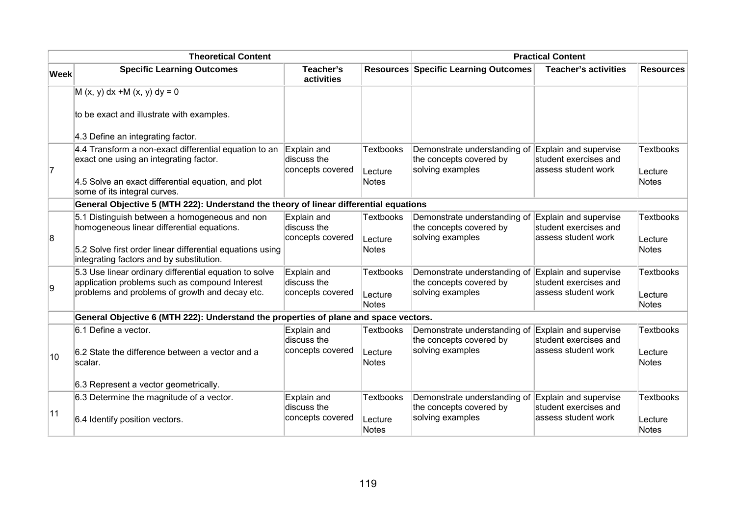| <b>Theoretical Content</b> |                                                                                                          |                            |                         | <b>Practical Content</b>                                |                                                |                         |
|----------------------------|----------------------------------------------------------------------------------------------------------|----------------------------|-------------------------|---------------------------------------------------------|------------------------------------------------|-------------------------|
| <b>Week</b>                | <b>Specific Learning Outcomes</b>                                                                        | Teacher's<br>activities    |                         | <b>Resources Specific Learning Outcomes</b>             | <b>Teacher's activities</b>                    | <b>Resources</b>        |
|                            | M $(x, y)$ dx +M $(x, y)$ dy = 0                                                                         |                            |                         |                                                         |                                                |                         |
|                            | to be exact and illustrate with examples.                                                                |                            |                         |                                                         |                                                |                         |
|                            | 4.3 Define an integrating factor.                                                                        |                            |                         |                                                         |                                                |                         |
|                            | 4.4 Transform a non-exact differential equation to an<br>exact one using an integrating factor.          | Explain and<br>discuss the | <b>Textbooks</b>        | Demonstrate understanding of<br>the concepts covered by | Explain and supervise<br>student exercises and | <b>Textbooks</b>        |
| 17                         | 4.5 Solve an exact differential equation, and plot<br>some of its integral curves.                       | concepts covered           | Lecture<br><b>Notes</b> | solving examples                                        | assess student work                            | Lecture<br><b>Notes</b> |
|                            | General Objective 5 (MTH 222): Understand the theory of linear differential equations                    |                            |                         |                                                         |                                                |                         |
|                            | 5.1 Distinguish between a homogeneous and non<br>homogeneous linear differential equations.              | Explain and<br>discuss the | <b>Textbooks</b>        | Demonstrate understanding of<br>the concepts covered by | Explain and supervise<br>student exercises and | <b>Textbooks</b>        |
| 8                          | 5.2 Solve first order linear differential equations using<br>integrating factors and by substitution.    | concepts covered           | Lecture<br>Notes        | solving examples                                        | assess student work                            | Lecture<br><b>Notes</b> |
| g,                         | 5.3 Use linear ordinary differential equation to solve<br>application problems such as compound Interest | Explain and<br>discuss the | <b>Textbooks</b>        | Demonstrate understanding of<br>the concepts covered by | Explain and supervise<br>student exercises and | <b>Textbooks</b>        |
|                            | problems and problems of growth and decay etc.                                                           | concepts covered           | Lecture<br><b>Notes</b> | solving examples                                        | assess student work                            | Lecture<br><b>Notes</b> |
|                            | General Objective 6 (MTH 222): Understand the properties of plane and space vectors.                     |                            |                         |                                                         |                                                |                         |
|                            | 6.1 Define a vector.                                                                                     | Explain and<br>discuss the | <b>Textbooks</b>        | Demonstrate understanding of<br>the concepts covered by | Explain and supervise<br>student exercises and | <b>Textbooks</b>        |
| 10                         | 6.2 State the difference between a vector and a<br>scalar.                                               | concepts covered           | Lecture<br>Notes        | solving examples                                        | lassess student work                           | Lecture<br><b>Notes</b> |
|                            | 6.3 Represent a vector geometrically.                                                                    |                            |                         |                                                         |                                                |                         |
|                            | 6.3 Determine the magnitude of a vector.                                                                 | Explain and<br>discuss the | <b>Textbooks</b>        | Demonstrate understanding of<br>the concepts covered by | Explain and supervise<br>student exercises and | <b>Textbooks</b>        |
| 11                         | 6.4 Identify position vectors.                                                                           | concepts covered           | Lecture<br>Notes        | solving examples                                        | assess student work                            | Lecture<br><b>Notes</b> |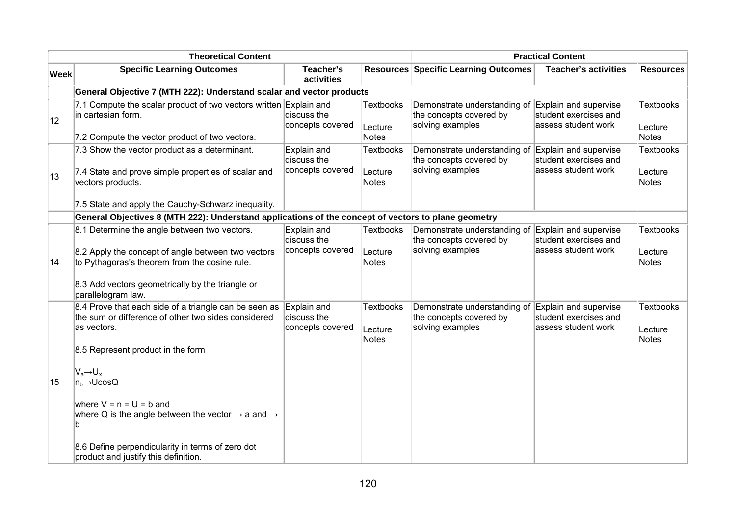| <b>Theoretical Content</b> |                                                                                                                                                                                                                                                                                                                                                                                                                                    |                                                |                                      | <b>Practical Content</b>                                                    |                                                                       |                                             |  |
|----------------------------|------------------------------------------------------------------------------------------------------------------------------------------------------------------------------------------------------------------------------------------------------------------------------------------------------------------------------------------------------------------------------------------------------------------------------------|------------------------------------------------|--------------------------------------|-----------------------------------------------------------------------------|-----------------------------------------------------------------------|---------------------------------------------|--|
| <b>Week</b>                | <b>Specific Learning Outcomes</b>                                                                                                                                                                                                                                                                                                                                                                                                  | Teacher's<br>activities                        |                                      | <b>Resources Specific Learning Outcomes</b>                                 | <b>Teacher's activities</b>                                           | <b>Resources</b>                            |  |
|                            | General Objective 7 (MTH 222): Understand scalar and vector products                                                                                                                                                                                                                                                                                                                                                               |                                                |                                      |                                                                             |                                                                       |                                             |  |
| 12                         | 7.1 Compute the scalar product of two vectors written Explain and<br>in cartesian form.<br>7.2 Compute the vector product of two vectors.                                                                                                                                                                                                                                                                                          | discuss the<br>concepts covered                | <b>Textbooks</b><br>Lecture<br>Notes | Demonstrate understanding of<br>the concepts covered by<br>solving examples | Explain and supervise<br>student exercises and<br>assess student work | <b>Textbooks</b><br>Lecture<br><b>Notes</b> |  |
| 13                         | 7.3 Show the vector product as a determinant.<br>7.4 State and prove simple properties of scalar and<br>vectors products.                                                                                                                                                                                                                                                                                                          | Explain and<br>discuss the<br>concepts covered | <b>Textbooks</b><br>Lecture<br>Notes | Demonstrate understanding of<br>the concepts covered by<br>solving examples | Explain and supervise<br>student exercises and<br>assess student work | <b>Textbooks</b><br>Lecture<br>Notes        |  |
|                            | 7.5 State and apply the Cauchy-Schwarz inequality.<br>General Objectives 8 (MTH 222): Understand applications of the concept of vectors to plane geometry                                                                                                                                                                                                                                                                          |                                                |                                      |                                                                             |                                                                       |                                             |  |
|                            |                                                                                                                                                                                                                                                                                                                                                                                                                                    | Explain and                                    | <b>Textbooks</b>                     | Demonstrate understanding of                                                | Explain and supervise                                                 | <b>Textbooks</b>                            |  |
| 14                         | 8.1 Determine the angle between two vectors.<br>8.2 Apply the concept of angle between two vectors<br>to Pythagoras's theorem from the cosine rule.<br>8.3 Add vectors geometrically by the triangle or<br>parallelogram law.                                                                                                                                                                                                      | discuss the<br>concepts covered                | Lecture<br><b>Notes</b>              | the concepts covered by<br>solving examples                                 | student exercises and<br>assess student work                          | Lecture<br><b>Notes</b>                     |  |
| 15                         | 8.4 Prove that each side of a triangle can be seen as<br>the sum or difference of other two sides considered<br>as vectors.<br>8.5 Represent product in the form<br>$V_a \rightarrow U_x$<br>$n_b \rightarrow U \cos Q$<br>where $V = n = U = b$ and<br>where Q is the angle between the vector $\rightarrow$ a and $\rightarrow$<br>b<br>8.6 Define perpendicularity in terms of zero dot<br>product and justify this definition. | Explain and<br>discuss the<br>concepts covered | <b>Textbooks</b><br>Lecture<br>Notes | Demonstrate understanding of<br>the concepts covered by<br>solving examples | Explain and supervise<br>student exercises and<br>assess student work | <b>Textbooks</b><br>Lecture<br><b>Notes</b> |  |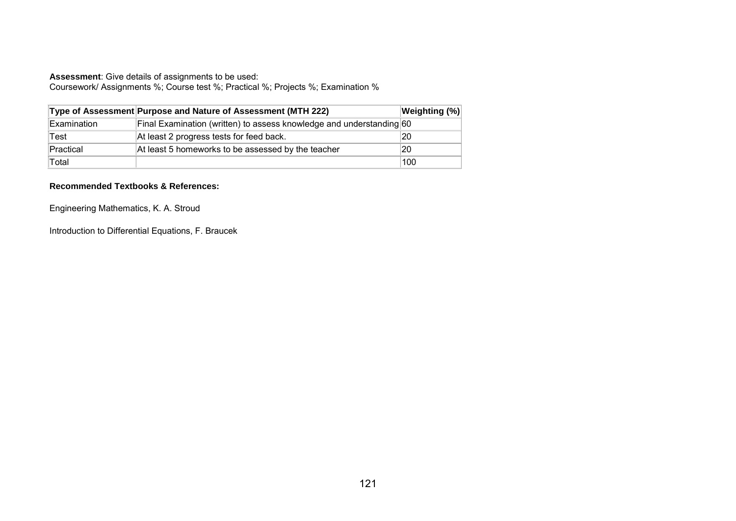**Assessment**: Give details of assignments to be used: Coursework/ Assignments %; Course test %; Practical %; Projects %; Examination %

|             | Type of Assessment Purpose and Nature of Assessment (MTH 222)        | Weighting (%) |
|-------------|----------------------------------------------------------------------|---------------|
| Examination | Final Examination (written) to assess knowledge and understanding 60 |               |
| Test        | At least 2 progress tests for feed back.                             | 20            |
| Practical   | At least 5 homeworks to be assessed by the teacher                   | 20            |
| Total       |                                                                      | 100           |

#### **Recommended Textbooks & References:**

Engineering Mathematics, K. A. Stroud

Introduction to Differential Equations, F. Braucek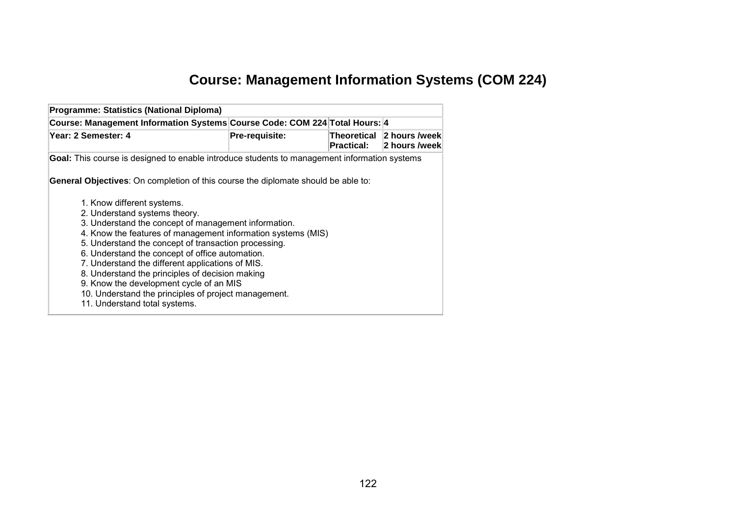## **Course: Management Information Systems (COM 224)**

| <b>Programme: Statistics (National Diploma)</b>                                                                                                                                                                                                                                                                                                                                                                                                                                                                                                                                                                                       |                |                                  |                                |
|---------------------------------------------------------------------------------------------------------------------------------------------------------------------------------------------------------------------------------------------------------------------------------------------------------------------------------------------------------------------------------------------------------------------------------------------------------------------------------------------------------------------------------------------------------------------------------------------------------------------------------------|----------------|----------------------------------|--------------------------------|
| Course: Management Information Systems Course Code: COM 224 Total Hours: 4                                                                                                                                                                                                                                                                                                                                                                                                                                                                                                                                                            |                |                                  |                                |
| Year: 2 Semester: 4                                                                                                                                                                                                                                                                                                                                                                                                                                                                                                                                                                                                                   | Pre-requisite: | Theoretical<br><b>Practical:</b> | 2 hours /week<br>2 hours /week |
| <b>Goal:</b> This course is designed to enable introduce students to management information systems                                                                                                                                                                                                                                                                                                                                                                                                                                                                                                                                   |                |                                  |                                |
| <b>General Objectives:</b> On completion of this course the diplomate should be able to:<br>1. Know different systems.<br>2. Understand systems theory.<br>3. Understand the concept of management information.<br>4. Know the features of management information systems (MIS)<br>5. Understand the concept of transaction processing.<br>6. Understand the concept of office automation.<br>7. Understand the different applications of MIS.<br>8. Understand the principles of decision making<br>9. Know the development cycle of an MIS<br>10. Understand the principles of project management.<br>11. Understand total systems. |                |                                  |                                |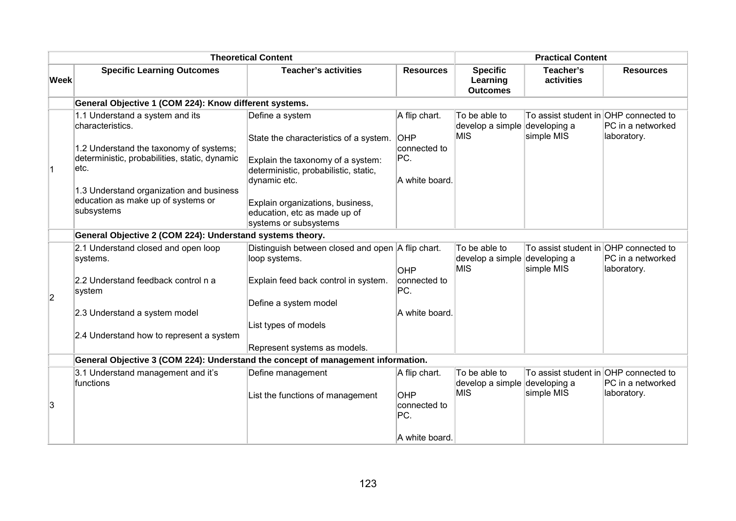|                |                                                                                                                                                                                                                                                         | <b>Theoretical Content</b>                                                                                                                                                                                                                           |                                                                      |                                                | <b>Practical Content</b>                                            |                                  |
|----------------|---------------------------------------------------------------------------------------------------------------------------------------------------------------------------------------------------------------------------------------------------------|------------------------------------------------------------------------------------------------------------------------------------------------------------------------------------------------------------------------------------------------------|----------------------------------------------------------------------|------------------------------------------------|---------------------------------------------------------------------|----------------------------------|
| <b>Week</b>    | <b>Specific Learning Outcomes</b>                                                                                                                                                                                                                       | <b>Teacher's activities</b>                                                                                                                                                                                                                          | <b>Resources</b>                                                     | <b>Specific</b><br>Learning<br><b>Outcomes</b> | Teacher's<br>activities                                             | <b>Resources</b>                 |
|                | General Objective 1 (COM 224): Know different systems.                                                                                                                                                                                                  |                                                                                                                                                                                                                                                      |                                                                      |                                                |                                                                     |                                  |
| $\overline{1}$ | 1.1 Understand a system and its<br>characteristics.<br>1.2 Understand the taxonomy of systems;<br>deterministic, probabilities, static, dynamic<br>etc.<br>1.3 Understand organization and business<br>education as make up of systems or<br>subsystems | Define a system<br>State the characteristics of a system.<br>Explain the taxonomy of a system:<br>deterministic, probabilistic, static,<br>dynamic etc.<br>Explain organizations, business,<br>education, etc as made up of<br>systems or subsystems | A flip chart.<br><b>OHP</b><br>connected to<br>PC.<br>A white board. | To be able to<br>develop a simple<br>MIS       | To assist student in OHP connected to<br>developing a<br>simple MIS | PC in a networked<br>laboratory. |
|                | General Objective 2 (COM 224): Understand systems theory.                                                                                                                                                                                               |                                                                                                                                                                                                                                                      |                                                                      |                                                |                                                                     |                                  |
|                | 2.1 Understand closed and open loop<br>systems.                                                                                                                                                                                                         | Distinguish between closed and open A flip chart.<br>loop systems.                                                                                                                                                                                   | <b>OHP</b>                                                           | To be able to<br>develop a simple<br>MIS       | To assist student in OHP connected to<br>developing a<br>simple MIS | PC in a networked<br>laboratory. |
| $\overline{2}$ | 2.2 Understand feedback control n a<br>system                                                                                                                                                                                                           | Explain feed back control in system.                                                                                                                                                                                                                 | connected to<br>PC.                                                  |                                                |                                                                     |                                  |
|                | 2.3 Understand a system model                                                                                                                                                                                                                           | Define a system model                                                                                                                                                                                                                                | A white board.                                                       |                                                |                                                                     |                                  |
|                | 2.4 Understand how to represent a system                                                                                                                                                                                                                | List types of models<br>Represent systems as models.                                                                                                                                                                                                 |                                                                      |                                                |                                                                     |                                  |
|                | General Objective 3 (COM 224): Understand the concept of management information.                                                                                                                                                                        |                                                                                                                                                                                                                                                      |                                                                      |                                                |                                                                     |                                  |
| 3              | 3.1 Understand management and it's<br>functions                                                                                                                                                                                                         | Define management<br>List the functions of management                                                                                                                                                                                                | A flip chart.<br><b>OHP</b><br>connected to<br>PC.                   | To be able to<br>develop a simple<br>MIS       | To assist student in OHP connected to<br>developing a<br>simple MIS | PC in a networked<br>laboratory. |
|                |                                                                                                                                                                                                                                                         |                                                                                                                                                                                                                                                      | A white board.                                                       |                                                |                                                                     |                                  |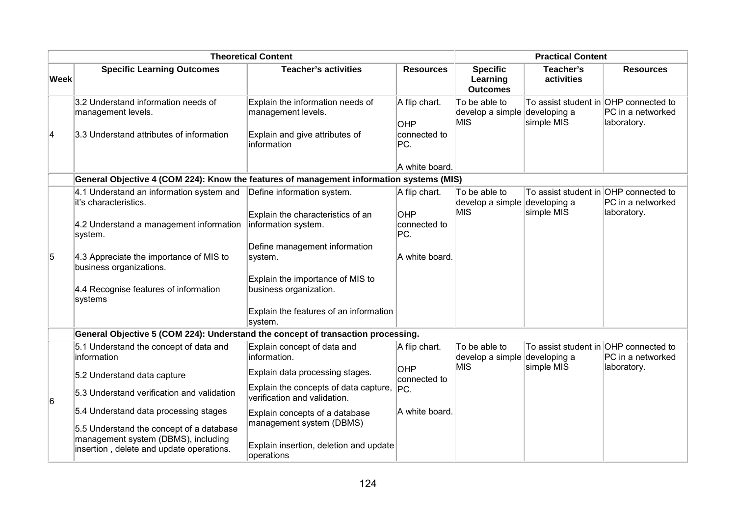| <b>Theoretical Content</b> |                                                                                          |                                                                       | <b>Practical Content</b>    |                                                              |                                                     |                                  |
|----------------------------|------------------------------------------------------------------------------------------|-----------------------------------------------------------------------|-----------------------------|--------------------------------------------------------------|-----------------------------------------------------|----------------------------------|
| <b>Week</b>                | <b>Specific Learning Outcomes</b>                                                        | <b>Teacher's activities</b>                                           | <b>Resources</b>            | <b>Specific</b><br>Learning<br><b>Outcomes</b>               | Teacher's<br>activities                             | <b>Resources</b>                 |
|                            | 3.2 Understand information needs of<br>management levels.                                | Explain the information needs of<br>management levels.                | A flip chart.<br><b>OHP</b> | To be able to<br>develop a simple developing a<br><b>MIS</b> | To assist student in OHP connected to<br>simple MIS | PC in a networked<br>laboratory. |
| 4                          | 3.3 Understand attributes of information                                                 | Explain and give attributes of<br>information                         | connected to<br>PC.         |                                                              |                                                     |                                  |
|                            |                                                                                          |                                                                       | A white board.              |                                                              |                                                     |                                  |
|                            | General Objective 4 (COM 224): Know the features of management information systems (MIS) |                                                                       |                             |                                                              |                                                     |                                  |
|                            | 4.1 Understand an information system and<br>it's characteristics.                        | Define information system.                                            | A flip chart.               | To be able to<br>develop a simple developing a               | To assist student in OHP connected to               | PC in a networked                |
|                            |                                                                                          | Explain the characteristics of an                                     | <b>OHP</b>                  | <b>MIS</b>                                                   | simple MIS                                          | laboratory.                      |
|                            | 4.2 Understand a management information<br>system.                                       | information system.                                                   | connected to<br>PC.         |                                                              |                                                     |                                  |
|                            |                                                                                          | Define management information                                         |                             |                                                              |                                                     |                                  |
| 5                          | 4.3 Appreciate the importance of MIS to<br>business organizations.                       | system.                                                               | A white board.              |                                                              |                                                     |                                  |
|                            | 4.4 Recognise features of information<br>systems                                         | Explain the importance of MIS to<br>business organization.            |                             |                                                              |                                                     |                                  |
|                            |                                                                                          | Explain the features of an information<br>system.                     |                             |                                                              |                                                     |                                  |
|                            | General Objective 5 (COM 224): Understand the concept of transaction processing.         |                                                                       |                             |                                                              |                                                     |                                  |
|                            | 5.1 Understand the concept of data and<br>information                                    | Explain concept of data and<br>information.                           | A flip chart.               | To be able to<br>develop a simple developing a               | To assist student in OHP connected to               | PC in a networked                |
|                            | 5.2 Understand data capture                                                              | Explain data processing stages.                                       | <b>OHP</b><br>connected to  | <b>MIS</b>                                                   | simple MIS                                          | laboratory.                      |
| 6                          | 5.3 Understand verification and validation                                               | Explain the concepts of data capture,<br>verification and validation. | PC.                         |                                                              |                                                     |                                  |
|                            | 5.4 Understand data processing stages                                                    | Explain concepts of a database                                        | A white board.              |                                                              |                                                     |                                  |
|                            | 5.5 Understand the concept of a database<br>management system (DBMS), including          | management system (DBMS)                                              |                             |                                                              |                                                     |                                  |
|                            | insertion, delete and update operations.                                                 | Explain insertion, deletion and update<br>operations                  |                             |                                                              |                                                     |                                  |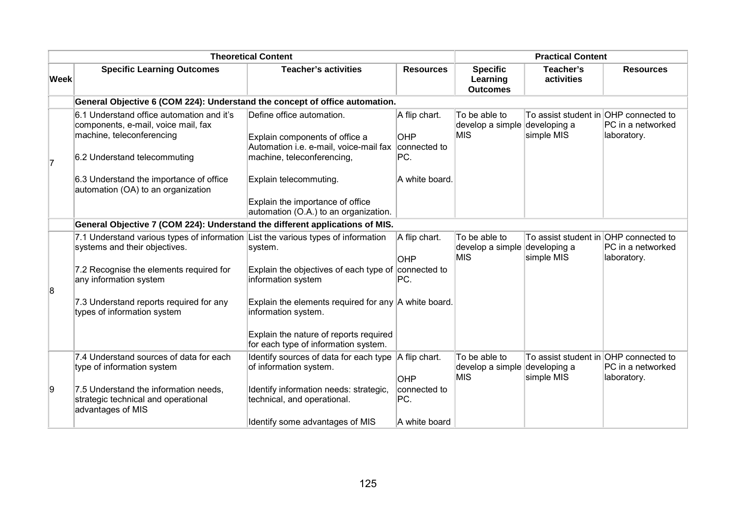|             |                                                                                                                                               | <b>Theoretical Content</b>                                                                                                          |                                                    |                                                       | <b>Practical Content</b>                                            |                                  |
|-------------|-----------------------------------------------------------------------------------------------------------------------------------------------|-------------------------------------------------------------------------------------------------------------------------------------|----------------------------------------------------|-------------------------------------------------------|---------------------------------------------------------------------|----------------------------------|
| <b>Week</b> | <b>Specific Learning Outcomes</b>                                                                                                             | <b>Teacher's activities</b>                                                                                                         | <b>Resources</b>                                   | <b>Specific</b><br>Learning<br><b>Outcomes</b>        | Teacher's<br>activities                                             | <b>Resources</b>                 |
|             | General Objective 6 (COM 224): Understand the concept of office automation.                                                                   |                                                                                                                                     |                                                    |                                                       |                                                                     |                                  |
| 7           | 6.1 Understand office automation and it's<br>components, e-mail, voice mail, fax<br>machine, teleconferencing<br>6.2 Understand telecommuting | Define office automation.<br>Explain components of office a<br>Automation i.e. e-mail, voice-mail fax<br>machine, teleconferencing, | A flip chart.<br><b>OHP</b><br>connected to<br>PC. | To be able to<br>develop a simple<br>MIS              | To assist student in OHP connected to<br>developing a<br>simple MIS | PC in a networked<br>laboratory. |
|             | 6.3 Understand the importance of office<br>automation (OA) to an organization                                                                 | Explain telecommuting.<br>Explain the importance of office<br>automation (O.A.) to an organization.                                 | A white board.                                     |                                                       |                                                                     |                                  |
|             | General Objective 7 (COM 224): Understand the different applications of MIS.                                                                  |                                                                                                                                     |                                                    |                                                       |                                                                     |                                  |
|             | 7.1 Understand various types of information List the various types of information<br>systems and their objectives.                            | system.                                                                                                                             | A flip chart.<br><b>OHP</b>                        | To be able to<br>develop a simple<br>MIS <sup></sup>  | To assist student in OHP connected to<br>developing a<br>simple MIS | PC in a networked<br>laboratory. |
| 8           | 7.2 Recognise the elements required for<br>any information system                                                                             | Explain the objectives of each type of<br>information system                                                                        | connected to<br>PC.                                |                                                       |                                                                     |                                  |
|             | 7.3 Understand reports required for any<br>types of information system                                                                        | Explain the elements required for any A white board.<br>information system.                                                         |                                                    |                                                       |                                                                     |                                  |
|             |                                                                                                                                               | Explain the nature of reports required<br>for each type of information system.                                                      |                                                    |                                                       |                                                                     |                                  |
|             | 7.4 Understand sources of data for each<br>type of information system                                                                         | Identify sources of data for each type $ A$ flip chart.<br>of information system.                                                   | <b>OHP</b>                                         | To be able to<br>develop a simple developing a<br>MIS | To assist student in OHP connected to<br>simple MIS                 | PC in a networked<br>laboratory. |
| 9           | 7.5 Understand the information needs,<br>strategic technical and operational<br>advantages of MIS                                             | Identify information needs: strategic,<br>technical, and operational.                                                               | connected to<br>PC.                                |                                                       |                                                                     |                                  |
|             |                                                                                                                                               | Identify some advantages of MIS                                                                                                     | A white board                                      |                                                       |                                                                     |                                  |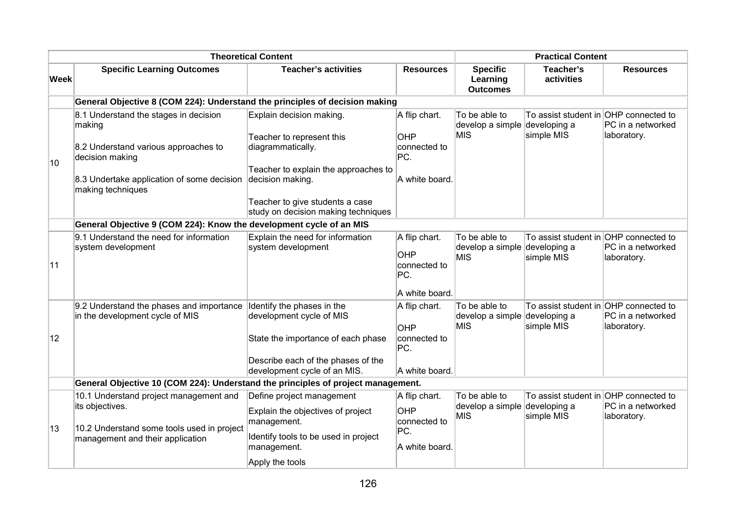|      |                                                                                                            | <b>Theoretical Content</b>                                                                   |                                                                      |                                                              | <b>Practical Content</b>                            |                                  |
|------|------------------------------------------------------------------------------------------------------------|----------------------------------------------------------------------------------------------|----------------------------------------------------------------------|--------------------------------------------------------------|-----------------------------------------------------|----------------------------------|
| Week | <b>Specific Learning Outcomes</b>                                                                          | <b>Teacher's activities</b>                                                                  | <b>Resources</b>                                                     | <b>Specific</b><br>Learning<br><b>Outcomes</b>               | Teacher's<br>activities                             | <b>Resources</b>                 |
|      | General Objective 8 (COM 224): Understand the principles of decision making                                |                                                                                              |                                                                      |                                                              |                                                     |                                  |
| 10   | 8.1 Understand the stages in decision<br>making<br>8.2 Understand various approaches to<br>decision making | Explain decision making.<br>Teacher to represent this<br>diagrammatically.                   | A flip chart.<br><b>OHP</b><br>connected to<br>PC.                   | To be able to<br>develop a simple developing a<br><b>MIS</b> | To assist student in OHP connected to<br>simple MIS | PC in a networked<br>laboratory. |
|      | 8.3 Undertake application of some decision<br>making techniques                                            | Teacher to explain the approaches to<br>decision making.<br>Teacher to give students a case  | A white board.                                                       |                                                              |                                                     |                                  |
|      |                                                                                                            | study on decision making techniques                                                          |                                                                      |                                                              |                                                     |                                  |
|      | General Objective 9 (COM 224): Know the development cycle of an MIS                                        |                                                                                              |                                                                      |                                                              |                                                     |                                  |
| 11   | 9.1 Understand the need for information<br>system development                                              | Explain the need for information<br>system development                                       | A flip chart.<br><b>OHP</b><br>connected to<br>PC.<br>A white board. | To be able to<br>develop a simple developing a<br><b>MIS</b> | To assist student in OHP connected to<br>simple MIS | PC in a networked<br>laboratory. |
| 12   | 9.2 Understand the phases and importance<br>in the development cycle of MIS                                | Identify the phases in the<br>development cycle of MIS<br>State the importance of each phase | A flip chart.<br><b>OHP</b><br>connected to<br>PC.                   | To be able to<br>develop a simple developing a<br><b>MIS</b> | To assist student in OHP connected to<br>simple MIS | PC in a networked<br>laboratory. |
|      |                                                                                                            | Describe each of the phases of the<br>development cycle of an MIS.                           | A white board.                                                       |                                                              |                                                     |                                  |
|      | General Objective 10 (COM 224): Understand the principles of project management.                           |                                                                                              |                                                                      |                                                              |                                                     |                                  |
|      | 10.1 Understand project management and                                                                     | Define project management                                                                    | A flip chart.                                                        | To be able to                                                | To assist student in OHP connected to               |                                  |
| 13   | its objectives.<br>10.2 Understand some tools used in project                                              | Explain the objectives of project<br>management.                                             | OHP<br>connected to                                                  | develop a simple developing a<br><b>MIS</b>                  | simple MIS                                          | PC in a networked<br>laboratory. |
|      | management and their application                                                                           | Identify tools to be used in project<br>management.                                          | PC.<br>A white board.                                                |                                                              |                                                     |                                  |
|      |                                                                                                            | Apply the tools                                                                              |                                                                      |                                                              |                                                     |                                  |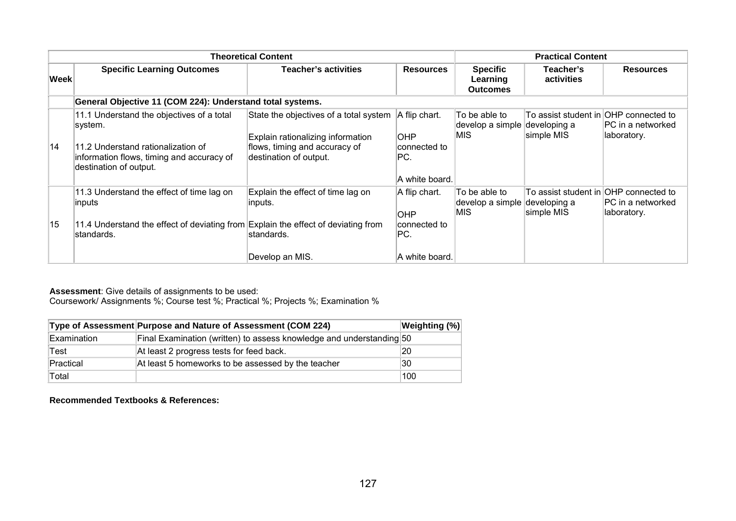|             |                                                                                                           | <b>Theoretical Content</b>                                                  |                                       |                                                       | <b>Practical Content</b>                            |                                   |
|-------------|-----------------------------------------------------------------------------------------------------------|-----------------------------------------------------------------------------|---------------------------------------|-------------------------------------------------------|-----------------------------------------------------|-----------------------------------|
| <b>Week</b> | <b>Specific Learning Outcomes</b>                                                                         | <b>Teacher's activities</b>                                                 | <b>Resources</b>                      | <b>Specific</b><br>Learning<br><b>Outcomes</b>        | Teacher's<br>activities                             | <b>Resources</b>                  |
|             | General Objective 11 (COM 224): Understand total systems.                                                 |                                                                             |                                       |                                                       |                                                     |                                   |
|             | 11.1 Understand the objectives of a total<br>system.                                                      | State the objectives of a total system<br>Explain rationalizing information | A flip chart.<br><b>OHP</b>           | To be able to<br>develop a simple developing a<br>MIS | To assist student in OHP connected to<br>simple MIS | IPC in a networked<br>laboratory. |
| 14          | 11.2 Understand rationalization of<br>information flows, timing and accuracy of<br>destination of output. | flows, timing and accuracy of<br>destination of output.                     | connected to<br>PC.<br>A white board. |                                                       |                                                     |                                   |
|             | 11.3 Understand the effect of time lag on<br>inputs                                                       | Explain the effect of time lag on<br>inputs.                                | A flip chart.<br><b>OHP</b>           | To be able to<br>develop a simple developing a<br>MIS | To assist student in OHP connected to<br>simple MIS | IPC in a networked<br>laboratory. |
| 15          | 11.4 Understand the effect of deviating from Explain the effect of deviating from<br>standards.           | standards.                                                                  | connected to<br>∣PC.                  |                                                       |                                                     |                                   |
|             |                                                                                                           | Develop an MIS.                                                             | A white board.                        |                                                       |                                                     |                                   |

Coursework/ Assignments %; Course test %; Practical %; Projects %; Examination %

|             | Type of Assessment Purpose and Nature of Assessment (COM 224)        | Weighting (%) |
|-------------|----------------------------------------------------------------------|---------------|
| Examination | Final Examination (written) to assess knowledge and understanding 50 |               |
| Test        | At least 2 progress tests for feed back.                             | 20            |
| Practical   | At least 5 homeworks to be assessed by the teacher                   | 30            |
| Total       |                                                                      | 100           |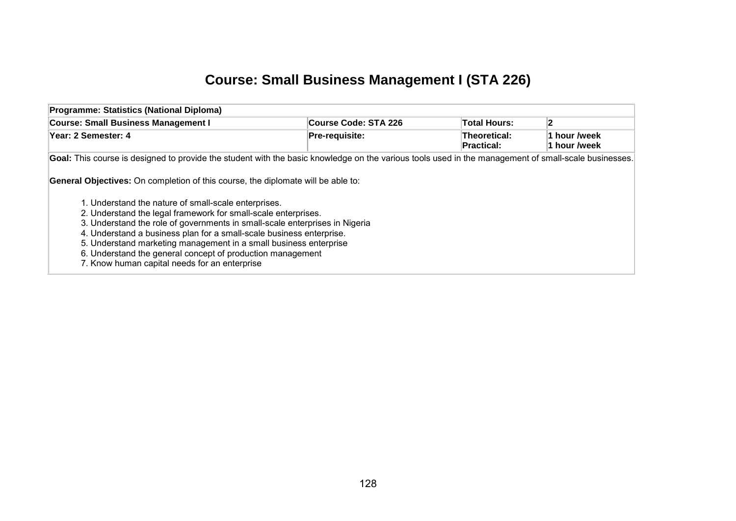## **Course: Small Business Management I (STA 226)**

| <b>Programme: Statistics (National Diploma)</b>                                                                                                      |                             |                            |                              |  |  |  |
|------------------------------------------------------------------------------------------------------------------------------------------------------|-----------------------------|----------------------------|------------------------------|--|--|--|
| <b>Course: Small Business Management I</b>                                                                                                           | <b>Course Code: STA 226</b> | <b>Total Hours:</b>        |                              |  |  |  |
| Year: 2 Semester: 4                                                                                                                                  | Pre-requisite:              | Theoretical:<br>Practical: | 1 hour /week<br>1 hour /week |  |  |  |
| Goal: This course is designed to provide the student with the basic knowledge on the various tools used in the management of small-scale businesses. |                             |                            |                              |  |  |  |
| <b>General Objectives:</b> On completion of this course, the diplomate will be able to:                                                              |                             |                            |                              |  |  |  |
| 1. Understand the nature of small-scale enterprises.                                                                                                 |                             |                            |                              |  |  |  |
| 2. Understand the legal framework for small-scale enterprises.                                                                                       |                             |                            |                              |  |  |  |
| 3. Understand the role of governments in small-scale enterprises in Nigeria                                                                          |                             |                            |                              |  |  |  |
| 4. Understand a business plan for a small-scale business enterprise.                                                                                 |                             |                            |                              |  |  |  |
| 5. Understand marketing management in a small business enterprise<br>6. Understand the general concept of production management                      |                             |                            |                              |  |  |  |
| 7. Know human capital needs for an enterprise                                                                                                        |                             |                            |                              |  |  |  |
|                                                                                                                                                      |                             |                            |                              |  |  |  |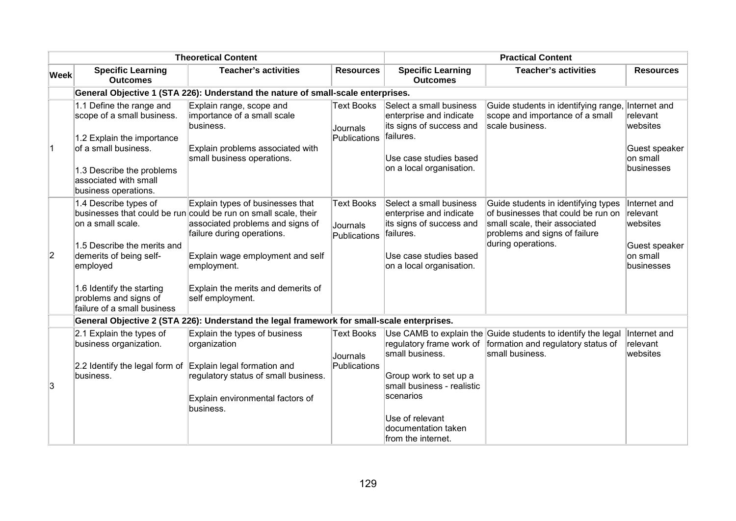| <b>Theoretical Content</b> |                                                                                                                                                                                                                                       |                                                                                                                                                                                                                                                       | <b>Practical Content</b>                                    |                                                                                                                                                   |                                                                                                                                                                   |                                                                                 |
|----------------------------|---------------------------------------------------------------------------------------------------------------------------------------------------------------------------------------------------------------------------------------|-------------------------------------------------------------------------------------------------------------------------------------------------------------------------------------------------------------------------------------------------------|-------------------------------------------------------------|---------------------------------------------------------------------------------------------------------------------------------------------------|-------------------------------------------------------------------------------------------------------------------------------------------------------------------|---------------------------------------------------------------------------------|
| <b>Week</b>                | <b>Specific Learning</b><br><b>Outcomes</b>                                                                                                                                                                                           | <b>Teacher's activities</b>                                                                                                                                                                                                                           | <b>Resources</b>                                            | <b>Specific Learning</b><br><b>Outcomes</b>                                                                                                       | <b>Teacher's activities</b>                                                                                                                                       | <b>Resources</b>                                                                |
|                            |                                                                                                                                                                                                                                       | General Objective 1 (STA 226): Understand the nature of small-scale enterprises.                                                                                                                                                                      |                                                             |                                                                                                                                                   |                                                                                                                                                                   |                                                                                 |
| $\mathbf{1}$               | 1.1 Define the range and<br>scope of a small business.<br>1.2 Explain the importance<br>of a small business.<br>1.3 Describe the problems<br>associated with small<br>business operations.                                            | Explain range, scope and<br>importance of a small scale<br>business.<br>Explain problems associated with<br>small business operations.                                                                                                                | <b>Text Books</b><br>Journals<br>Publications               | Select a small business<br>enterprise and indicate<br>its signs of success and<br>failures.<br>Use case studies based<br>on a local organisation. | Guide students in identifying range,<br>scope and importance of a small<br>scale business.                                                                        | Internet and<br>relevant<br>websites<br>Guest speaker<br>on small<br>businesses |
| $\overline{2}$             | 1.4 Describe types of<br>businesses that could be run<br>on a small scale.<br>1.5 Describe the merits and<br>demerits of being self-<br>employed<br>1.6 Identify the starting<br>problems and signs of<br>failure of a small business | Explain types of businesses that<br>could be run on small scale, their<br>associated problems and signs of<br>failure during operations.<br>Explain wage employment and self<br>employment.<br>Explain the merits and demerits of<br>self employment. | <b>Text Books</b><br><b>Journals</b><br><b>Publications</b> | Select a small business<br>enterprise and indicate<br>its signs of success and<br>failures.<br>Use case studies based<br>on a local organisation. | Guide students in identifying types<br>of businesses that could be run on<br>small scale, their associated<br>problems and signs of failure<br>during operations. | Internet and<br>relevant<br>websites<br>Guest speaker<br>on small<br>businesses |
|                            |                                                                                                                                                                                                                                       | General Objective 2 (STA 226): Understand the legal framework for small-scale enterprises.                                                                                                                                                            |                                                             |                                                                                                                                                   |                                                                                                                                                                   |                                                                                 |
|                            | 2.1 Explain the types of<br>business organization.                                                                                                                                                                                    | Explain the types of business<br>organization                                                                                                                                                                                                         | <b>Text Books</b><br>Journals                               | small business.                                                                                                                                   | Use CAMB to explain the Guide students to identify the legal<br>regulatory frame work of formation and regulatory status of<br>small business.                    | Internet and<br>relevant<br>websites                                            |
| 3                          | 2.2 Identify the legal form of<br>business.                                                                                                                                                                                           | Explain legal formation and<br>regulatory status of small business.<br>Explain environmental factors of<br>business.                                                                                                                                  | Publications                                                | Group work to set up a<br>small business - realistic<br>scenarios<br>Use of relevant<br>documentation taken<br>from the internet.                 |                                                                                                                                                                   |                                                                                 |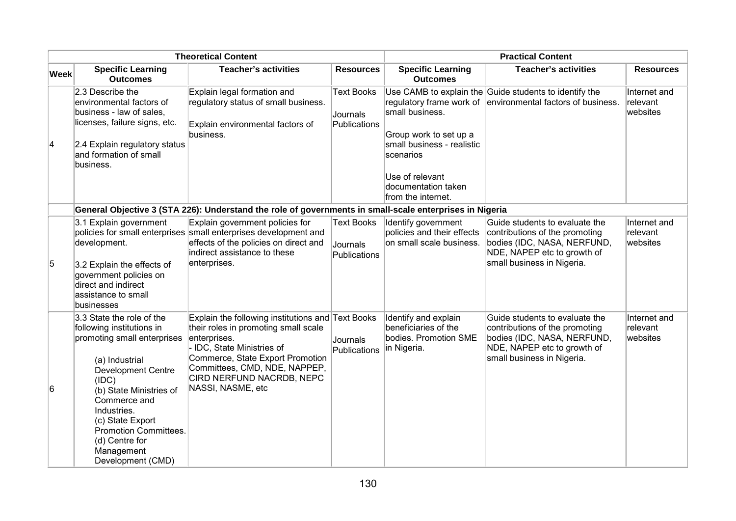| <b>Theoretical Content</b> |                                                                                                                                                                                                                                                                                                           |                                                                                                                                                                                                                                                              | <b>Practical Content</b>                      |                                                                                                                                                                                  |                                                                                                                                                              |                                      |
|----------------------------|-----------------------------------------------------------------------------------------------------------------------------------------------------------------------------------------------------------------------------------------------------------------------------------------------------------|--------------------------------------------------------------------------------------------------------------------------------------------------------------------------------------------------------------------------------------------------------------|-----------------------------------------------|----------------------------------------------------------------------------------------------------------------------------------------------------------------------------------|--------------------------------------------------------------------------------------------------------------------------------------------------------------|--------------------------------------|
| <b>Week</b>                | <b>Specific Learning</b><br><b>Outcomes</b>                                                                                                                                                                                                                                                               | <b>Teacher's activities</b>                                                                                                                                                                                                                                  | <b>Resources</b>                              | <b>Specific Learning</b><br><b>Outcomes</b>                                                                                                                                      | <b>Teacher's activities</b>                                                                                                                                  | <b>Resources</b>                     |
| 4                          | 2.3 Describe the<br>environmental factors of<br>business - law of sales,<br>licenses, failure signs, etc.<br>2.4 Explain regulatory status<br>and formation of small<br>business.                                                                                                                         | Explain legal formation and<br>regulatory status of small business.<br>Explain environmental factors of<br>business.                                                                                                                                         | <b>Text Books</b><br>Journals<br>Publications | regulatory frame work of<br>small business.<br>Group work to set up a<br>small business - realistic<br>scenarios<br>Use of relevant<br>documentation taken<br>from the internet. | Use CAMB to explain the Guide students to identify the<br>environmental factors of business.                                                                 | Internet and<br>relevant<br>websites |
|                            |                                                                                                                                                                                                                                                                                                           | General Objective 3 (STA 226): Understand the role of governments in small-scale enterprises in Nigeria                                                                                                                                                      |                                               |                                                                                                                                                                                  |                                                                                                                                                              |                                      |
| $\sqrt{5}$                 | 3.1 Explain government<br>development.<br>3.2 Explain the effects of<br>government policies on<br>direct and indirect<br>assistance to small<br>businesses                                                                                                                                                | Explain government policies for<br>policies for small enterprises small enterprises development and<br>effects of the policies on direct and<br>indirect assistance to these<br>enterprises.                                                                 | <b>Text Books</b><br>Journals<br>Publications | Identify government<br>policies and their effects<br>on small scale business.                                                                                                    | Guide students to evaluate the<br>contributions of the promoting<br>bodies (IDC, NASA, NERFUND,<br>NDE, NAPEP etc to growth of<br>small business in Nigeria. | Internet and<br>relevant<br>websites |
| 6                          | 3.3 State the role of the<br>following institutions in<br>promoting small enterprises<br>(a) Industrial<br><b>Development Centre</b><br>(IDC)<br>(b) State Ministries of<br>Commerce and<br>Industries.<br>(c) State Export<br>Promotion Committees.<br>(d) Centre for<br>Management<br>Development (CMD) | Explain the following institutions and Text Books<br>their roles in promoting small scale<br>enterprises.<br>IDC, State Ministries of<br>Commerce, State Export Promotion<br>Committees, CMD, NDE, NAPPEP,<br>CIRD NERFUND NACRDB, NEPC<br>NASSI, NASME, etc | Journals<br>Publications                      | Identify and explain<br>beneficiaries of the<br>bodies. Promotion SME<br>in Nigeria.                                                                                             | Guide students to evaluate the<br>contributions of the promoting<br>bodies (IDC, NASA, NERFUND,<br>NDE, NAPEP etc to growth of<br>small business in Nigeria. | Internet and<br>relevant<br>websites |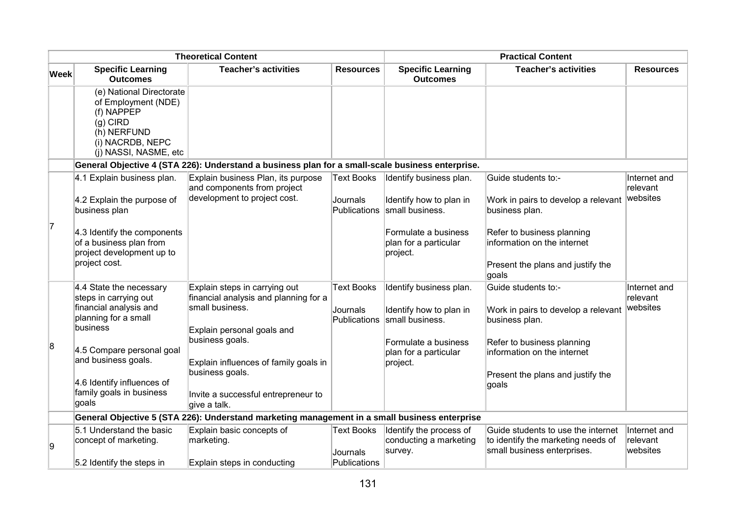| <b>Theoretical Content</b> |                                                                                                                                                                                                                                       |                                                                                                                                                                                                                                                               |                                               | <b>Practical Content</b>                                                                                                           |                                                                                                                                                                                         |                                      |  |
|----------------------------|---------------------------------------------------------------------------------------------------------------------------------------------------------------------------------------------------------------------------------------|---------------------------------------------------------------------------------------------------------------------------------------------------------------------------------------------------------------------------------------------------------------|-----------------------------------------------|------------------------------------------------------------------------------------------------------------------------------------|-----------------------------------------------------------------------------------------------------------------------------------------------------------------------------------------|--------------------------------------|--|
| <b>Week</b>                | <b>Specific Learning</b><br><b>Outcomes</b>                                                                                                                                                                                           | <b>Teacher's activities</b>                                                                                                                                                                                                                                   | <b>Resources</b>                              | <b>Specific Learning</b><br><b>Outcomes</b>                                                                                        | <b>Teacher's activities</b>                                                                                                                                                             | <b>Resources</b>                     |  |
|                            | (e) National Directorate<br>of Employment (NDE)<br>(f) NAPPEP<br>$(g)$ CIRD<br>(h) NERFUND<br>(i) NACRDB, NEPC<br>(i) NASSI, NASME, etc                                                                                               |                                                                                                                                                                                                                                                               |                                               |                                                                                                                                    |                                                                                                                                                                                         |                                      |  |
|                            |                                                                                                                                                                                                                                       | General Objective 4 (STA 226): Understand a business plan for a small-scale business enterprise.                                                                                                                                                              |                                               |                                                                                                                                    |                                                                                                                                                                                         |                                      |  |
|                            | 4.1 Explain business plan.<br>4.2 Explain the purpose of<br>business plan                                                                                                                                                             | Explain business Plan, its purpose<br>and components from project<br>development to project cost.                                                                                                                                                             | <b>Text Books</b><br>Journals<br>Publications | Identify business plan.<br>Identify how to plan in<br>small business.                                                              | Guide students to:-<br>Work in pairs to develop a relevant<br>business plan.                                                                                                            | Internet and<br>relevant<br>websites |  |
| 17                         | 4.3 Identify the components<br>of a business plan from<br>project development up to<br>project cost.                                                                                                                                  |                                                                                                                                                                                                                                                               |                                               | Formulate a business<br>plan for a particular<br>project.                                                                          | Refer to business planning<br>information on the internet<br>Present the plans and justify the<br>goals                                                                                 |                                      |  |
| 8                          | 4.4 State the necessary<br>steps in carrying out<br>financial analysis and<br>planning for a small<br>business<br>4.5 Compare personal goal<br>and business goals.<br>4.6 Identify influences of<br>family goals in business<br>goals | Explain steps in carrying out<br>financial analysis and planning for a<br>small business.<br>Explain personal goals and<br>business goals.<br>Explain influences of family goals in<br>business goals.<br>Invite a successful entrepreneur to<br>give a talk. | <b>Text Books</b><br>Journals<br>Publications | Identify business plan.<br>Identify how to plan in<br>small business.<br>Formulate a business<br>plan for a particular<br>project. | Guide students to:-<br>Work in pairs to develop a relevant<br>business plan.<br>Refer to business planning<br>information on the internet<br>Present the plans and justify the<br>goals | Internet and<br>relevant<br>websites |  |
|                            |                                                                                                                                                                                                                                       | General Objective 5 (STA 226): Understand marketing management in a small business enterprise                                                                                                                                                                 |                                               |                                                                                                                                    |                                                                                                                                                                                         |                                      |  |
| 9                          | 5.1 Understand the basic<br>concept of marketing.                                                                                                                                                                                     | Explain basic concepts of<br>marketing.                                                                                                                                                                                                                       | <b>Text Books</b><br>Journals<br>Publications | Identify the process of<br>conducting a marketing<br>survey.                                                                       | Guide students to use the internet<br>to identify the marketing needs of<br>small business enterprises.                                                                                 | Internet and<br>relevant<br>websites |  |
|                            | 5.2 Identify the steps in                                                                                                                                                                                                             | Explain steps in conducting                                                                                                                                                                                                                                   |                                               |                                                                                                                                    |                                                                                                                                                                                         |                                      |  |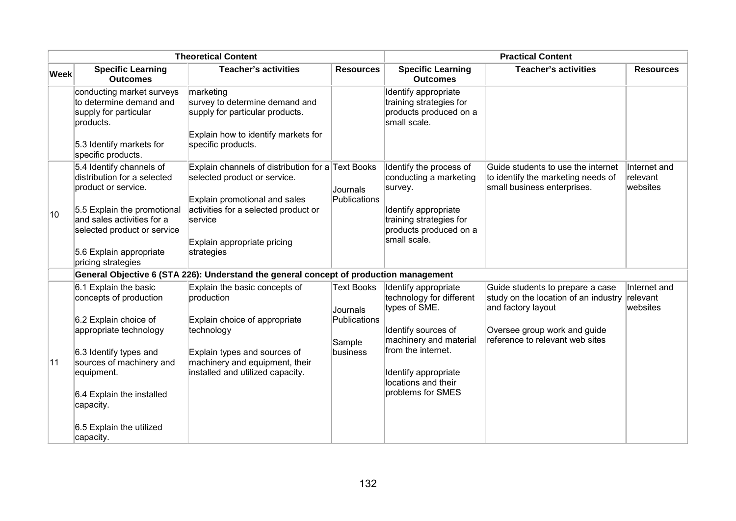| <b>Theoretical Content</b> |                                                                                                                                              |                                                                                                                                                                       |                                                                                                | <b>Practical Content</b>                                                                                        |                                                                                                         |                                      |  |  |
|----------------------------|----------------------------------------------------------------------------------------------------------------------------------------------|-----------------------------------------------------------------------------------------------------------------------------------------------------------------------|------------------------------------------------------------------------------------------------|-----------------------------------------------------------------------------------------------------------------|---------------------------------------------------------------------------------------------------------|--------------------------------------|--|--|
| <b>Week</b>                | <b>Specific Learning</b><br><b>Teacher's activities</b><br><b>Resources</b><br><b>Outcomes</b>                                               |                                                                                                                                                                       | <b>Specific Learning</b><br><b>Teacher's activities</b><br><b>Resources</b><br><b>Outcomes</b> |                                                                                                                 |                                                                                                         |                                      |  |  |
|                            | conducting market surveys<br>to determine demand and<br>supply for particular<br>products.<br>5.3 Identify markets for<br>specific products. | marketing<br>survey to determine demand and<br>supply for particular products.<br>Explain how to identify markets for<br>specific products.                           |                                                                                                | Identify appropriate<br>training strategies for<br>products produced on a<br>small scale.                       |                                                                                                         |                                      |  |  |
| 10                         | 5.4 Identify channels of<br>distribution for a selected<br>product or service.<br>5.5 Explain the promotional<br>and sales activities for a  | Explain channels of distribution for a Text Books<br>selected product or service.<br>Explain promotional and sales<br>activities for a selected product or<br>service | <b>Journals</b><br>Publications                                                                | Identify the process of<br>conducting a marketing<br>survey.<br>Identify appropriate<br>training strategies for | Guide students to use the internet<br>to identify the marketing needs of<br>small business enterprises. | Internet and<br>relevant<br>websites |  |  |
|                            | selected product or service<br>5.6 Explain appropriate<br>pricing strategies                                                                 | Explain appropriate pricing<br>strategies                                                                                                                             |                                                                                                | products produced on a<br>small scale.                                                                          |                                                                                                         |                                      |  |  |
|                            | General Objective 6 (STA 226): Understand the general concept of production management                                                       |                                                                                                                                                                       |                                                                                                |                                                                                                                 |                                                                                                         |                                      |  |  |
|                            | 6.1 Explain the basic<br>concepts of production                                                                                              | Explain the basic concepts of<br>production                                                                                                                           | <b>Text Books</b><br>Journals                                                                  | Identify appropriate<br>technology for different<br>types of SME.                                               | Guide students to prepare a case<br>study on the location of an industry relevant<br>and factory layout | Internet and<br>websites             |  |  |
|                            | 6.2 Explain choice of<br>appropriate technology                                                                                              | Explain choice of appropriate<br>technology                                                                                                                           | Publications<br>Sample                                                                         | Identify sources of<br>machinery and material                                                                   | Oversee group work and guide<br>reference to relevant web sites                                         |                                      |  |  |
| 11                         | 6.3 Identify types and<br>sources of machinery and<br>equipment.                                                                             | Explain types and sources of<br>machinery and equipment, their<br>installed and utilized capacity.                                                                    | business                                                                                       | from the internet.<br>Identify appropriate<br>locations and their                                               |                                                                                                         |                                      |  |  |
|                            | 6.4 Explain the installed<br>capacity.                                                                                                       |                                                                                                                                                                       |                                                                                                | problems for SMES                                                                                               |                                                                                                         |                                      |  |  |
|                            | 6.5 Explain the utilized<br>capacity.                                                                                                        |                                                                                                                                                                       |                                                                                                |                                                                                                                 |                                                                                                         |                                      |  |  |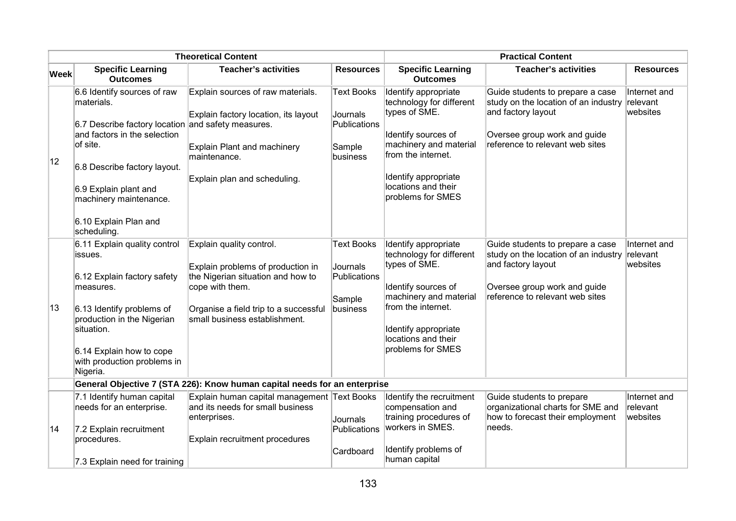| <b>Theoretical Content</b> |                                                                                                                                                                                                                                                                        |                                                                                                                                                                                                 | <b>Practical Content</b>                                            |                                                                                                                                                                                                              |                                                                                                                                                                   |                                      |
|----------------------------|------------------------------------------------------------------------------------------------------------------------------------------------------------------------------------------------------------------------------------------------------------------------|-------------------------------------------------------------------------------------------------------------------------------------------------------------------------------------------------|---------------------------------------------------------------------|--------------------------------------------------------------------------------------------------------------------------------------------------------------------------------------------------------------|-------------------------------------------------------------------------------------------------------------------------------------------------------------------|--------------------------------------|
| <b>Week</b>                | <b>Specific Learning</b><br><b>Outcomes</b>                                                                                                                                                                                                                            | <b>Teacher's activities</b>                                                                                                                                                                     | <b>Resources</b>                                                    | <b>Specific Learning</b><br><b>Outcomes</b>                                                                                                                                                                  | <b>Teacher's activities</b>                                                                                                                                       | <b>Resources</b>                     |
| 12                         | 6.6 Identify sources of raw<br>materials.<br>6.7 Describe factory location and safety measures.<br>and factors in the selection<br>of site.<br>6.8 Describe factory layout.<br>6.9 Explain plant and<br>machinery maintenance.<br>6.10 Explain Plan and<br>scheduling. | Explain sources of raw materials.<br>Explain factory location, its layout<br>Explain Plant and machinery<br>maintenance.<br>Explain plan and scheduling.                                        | <b>Text Books</b><br>Journals<br>Publications<br>Sample<br>business | Identify appropriate<br>technology for different<br>types of SME.<br>Identify sources of<br>machinery and material<br>from the internet.<br>Identify appropriate<br>locations and their<br>problems for SMES | Guide students to prepare a case<br>study on the location of an industry<br>and factory layout<br>Oversee group work and guide<br>reference to relevant web sites | Internet and<br>relevant<br>websites |
| 13                         | 6.11 Explain quality control<br>issues.<br>6.12 Explain factory safety<br>measures.<br>6.13 Identify problems of<br>production in the Nigerian<br>situation.<br>6.14 Explain how to cope<br>with production problems in<br>Nigeria.                                    | Explain quality control.<br>Explain problems of production in<br>the Nigerian situation and how to<br>cope with them.<br>Organise a field trip to a successful<br>small business establishment. | <b>Text Books</b><br>Journals<br>Publications<br>Sample<br>business | Identify appropriate<br>technology for different<br>types of SME.<br>Identify sources of<br>machinery and material<br>from the internet.<br>Identify appropriate<br>locations and their<br>problems for SMES | Guide students to prepare a case<br>study on the location of an industry<br>and factory layout<br>Oversee group work and guide<br>reference to relevant web sites | Internet and<br>relevant<br>websites |
|                            |                                                                                                                                                                                                                                                                        | General Objective 7 (STA 226): Know human capital needs for an enterprise                                                                                                                       |                                                                     |                                                                                                                                                                                                              |                                                                                                                                                                   |                                      |
| 14                         | 7.1 Identify human capital<br>needs for an enterprise.<br>7.2 Explain recruitment<br>procedures.<br>7.3 Explain need for training                                                                                                                                      | Explain human capital management Text Books<br>and its needs for small business<br>enterprises.<br>Explain recruitment procedures                                                               | Journals<br>Publications<br>Cardboard                               | Identify the recruitment<br>compensation and<br>training procedures of<br>workers in SMES.<br>Identify problems of<br>human capital                                                                          | Guide students to prepare<br>organizational charts for SME and<br>how to forecast their employment<br>needs.                                                      | Internet and<br>relevant<br>websites |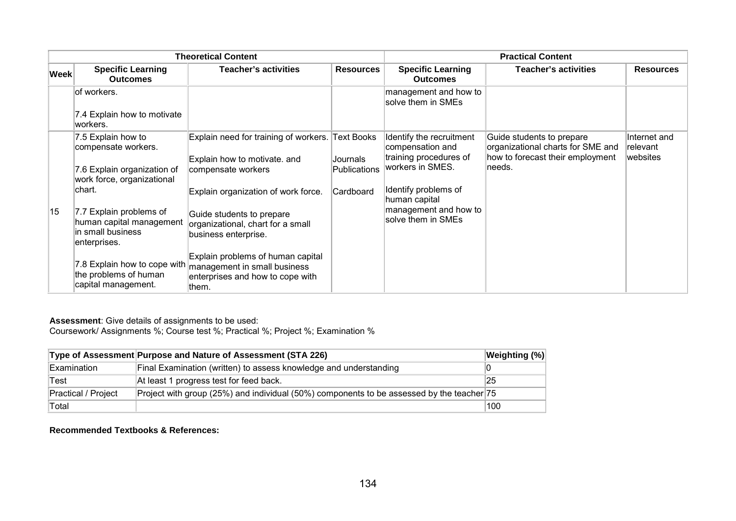| <b>Theoretical Content</b> |                                                                                          |                                                                                                                 |                          | <b>Practical Content</b>                     |                                                                |                          |
|----------------------------|------------------------------------------------------------------------------------------|-----------------------------------------------------------------------------------------------------------------|--------------------------|----------------------------------------------|----------------------------------------------------------------|--------------------------|
| <b>Week</b>                | <b>Specific Learning</b><br><b>Outcomes</b>                                              | <b>Teacher's activities</b>                                                                                     | <b>Resources</b>         | <b>Specific Learning</b><br><b>Outcomes</b>  | <b>Teacher's activities</b>                                    | <b>Resources</b>         |
|                            | lof workers.                                                                             |                                                                                                                 |                          | management and how to<br>solve them in SMEs  |                                                                |                          |
|                            | 7.4 Explain how to motivate<br>workers.                                                  |                                                                                                                 |                          |                                              |                                                                |                          |
|                            | 7.5 Explain how to<br>compensate workers.                                                | Explain need for training of workers.                                                                           | Text Books               | Identify the recruitment<br>compensation and | Guide students to prepare<br>organizational charts for SME and | Internet and<br>relevant |
|                            | 7.6 Explain organization of<br>work force, organizational                                | Explain how to motivate. and<br>compensate workers                                                              | Journals<br>Publications | training procedures of<br>workers in SMES.   | how to forecast their employment<br>needs.                     | websites                 |
|                            | chart.                                                                                   | Explain organization of work force.                                                                             | Cardboard                | Identify problems of<br>human capital        |                                                                |                          |
| 15                         | 7.7 Explain problems of<br>human capital management<br>in small business<br>enterprises. | Guide students to prepare<br>organizational, chart for a small<br>business enterprise.                          |                          | management and how to<br>solve them in SMEs  |                                                                |                          |
|                            | 7.8 Explain how to cope with<br>the problems of human<br>capital management.             | Explain problems of human capital<br>management in small business<br>enterprises and how to cope with<br>lthem. |                          |                                              |                                                                |                          |

Coursework/ Assignments %; Course test %; Practical %; Project %; Examination %

|                     | Type of Assessment Purpose and Nature of Assessment (STA 226)                             | Weighting (%) |
|---------------------|-------------------------------------------------------------------------------------------|---------------|
| <b>Examination</b>  | Final Examination (written) to assess knowledge and understanding                         |               |
| Test                | At least 1 progress test for feed back.                                                   | 25            |
| Practical / Project | Project with group (25%) and individual (50%) components to be assessed by the teacher 75 |               |
| Total               |                                                                                           | 100           |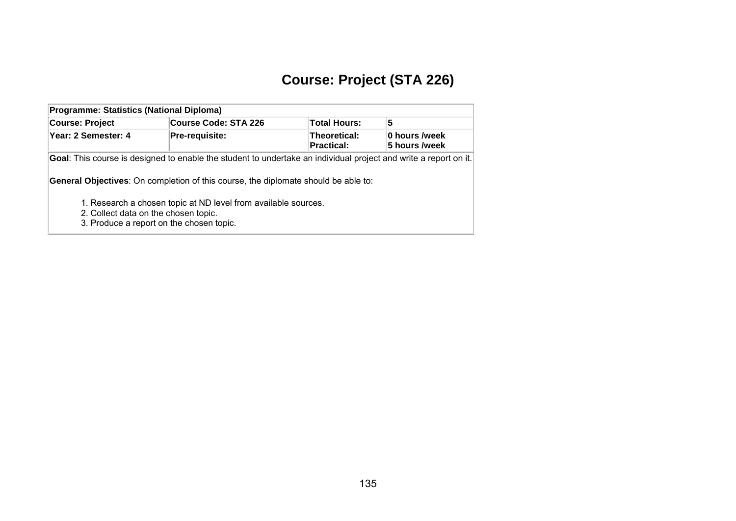## **Course: Project (STA 226)**

| <b>Programme: Statistics (National Diploma)</b>                                                                                                                                                               |                             |                            |                                |  |  |  |
|---------------------------------------------------------------------------------------------------------------------------------------------------------------------------------------------------------------|-----------------------------|----------------------------|--------------------------------|--|--|--|
| Course: Project                                                                                                                                                                                               | <b>Course Code: STA 226</b> | <b>Total Hours:</b>        | 5                              |  |  |  |
| Year: 2 Semester: 4                                                                                                                                                                                           | Pre-requisite:              | Theoretical:<br>Practical: | 0 hours /week<br>5 hours /week |  |  |  |
| Goal: This course is designed to enable the student to undertake an individual project and write a report on it.<br><b>General Objectives:</b> On completion of this course, the diplomate should be able to: |                             |                            |                                |  |  |  |
| 1. Research a chosen topic at ND level from available sources.<br>2. Collect data on the chosen topic.<br>3. Produce a report on the chosen topic.                                                            |                             |                            |                                |  |  |  |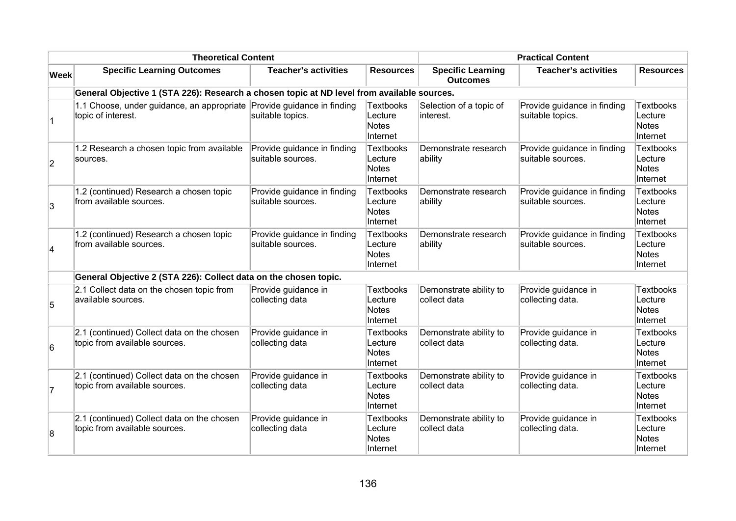|                | <b>Theoretical Content</b>                                                                   |                                                  |                                                  |                                             | <b>Practical Content</b>                         |                                                  |  |
|----------------|----------------------------------------------------------------------------------------------|--------------------------------------------------|--------------------------------------------------|---------------------------------------------|--------------------------------------------------|--------------------------------------------------|--|
| <b>Week</b>    | <b>Specific Learning Outcomes</b>                                                            | <b>Teacher's activities</b>                      | <b>Resources</b>                                 | <b>Specific Learning</b><br><b>Outcomes</b> | <b>Teacher's activities</b>                      | <b>Resources</b>                                 |  |
|                | General Objective 1 (STA 226): Research a chosen topic at ND level from available sources.   |                                                  |                                                  |                                             |                                                  |                                                  |  |
| $\vert$ 1      | 1.1 Choose, under guidance, an appropriate Provide guidance in finding<br>topic of interest. | suitable topics.                                 | <b>Textbooks</b><br>Lecture<br>Notes<br>Internet | Selection of a topic of<br>interest.        | Provide guidance in finding<br>suitable topics.  | <b>Textbooks</b><br>Lecture<br>Notes<br>Internet |  |
| $\overline{2}$ | 1.2 Research a chosen topic from available<br>sources.                                       | Provide guidance in finding<br>suitable sources. | <b>Textbooks</b><br>Lecture<br>Notes<br>Internet | Demonstrate research<br>ability             | Provide guidance in finding<br>suitable sources. | <b>Textbooks</b><br>Lecture<br>Notes<br>Internet |  |
| 3              | 1.2 (continued) Research a chosen topic<br>from available sources.                           | Provide guidance in finding<br>suitable sources. | <b>Textbooks</b><br>Lecture<br>Notes<br>Internet | Demonstrate research<br>ability             | Provide guidance in finding<br>suitable sources. | <b>Textbooks</b><br>Lecture<br>Notes<br>Internet |  |
| 4              | 1.2 (continued) Research a chosen topic<br>from available sources.                           | Provide guidance in finding<br>suitable sources. | Textbooks<br>Lecture<br><b>Notes</b><br>Internet | Demonstrate research<br>ability             | Provide guidance in finding<br>suitable sources. | Textbooks<br>Lecture<br>Notes<br>Internet        |  |
|                | General Objective 2 (STA 226): Collect data on the chosen topic.                             |                                                  |                                                  |                                             |                                                  |                                                  |  |
| 5              | 2.1 Collect data on the chosen topic from<br>available sources.                              | Provide guidance in<br>collecting data           | Textbooks<br>Lecture<br>Notes<br>Internet        | Demonstrate ability to<br>collect data      | Provide guidance in<br>collecting data.          | <b>Textbooks</b><br>Lecture<br>Notes<br>Internet |  |
| 6              | 2.1 (continued) Collect data on the chosen<br>topic from available sources.                  | Provide guidance in<br>collecting data           | <b>Textbooks</b><br>Lecture<br>Notes<br>Internet | Demonstrate ability to<br>collect data      | Provide guidance in<br>collecting data.          | <b>Textbooks</b><br>Lecture<br>Notes<br>Internet |  |
| $\overline{7}$ | 2.1 (continued) Collect data on the chosen<br>topic from available sources.                  | Provide guidance in<br>collecting data           | Textbooks<br>Lecture<br>Notes<br>Internet        | Demonstrate ability to<br>collect data      | Provide guidance in<br>collecting data.          | Textbooks<br>Lecture<br>Notes<br>Internet        |  |
| $\overline{8}$ | 2.1 (continued) Collect data on the chosen<br>topic from available sources.                  | Provide guidance in<br>collecting data           | <b>Textbooks</b><br>Lecture<br>Notes<br>Internet | Demonstrate ability to<br>collect data      | Provide guidance in<br>collecting data.          | Textbooks<br>Lecture<br>Notes<br>Internet        |  |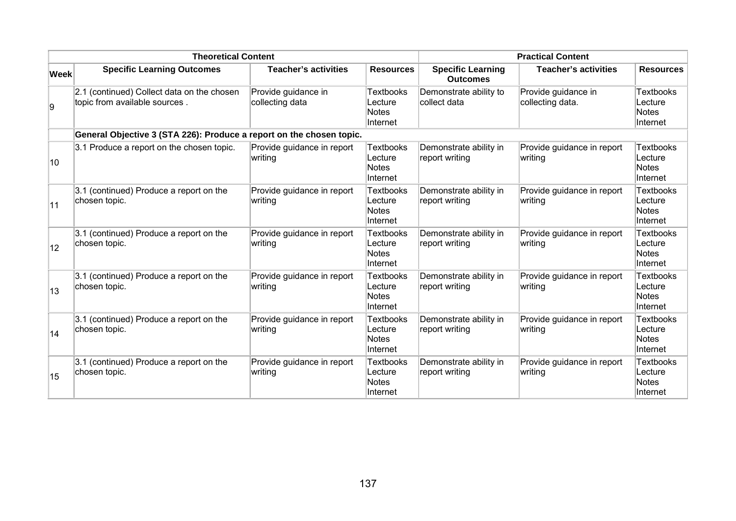| <b>Theoretical Content</b> |                                                                             |                                        |                                                         | <b>Practical Content</b>                    |                                         |                                                         |
|----------------------------|-----------------------------------------------------------------------------|----------------------------------------|---------------------------------------------------------|---------------------------------------------|-----------------------------------------|---------------------------------------------------------|
| <b>Week</b>                | <b>Specific Learning Outcomes</b>                                           | <b>Teacher's activities</b>            | <b>Resources</b>                                        | <b>Specific Learning</b><br><b>Outcomes</b> | <b>Teacher's activities</b>             | <b>Resources</b>                                        |
| g,                         | 2.1 (continued) Collect data on the chosen<br>topic from available sources. | Provide guidance in<br>collecting data | <b>Textbooks</b><br>Lecture<br><b>Notes</b><br>Internet | Demonstrate ability to<br>collect data      | Provide guidance in<br>collecting data. | Textbooks<br>Lecture<br><b>Notes</b><br>Internet        |
|                            | General Objective 3 (STA 226): Produce a report on the chosen topic.        |                                        |                                                         |                                             |                                         |                                                         |
| 10                         | 3.1 Produce a report on the chosen topic.                                   | Provide guidance in report<br>writing  | <b>Textbooks</b><br>Lecture<br><b>Notes</b><br>Internet | Demonstrate ability in<br>report writing    | Provide guidance in report<br>writing   | Textbooks<br>Lecture<br><b>Notes</b><br>Internet        |
| 11                         | 3.1 (continued) Produce a report on the<br>chosen topic.                    | Provide guidance in report<br>writing  | Textbooks<br>Lecture<br><b>Notes</b><br>Internet        | Demonstrate ability in<br>report writing    | Provide guidance in report<br>writing   | <b>Textbooks</b><br>Lecture<br><b>Notes</b><br>Internet |
| $ 12\rangle$               | 3.1 (continued) Produce a report on the<br>chosen topic.                    | Provide guidance in report<br>writing  | <b>Textbooks</b><br>Lecture<br><b>Notes</b><br>Internet | Demonstrate ability in<br>report writing    | Provide guidance in report<br>writing   | <b>Textbooks</b><br>Lecture<br><b>Notes</b><br>Internet |
| 13                         | 3.1 (continued) Produce a report on the<br>chosen topic.                    | Provide guidance in report<br>writing  | <b>Textbooks</b><br>Lecture<br><b>Notes</b><br>Internet | Demonstrate ability in<br>report writing    | Provide guidance in report<br>writing   | <b>Textbooks</b><br>Lecture<br><b>Notes</b><br>Internet |
| 14                         | 3.1 (continued) Produce a report on the<br>chosen topic.                    | Provide guidance in report<br>writing  | <b>Textbooks</b><br>Lecture<br><b>Notes</b><br>Internet | Demonstrate ability in<br>report writing    | Provide guidance in report<br>writing   | Textbooks<br>Lecture<br><b>Notes</b><br>Internet        |
| 15                         | 3.1 (continued) Produce a report on the<br>chosen topic.                    | Provide guidance in report<br>writing  | <b>Textbooks</b><br>Lecture<br><b>Notes</b><br>Internet | Demonstrate ability in<br>report writing    | Provide guidance in report<br>writing   | <b>Textbooks</b><br>Lecture<br><b>Notes</b><br>Internet |